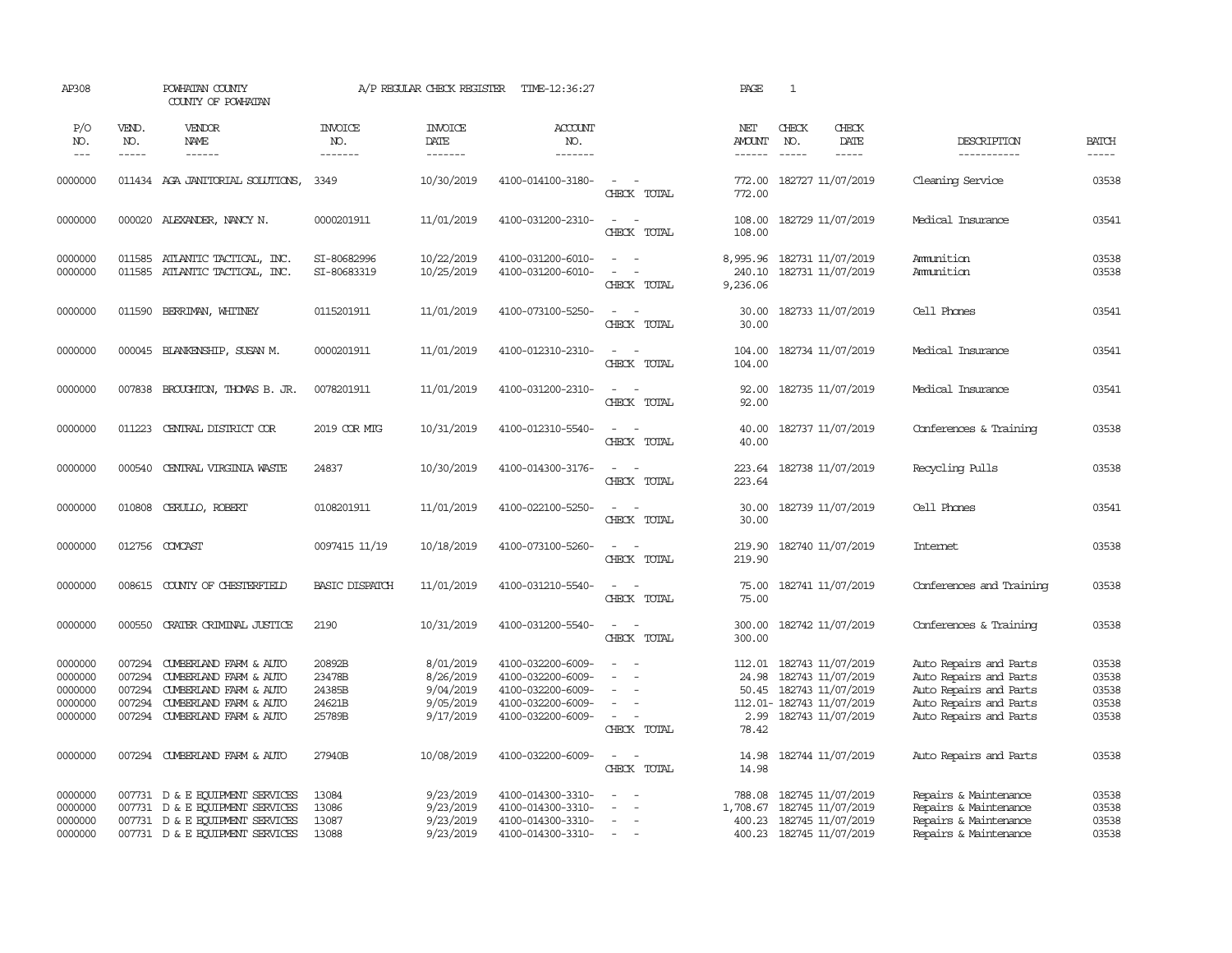| AP308                                               |                                                | POWHATAN COUNTY<br>COUNTY OF POWHATAN                                                                                                    |                                                | A/P REGULAR CHECK REGISTER                                    | TIME-12:36:27                                                                                         |                                                                   | PAGE                                  | $\mathbf{1}$                                                                                                         |                                                                                                                                |                                           |
|-----------------------------------------------------|------------------------------------------------|------------------------------------------------------------------------------------------------------------------------------------------|------------------------------------------------|---------------------------------------------------------------|-------------------------------------------------------------------------------------------------------|-------------------------------------------------------------------|---------------------------------------|----------------------------------------------------------------------------------------------------------------------|--------------------------------------------------------------------------------------------------------------------------------|-------------------------------------------|
| P/O<br>NO.<br>$---$                                 | VEND.<br>NO.<br>$- - - - -$                    | <b>VENDOR</b><br>NAME<br>$- - - - - -$                                                                                                   | <b>INVOICE</b><br>NO.<br>-------               | <b>INVOICE</b><br>DATE<br>--------                            | ACCOUNT<br>NO.<br>$- - - - - - -$                                                                     |                                                                   | NET<br><b>AMOUNT</b><br>$- - - - - -$ | CHECK<br>CHECK<br>NO.<br>DATE<br>$\frac{1}{2}$<br>$- - - - -$                                                        | DESCRIPTION<br>-----------                                                                                                     | <b>BATCH</b><br>-----                     |
| 0000000                                             |                                                | 011434 AGA JANITORIAL SOLUTIONS,                                                                                                         | 3349                                           | 10/30/2019                                                    | 4100-014100-3180-                                                                                     | $\sim$<br>$\sim$<br>CHECK TOTAL                                   | 772.00<br>772.00                      | 182727 11/07/2019                                                                                                    | Cleaning Service                                                                                                               | 03538                                     |
| 0000000                                             |                                                | 000020 ALEXANDER, NANCY N.                                                                                                               | 0000201911                                     | 11/01/2019                                                    | 4100-031200-2310-                                                                                     | $\sim$<br>$\sim$<br>CHECK TOTAL                                   | 108.00<br>108.00                      | 182729 11/07/2019                                                                                                    | Medical Insurance                                                                                                              | 03541                                     |
| 0000000<br>0000000                                  | 011585<br>011585                               | ATLANTIC TACTICAL, INC.<br>ATLANTIC TACTICAL, INC.                                                                                       | SI-80682996<br>SI-80683319                     | 10/22/2019<br>10/25/2019                                      | 4100-031200-6010-<br>4100-031200-6010-                                                                | $\sim$<br>$\sim$<br>$\sim$<br>$\overline{a}$<br>CHECK TOTAL       | 8,995.96<br>240.10<br>9,236.06        | 182731 11/07/2019<br>182731 11/07/2019                                                                               | Amunition<br>Ammunition                                                                                                        | 03538<br>03538                            |
| 0000000                                             | 011590                                         | BERRIMAN, WHITNEY                                                                                                                        | 0115201911                                     | 11/01/2019                                                    | 4100-073100-5250-                                                                                     | $\sim$<br>$\sim$<br>CHECK TOTAL                                   | 30.00<br>30.00                        | 182733 11/07/2019                                                                                                    | Cell Phones                                                                                                                    | 03541                                     |
| 0000000                                             |                                                | 000045 BLANKENSHIP, SUSAN M.                                                                                                             | 0000201911                                     | 11/01/2019                                                    | 4100-012310-2310-                                                                                     | $\sim$<br>$\sim$<br>CHECK TOTAL                                   | 104.00<br>104.00                      | 182734 11/07/2019                                                                                                    | Medical Insurance                                                                                                              | 03541                                     |
| 0000000                                             | 007838                                         | BROUGHTON, THOMAS B. JR.                                                                                                                 | 0078201911                                     | 11/01/2019                                                    | 4100-031200-2310-                                                                                     | $\sim$ $\sim$<br>CHECK TOTAL                                      | 92.00<br>92.00                        | 182735 11/07/2019                                                                                                    | Medical Insurance                                                                                                              | 03541                                     |
| 0000000                                             | 011223                                         | CENTRAL DISTRICT COR                                                                                                                     | 2019 COR MTG                                   | 10/31/2019                                                    | 4100-012310-5540-                                                                                     | $\sim$<br>$\sim$<br>CHECK TOTAL                                   | 40.00<br>40.00                        | 182737 11/07/2019                                                                                                    | Conferences & Training                                                                                                         | 03538                                     |
| 0000000                                             | 000540                                         | CENTRAL VIRGINIA WASTE                                                                                                                   | 24837                                          | 10/30/2019                                                    | 4100-014300-3176-                                                                                     | $\sim$<br>$\sim$<br>CHECK TOTAL                                   | 223.64<br>223.64                      | 182738 11/07/2019                                                                                                    | Recycling Pulls                                                                                                                | 03538                                     |
| 0000000                                             | 010808                                         | CERULLO, ROBERT                                                                                                                          | 0108201911                                     | 11/01/2019                                                    | 4100-022100-5250-                                                                                     | $\sim$<br>CHECK TOTAL                                             | 30.00<br>30.00                        | 182739 11/07/2019                                                                                                    | Cell Phones                                                                                                                    | 03541                                     |
| 0000000                                             | 012756                                         | COMCAST                                                                                                                                  | 0097415 11/19                                  | 10/18/2019                                                    | 4100-073100-5260-                                                                                     | $\sim$<br>CHECK TOTAL                                             | 219.90<br>219.90                      | 182740 11/07/2019                                                                                                    | Internet                                                                                                                       | 03538                                     |
| 0000000                                             | 008615                                         | COUNTY OF CHESTERFIELD                                                                                                                   | <b>BASIC DISPATCH</b>                          | 11/01/2019                                                    | 4100-031210-5540-                                                                                     | $\overline{\phantom{a}}$<br>$\sim$<br>CHECK TOTAL                 | 75.00<br>75.00                        | 182741 11/07/2019                                                                                                    | Conferences and Training                                                                                                       | 03538                                     |
| 0000000                                             | 000550                                         | CRATER CRIMINAL JUSTICE                                                                                                                  | 2190                                           | 10/31/2019                                                    | 4100-031200-5540-                                                                                     | $\sim$<br>$\sim$<br>CHECK TOTAL                                   | 300.00<br>300.00                      | 182742 11/07/2019                                                                                                    | Conferences & Training                                                                                                         | 03538                                     |
| 0000000<br>0000000<br>0000000<br>0000000<br>0000000 | 007294<br>007294<br>007294<br>007294<br>007294 | CUMBERLAND FARM & AUTO<br>CUMBERLAND FARM & AUTO<br>CUMBERLAND FARM & AUTO<br>CUMBERLAND FARM & AUTO<br>CUMBERLAND FARM & AUTO           | 20892B<br>23478B<br>24385B<br>24621B<br>25789B | 8/01/2019<br>8/26/2019<br>9/04/2019<br>9/05/2019<br>9/17/2019 | 4100-032200-6009-<br>4100-032200-6009-<br>4100-032200-6009-<br>4100-032200-6009-<br>4100-032200-6009- | $\equiv$<br>$\sim$<br>$\equiv$<br>$\sim$<br>$\sim$<br>CHECK TOTAL | 24.98<br>50.45<br>2.99<br>78.42       | 112.01 182743 11/07/2019<br>182743 11/07/2019<br>182743 11/07/2019<br>112.01- 182743 11/07/2019<br>182743 11/07/2019 | Auto Repairs and Parts<br>Auto Repairs and Parts<br>Auto Repairs and Parts<br>Auto Repairs and Parts<br>Auto Repairs and Parts | 03538<br>03538<br>03538<br>03538<br>03538 |
| 0000000                                             |                                                | 007294 CUMBERLAND FARM & AUTO                                                                                                            | 27940B                                         | 10/08/2019                                                    | 4100-032200-6009-                                                                                     | $\sim$<br>$\sim$<br>CHECK TOTAL                                   | 14.98<br>14.98                        | 182744 11/07/2019                                                                                                    | Auto Repairs and Parts                                                                                                         | 03538                                     |
| 0000000<br>0000000<br>0000000<br>0000000            |                                                | 007731 D & E EQUIPMENT SERVICES<br>007731 D & E EQUIPMENT SERVICES<br>007731 D & E EQUIPMENT SERVICES<br>007731 D & E EQUIPMENT SERVICES | 13084<br>13086<br>13087<br>13088               | 9/23/2019<br>9/23/2019<br>9/23/2019<br>9/23/2019              | 4100-014300-3310-<br>4100-014300-3310-<br>4100-014300-3310-<br>4100-014300-3310-                      | $\sim$<br>$\equiv$<br>$\sim$<br>$\sim$<br>$\sim$                  | 788.08<br>1,708.67                    | 182745 11/07/2019<br>182745 11/07/2019<br>400.23 182745 11/07/2019<br>400.23 182745 11/07/2019                       | Repairs & Maintenance<br>Repairs & Maintenance<br>Repairs & Maintenance<br>Repairs & Maintenance                               | 03538<br>03538<br>03538<br>03538          |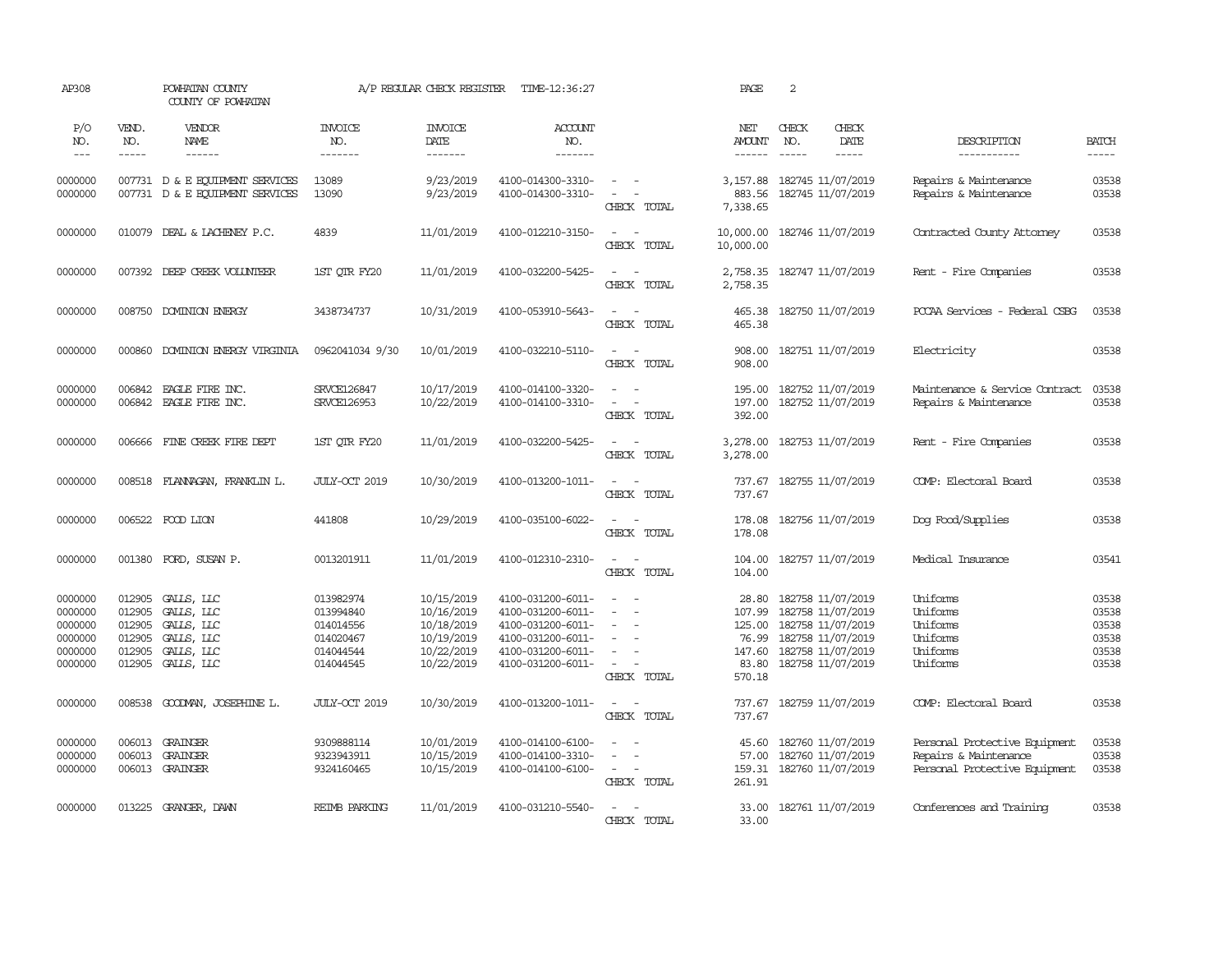| AP308                                                          |                                                          | POWHATAN COUNTY<br>COUNTY OF POWHATAN                                            |                                                                            | A/P REGULAR CHECK REGISTER                                                       | TIME-12:36:27                                                                                                              |                                                                                                                                                                                                                               | PAGE                                                            | 2                                                                                                                          |                              |                                                                                         |                                                    |
|----------------------------------------------------------------|----------------------------------------------------------|----------------------------------------------------------------------------------|----------------------------------------------------------------------------|----------------------------------------------------------------------------------|----------------------------------------------------------------------------------------------------------------------------|-------------------------------------------------------------------------------------------------------------------------------------------------------------------------------------------------------------------------------|-----------------------------------------------------------------|----------------------------------------------------------------------------------------------------------------------------|------------------------------|-----------------------------------------------------------------------------------------|----------------------------------------------------|
| P/O<br>NO.<br>$\frac{1}{2}$                                    | VEND.<br>NO.<br>-----                                    | VENDOR<br>NAME<br>------                                                         | <b>INVOICE</b><br>NO.<br>-------                                           | <b>INVOICE</b><br>DATE<br>--------                                               | <b>ACCOUNT</b><br>NO.<br>--------                                                                                          |                                                                                                                                                                                                                               | NET<br><b>AMOUNT</b><br>------                                  | CHECK<br>NO.<br>$\frac{1}{2}$                                                                                              | CHECK<br>DATE<br>$- - - - -$ | DESCRIPTION<br>-----------                                                              | <b>BATCH</b><br>-----                              |
| 0000000<br>0000000                                             |                                                          | 007731 D & E EQUIPMENT SERVICES<br>007731 D & E EQUIPMENT SERVICES               | 13089<br>13090                                                             | 9/23/2019<br>9/23/2019                                                           | 4100-014300-3310-<br>4100-014300-3310-                                                                                     | $\sim$ $  -$<br>$\sim$<br>$\sim$<br>CHECK TOTAL                                                                                                                                                                               | 3,157.88<br>883.56<br>7,338.65                                  | 182745 11/07/2019<br>182745 11/07/2019                                                                                     |                              | Repairs & Maintenance<br>Repairs & Maintenance                                          | 03538<br>03538                                     |
| 0000000                                                        |                                                          | 010079 DEAL & LACHENEY P.C.                                                      | 4839                                                                       | 11/01/2019                                                                       | 4100-012210-3150-                                                                                                          | $\sim$<br>$\sim$<br>CHECK TOTAL                                                                                                                                                                                               | 10,000.00<br>10,000.00                                          | 182746 11/07/2019                                                                                                          |                              | Contracted County Attorney                                                              | 03538                                              |
| 0000000                                                        |                                                          | 007392 DEEP CREEK VOLUNTEER                                                      | 1ST OIR FY20                                                               | 11/01/2019                                                                       | 4100-032200-5425-                                                                                                          | $\overline{\phantom{a}}$<br>$\sim$<br>CHECK TOTAL                                                                                                                                                                             | 2,758.35<br>2,758.35                                            | 182747 11/07/2019                                                                                                          |                              | Rent - Fire Companies                                                                   | 03538                                              |
| 0000000                                                        | 008750                                                   | DOMINION ENERGY                                                                  | 3438734737                                                                 | 10/31/2019                                                                       | 4100-053910-5643-                                                                                                          | $\overline{a}$<br>$\sim$<br>CHECK TOTAL                                                                                                                                                                                       | 465.38<br>465.38                                                | 182750 11/07/2019                                                                                                          |                              | PCCAA Services - Federal CSBG                                                           | 03538                                              |
| 0000000                                                        | 000860                                                   | DOMINION ENERGY VIRGINIA                                                         | 0962041034 9/30                                                            | 10/01/2019                                                                       | 4100-032210-5110-                                                                                                          | $\sim$<br>$\sim$<br>CHECK TOTAL                                                                                                                                                                                               | 908.00<br>908.00                                                | 182751 11/07/2019                                                                                                          |                              | Electricity                                                                             | 03538                                              |
| 0000000<br>0000000                                             | 006842<br>006842                                         | EAGLE FIRE INC.<br>EAGLE FIRE INC.                                               | SRVCE126847<br>SRVCE126953                                                 | 10/17/2019<br>10/22/2019                                                         | 4100-014100-3320-<br>4100-014100-3310-                                                                                     | $\sim$<br>$\sim$<br>$\equiv$<br>$\sim$<br>CHECK TOTAL                                                                                                                                                                         | 195.00<br>197.00<br>392.00                                      | 182752 11/07/2019<br>182752 11/07/2019                                                                                     |                              | Maintenance & Service Contract<br>Repairs & Maintenance                                 | 03538<br>03538                                     |
| 0000000                                                        | 006666                                                   | FINE CREEK FIRE DEPT                                                             | 1ST QTR FY20                                                               | 11/01/2019                                                                       | 4100-032200-5425-                                                                                                          | $\sim$<br>$\overline{\phantom{a}}$<br>CHECK TOTAL                                                                                                                                                                             | 3,278.00<br>3,278.00                                            | 182753 11/07/2019                                                                                                          |                              | Rent - Fire Companies                                                                   | 03538                                              |
| 0000000                                                        |                                                          | 008518 FLANNAGAN, FRANKLIN L.                                                    | JULY-CCT 2019                                                              | 10/30/2019                                                                       | 4100-013200-1011-                                                                                                          | $\sim$<br>$\sim$<br>CHECK TOTAL                                                                                                                                                                                               | 737.67<br>737.67                                                | 182755 11/07/2019                                                                                                          |                              | COMP: Electoral Board                                                                   | 03538                                              |
| 0000000                                                        |                                                          | 006522 FOOD LION                                                                 | 441808                                                                     | 10/29/2019                                                                       | 4100-035100-6022-                                                                                                          | $\overline{\phantom{a}}$<br>CHECK TOTAL                                                                                                                                                                                       | 178.08<br>178.08                                                | 182756 11/07/2019                                                                                                          |                              | Dog Food/Supplies                                                                       | 03538                                              |
| 0000000                                                        |                                                          | 001380 FORD, SUSAN P.                                                            | 0013201911                                                                 | 11/01/2019                                                                       | 4100-012310-2310-                                                                                                          | $\sim$<br>$\sim$<br>CHECK TOTAL                                                                                                                                                                                               | 104.00<br>104.00                                                | 182757 11/07/2019                                                                                                          |                              | Medical Insurance                                                                       | 03541                                              |
| 0000000<br>0000000<br>0000000<br>0000000<br>0000000<br>0000000 | 012905<br>012905<br>012905<br>012905<br>012905<br>012905 | GALLS, LLC<br>GALLS, LLC<br>GALLS, LLC<br>GALLS, LLC<br>GALLS, LLC<br>GALLS, LLC | 013982974<br>013994840<br>014014556<br>014020467<br>014044544<br>014044545 | 10/15/2019<br>10/16/2019<br>10/18/2019<br>10/19/2019<br>10/22/2019<br>10/22/2019 | 4100-031200-6011-<br>4100-031200-6011-<br>4100-031200-6011-<br>4100-031200-6011-<br>4100-031200-6011-<br>4100-031200-6011- | $\frac{1}{2} \left( \frac{1}{2} \right) \left( \frac{1}{2} \right) = \frac{1}{2} \left( \frac{1}{2} \right)$<br>$\equiv$<br>$\overline{\phantom{a}}$<br>$\sim$<br>$\sim$<br>$\sim$<br>$\overline{\phantom{a}}$<br>CHECK TOTAL | 28.80<br>107.99<br>125.00<br>76.99<br>147.60<br>83.80<br>570.18 | 182758 11/07/2019<br>182758 11/07/2019<br>182758 11/07/2019<br>182758 11/07/2019<br>182758 11/07/2019<br>182758 11/07/2019 |                              | Uniforms<br>Uniforms<br>Uniforms<br>Uniforms<br>Uniforms<br>Uniforms                    | 03538<br>03538<br>03538<br>03538<br>03538<br>03538 |
| 0000000                                                        | 008538                                                   | GOODMAN, JOSEPHINE L.                                                            | JULY-CCT 2019                                                              | 10/30/2019                                                                       | 4100-013200-1011-                                                                                                          | $\sim$<br>$\sim$<br>CHECK TOTAL                                                                                                                                                                                               | 737.67<br>737.67                                                | 182759 11/07/2019                                                                                                          |                              | COMP: Electoral Board                                                                   | 03538                                              |
| 0000000<br>0000000<br>0000000                                  | 006013<br>006013                                         | <b>GRAINGER</b><br>GRAINGER<br>006013 GRAINGER                                   | 9309888114<br>9323943911<br>9324160465                                     | 10/01/2019<br>10/15/2019<br>10/15/2019                                           | 4100-014100-6100-<br>4100-014100-3310-<br>4100-014100-6100-                                                                | $\sim$<br>$\sim$<br>$\sim$<br>CHECK TOTAL                                                                                                                                                                                     | 45.60<br>57.00<br>159.31<br>261.91                              | 182760 11/07/2019<br>182760 11/07/2019<br>182760 11/07/2019                                                                |                              | Personal Protective Equipment<br>Repairs & Maintenance<br>Personal Protective Equipment | 03538<br>03538<br>03538                            |
| 0000000                                                        |                                                          | 013225 GRANGER, DAWN                                                             | <b>REIMB PARKING</b>                                                       | 11/01/2019                                                                       | 4100-031210-5540-                                                                                                          | $\overline{\phantom{a}}$<br>$\sim$<br>CHECK TOTAL                                                                                                                                                                             | 33.00<br>33.00                                                  | 182761 11/07/2019                                                                                                          |                              | Conferences and Training                                                                | 03538                                              |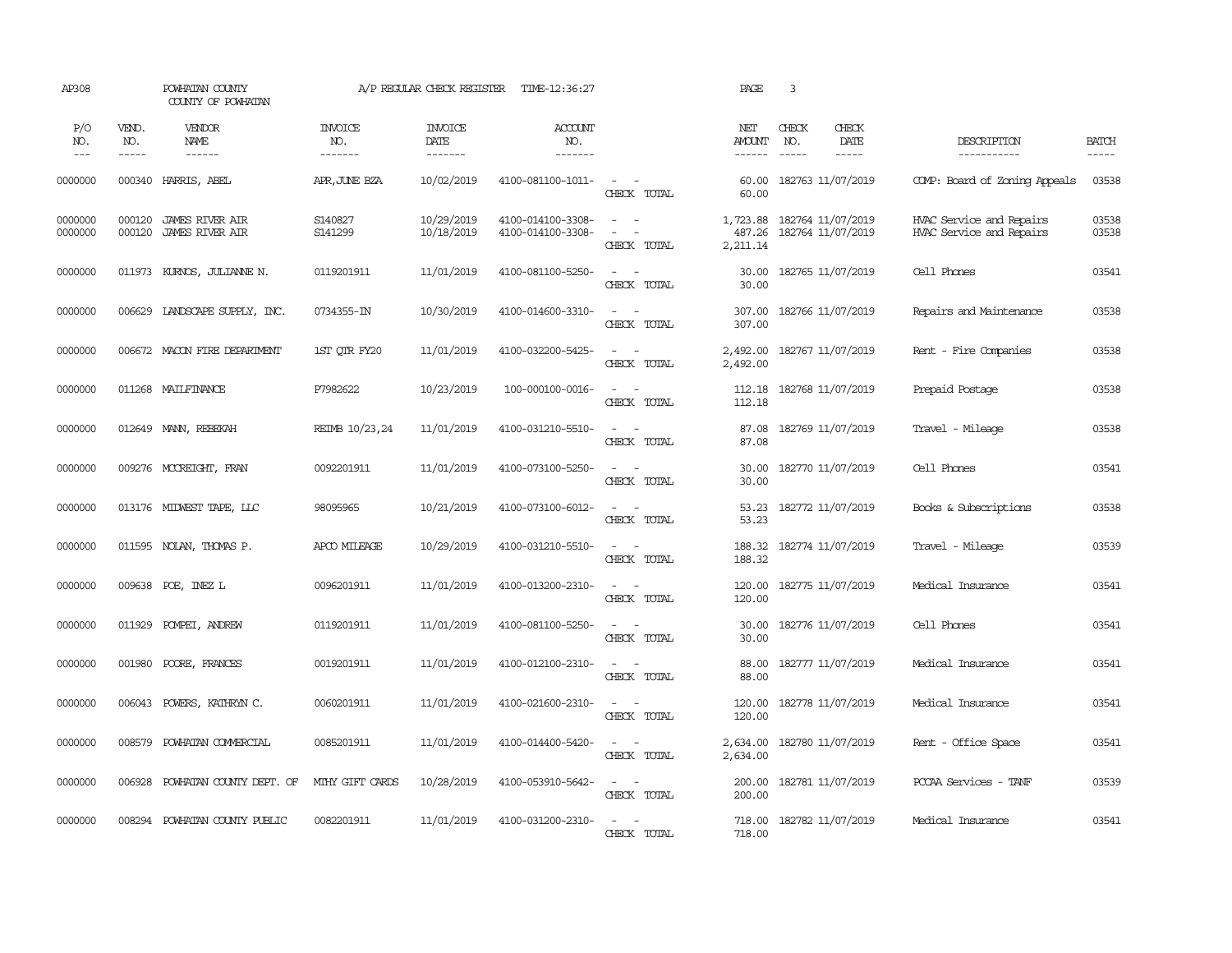| AP308                 |                       | POWHATAN COUNTY<br>COUNTY OF POWHATAN            |                                  | A/P REGULAR CHECK REGISTER        | TIME-12:36:27                          |                                                                  | PAGE                           | 3                                                                                                                                                                                                                                                                                                                                                                                                            |                              |                                                      |                             |
|-----------------------|-----------------------|--------------------------------------------------|----------------------------------|-----------------------------------|----------------------------------------|------------------------------------------------------------------|--------------------------------|--------------------------------------------------------------------------------------------------------------------------------------------------------------------------------------------------------------------------------------------------------------------------------------------------------------------------------------------------------------------------------------------------------------|------------------------------|------------------------------------------------------|-----------------------------|
| P/O<br>NO.<br>$- - -$ | VEND.<br>NO.<br>----- | VENDOR<br>NAME<br>$- - - - - -$                  | <b>INVOICE</b><br>NO.<br>------- | <b>INVOICE</b><br>DATE<br>------- | ACCOUNT<br>NO.<br>-------              |                                                                  | NET<br><b>AMOUNT</b><br>------ | CHECK<br>NO.<br>$\frac{1}{2} \frac{1}{2} \frac{1}{2} \frac{1}{2} \frac{1}{2} \frac{1}{2} \frac{1}{2} \frac{1}{2} \frac{1}{2} \frac{1}{2} \frac{1}{2} \frac{1}{2} \frac{1}{2} \frac{1}{2} \frac{1}{2} \frac{1}{2} \frac{1}{2} \frac{1}{2} \frac{1}{2} \frac{1}{2} \frac{1}{2} \frac{1}{2} \frac{1}{2} \frac{1}{2} \frac{1}{2} \frac{1}{2} \frac{1}{2} \frac{1}{2} \frac{1}{2} \frac{1}{2} \frac{1}{2} \frac{$ | CHECK<br>DATE<br>$- - - - -$ | DESCRIPTION<br>-----------                           | <b>BATCH</b><br>$- - - - -$ |
| 0000000               | 000340                | HARRIS, ABEL                                     | APR, JUNE BZA                    | 10/02/2019                        | 4100-081100-1011-                      | $\sim$ $ -$<br>CHECK TOTAL                                       | 60.00<br>60.00                 | 182763 11/07/2019                                                                                                                                                                                                                                                                                                                                                                                            |                              | COMP: Board of Zoning Appeals                        | 03538                       |
| 0000000<br>0000000    | 000120<br>000120      | <b>JAMES RIVER AIR</b><br><b>JAMES RIVER AIR</b> | S140827<br>S141299               | 10/29/2019<br>10/18/2019          | 4100-014100-3308-<br>4100-014100-3308- | $\sim$ $ -$<br>$\overline{\phantom{a}}$<br>$\sim$<br>CHECK TOTAL | 1,723.88<br>487.26<br>2,211.14 | 182764 11/07/2019<br>182764 11/07/2019                                                                                                                                                                                                                                                                                                                                                                       |                              | HVAC Service and Repairs<br>HVAC Service and Repairs | 03538<br>03538              |
| 0000000               | 011973                | KURNOS, JULIANNE N.                              | 0119201911                       | 11/01/2019                        | 4100-081100-5250-                      | $\overline{a}$<br>$\sim$<br>CHECK TOTAL                          | 30.00<br>30.00                 | 182765 11/07/2019                                                                                                                                                                                                                                                                                                                                                                                            |                              | Cell Phones                                          | 03541                       |
| 0000000               | 006629                | LANDSCAPE SUPPLY, INC.                           | 0734355-IN                       | 10/30/2019                        | 4100-014600-3310-                      | $\sim$<br>$\sim$<br>CHECK TOTAL                                  | 307.00<br>307.00               | 182766 11/07/2019                                                                                                                                                                                                                                                                                                                                                                                            |                              | Repairs and Maintenance                              | 03538                       |
| 0000000               |                       | 006672 MACON FIRE DEPARTMENT                     | 1ST QTR FY20                     | 11/01/2019                        | 4100-032200-5425-                      | $\sim$ $ -$<br>CHECK TOTAL                                       | 2,492.00<br>2,492.00           | 182767 11/07/2019                                                                                                                                                                                                                                                                                                                                                                                            |                              | Rent - Fire Companies                                | 03538                       |
| 0000000               |                       | 011268 MAILFINANCE                               | P7982622                         | 10/23/2019                        | 100-000100-0016-                       | $\sim$<br>$\sim$<br>CHECK TOTAL                                  | 112.18<br>112.18               | 182768 11/07/2019                                                                                                                                                                                                                                                                                                                                                                                            |                              | Prepaid Postage                                      | 03538                       |
| 0000000               |                       | 012649 MANN, REBEKAH                             | REIMB 10/23,24                   | 11/01/2019                        | 4100-031210-5510-                      | $\sim$ $ \sim$<br>CHECK TOTAL                                    | 87.08<br>87.08                 | 182769 11/07/2019                                                                                                                                                                                                                                                                                                                                                                                            |                              | Travel - Mileage                                     | 03538                       |
| 0000000               |                       | 009276 MCCREIGHT, FRAN                           | 0092201911                       | 11/01/2019                        | 4100-073100-5250-                      | $\sim$ $ \sim$<br>CHECK TOTAL                                    | 30.00<br>30.00                 | 182770 11/07/2019                                                                                                                                                                                                                                                                                                                                                                                            |                              | Cell Phones                                          | 03541                       |
| 0000000               |                       | 013176 MIDWEST TAPE, LLC                         | 98095965                         | 10/21/2019                        | 4100-073100-6012-                      | $\sim$ $ \sim$<br>CHECK TOTAL                                    | 53.23<br>53.23                 | 182772 11/07/2019                                                                                                                                                                                                                                                                                                                                                                                            |                              | Books & Subscriptions                                | 03538                       |
| 0000000               |                       | 011595 NOLAN, THOMAS P.                          | APCO MILEAGE                     | 10/29/2019                        | 4100-031210-5510-                      | $\sim$<br>$\sim$<br>CHECK TOTAL                                  | 188.32<br>188.32               | 182774 11/07/2019                                                                                                                                                                                                                                                                                                                                                                                            |                              | Travel - Mileage                                     | 03539                       |
| 0000000               | 009638                | POE, INEZ L                                      | 0096201911                       | 11/01/2019                        | 4100-013200-2310-                      | $\sim$<br>$\sim$<br>CHECK TOTAL                                  | 120.00<br>120.00               | 182775 11/07/2019                                                                                                                                                                                                                                                                                                                                                                                            |                              | Medical Insurance                                    | 03541                       |
| 0000000               | 011929                | POMPEI, ANDREW                                   | 0119201911                       | 11/01/2019                        | 4100-081100-5250-                      | $\sim$<br>$\sim$<br>CHECK TOTAL                                  | 30.00<br>30.00                 | 182776 11/07/2019                                                                                                                                                                                                                                                                                                                                                                                            |                              | Cell Phones                                          | 03541                       |
| 0000000               | 001980                | POORE, FRANCES                                   | 0019201911                       | 11/01/2019                        | 4100-012100-2310-                      | $\sim$<br>$\sim$<br>CHECK TOTAL                                  | 88.00<br>88.00                 | 182777 11/07/2019                                                                                                                                                                                                                                                                                                                                                                                            |                              | Medical Insurance                                    | 03541                       |
| 0000000               | 006043                | POWERS, KATHRYN C.                               | 0060201911                       | 11/01/2019                        | 4100-021600-2310-                      | $\sim$ $  -$<br>CHECK TOTAL                                      | 120.00<br>120.00               | 182778 11/07/2019                                                                                                                                                                                                                                                                                                                                                                                            |                              | Medical Insurance                                    | 03541                       |
| 0000000               | 008579                | POWHATAN COMMERCIAL                              | 0085201911                       | 11/01/2019                        | 4100-014400-5420-                      | $\sim$ $ -$<br>CHECK TOTAL                                       | 2,634.00<br>2,634.00           | 182780 11/07/2019                                                                                                                                                                                                                                                                                                                                                                                            |                              | Rent - Office Space                                  | 03541                       |
| 0000000               | 006928                | POWHATAN COUNTY DEPT. OF                         | MIHY GIFT CARDS                  | 10/28/2019                        | 4100-053910-5642-                      | $\sim$ $  -$<br>CHECK TOTAL                                      | 200.00<br>200.00               | 182781 11/07/2019                                                                                                                                                                                                                                                                                                                                                                                            |                              | PCCAA Services - TANF                                | 03539                       |
| 0000000               | 008294                | POWHATAN COUNTY PUBLIC                           | 0082201911                       | 11/01/2019                        | 4100-031200-2310-                      | $\overline{a}$<br>$\sim$<br>CHECK TOTAL                          | 718.00<br>718.00               | 182782 11/07/2019                                                                                                                                                                                                                                                                                                                                                                                            |                              | Medical Insurance                                    | 03541                       |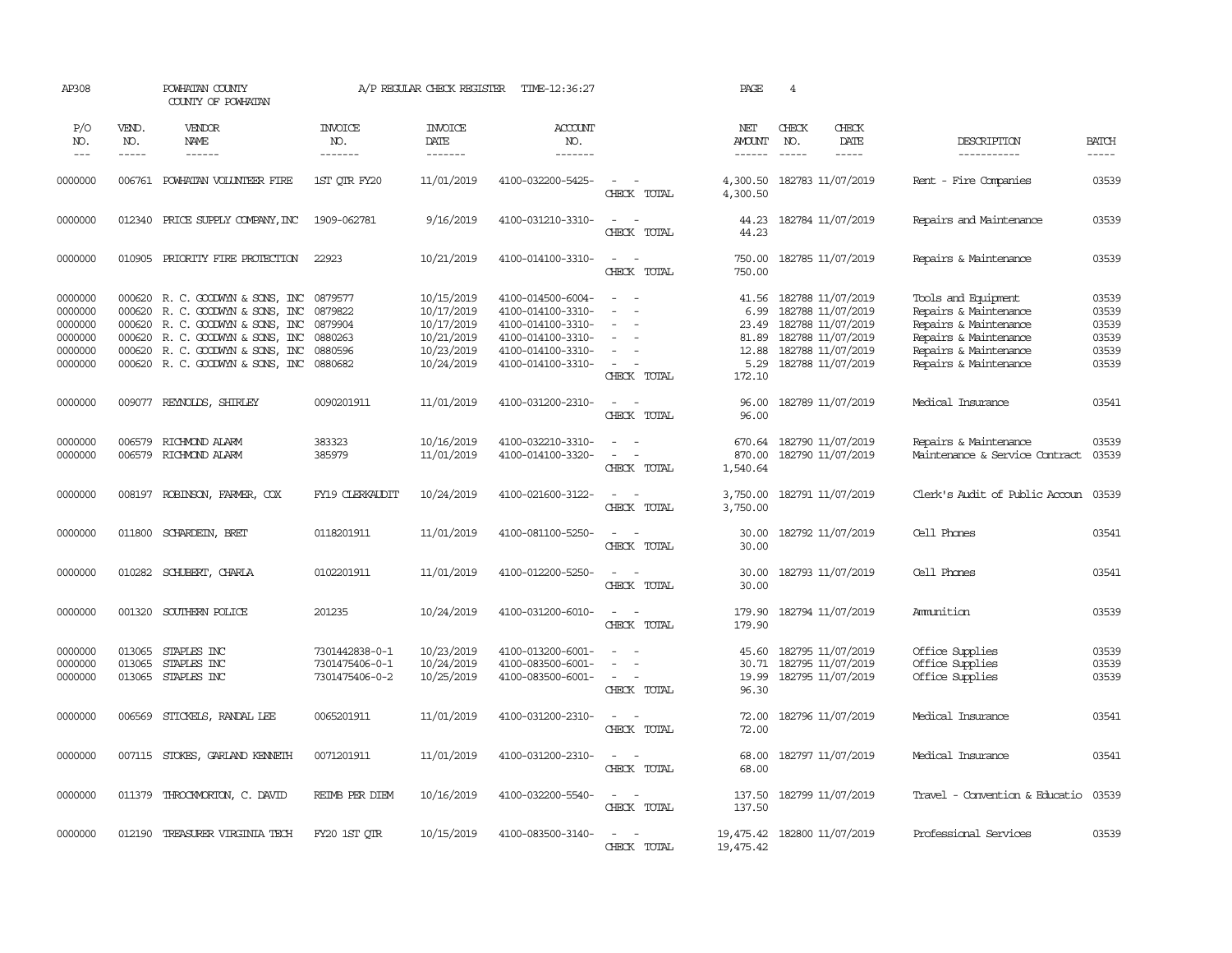| AP308               |                       | POWHATAN COUNTY<br>COUNTY OF POWHATAN |                                  | A/P REGULAR CHECK REGISTER                | TIME-12:36:27                    |                                                            | <b>PAGE</b>                              | $\overline{4}$                |                              |                                |                       |
|---------------------|-----------------------|---------------------------------------|----------------------------------|-------------------------------------------|----------------------------------|------------------------------------------------------------|------------------------------------------|-------------------------------|------------------------------|--------------------------------|-----------------------|
| P/O<br>NO.<br>$---$ | VEND.<br>NO.<br>----- | VENDOR<br>NAME<br>------              | <b>INVOICE</b><br>NO.<br>------- | <b>INVOICE</b><br>DATE<br>$- - - - - - -$ | <b>ACCOUNT</b><br>NO.<br>------- |                                                            | NET<br><b>AMOUNT</b><br>$- - - - - -$    | CHECK<br>NO.<br>$\frac{1}{2}$ | CHECK<br>DATE<br>$- - - - -$ | DESCRIPTION<br>-----------     | <b>BATCH</b><br>----- |
|                     |                       |                                       |                                  |                                           |                                  |                                                            |                                          |                               |                              |                                |                       |
| 0000000             |                       | 006761 POWHATAN VOLUNTEER FIRE        | 1ST OTR FY20                     | 11/01/2019                                | 4100-032200-5425-                | $\sim$<br>$\sim$<br>CHECK TOTAL                            | 4,300.50<br>4,300.50                     |                               | 182783 11/07/2019            | Rent - Fire Companies          | 03539                 |
| 0000000             |                       | 012340 PRICE SUPPLY COMPANY, INC      | 1909-062781                      | 9/16/2019                                 | 4100-031210-3310-                | $\sim$ $-$<br>$\overline{\phantom{a}}$<br>CHECK TOTAL      | 44.23<br>44.23                           |                               | 182784 11/07/2019            | Repairs and Maintenance        | 03539                 |
| 0000000             |                       | 010905 PRIORITY FIRE PROTECTION       | 22923                            | 10/21/2019                                | 4100-014100-3310-                | $\sim$ $\sim$<br>CHECK TOTAL                               | 750.00<br>750.00                         |                               | 182785 11/07/2019            | Repairs & Maintenance          | 03539                 |
| 0000000             |                       | 000620 R. C. GOODWIN & SONS, INC      | 0879577                          | 10/15/2019                                | 4100-014500-6004-                | $\sim$<br>$\sim$                                           | 41.56                                    |                               | 182788 11/07/2019            | Tools and Equipment            | 03539                 |
| 0000000             | 000620                | R. C. GOODWIN & SONS, INC             | 0879822                          | 10/17/2019                                | 4100-014100-3310-                | $\equiv$<br>$\sim$                                         | 6.99                                     |                               | 182788 11/07/2019            | Repairs & Maintenance          | 03539                 |
| 0000000             |                       | 000620 R. C. GOODWIN & SONS, INC      | 0879904                          | 10/17/2019                                | 4100-014100-3310-                | $\sim$<br>$\overline{\phantom{a}}$                         | 23.49                                    |                               | 182788 11/07/2019            | Repairs & Maintenance          | 03539                 |
| 0000000             | 000620                | R. C. GOODWYN & SONS, INC             | 0880263                          | 10/21/2019                                | 4100-014100-3310-                | $\sim$                                                     | 81.89                                    |                               | 182788 11/07/2019            | Repairs & Maintenance          | 03539                 |
| 0000000             |                       | 000620 R.C. GOODWIN & SONS, INC       | 0880596                          | 10/23/2019                                | 4100-014100-3310-                | $\overline{\phantom{a}}$                                   | 12.88                                    |                               | 182788 11/07/2019            | Repairs & Maintenance          | 03539                 |
| 0000000             |                       | 000620 R. C. GOODWYN & SONS, INC      | 0880682                          | 10/24/2019                                | 4100-014100-3310-                | $\sim$<br>$\overline{\phantom{a}}$<br>CHECK TOTAL          | 5.29<br>172.10                           |                               | 182788 11/07/2019            | Repairs & Maintenance          | 03539                 |
| 0000000             |                       | 009077 REYNOLDS, SHIRLEY              | 0090201911                       | 11/01/2019                                | 4100-031200-2310-                | $\sim$<br>$\sim$                                           | 96.00                                    |                               | 182789 11/07/2019            | Medical Insurance              | 03541                 |
|                     |                       |                                       |                                  |                                           |                                  | CHECK TOTAL                                                | 96.00                                    |                               |                              |                                |                       |
| 0000000             | 006579                | RICHMOND ALARM                        | 383323                           | 10/16/2019                                | 4100-032210-3310-                | $\sim$<br>$\sim$                                           |                                          |                               | 670.64 182790 11/07/2019     | Repairs & Maintenance          | 03539                 |
| 0000000             | 006579                | RICHMOND ALARM                        | 385979                           | 11/01/2019                                | 4100-014100-3320-                | $\sim$<br>CHECK TOTAL                                      | 870.00<br>1,540.64                       |                               | 182790 11/07/2019            | Maintenance & Service Contract | 03539                 |
| 0000000             | 008197                | ROBINSON, FARMER, COX                 | FY19 CLERKAUDIT                  | 10/24/2019                                | 4100-021600-3122-                | $\sim$<br>$\sim$<br>CHECK TOTAL                            | 3,750.00<br>3,750.00                     |                               | 182791 11/07/2019            | Clerk's Audit of Public Accoun | 03539                 |
| 0000000             | 011800                | SCHARDEIN, BRET                       | 0118201911                       | 11/01/2019                                | 4100-081100-5250-                | CHECK TOTAL                                                | 30.00<br>30.00                           |                               | 182792 11/07/2019            | Cell Phones                    | 03541                 |
| 0000000             | 010282                | SCHUBERT, CHARLA                      | 0102201911                       | 11/01/2019                                | 4100-012200-5250-                | $\sim$<br>$\sim$<br>CHECK TOTAL                            | 30.00<br>30.00                           |                               | 182793 11/07/2019            | Cell Phones                    | 03541                 |
| 0000000             |                       | 001320 SOUTHERN POLICE                | 201235                           | 10/24/2019                                | 4100-031200-6010-                | $\omega_{\rm{max}}$ and $\omega_{\rm{max}}$<br>CHECK TOTAL | 179.90<br>179.90                         |                               | 182794 11/07/2019            | Ammition                       | 03539                 |
| 0000000             | 013065                | STAPLES INC                           | 7301442838-0-1                   | 10/23/2019                                | 4100-013200-6001-                | $\sim$<br>$\sim$                                           | 45.60                                    |                               | 182795 11/07/2019            | Office Supplies                | 03539                 |
| 0000000             | 013065                | STAPLES INC                           | 7301475406-0-1                   | 10/24/2019                                | 4100-083500-6001-                | $\overline{a}$<br>$\sim$                                   | 30.71                                    |                               | 182795 11/07/2019            | Office Supplies                | 03539                 |
| 0000000             | 013065                | STAPLES INC                           | 7301475406-0-2                   | 10/25/2019                                | 4100-083500-6001-                | $\sim$<br>$\sim$<br>CHECK TOTAL                            | 19.99<br>96.30                           |                               | 182795 11/07/2019            | Office Supplies                | 03539                 |
| 0000000             | 006569                | STICKELS, RANDAL LEE                  | 0065201911                       | 11/01/2019                                | 4100-031200-2310-                | $\sim$<br>CHECK TOTAL                                      | 72.00<br>72.00                           |                               | 182796 11/07/2019            | Medical Insurance              | 03541                 |
|                     |                       |                                       |                                  |                                           |                                  |                                                            |                                          |                               |                              |                                |                       |
| 0000000             |                       | 007115 STOKES, GARLAND KENNETH        | 0071201911                       | 11/01/2019                                | 4100-031200-2310-                | $\sim$ $-$<br>$\sim$<br>CHECK TOTAL                        | 68.00<br>68.00                           |                               | 182797 11/07/2019            | Medical Insurance              | 03541                 |
| 0000000             |                       | 011379 THROCKMORTON, C. DAVID         | REIMB PER DIEM                   | 10/16/2019                                | 4100-032200-5540-                | $\sim$<br>$\sim$<br>CHECK TOTAL                            | 137.50<br>137.50                         |                               | 182799 11/07/2019            | Travel - Convention & Educatio | 03539                 |
| 0000000             |                       | 012190 TREASURER VIRGINIA TECH        | FY20 1ST OTR                     | 10/15/2019                                | 4100-083500-3140-                | $\sim$<br>$\sim$<br>CHECK TOTAL                            | 19,475.42 182800 11/07/2019<br>19,475.42 |                               |                              | Professional Services          | 03539                 |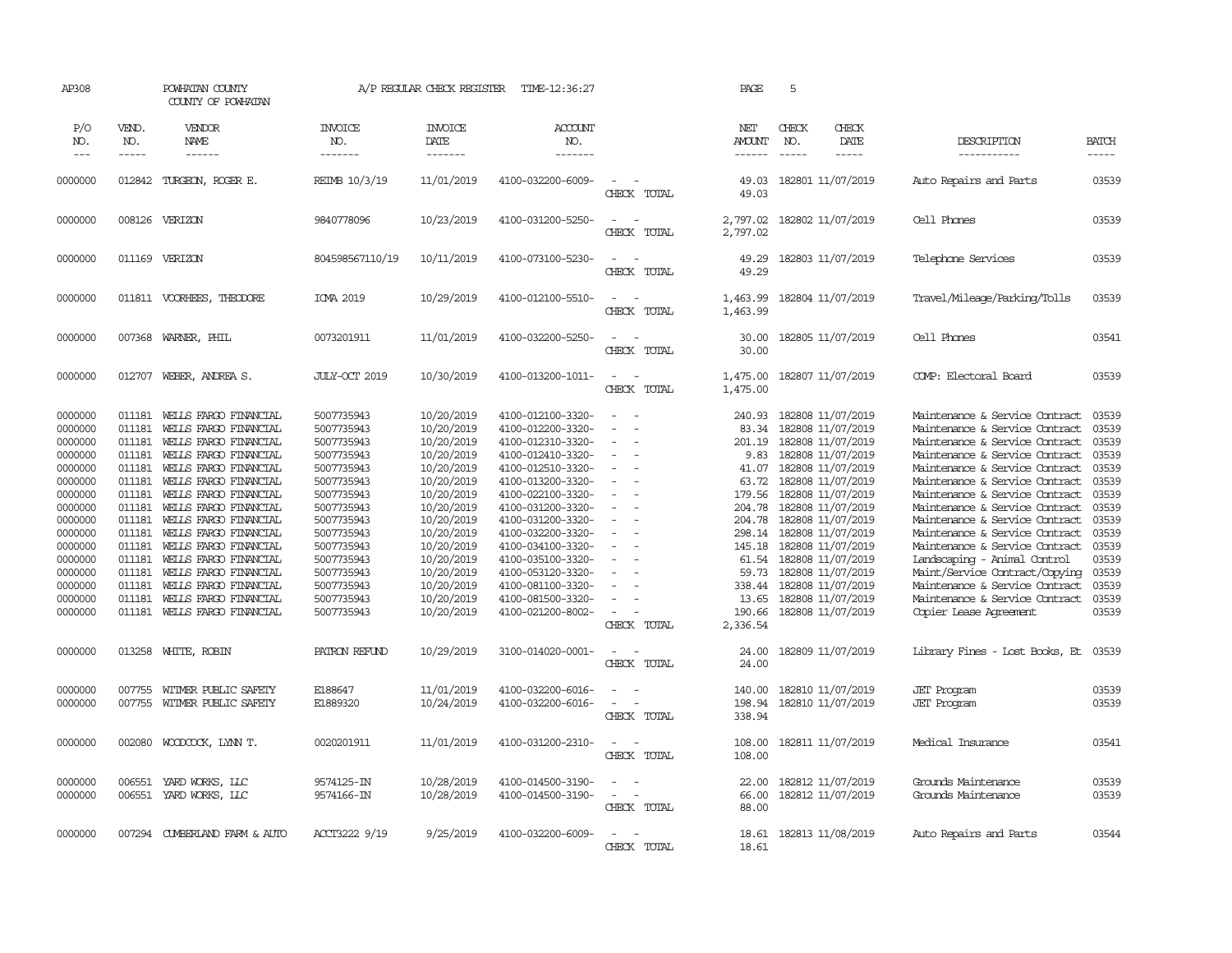| AP308                                                                                                                                                                                   |                                                                                                                                                              | POWHATAN COUNTY<br>COUNTY OF POWHATAN                                                                                                                                                                                                                                                                                                                                                                                               |                                                                                                                                                                                                                                               | A/P REGULAR CHECK REGISTER                                                                                                                                                                                                                 | TIME-12:36:27                                                                                                                                                                                                                                                                                                                                                     |                                                                                                                           | PAGE                                                                                                                                                                      | 5                             |                                                                                                                                                                                                                                                                                                                                                                   |                                                                                                                                                                                                                                                                                                                                                                                                                                                                                                                                                                                      |                                                                                                                                                       |
|-----------------------------------------------------------------------------------------------------------------------------------------------------------------------------------------|--------------------------------------------------------------------------------------------------------------------------------------------------------------|-------------------------------------------------------------------------------------------------------------------------------------------------------------------------------------------------------------------------------------------------------------------------------------------------------------------------------------------------------------------------------------------------------------------------------------|-----------------------------------------------------------------------------------------------------------------------------------------------------------------------------------------------------------------------------------------------|--------------------------------------------------------------------------------------------------------------------------------------------------------------------------------------------------------------------------------------------|-------------------------------------------------------------------------------------------------------------------------------------------------------------------------------------------------------------------------------------------------------------------------------------------------------------------------------------------------------------------|---------------------------------------------------------------------------------------------------------------------------|---------------------------------------------------------------------------------------------------------------------------------------------------------------------------|-------------------------------|-------------------------------------------------------------------------------------------------------------------------------------------------------------------------------------------------------------------------------------------------------------------------------------------------------------------------------------------------------------------|--------------------------------------------------------------------------------------------------------------------------------------------------------------------------------------------------------------------------------------------------------------------------------------------------------------------------------------------------------------------------------------------------------------------------------------------------------------------------------------------------------------------------------------------------------------------------------------|-------------------------------------------------------------------------------------------------------------------------------------------------------|
| P/O<br>NO.<br>$---$                                                                                                                                                                     | VEND.<br>NO.<br>-----                                                                                                                                        | VENDOR<br>NAME<br>$- - - - - -$                                                                                                                                                                                                                                                                                                                                                                                                     | <b>INVOICE</b><br>NO.<br>-------                                                                                                                                                                                                              | <b>INVOICE</b><br>DATE<br>$- - - - - - -$                                                                                                                                                                                                  | <b>ACCOUNT</b><br>NO.<br>$- - - - - - -$                                                                                                                                                                                                                                                                                                                          |                                                                                                                           | NET<br><b>AMOUNT</b><br>-------                                                                                                                                           | CHECK<br>NO.<br>$\frac{1}{2}$ | CHECK<br>DATE<br>$- - - - -$                                                                                                                                                                                                                                                                                                                                      | DESCRIPTION<br>-----------                                                                                                                                                                                                                                                                                                                                                                                                                                                                                                                                                           | <b>BATCH</b><br>-----                                                                                                                                 |
| 0000000                                                                                                                                                                                 | 012842                                                                                                                                                       | TURGEON, ROGER E.                                                                                                                                                                                                                                                                                                                                                                                                                   | REIMB 10/3/19                                                                                                                                                                                                                                 | 11/01/2019                                                                                                                                                                                                                                 | 4100-032200-6009-                                                                                                                                                                                                                                                                                                                                                 | $\overline{\phantom{a}}$<br>CHECK TOTAL                                                                                   | 49.03<br>49.03                                                                                                                                                            |                               | 182801 11/07/2019                                                                                                                                                                                                                                                                                                                                                 | Auto Repairs and Parts                                                                                                                                                                                                                                                                                                                                                                                                                                                                                                                                                               | 03539                                                                                                                                                 |
| 0000000                                                                                                                                                                                 |                                                                                                                                                              | 008126 VERIZON                                                                                                                                                                                                                                                                                                                                                                                                                      | 9840778096                                                                                                                                                                                                                                    | 10/23/2019                                                                                                                                                                                                                                 | 4100-031200-5250-                                                                                                                                                                                                                                                                                                                                                 | $\equiv$<br>$\sim$<br>CHECK TOTAL                                                                                         | 2,797.02<br>2,797.02                                                                                                                                                      |                               | 182802 11/07/2019                                                                                                                                                                                                                                                                                                                                                 | Cell Phones                                                                                                                                                                                                                                                                                                                                                                                                                                                                                                                                                                          | 03539                                                                                                                                                 |
| 0000000                                                                                                                                                                                 | 011169                                                                                                                                                       | VERIZON                                                                                                                                                                                                                                                                                                                                                                                                                             | 804598567110/19                                                                                                                                                                                                                               | 10/11/2019                                                                                                                                                                                                                                 | 4100-073100-5230-                                                                                                                                                                                                                                                                                                                                                 | $\sim$<br>CHECK TOTAL                                                                                                     | 49.29<br>49.29                                                                                                                                                            |                               | 182803 11/07/2019                                                                                                                                                                                                                                                                                                                                                 | Telephone Services                                                                                                                                                                                                                                                                                                                                                                                                                                                                                                                                                                   | 03539                                                                                                                                                 |
| 0000000                                                                                                                                                                                 |                                                                                                                                                              | 011811 VOORHEES, THEODORE                                                                                                                                                                                                                                                                                                                                                                                                           | ICMA 2019                                                                                                                                                                                                                                     | 10/29/2019                                                                                                                                                                                                                                 | 4100-012100-5510-                                                                                                                                                                                                                                                                                                                                                 | $\sim$<br>$\sim$<br>CHECK TOTAL                                                                                           | 1,463.99<br>1,463.99                                                                                                                                                      |                               | 182804 11/07/2019                                                                                                                                                                                                                                                                                                                                                 | Travel/Mileage/Parking/Tolls                                                                                                                                                                                                                                                                                                                                                                                                                                                                                                                                                         | 03539                                                                                                                                                 |
| 0000000                                                                                                                                                                                 | 007368                                                                                                                                                       | WARNER, PHIL                                                                                                                                                                                                                                                                                                                                                                                                                        | 0073201911                                                                                                                                                                                                                                    | 11/01/2019                                                                                                                                                                                                                                 | 4100-032200-5250-                                                                                                                                                                                                                                                                                                                                                 | $\sim$<br>CHECK TOTAL                                                                                                     | 30.00<br>30.00                                                                                                                                                            |                               | 182805 11/07/2019                                                                                                                                                                                                                                                                                                                                                 | Cell Phones                                                                                                                                                                                                                                                                                                                                                                                                                                                                                                                                                                          | 03541                                                                                                                                                 |
| 0000000                                                                                                                                                                                 | 012707                                                                                                                                                       | WEBER, ANDREA S.                                                                                                                                                                                                                                                                                                                                                                                                                    | JULY-OCT 2019                                                                                                                                                                                                                                 | 10/30/2019                                                                                                                                                                                                                                 | 4100-013200-1011-                                                                                                                                                                                                                                                                                                                                                 | CHECK TOTAL                                                                                                               | 1,475.00<br>1,475.00                                                                                                                                                      |                               | 182807 11/07/2019                                                                                                                                                                                                                                                                                                                                                 | COMP: Electoral Board                                                                                                                                                                                                                                                                                                                                                                                                                                                                                                                                                                | 03539                                                                                                                                                 |
| 0000000<br>0000000<br>0000000<br>0000000<br>0000000<br>0000000<br>0000000<br>0000000<br>0000000<br>0000000<br>0000000<br>0000000<br>0000000<br>0000000<br>0000000<br>0000000<br>0000000 | 011181<br>011181<br>011181<br>011181<br>011181<br>011181<br>011181<br>011181<br>011181<br>011181<br>011181<br>011181<br>011181<br>011181<br>011181<br>013258 | WELLS FARGO FINANCIAL<br>WELLS FARGO FINANCIAL<br>WELLS FARGO FINANCIAL<br>WELLS FARGO FINANCIAL<br>WELLS FARGO FINANCIAL<br>WELLS FARGO FINANCIAL<br>WELLS FARGO FINANCIAL<br>WELLS FARGO FINANCIAL<br>WELLS FARGO FINANCIAL<br>WELLS FARGO FINANCIAL<br>WELLS FARGO FINANCIAL<br>WELLS FARGO FINANCIAL<br>WELLS FARGO FINANCIAL<br>WELLS FARGO FINANCIAL<br>WELLS FARGO FINANCIAL<br>011181 WELLS FARGO FINANCIAL<br>WHITE, ROBIN | 5007735943<br>5007735943<br>5007735943<br>5007735943<br>5007735943<br>5007735943<br>5007735943<br>5007735943<br>5007735943<br>5007735943<br>5007735943<br>5007735943<br>5007735943<br>5007735943<br>5007735943<br>5007735943<br>PATRON REFUND | 10/20/2019<br>10/20/2019<br>10/20/2019<br>10/20/2019<br>10/20/2019<br>10/20/2019<br>10/20/2019<br>10/20/2019<br>10/20/2019<br>10/20/2019<br>10/20/2019<br>10/20/2019<br>10/20/2019<br>10/20/2019<br>10/20/2019<br>10/20/2019<br>10/29/2019 | 4100-012100-3320-<br>4100-012200-3320-<br>4100-012310-3320-<br>4100-012410-3320-<br>4100-012510-3320-<br>4100-013200-3320-<br>4100-022100-3320-<br>4100-031200-3320-<br>4100-031200-3320-<br>4100-032200-3320-<br>4100-034100-3320-<br>4100-035100-3320-<br>4100-053120-3320-<br>4100-081100-3320-<br>4100-081500-3320-<br>4100-021200-8002-<br>3100-014020-0001- | $\equiv$<br>$\equiv$<br>$\sim$<br>$\equiv$<br>$\sim$<br>$\equiv$<br>$\equiv$<br>$\sim$<br>CHECK TOTAL<br>$\sim$<br>$\sim$ | 240.93<br>83.34<br>201.19<br>9.83<br>41.07<br>63.72<br>179.56<br>204.78<br>204.78<br>298.14<br>145.18<br>61.54<br>59.73<br>338.44<br>13.65<br>190.66<br>2,336.54<br>24.00 |                               | 182808 11/07/2019<br>182808 11/07/2019<br>182808 11/07/2019<br>182808 11/07/2019<br>182808 11/07/2019<br>182808 11/07/2019<br>182808 11/07/2019<br>182808 11/07/2019<br>182808 11/07/2019<br>182808 11/07/2019<br>182808 11/07/2019<br>182808 11/07/2019<br>182808 11/07/2019<br>182808 11/07/2019<br>182808 11/07/2019<br>182808 11/07/2019<br>182809 11/07/2019 | Maintenance & Service Contract<br>Maintenance & Service Contract<br>Maintenance & Service Contract<br>Maintenance & Service Contract<br>Maintenance & Service Contract<br>Maintenance & Service Contract<br>Maintenance & Service Contract<br>Maintenance & Service Contract<br>Maintenance & Service Contract<br>Maintenance & Service Contract<br>Maintenance & Service Contract<br>Landscaping - Animal Control<br>Maint/Service Contract/Copying<br>Maintenance & Service Contract<br>Maintenance & Service Contract<br>Copier Lease Agreement<br>Library Fines - Lost Books, Et | 03539<br>03539<br>03539<br>03539<br>03539<br>03539<br>03539<br>03539<br>03539<br>03539<br>03539<br>03539<br>03539<br>03539<br>03539<br>03539<br>03539 |
|                                                                                                                                                                                         |                                                                                                                                                              |                                                                                                                                                                                                                                                                                                                                                                                                                                     |                                                                                                                                                                                                                                               |                                                                                                                                                                                                                                            |                                                                                                                                                                                                                                                                                                                                                                   | CHECK TOTAL                                                                                                               | 24.00                                                                                                                                                                     |                               |                                                                                                                                                                                                                                                                                                                                                                   |                                                                                                                                                                                                                                                                                                                                                                                                                                                                                                                                                                                      |                                                                                                                                                       |
| 0000000<br>0000000                                                                                                                                                                      | 007755<br>007755                                                                                                                                             | WITMER PUBLIC SAFETY<br>WITMER PUBLIC SAFETY                                                                                                                                                                                                                                                                                                                                                                                        | E188647<br>E1889320                                                                                                                                                                                                                           | 11/01/2019<br>10/24/2019                                                                                                                                                                                                                   | 4100-032200-6016-<br>4100-032200-6016-                                                                                                                                                                                                                                                                                                                            | $\sim$<br>$\sim$<br>$\overline{\phantom{a}}$<br>CHECK TOTAL                                                               | 140.00<br>198.94<br>338.94                                                                                                                                                |                               | 182810 11/07/2019<br>182810 11/07/2019                                                                                                                                                                                                                                                                                                                            | <b>JET</b> Program<br><b>JET</b> Program                                                                                                                                                                                                                                                                                                                                                                                                                                                                                                                                             | 03539<br>03539                                                                                                                                        |
| 0000000                                                                                                                                                                                 | 002080                                                                                                                                                       | WOODCOCK, LYNN T.                                                                                                                                                                                                                                                                                                                                                                                                                   | 0020201911                                                                                                                                                                                                                                    | 11/01/2019                                                                                                                                                                                                                                 | 4100-031200-2310-                                                                                                                                                                                                                                                                                                                                                 | $\sim$<br>$\sim$<br>CHECK TOTAL                                                                                           | 108.00<br>108.00                                                                                                                                                          |                               | 182811 11/07/2019                                                                                                                                                                                                                                                                                                                                                 | Medical Insurance                                                                                                                                                                                                                                                                                                                                                                                                                                                                                                                                                                    | 03541                                                                                                                                                 |
| 0000000<br>0000000                                                                                                                                                                      | 006551<br>006551                                                                                                                                             | YARD WORKS, LLC<br>YARD WORKS, LLC                                                                                                                                                                                                                                                                                                                                                                                                  | 9574125-IN<br>9574166-IN                                                                                                                                                                                                                      | 10/28/2019<br>10/28/2019                                                                                                                                                                                                                   | 4100-014500-3190-<br>4100-014500-3190-                                                                                                                                                                                                                                                                                                                            | $\overline{\phantom{a}}$<br>$\sim$<br>$\sim$<br>CHECK TOTAL                                                               | 22.00<br>66.00<br>88.00                                                                                                                                                   |                               | 182812 11/07/2019<br>182812 11/07/2019                                                                                                                                                                                                                                                                                                                            | Grounds Maintenance<br>Grounds Maintenance                                                                                                                                                                                                                                                                                                                                                                                                                                                                                                                                           | 03539<br>03539                                                                                                                                        |
| 0000000                                                                                                                                                                                 | 007294                                                                                                                                                       | CUMBERLAND FARM & AUTO                                                                                                                                                                                                                                                                                                                                                                                                              | ACCT3222 9/19                                                                                                                                                                                                                                 | 9/25/2019                                                                                                                                                                                                                                  | 4100-032200-6009-                                                                                                                                                                                                                                                                                                                                                 | $\equiv$<br>$\sim$<br>CHECK TOTAL                                                                                         | 18.61<br>18.61                                                                                                                                                            |                               | 182813 11/08/2019                                                                                                                                                                                                                                                                                                                                                 | Auto Repairs and Parts                                                                                                                                                                                                                                                                                                                                                                                                                                                                                                                                                               | 03544                                                                                                                                                 |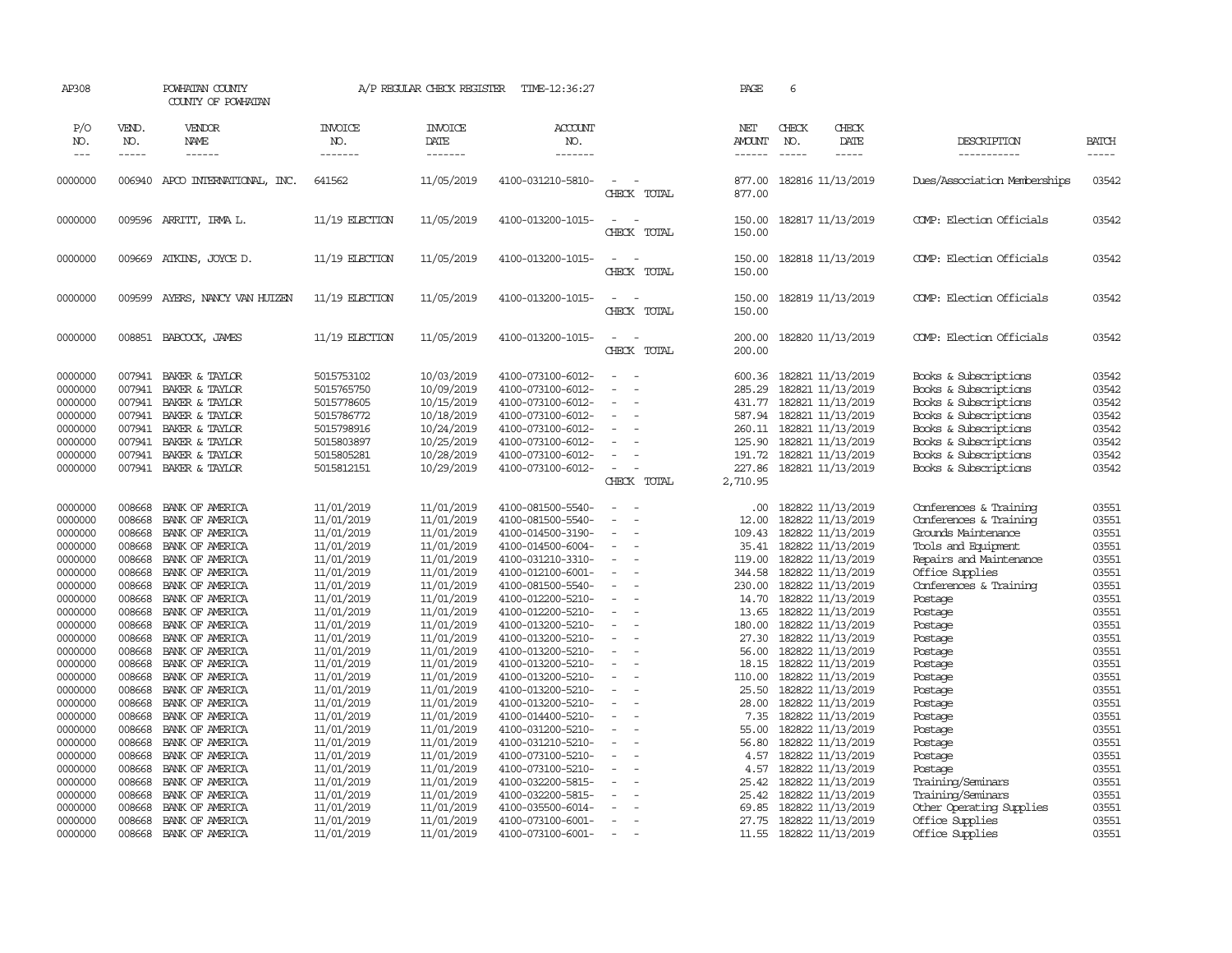| AP308                         |                            | POWHATAN COUNTY<br>COUNTY OF POWHATAN                 |                                        | A/P REGULAR CHECK REGISTER             | TIME-12:36:27                                               |                                                                          | PAGE                       | 6                                                           |                              |                                                                         |                         |
|-------------------------------|----------------------------|-------------------------------------------------------|----------------------------------------|----------------------------------------|-------------------------------------------------------------|--------------------------------------------------------------------------|----------------------------|-------------------------------------------------------------|------------------------------|-------------------------------------------------------------------------|-------------------------|
| P/O<br>NO.<br>$\frac{1}{2}$   | VEND.<br>NO.<br>-----      | VENDOR<br><b>NAME</b><br>------                       | <b>INVOICE</b><br>NO.<br>-------       | <b>INVOICE</b><br>DATE<br>-------      | ACCOUNT<br>NO.                                              |                                                                          | NET<br><b>AMOUNT</b>       | CHECK<br>NO.                                                | CHECK<br>DATE<br>$- - - - -$ | DESCRIPTION<br>-----------                                              | <b>BATCH</b><br>-----   |
|                               |                            |                                                       |                                        |                                        | -------                                                     |                                                                          | ------                     |                                                             |                              |                                                                         |                         |
| 0000000                       |                            | 006940 APCO INTERNATIONAL, INC.                       | 641562                                 | 11/05/2019                             | 4100-031210-5810-                                           | CHECK TOTAL                                                              | 877.00<br>877.00           | 182816 11/13/2019                                           |                              | Dues/Association Memberships                                            | 03542                   |
| 0000000                       |                            | 009596 ARRITT, IRMA L.                                | 11/19 ELECTION                         | 11/05/2019                             | 4100-013200-1015-                                           | $\overline{\phantom{a}}$<br>$\sim$<br>CHECK TOTAL                        | 150.00<br>150.00           | 182817 11/13/2019                                           |                              | COMP: Election Officials                                                | 03542                   |
| 0000000                       | 009669                     | ATKINS, JOYCE D.                                      | $11/19$ ELECTION                       | 11/05/2019                             | 4100-013200-1015-                                           | $\sim$<br>$\sim$<br>CHECK TOTAL                                          | 150.00<br>150.00           | 182818 11/13/2019                                           |                              | COMP: Election Officials                                                | 03542                   |
| 0000000                       | 009599                     | AYERS, NANCY VAN HUIZEN                               | 11/19 ELECTION                         | 11/05/2019                             | 4100-013200-1015-                                           | $\sim$<br>$\overline{\phantom{a}}$<br>CHECK TOTAL                        | 150.00<br>150.00           | 182819 11/13/2019                                           |                              | COMP: Election Officials                                                | 03542                   |
| 0000000                       | 008851                     | BABCOCK, JAMES                                        | $11/19$ ELECTION                       | 11/05/2019                             | 4100-013200-1015-                                           | $\sim$<br>$\overline{\phantom{a}}$<br>CHECK TOTAL                        | 200.00<br>200.00           | 182820 11/13/2019                                           |                              | COMP: Election Officials                                                | 03542                   |
| 0000000<br>0000000            | 007941<br>007941           | BAKER & TAYLOR<br>BAKER & TAYLOR                      | 5015753102<br>5015765750               | 10/03/2019<br>10/09/2019               | 4100-073100-6012-<br>4100-073100-6012-                      | $\sim$                                                                   | 600.36<br>285.29           | 182821 11/13/2019<br>182821 11/13/2019                      |                              | Books & Subscriptions<br>Books & Subscriptions                          | 03542<br>03542          |
| 0000000<br>0000000            | 007941<br>007941           | BAKER & TAYLOR<br>BAKER & TAYLOR                      | 5015778605<br>5015786772               | 10/15/2019<br>10/18/2019               | 4100-073100-6012-<br>4100-073100-6012-                      | $\sim$<br>$\overline{\phantom{a}}$                                       | 431.77<br>587.94           | 182821 11/13/2019<br>182821 11/13/2019                      |                              | Books & Subscriptions<br>Books & Subscriptions                          | 03542<br>03542          |
| 0000000<br>0000000<br>0000000 | 007941<br>007941<br>007941 | BAKER & TAYLOR<br>BAKER & TAYLOR<br>BAKER & TAYLOR    | 5015798916<br>5015803897<br>5015805281 | 10/24/2019<br>10/25/2019<br>10/28/2019 | 4100-073100-6012-<br>4100-073100-6012-<br>4100-073100-6012- | $\equiv$                                                                 | 260.11<br>125.90<br>191.72 | 182821 11/13/2019<br>182821 11/13/2019<br>182821 11/13/2019 |                              | Books & Subscriptions<br>Books & Subscriptions<br>Books & Subscriptions | 03542<br>03542<br>03542 |
| 0000000                       | 007941                     | BAKER & TAYLOR                                        | 5015812151                             | 10/29/2019                             | 4100-073100-6012-                                           | $\sim$<br>CHECK<br>TOTAL                                                 | 227.86<br>2,710.95         | 182821 11/13/2019                                           |                              | Books & Subscriptions                                                   | 03542                   |
| 0000000<br>0000000            | 008668<br>008668           | BANK OF AMERICA<br>BANK OF AMERICA                    | 11/01/2019<br>11/01/2019               | 11/01/2019<br>11/01/2019               | 4100-081500-5540-<br>4100-081500-5540-                      | $\overline{\phantom{a}}$<br>$\sim$<br>$\sim$<br>$\overline{\phantom{a}}$ | .00<br>12.00               | 182822 11/13/2019<br>182822 11/13/2019                      |                              | Conferences & Training<br>Conferences & Training                        | 03551<br>03551          |
| 0000000<br>0000000            | 008668<br>008668           | BANK OF AMERICA<br>BANK OF AMERICA                    | 11/01/2019<br>11/01/2019               | 11/01/2019<br>11/01/2019               | 4100-014500-3190-<br>4100-014500-6004-                      | $\equiv$<br>$\sim$                                                       | 109.43<br>35.41            | 182822 11/13/2019<br>182822 11/13/2019                      |                              | Grounds Maintenance<br>Tools and Equipment                              | 03551<br>03551          |
| 0000000<br>0000000<br>0000000 | 008668<br>008668<br>008668 | BANK OF AMERICA<br>BANK OF AMERICA<br>BANK OF AMERICA | 11/01/2019<br>11/01/2019<br>11/01/2019 | 11/01/2019<br>11/01/2019<br>11/01/2019 | 4100-031210-3310-<br>4100-012100-6001-<br>4100-081500-5540- | $\sim$<br>$\sim$                                                         | 119.00<br>344.58<br>230.00 | 182822 11/13/2019<br>182822 11/13/2019<br>182822 11/13/2019 |                              | Repairs and Maintenance<br>Office Supplies<br>Conferences & Training    | 03551<br>03551<br>03551 |
| 0000000<br>0000000            | 008668<br>008668           | BANK OF AMERICA<br>BANK OF AMERICA                    | 11/01/2019<br>11/01/2019               | 11/01/2019<br>11/01/2019               | 4100-012200-5210-<br>4100-012200-5210-                      | $\sim$                                                                   | 14.70<br>13.65             | 182822 11/13/2019<br>182822 11/13/2019                      |                              | Postage<br>Postage                                                      | 03551<br>03551          |
| 0000000<br>0000000<br>0000000 | 008668<br>008668<br>008668 | BANK OF AMERICA<br>BANK OF AMERICA<br>BANK OF AMERICA | 11/01/2019<br>11/01/2019<br>11/01/2019 | 11/01/2019<br>11/01/2019<br>11/01/2019 | 4100-013200-5210-<br>4100-013200-5210-<br>4100-013200-5210- | $\sim$<br>$\overline{a}$                                                 | 180.00<br>27.30<br>56.00   | 182822 11/13/2019<br>182822 11/13/2019<br>182822 11/13/2019 |                              | Postage<br>Postage<br>Postage                                           | 03551<br>03551<br>03551 |
| 0000000<br>0000000            | 008668<br>008668           | BANK OF AMERICA<br>BANK OF AMERICA                    | 11/01/2019<br>11/01/2019               | 11/01/2019<br>11/01/2019               | 4100-013200-5210-<br>4100-013200-5210-                      | $\sim$                                                                   | 18.15<br>110.00            | 182822 11/13/2019<br>182822 11/13/2019                      |                              | Postage<br>Postage                                                      | 03551<br>03551          |
| 0000000<br>0000000            | 008668<br>008668           | BANK OF AMERICA<br>BANK OF AMERICA                    | 11/01/2019<br>11/01/2019               | 11/01/2019<br>11/01/2019               | 4100-013200-5210-<br>4100-013200-5210-                      | $\sim$<br>$\sim$<br>$\overline{\phantom{a}}$                             | 25.50<br>28.00             | 182822 11/13/2019<br>182822 11/13/2019                      |                              | Postage<br>Postage                                                      | 03551<br>03551          |
| 0000000<br>0000000<br>0000000 | 008668<br>008668<br>008668 | BANK OF AMERICA<br>BANK OF AMERICA<br>BANK OF AMERICA | 11/01/2019<br>11/01/2019<br>11/01/2019 | 11/01/2019<br>11/01/2019<br>11/01/2019 | 4100-014400-5210-<br>4100-031200-5210-<br>4100-031210-5210- | $\sim$<br>$\overline{a}$                                                 | 7.35<br>55.00<br>56.80     | 182822 11/13/2019<br>182822 11/13/2019<br>182822 11/13/2019 |                              | Postage<br>Postage<br>Postage                                           | 03551<br>03551<br>03551 |
| 0000000<br>0000000            | 008668<br>008668           | BANK OF AMERICA<br>BANK OF AMERICA                    | 11/01/2019<br>11/01/2019               | 11/01/2019<br>11/01/2019               | 4100-073100-5210-<br>4100-073100-5210-                      |                                                                          | 4.57<br>4.57               | 182822 11/13/2019<br>182822 11/13/2019                      |                              | Postage<br>Postage                                                      | 03551<br>03551          |
| 0000000<br>0000000<br>0000000 | 008668<br>008668<br>008668 | BANK OF AMERICA<br>BANK OF AMERICA<br>BANK OF AMERICA | 11/01/2019<br>11/01/2019<br>11/01/2019 | 11/01/2019<br>11/01/2019<br>11/01/2019 | 4100-032200-5815-<br>4100-032200-5815-<br>4100-035500-6014- |                                                                          | 25.42<br>25.42<br>69.85    | 182822 11/13/2019<br>182822 11/13/2019<br>182822 11/13/2019 |                              | Training/Seminars<br>Training/Seminars<br>Other Operating Supplies      | 03551<br>03551<br>03551 |
| 0000000<br>0000000            | 008668                     | BANK OF AMERICA<br>008668 BANK OF AMERICA             | 11/01/2019<br>11/01/2019               | 11/01/2019<br>11/01/2019               | 4100-073100-6001-<br>4100-073100-6001-                      | $\overline{\phantom{a}}$                                                 | 27.75                      | 182822 11/13/2019<br>11.55 182822 11/13/2019                |                              | Office Supplies<br>Office Supplies                                      | 03551<br>03551          |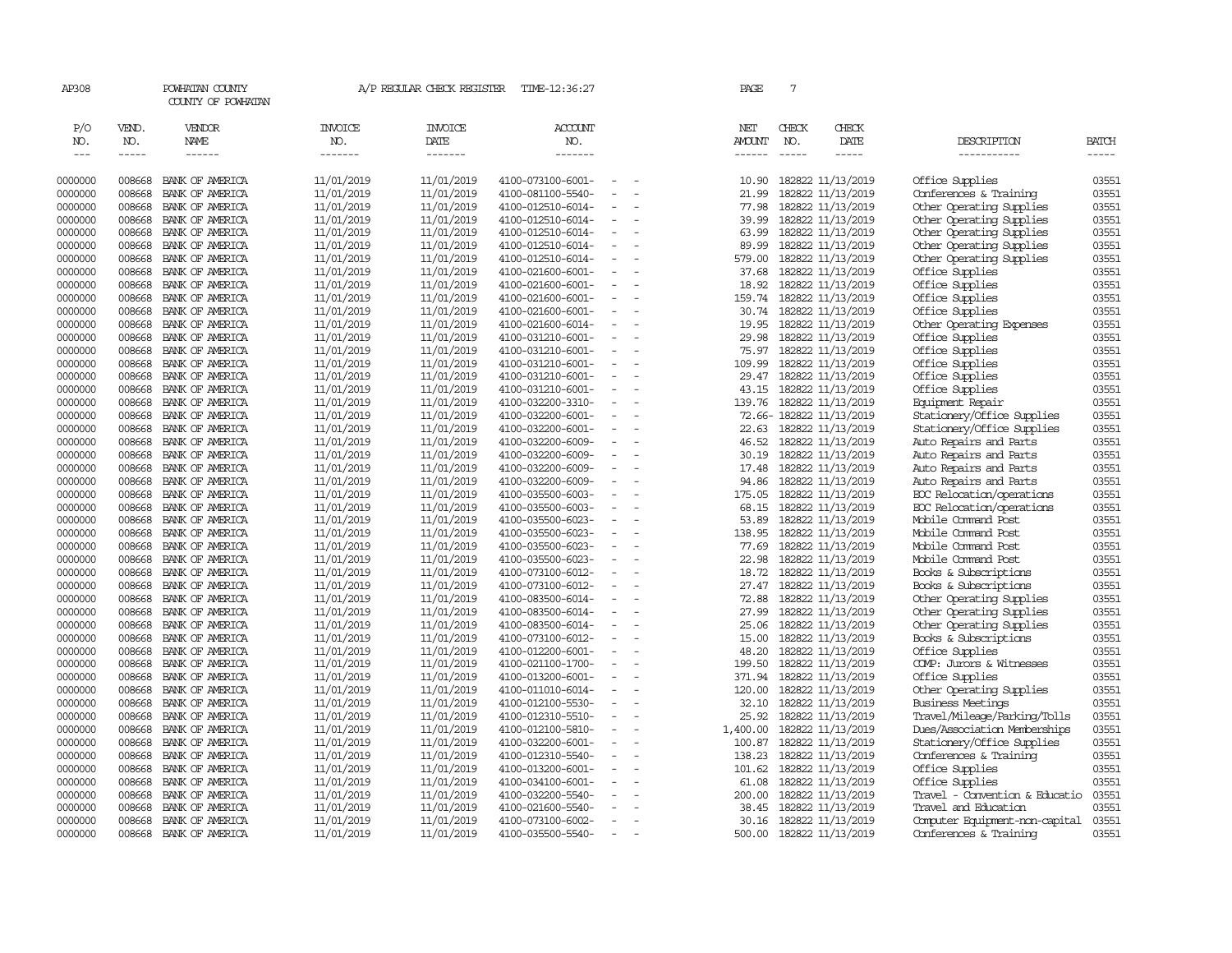| AP308                       |                             | POWHATAN COUNTY<br>COUNTY OF POWHATAN  |                                  | A/P REGULAR CHECK REGISTER        | TIME-12:36:27                          |                          | PAGE                           | 7                                                                                                                                                                                                                                                                                                                                                                                                                                                                                          |                                              |                                                      |                             |
|-----------------------------|-----------------------------|----------------------------------------|----------------------------------|-----------------------------------|----------------------------------------|--------------------------|--------------------------------|--------------------------------------------------------------------------------------------------------------------------------------------------------------------------------------------------------------------------------------------------------------------------------------------------------------------------------------------------------------------------------------------------------------------------------------------------------------------------------------------|----------------------------------------------|------------------------------------------------------|-----------------------------|
| P/O<br>NO.<br>$\frac{1}{2}$ | VEND.<br>NO.<br>$- - - - -$ | <b>VENDOR</b><br>NAME<br>$- - - - - -$ | <b>INVOICE</b><br>NO.<br>------- | <b>INVOICE</b><br>DATE<br>------- | ACCOUNT<br>NO.<br>$- - - - - - -$      |                          | NET<br><b>AMOUNT</b><br>------ | CHECK<br>NO.<br>$\frac{1}{2} \left( \frac{1}{2} \right) \left( \frac{1}{2} \right) \left( \frac{1}{2} \right) \left( \frac{1}{2} \right) \left( \frac{1}{2} \right) \left( \frac{1}{2} \right) \left( \frac{1}{2} \right) \left( \frac{1}{2} \right) \left( \frac{1}{2} \right) \left( \frac{1}{2} \right) \left( \frac{1}{2} \right) \left( \frac{1}{2} \right) \left( \frac{1}{2} \right) \left( \frac{1}{2} \right) \left( \frac{1}{2} \right) \left( \frac{1}{2} \right) \left( \frac$ | CHECK<br>DATE<br>-----                       | DESCRIPTION<br>-----------                           | <b>BATCH</b><br>$- - - - -$ |
| 0000000                     | 008668                      | BANK OF AMERICA                        | 11/01/2019                       | 11/01/2019                        | 4100-073100-6001-                      |                          | 10.90                          |                                                                                                                                                                                                                                                                                                                                                                                                                                                                                            | 182822 11/13/2019                            | Office Supplies                                      | 03551                       |
| 0000000                     | 008668                      | BANK OF AMERICA                        | 11/01/2019                       | 11/01/2019                        | 4100-081100-5540-                      |                          | 21.99                          |                                                                                                                                                                                                                                                                                                                                                                                                                                                                                            | 182822 11/13/2019                            | Conferences & Training                               | 03551                       |
| 0000000                     | 008668                      | BANK OF AMERICA                        | 11/01/2019                       | 11/01/2019                        | 4100-012510-6014-                      | $\equiv$                 | 77.98                          |                                                                                                                                                                                                                                                                                                                                                                                                                                                                                            | 182822 11/13/2019                            | Other Operating Supplies                             | 03551                       |
| 0000000                     | 008668                      | BANK OF AMERICA                        | 11/01/2019                       | 11/01/2019                        | 4100-012510-6014-                      | $\overline{\phantom{a}}$ | 39.99                          |                                                                                                                                                                                                                                                                                                                                                                                                                                                                                            | 182822 11/13/2019                            | Other Operating Supplies                             | 03551                       |
| 0000000                     | 008668                      | BANK OF AMERICA                        | 11/01/2019                       | 11/01/2019                        | 4100-012510-6014-                      |                          | 63.99                          |                                                                                                                                                                                                                                                                                                                                                                                                                                                                                            | 182822 11/13/2019                            | Other Operating Supplies                             | 03551                       |
| 0000000                     | 008668                      | BANK OF AMERICA                        | 11/01/2019                       | 11/01/2019                        | 4100-012510-6014-                      | $\equiv$                 | 89.99                          |                                                                                                                                                                                                                                                                                                                                                                                                                                                                                            | 182822 11/13/2019                            | Other Operating Supplies                             | 03551                       |
| 0000000                     | 008668                      | BANK OF AMERICA                        | 11/01/2019                       | 11/01/2019                        | 4100-012510-6014-                      | $\equiv$                 | 579.00                         |                                                                                                                                                                                                                                                                                                                                                                                                                                                                                            | 182822 11/13/2019                            | Other Operating Supplies                             | 03551                       |
| 0000000                     | 008668                      | BANK OF AMERICA                        | 11/01/2019                       | 11/01/2019                        | 4100-021600-6001-                      |                          | 37.68                          |                                                                                                                                                                                                                                                                                                                                                                                                                                                                                            | 182822 11/13/2019                            | Office Supplies                                      | 03551                       |
| 0000000                     | 008668                      | BANK OF AMERICA                        | 11/01/2019                       | 11/01/2019                        | 4100-021600-6001-                      | $\overline{\phantom{a}}$ | 18.92                          |                                                                                                                                                                                                                                                                                                                                                                                                                                                                                            | 182822 11/13/2019                            | Office Supplies                                      | 03551                       |
| 0000000                     | 008668                      | BANK OF AMERICA                        | 11/01/2019                       | 11/01/2019                        | 4100-021600-6001-                      | $\overline{\phantom{a}}$ | 159.74                         |                                                                                                                                                                                                                                                                                                                                                                                                                                                                                            | 182822 11/13/2019                            | Office Supplies                                      | 03551                       |
| 0000000                     | 008668                      | BANK OF AMERICA                        | 11/01/2019                       | 11/01/2019                        | 4100-021600-6001-                      | $\overline{\phantom{a}}$ | 30.74                          |                                                                                                                                                                                                                                                                                                                                                                                                                                                                                            | 182822 11/13/2019                            | Office Supplies                                      | 03551                       |
| 0000000                     | 008668                      | BANK OF AMERICA                        | 11/01/2019                       | 11/01/2019                        | 4100-021600-6014-                      |                          | 19.95                          |                                                                                                                                                                                                                                                                                                                                                                                                                                                                                            | 182822 11/13/2019                            | Other Operating Expenses                             | 03551                       |
| 0000000                     | 008668                      | BANK OF AMERICA                        | 11/01/2019                       | 11/01/2019                        | 4100-031210-6001-                      | $\sim$                   | 29.98                          |                                                                                                                                                                                                                                                                                                                                                                                                                                                                                            | 182822 11/13/2019                            | Office Supplies                                      | 03551                       |
| 0000000                     | 008668                      | BANK OF AMERICA                        | 11/01/2019                       | 11/01/2019                        | 4100-031210-6001-                      |                          | 75.97                          |                                                                                                                                                                                                                                                                                                                                                                                                                                                                                            | 182822 11/13/2019                            | Office Supplies                                      | 03551                       |
| 0000000                     | 008668                      | BANK OF AMERICA                        | 11/01/2019                       | 11/01/2019                        | 4100-031210-6001-                      | $\equiv$                 | 109.99                         |                                                                                                                                                                                                                                                                                                                                                                                                                                                                                            | 182822 11/13/2019                            | Office Supplies                                      | 03551                       |
| 0000000                     | 008668                      | BANK OF AMERICA                        | 11/01/2019                       | 11/01/2019                        | 4100-031210-6001-                      |                          | 29.47                          |                                                                                                                                                                                                                                                                                                                                                                                                                                                                                            | 182822 11/13/2019                            | Office Supplies                                      | 03551                       |
| 0000000                     | 008668                      | BANK OF AMERICA                        | 11/01/2019                       | 11/01/2019                        | 4100-031210-6001-                      | $\equiv$                 | 43.15                          |                                                                                                                                                                                                                                                                                                                                                                                                                                                                                            | 182822 11/13/2019                            | Office Supplies                                      | 03551                       |
| 0000000                     | 008668                      | BANK OF AMERICA                        | 11/01/2019                       | 11/01/2019                        | 4100-032200-3310-                      | $\equiv$                 | 139.76                         |                                                                                                                                                                                                                                                                                                                                                                                                                                                                                            | 182822 11/13/2019                            | Equipment Repair                                     | 03551                       |
| 0000000                     | 008668                      | BANK OF AMERICA                        | 11/01/2019                       | 11/01/2019                        | 4100-032200-6001-                      |                          |                                |                                                                                                                                                                                                                                                                                                                                                                                                                                                                                            | 72.66-182822 11/13/2019                      | Stationery/Office Supplies                           | 03551                       |
| 0000000                     | 008668                      | BANK OF AMERICA                        | 11/01/2019                       | 11/01/2019                        | 4100-032200-6001-                      | $\overline{\phantom{a}}$ |                                |                                                                                                                                                                                                                                                                                                                                                                                                                                                                                            | 22.63 182822 11/13/2019                      | Stationery/Office Supplies                           | 03551                       |
| 0000000                     | 008668                      | BANK OF AMERICA                        | 11/01/2019                       | 11/01/2019                        | 4100-032200-6009-                      | $\equiv$                 | 46.52                          |                                                                                                                                                                                                                                                                                                                                                                                                                                                                                            | 182822 11/13/2019                            | Auto Repairs and Parts                               | 03551                       |
| 0000000                     | 008668                      | BANK OF AMERICA                        | 11/01/2019                       | 11/01/2019                        | 4100-032200-6009-                      | $\equiv$                 | 30.19                          |                                                                                                                                                                                                                                                                                                                                                                                                                                                                                            | 182822 11/13/2019                            | Auto Repairs and Parts                               | 03551                       |
| 0000000                     | 008668                      | BANK OF AMERICA                        | 11/01/2019                       | 11/01/2019                        | 4100-032200-6009-                      |                          | 17.48                          |                                                                                                                                                                                                                                                                                                                                                                                                                                                                                            | 182822 11/13/2019                            | Auto Repairs and Parts                               | 03551                       |
| 0000000                     | 008668                      | BANK OF AMERICA                        | 11/01/2019                       | 11/01/2019                        | 4100-032200-6009-                      | $\equiv$                 | 94.86                          |                                                                                                                                                                                                                                                                                                                                                                                                                                                                                            | 182822 11/13/2019                            | Auto Repairs and Parts                               | 03551                       |
| 0000000                     | 008668                      | BANK OF AMERICA                        | 11/01/2019                       | 11/01/2019                        | 4100-035500-6003-                      | $\equiv$                 | 175.05                         |                                                                                                                                                                                                                                                                                                                                                                                                                                                                                            | 182822 11/13/2019                            | ECC Relocation/operations                            | 03551                       |
| 0000000                     | 008668                      | BANK OF AMERICA                        | 11/01/2019                       | 11/01/2019                        | 4100-035500-6003-                      |                          | 68.15                          |                                                                                                                                                                                                                                                                                                                                                                                                                                                                                            | 182822 11/13/2019                            | EOC Relocation/operations                            | 03551                       |
| 0000000                     | 008668                      | BANK OF AMERICA                        | 11/01/2019                       | 11/01/2019                        | 4100-035500-6023-                      | $\equiv$                 | 53.89                          |                                                                                                                                                                                                                                                                                                                                                                                                                                                                                            | 182822 11/13/2019                            | Mobile Command Post                                  | 03551                       |
| 0000000                     | 008668                      | BANK OF AMERICA                        | 11/01/2019                       | 11/01/2019                        | 4100-035500-6023-                      | $\equiv$                 | 138.95                         |                                                                                                                                                                                                                                                                                                                                                                                                                                                                                            | 182822 11/13/2019                            | Mobile Command Post                                  | 03551                       |
| 0000000                     | 008668                      | BANK OF AMERICA                        | 11/01/2019                       | 11/01/2019                        | 4100-035500-6023-                      | $\equiv$                 | 77.69                          |                                                                                                                                                                                                                                                                                                                                                                                                                                                                                            | 182822 11/13/2019                            | Mobile Command Post                                  | 03551                       |
| 0000000                     | 008668                      | BANK OF AMERICA                        | 11/01/2019                       | 11/01/2019                        | 4100-035500-6023-                      | $\sim$                   | 22.98                          |                                                                                                                                                                                                                                                                                                                                                                                                                                                                                            | 182822 11/13/2019                            | Mobile Command Post                                  | 03551                       |
| 0000000<br>0000000          | 008668<br>008668            | BANK OF AMERICA                        | 11/01/2019                       | 11/01/2019<br>11/01/2019          | 4100-073100-6012-<br>4100-073100-6012- | $\equiv$                 |                                |                                                                                                                                                                                                                                                                                                                                                                                                                                                                                            | 18.72 182822 11/13/2019<br>182822 11/13/2019 | Books & Subscriptions<br>Books & Subscriptions       | 03551<br>03551              |
|                             | 008668                      | BANK OF AMERICA                        | 11/01/2019<br>11/01/2019         | 11/01/2019                        |                                        |                          | 27.47<br>72.88                 |                                                                                                                                                                                                                                                                                                                                                                                                                                                                                            | 182822 11/13/2019                            |                                                      | 03551                       |
| 0000000<br>0000000          | 008668                      | BANK OF AMERICA<br>BANK OF AMERICA     | 11/01/2019                       | 11/01/2019                        | 4100-083500-6014-<br>4100-083500-6014- | $\equiv$                 | 27.99                          |                                                                                                                                                                                                                                                                                                                                                                                                                                                                                            | 182822 11/13/2019                            | Other Operating Supplies<br>Other Operating Supplies | 03551                       |
| 0000000                     | 008668                      | BANK OF AMERICA                        | 11/01/2019                       | 11/01/2019                        | 4100-083500-6014-                      |                          |                                |                                                                                                                                                                                                                                                                                                                                                                                                                                                                                            | 25.06 182822 11/13/2019                      | Other Operating Supplies                             | 03551                       |
| 0000000                     | 008668                      | BANK OF AMERICA                        | 11/01/2019                       | 11/01/2019                        | 4100-073100-6012-                      | $\overline{\phantom{a}}$ | 15.00                          |                                                                                                                                                                                                                                                                                                                                                                                                                                                                                            | 182822 11/13/2019                            | Books & Subscriptions                                | 03551                       |
| 0000000                     | 008668                      | BANK OF AMERICA                        | 11/01/2019                       | 11/01/2019                        | 4100-012200-6001-                      |                          | 48.20                          |                                                                                                                                                                                                                                                                                                                                                                                                                                                                                            | 182822 11/13/2019                            | Office Supplies                                      | 03551                       |
| 0000000                     | 008668                      | BANK OF AMERICA                        | 11/01/2019                       | 11/01/2019                        | 4100-021100-1700-                      | $\sim$                   | 199.50                         |                                                                                                                                                                                                                                                                                                                                                                                                                                                                                            | 182822 11/13/2019                            | COMP: Jurors & Witnesses                             | 03551                       |
| 0000000                     | 008668                      | BANK OF AMERICA                        | 11/01/2019                       | 11/01/2019                        | 4100-013200-6001-                      | $\sim$                   | 371.94                         |                                                                                                                                                                                                                                                                                                                                                                                                                                                                                            | 182822 11/13/2019                            | Office Supplies                                      | 03551                       |
| 0000000                     | 008668                      | BANK OF AMERICA                        | 11/01/2019                       | 11/01/2019                        | 4100-011010-6014-                      | $\sim$                   | 120.00                         |                                                                                                                                                                                                                                                                                                                                                                                                                                                                                            | 182822 11/13/2019                            | Other Operating Supplies                             | 03551                       |
| 0000000                     | 008668                      | BANK OF AMERICA                        | 11/01/2019                       | 11/01/2019                        | 4100-012100-5530-                      |                          | 32.10                          |                                                                                                                                                                                                                                                                                                                                                                                                                                                                                            | 182822 11/13/2019                            | <b>Business Meetings</b>                             | 03551                       |
| 0000000                     | 008668                      | BANK OF AMERICA                        | 11/01/2019                       | 11/01/2019                        | 4100-012310-5510-                      |                          | 25.92                          |                                                                                                                                                                                                                                                                                                                                                                                                                                                                                            | 182822 11/13/2019                            | Travel/Mileage/Parking/Tolls                         | 03551                       |
| 0000000                     | 008668                      | BANK OF AMERICA                        | 11/01/2019                       | 11/01/2019                        | 4100-012100-5810-                      | $\overline{\phantom{a}}$ | 1,400.00                       |                                                                                                                                                                                                                                                                                                                                                                                                                                                                                            | 182822 11/13/2019                            | Dues/Association Memberships                         | 03551                       |
| 0000000                     | 008668                      | BANK OF AMERICA                        | 11/01/2019                       | 11/01/2019                        | 4100-032200-6001-                      |                          | 100.87                         |                                                                                                                                                                                                                                                                                                                                                                                                                                                                                            | 182822 11/13/2019                            | Stationery/Office Supplies                           | 03551                       |
| 0000000                     | 008668                      | BANK OF AMERICA                        | 11/01/2019                       | 11/01/2019                        | 4100-012310-5540-                      | $\sim$                   | 138.23                         |                                                                                                                                                                                                                                                                                                                                                                                                                                                                                            | 182822 11/13/2019                            | Conferences & Training                               | 03551                       |
| 0000000                     | 008668                      | BANK OF AMERICA                        | 11/01/2019                       | 11/01/2019                        | 4100-013200-6001-                      | $\overline{\phantom{a}}$ | 101.62                         |                                                                                                                                                                                                                                                                                                                                                                                                                                                                                            | 182822 11/13/2019                            | Office Supplies                                      | 03551                       |
| 0000000                     | 008668                      | BANK OF AMERICA                        | 11/01/2019                       | 11/01/2019                        | 4100-034100-6001-                      |                          | 61.08                          |                                                                                                                                                                                                                                                                                                                                                                                                                                                                                            | 182822 11/13/2019                            | Office Supplies                                      | 03551                       |
| 0000000                     | 008668                      | BANK OF AMERICA                        | 11/01/2019                       | 11/01/2019                        | 4100-032200-5540-                      |                          | 200.00                         |                                                                                                                                                                                                                                                                                                                                                                                                                                                                                            | 182822 11/13/2019                            | Travel - Convention & Educatio                       | 03551                       |
| 0000000                     | 008668                      | BANK OF AMERICA                        | 11/01/2019                       | 11/01/2019                        | 4100-021600-5540-                      |                          | 38.45                          |                                                                                                                                                                                                                                                                                                                                                                                                                                                                                            | 182822 11/13/2019                            | Travel and Education                                 | 03551                       |
| 0000000                     | 008668                      | BANK OF AMERICA                        | 11/01/2019                       | 11/01/2019                        | 4100-073100-6002-                      |                          |                                |                                                                                                                                                                                                                                                                                                                                                                                                                                                                                            | 30.16 182822 11/13/2019                      | Computer Equipment-non-capital                       | 03551                       |
| 0000000                     | 008668                      | BANK OF AMERICA                        | 11/01/2019                       | 11/01/2019                        | 4100-035500-5540-                      |                          | 500.00                         |                                                                                                                                                                                                                                                                                                                                                                                                                                                                                            | 182822 11/13/2019                            | Conferences & Training                               | 03551                       |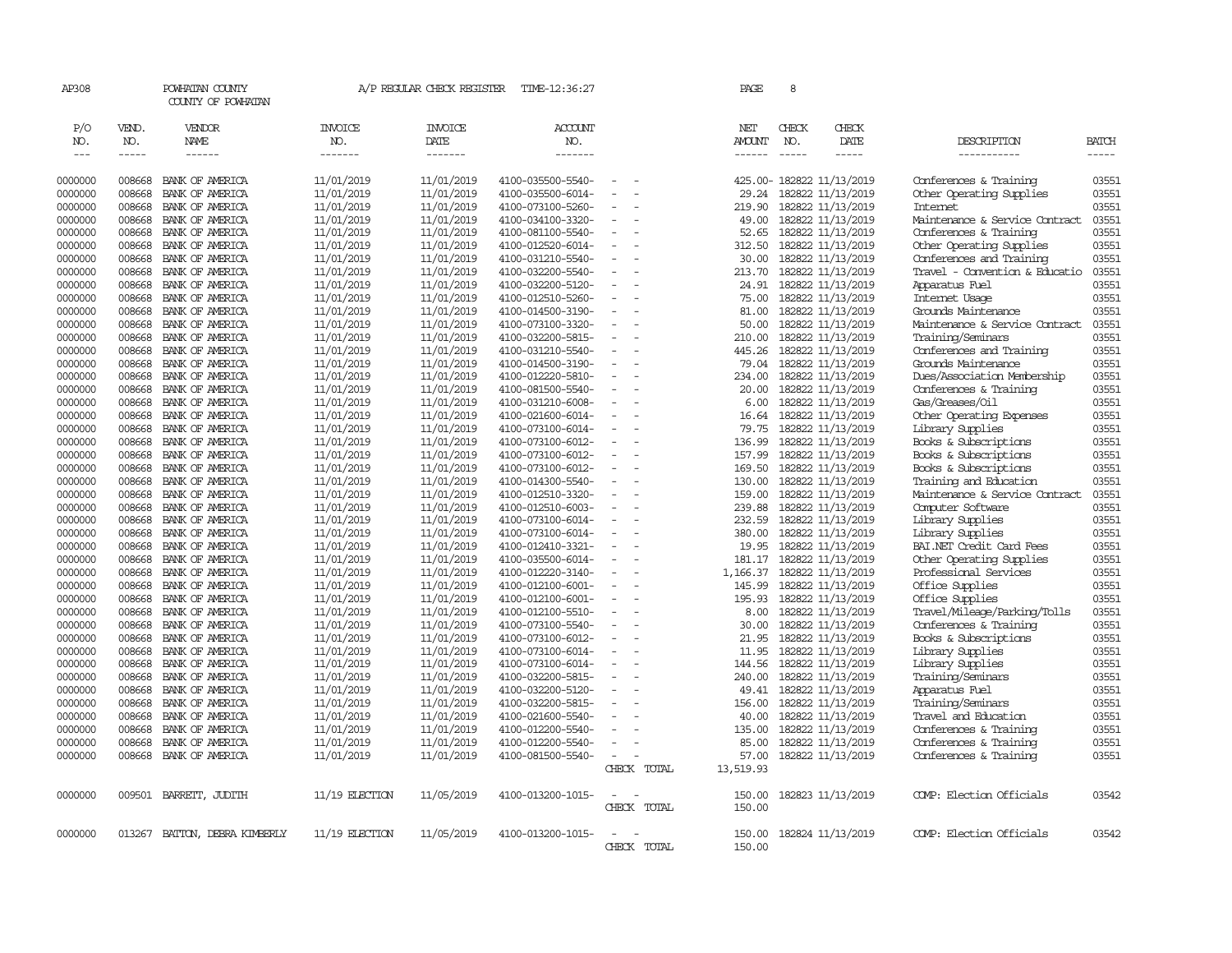| AP308               |                       | POWHATAN COUNTY<br>COUNTY OF POWHATAN  |                                  | A/P REGULAR CHECK REGISTER        | TIME-12:36:27                    |                          |             | PAGE                           | 8            |                          |                                |                |
|---------------------|-----------------------|----------------------------------------|----------------------------------|-----------------------------------|----------------------------------|--------------------------|-------------|--------------------------------|--------------|--------------------------|--------------------------------|----------------|
| P/O<br>NO.<br>$---$ | VEND.<br>NO.<br>----- | <b>VENDOR</b><br><b>NAME</b><br>------ | <b>INVOICE</b><br>NO.<br>------- | <b>INVOICE</b><br>DATE<br>------- | <b>ACCOUNT</b><br>NO.<br>------- |                          |             | NET<br><b>AMOUNT</b><br>------ | CHECK<br>NO. | CHECK<br>DATE<br>-----   | DESCRIPTION<br>-----------     | BATCH<br>----- |
| 0000000             | 008668                | BANK OF AMERICA                        | 11/01/2019                       | 11/01/2019                        | 4100-035500-5540-                | $\equiv$                 |             |                                |              | 425.00-182822 11/13/2019 | Conferences & Training         | 03551          |
| 0000000             | 008668                | BANK OF AMERICA                        | 11/01/2019                       | 11/01/2019                        | 4100-035500-6014-                |                          |             | 29.24                          |              | 182822 11/13/2019        | Other Operating Supplies       | 03551          |
| 0000000             | 008668                | BANK OF AMERICA                        | 11/01/2019                       | 11/01/2019                        | 4100-073100-5260-                | $\equiv$                 |             | 219.90                         |              | 182822 11/13/2019        | Internet                       | 03551          |
| 0000000             | 008668                | BANK OF AMERICA                        | 11/01/2019                       | 11/01/2019                        | 4100-034100-3320-                | $\equiv$                 |             | 49.00                          |              | 182822 11/13/2019        | Maintenance & Service Contract | 03551          |
| 0000000             | 008668                | BANK OF AMERICA                        | 11/01/2019                       | 11/01/2019                        | 4100-081100-5540-                | $\equiv$                 |             | 52.65                          |              | 182822 11/13/2019        | Conferences & Training         | 03551          |
| 0000000             | 008668                | BANK OF AMERICA                        | 11/01/2019                       | 11/01/2019                        | 4100-012520-6014-                |                          |             | 312.50                         |              | 182822 11/13/2019        | Other Operating Supplies       | 03551          |
| 0000000             | 008668                | BANK OF AMERICA                        | 11/01/2019                       | 11/01/2019                        | 4100-031210-5540-                | $\sim$                   |             | 30.00                          |              | 182822 11/13/2019        | Conferences and Training       | 03551          |
| 0000000             | 008668                | BANK OF AMERICA                        | 11/01/2019                       | 11/01/2019                        | 4100-032200-5540-                | $\sim$                   |             | 213.70                         |              | 182822 11/13/2019        | Travel - Convention & Educatio | 03551          |
| 0000000             | 008668                | BANK OF AMERICA                        | 11/01/2019                       | 11/01/2019                        | 4100-032200-5120-                | $\equiv$                 |             | 24.91                          |              | 182822 11/13/2019        | Apparatus Fuel                 | 03551          |
| 0000000             | 008668                | BANK OF AMERICA                        | 11/01/2019                       | 11/01/2019                        | 4100-012510-5260-                | $\equiv$                 |             | 75.00                          |              | 182822 11/13/2019        | Internet Usage                 | 03551          |
| 0000000             | 008668                | BANK OF AMERICA                        | 11/01/2019                       | 11/01/2019                        | 4100-014500-3190-                | $\overline{a}$           |             | 81.00                          |              | 182822 11/13/2019        | Grounds Maintenance            | 03551          |
| 0000000             | 008668                | BANK OF AMERICA                        | 11/01/2019                       | 11/01/2019                        | 4100-073100-3320-                | $\overline{\phantom{a}}$ |             | 50.00                          |              | 182822 11/13/2019        | Maintenance & Service Contract | 03551          |
| 0000000             | 008668                | BANK OF AMERICA                        | 11/01/2019                       | 11/01/2019                        | 4100-032200-5815-                |                          |             | 210.00                         |              | 182822 11/13/2019        | Training/Seminars              | 03551          |
| 0000000             | 008668                | BANK OF AMERICA                        | 11/01/2019                       | 11/01/2019                        | 4100-031210-5540-                |                          |             | 445.26                         |              | 182822 11/13/2019        | Conferences and Training       | 03551          |
| 0000000             | 008668                | BANK OF AMERICA                        | 11/01/2019                       | 11/01/2019                        | 4100-014500-3190-                |                          |             | 79.04                          |              | 182822 11/13/2019        | Grounds Maintenance            | 03551          |
| 0000000             | 008668                | BANK OF AMERICA                        | 11/01/2019                       | 11/01/2019                        | 4100-012220-5810-                | $\equiv$                 |             | 234.00                         |              | 182822 11/13/2019        | Dues/Association Membership    | 03551          |
| 0000000             | 008668                | BANK OF AMERICA                        | 11/01/2019                       | 11/01/2019                        | 4100-081500-5540-                |                          |             | 20.00                          |              | 182822 11/13/2019        | Conferences & Training         | 03551          |
| 0000000             | 008668                | BANK OF AMERICA                        | 11/01/2019                       | 11/01/2019                        | 4100-031210-6008-                | $\equiv$                 |             | 6.00                           |              | 182822 11/13/2019        | Gas/Greases/Oil                | 03551          |
| 0000000             | 008668                | BANK OF AMERICA                        | 11/01/2019                       | 11/01/2019                        | 4100-021600-6014-                | $\overline{\phantom{a}}$ |             | 16.64                          |              | 182822 11/13/2019        | Other Operating Expenses       | 03551          |
| 0000000             | 008668                | BANK OF AMERICA                        | 11/01/2019                       | 11/01/2019                        | 4100-073100-6014-                | $\equiv$                 |             | 79.75                          |              | 182822 11/13/2019        | Library Supplies               | 03551          |
| 0000000             | 008668                | BANK OF AMERICA                        | 11/01/2019                       | 11/01/2019                        | 4100-073100-6012-                |                          |             | 136.99                         |              | 182822 11/13/2019        | Books & Subscriptions          | 03551          |
| 0000000             | 008668                | BANK OF AMERICA                        | 11/01/2019                       | 11/01/2019                        | 4100-073100-6012-                | $\sim$                   |             | 157.99                         |              | 182822 11/13/2019        | Books & Subscriptions          | 03551          |
| 0000000             | 008668                | BANK OF AMERICA                        | 11/01/2019                       | 11/01/2019                        | 4100-073100-6012-                |                          |             | 169.50                         |              | 182822 11/13/2019        | Books & Subscriptions          | 03551          |
| 0000000             | 008668                | BANK OF AMERICA                        | 11/01/2019                       | 11/01/2019                        | 4100-014300-5540-                |                          |             | 130.00                         |              | 182822 11/13/2019        | Training and Education         | 03551          |
| 0000000             | 008668                | BANK OF AMERICA                        | 11/01/2019                       | 11/01/2019                        | 4100-012510-3320-                | $\equiv$                 |             | 159.00                         |              | 182822 11/13/2019        | Maintenance & Service Contract | 03551          |
| 0000000             | 008668                | BANK OF AMERICA                        | 11/01/2019                       | 11/01/2019                        | 4100-012510-6003-                |                          |             | 239.88                         |              | 182822 11/13/2019        | Computer Software              | 03551          |
| 0000000             | 008668                | BANK OF AMERICA                        | 11/01/2019                       | 11/01/2019                        | 4100-073100-6014-                | $\overline{\phantom{a}}$ |             | 232.59                         |              | 182822 11/13/2019        | Library Supplies               | 03551          |
| 0000000             | 008668                | BANK OF AMERICA                        | 11/01/2019                       | 11/01/2019                        | 4100-073100-6014-                |                          |             | 380.00                         |              | 182822 11/13/2019        | Library Supplies               | 03551          |
| 0000000             | 008668                | BANK OF AMERICA                        | 11/01/2019                       | 11/01/2019                        | 4100-012410-3321-                |                          |             | 19.95                          |              | 182822 11/13/2019        | BAI.NET Credit Card Fees       | 03551          |
| 0000000             | 008668                | BANK OF AMERICA                        | 11/01/2019                       | 11/01/2019                        | 4100-035500-6014-                | $\overline{\phantom{a}}$ |             | 181.17                         |              | 182822 11/13/2019        | Other Operating Supplies       | 03551          |
| 0000000             | 008668                | BANK OF AMERICA                        | 11/01/2019                       | 11/01/2019                        | 4100-012220-3140-                | $\equiv$                 |             | 1,166.37                       |              | 182822 11/13/2019        | Professional Services          | 03551          |
| 0000000             | 008668                | BANK OF AMERICA                        | 11/01/2019                       | 11/01/2019                        | 4100-012100-6001-                |                          |             | 145.99                         |              | 182822 11/13/2019        | Office Supplies                | 03551          |
| 0000000             | 008668                | BANK OF AMERICA                        | 11/01/2019                       | 11/01/2019                        | 4100-012100-6001-                | $\overline{\phantom{a}}$ |             | 195.93                         |              | 182822 11/13/2019        | Office Supplies                | 03551          |
| 0000000             | 008668                | BANK OF AMERICA                        | 11/01/2019                       | 11/01/2019                        | 4100-012100-5510-                | $\sim$                   |             | 8.00                           |              | 182822 11/13/2019        | Travel/Mileage/Parking/Tolls   | 03551          |
| 0000000             | 008668                | BANK OF AMERICA                        | 11/01/2019                       | 11/01/2019                        | 4100-073100-5540-                | $\equiv$                 |             | 30.00                          |              | 182822 11/13/2019        | Conferences & Training         | 03551          |
| 0000000             | 008668                | BANK OF AMERICA                        | 11/01/2019                       | 11/01/2019                        | 4100-073100-6012-                |                          |             | 21.95                          |              | 182822 11/13/2019        | Books & Subscriptions          | 03551          |
| 0000000             | 008668                | BANK OF AMERICA                        | 11/01/2019                       | 11/01/2019                        | 4100-073100-6014-                | $\equiv$                 |             | 11.95                          |              | 182822 11/13/2019        | Library Supplies               | 03551          |
| 0000000             | 008668                | BANK OF AMERICA                        | 11/01/2019                       | 11/01/2019                        | 4100-073100-6014-                | $\sim$                   |             | 144.56                         |              | 182822 11/13/2019        | Library Supplies               | 03551          |
| 0000000             | 008668                | BANK OF AMERICA                        | 11/01/2019                       | 11/01/2019                        | 4100-032200-5815-                | $\equiv$                 |             | 240.00                         |              | 182822 11/13/2019        | Training/Seminars              | 03551          |
| 0000000             | 008668                | BANK OF AMERICA                        | 11/01/2019                       | 11/01/2019                        | 4100-032200-5120-                |                          |             |                                |              | 49.41 182822 11/13/2019  | Apparatus Fuel                 | 03551          |
| 0000000             | 008668                | BANK OF AMERICA                        | 11/01/2019                       | 11/01/2019                        | 4100-032200-5815-                | $\overline{\phantom{a}}$ |             | 156.00                         |              | 182822 11/13/2019        | Training/Seminars              | 03551          |
| 0000000             | 008668                | BANK OF AMERICA                        | 11/01/2019                       | 11/01/2019                        | 4100-021600-5540-                |                          |             | 40.00                          |              | 182822 11/13/2019        | Travel and Education           | 03551          |
| 0000000             | 008668                | BANK OF AMERICA                        | 11/01/2019                       | 11/01/2019                        | 4100-012200-5540-                |                          |             | 135.00                         |              | 182822 11/13/2019        | Conferences & Training         | 03551          |
| 0000000             | 008668                | BANK OF AMERICA                        | 11/01/2019                       | 11/01/2019                        | 4100-012200-5540-                | $\overline{\phantom{a}}$ |             | 85.00                          |              | 182822 11/13/2019        | Conferences & Training         | 03551          |
| 0000000             | 008668                | BANK OF AMERICA                        | 11/01/2019                       | 11/01/2019                        | 4100-081500-5540-                | $\overline{\phantom{a}}$ |             | 57.00                          |              | 182822 11/13/2019        | Conferences & Training         | 03551          |
|                     |                       |                                        |                                  |                                   |                                  |                          | CHECK TOTAL | 13,519.93                      |              |                          |                                |                |
| 0000000             | 009501                | BARRETT, JUDITH                        | 11/19 ELECTION                   | 11/05/2019                        | 4100-013200-1015-                | $\sim$                   |             | 150.00                         |              | 182823 11/13/2019        | COMP: Election Officials       | 03542          |
|                     |                       |                                        |                                  |                                   |                                  |                          | CHECK TOTAL | 150.00                         |              |                          |                                |                |
| 0000000             | 013267                | BATTON, DEBRA KIMBERLY                 | $11/19$ ELECTION                 | 11/05/2019                        | 4100-013200-1015-                | $\sim$                   |             | 150.00                         |              | 182824 11/13/2019        | COMP: Election Officials       | 03542          |
|                     |                       |                                        |                                  |                                   |                                  |                          | CHRCK TOTAL | 150.00                         |              |                          |                                |                |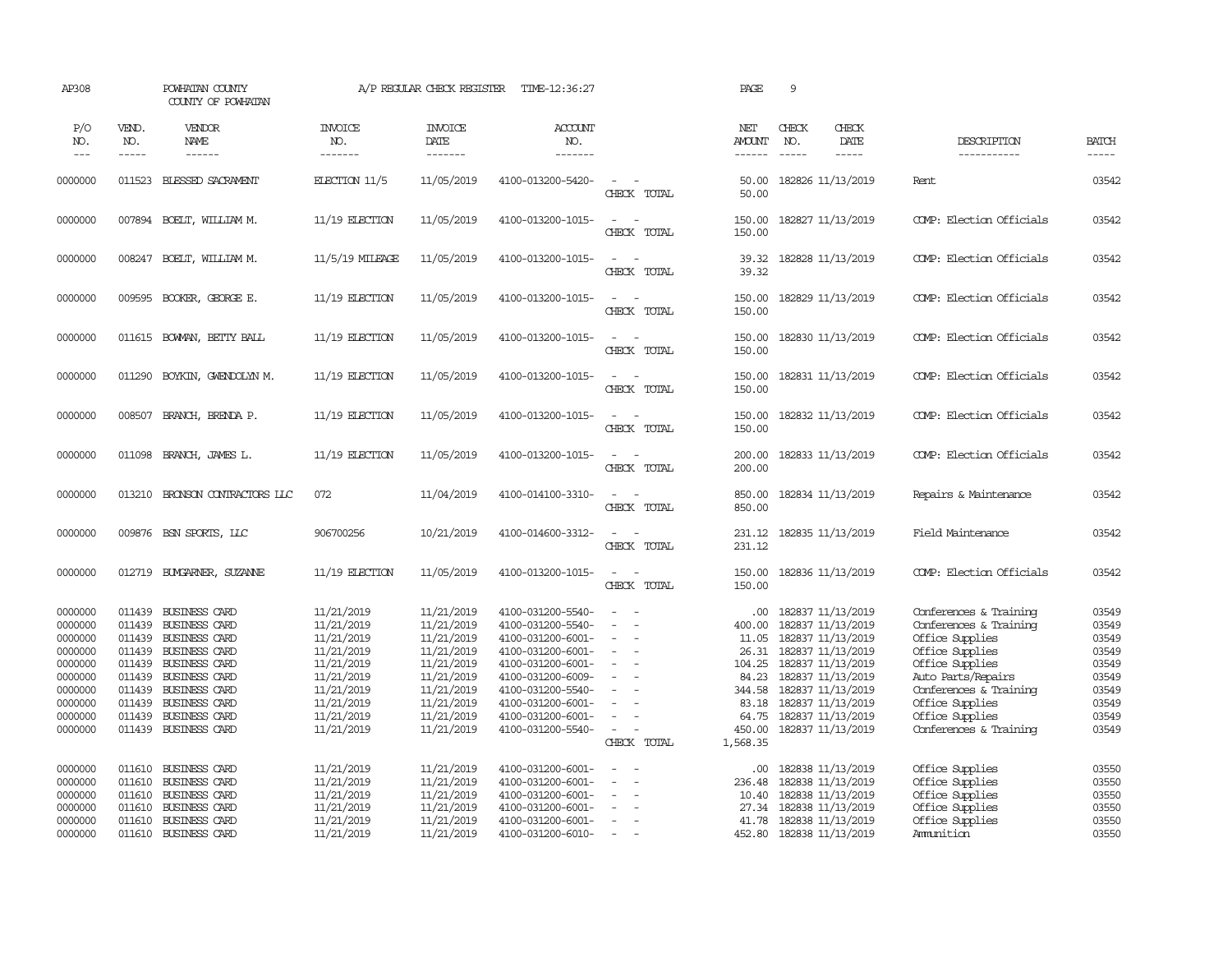| AP308                                                                                                      |                                                                                                  | POWHATAN COUNTY<br>COUNTY OF POWHATAN                                                                                                                                                       |                                                                                                                                          | A/P REGULAR CHECK REGISTER                                                                                                               | TIME-12:36:27                                                                                                                                                                                                  |                                                                                                               | PAGE                                                                                                  | 9                                                                                                                                                                                                              |                              |                                                                                                                                                                                                                           |                                                                                        |
|------------------------------------------------------------------------------------------------------------|--------------------------------------------------------------------------------------------------|---------------------------------------------------------------------------------------------------------------------------------------------------------------------------------------------|------------------------------------------------------------------------------------------------------------------------------------------|------------------------------------------------------------------------------------------------------------------------------------------|----------------------------------------------------------------------------------------------------------------------------------------------------------------------------------------------------------------|---------------------------------------------------------------------------------------------------------------|-------------------------------------------------------------------------------------------------------|----------------------------------------------------------------------------------------------------------------------------------------------------------------------------------------------------------------|------------------------------|---------------------------------------------------------------------------------------------------------------------------------------------------------------------------------------------------------------------------|----------------------------------------------------------------------------------------|
| P/O<br>NO.<br>$---$                                                                                        | VEND.<br>NO.<br>$- - - - -$                                                                      | <b>VENDOR</b><br>NAME<br>$- - - - - -$                                                                                                                                                      | <b>INVOICE</b><br>NO.<br>-------                                                                                                         | <b>INVOICE</b><br>DATE<br>-------                                                                                                        | ACCOUNT<br>NO.<br>-------                                                                                                                                                                                      |                                                                                                               | NET<br><b>AMOUNT</b><br>$- - - - - -$                                                                 | CHECK<br>NO.<br>$\frac{1}{2}$                                                                                                                                                                                  | CHECK<br>DATE<br>$- - - - -$ | DESCRIPTION<br>-----------                                                                                                                                                                                                | <b>BATCH</b><br>-----                                                                  |
| 0000000                                                                                                    | 011523                                                                                           | BLESSED SACRAMENT                                                                                                                                                                           | ELECTION 11/5                                                                                                                            | 11/05/2019                                                                                                                               | 4100-013200-5420-                                                                                                                                                                                              | $\overline{\phantom{a}}$<br>CHECK TOTAL                                                                       | 50.00<br>50.00                                                                                        | 182826 11/13/2019                                                                                                                                                                                              |                              | Rent.                                                                                                                                                                                                                     | 03542                                                                                  |
| 0000000                                                                                                    |                                                                                                  | 007894 BOELT, WILLIAM M.                                                                                                                                                                    | 11/19 ELECTION                                                                                                                           | 11/05/2019                                                                                                                               | 4100-013200-1015-                                                                                                                                                                                              | $\sim$<br>$\sim$<br>CHECK TOTAL                                                                               | 150.00<br>150.00                                                                                      | 182827 11/13/2019                                                                                                                                                                                              |                              | COMP: Election Officials                                                                                                                                                                                                  | 03542                                                                                  |
| 0000000                                                                                                    | 008247                                                                                           | BOELT, WILLIAM M.                                                                                                                                                                           | 11/5/19 MILEAGE                                                                                                                          | 11/05/2019                                                                                                                               | 4100-013200-1015-                                                                                                                                                                                              | $\sim$<br>$\sim$<br>CHECK TOTAL                                                                               | 39.32<br>39.32                                                                                        | 182828 11/13/2019                                                                                                                                                                                              |                              | COMP: Election Officials                                                                                                                                                                                                  | 03542                                                                                  |
| 0000000                                                                                                    | 009595                                                                                           | BOOKER, GEORGE E.                                                                                                                                                                           | 11/19 ELECTION                                                                                                                           | 11/05/2019                                                                                                                               | 4100-013200-1015-                                                                                                                                                                                              | $\sim$ $-$<br>$\overline{a}$<br>CHECK TOTAL                                                                   | 150.00<br>150.00                                                                                      | 182829 11/13/2019                                                                                                                                                                                              |                              | COMP: Election Officials                                                                                                                                                                                                  | 03542                                                                                  |
| 0000000                                                                                                    | 011615                                                                                           | BOWMAN, BETTY BALL                                                                                                                                                                          | $11/19$ ELECTION                                                                                                                         | 11/05/2019                                                                                                                               | 4100-013200-1015-                                                                                                                                                                                              | $\overline{a}$<br>$\sim$<br>CHECK TOTAL                                                                       | 150.00<br>150.00                                                                                      | 182830 11/13/2019                                                                                                                                                                                              |                              | COMP: Election Officials                                                                                                                                                                                                  | 03542                                                                                  |
| 0000000                                                                                                    | 011290                                                                                           | BOYKIN, GWENDOLYN M.                                                                                                                                                                        | $11/19$ ELECTION                                                                                                                         | 11/05/2019                                                                                                                               | 4100-013200-1015-                                                                                                                                                                                              | $\sim$<br>CHECK TOTAL                                                                                         | 150.00<br>150.00                                                                                      | 182831 11/13/2019                                                                                                                                                                                              |                              | COMP: Election Officials                                                                                                                                                                                                  | 03542                                                                                  |
| 0000000                                                                                                    | 008507                                                                                           | BRANCH, BRENDA P.                                                                                                                                                                           | 11/19 ELECTION                                                                                                                           | 11/05/2019                                                                                                                               | 4100-013200-1015-                                                                                                                                                                                              | $\sim$<br>$\sim$<br>CHECK TOTAL                                                                               | 150.00<br>150.00                                                                                      | 182832 11/13/2019                                                                                                                                                                                              |                              | COMP: Election Officials                                                                                                                                                                                                  | 03542                                                                                  |
| 0000000                                                                                                    | 011098                                                                                           | BRANCH, JAMES L.                                                                                                                                                                            | 11/19 ELECTION                                                                                                                           | 11/05/2019                                                                                                                               | 4100-013200-1015-                                                                                                                                                                                              | $\overline{\phantom{a}}$<br>$\sim$<br>CHECK TOTAL                                                             | 200.00<br>200.00                                                                                      | 182833 11/13/2019                                                                                                                                                                                              |                              | COMP: Election Officials                                                                                                                                                                                                  | 03542                                                                                  |
| 0000000                                                                                                    | 013210                                                                                           | BRONSON CONTRACTORS LLC                                                                                                                                                                     | 072                                                                                                                                      | 11/04/2019                                                                                                                               | 4100-014100-3310-                                                                                                                                                                                              | $\sim$<br>$\sim$<br>CHECK TOTAL                                                                               | 850.00<br>850.00                                                                                      | 182834 11/13/2019                                                                                                                                                                                              |                              | Repairs & Maintenance                                                                                                                                                                                                     | 03542                                                                                  |
| 0000000                                                                                                    |                                                                                                  | 009876 BSN SPORTS, LLC                                                                                                                                                                      | 906700256                                                                                                                                | 10/21/2019                                                                                                                               | 4100-014600-3312-                                                                                                                                                                                              | $\overline{\phantom{a}}$<br>$\sim$<br>CHECK TOTAL                                                             | 231.12<br>231.12                                                                                      | 182835 11/13/2019                                                                                                                                                                                              |                              | Field Maintenance                                                                                                                                                                                                         | 03542                                                                                  |
| 0000000                                                                                                    | 012719                                                                                           | BUYGARNER, SUZANNE                                                                                                                                                                          | 11/19 ELECTION                                                                                                                           | 11/05/2019                                                                                                                               | 4100-013200-1015-                                                                                                                                                                                              | $\sim$ $\sim$<br>CHECK TOTAL                                                                                  | 150.00<br>150.00                                                                                      | 182836 11/13/2019                                                                                                                                                                                              |                              | COMP: Election Officials                                                                                                                                                                                                  | 03542                                                                                  |
| 0000000<br>0000000<br>0000000<br>0000000<br>0000000<br>0000000<br>0000000<br>0000000<br>0000000<br>0000000 | 011439<br>011439<br>011439<br>011439<br>011439<br>011439<br>011439<br>011439<br>011439<br>011439 | BUSINESS CARD<br><b>BUSINESS CARD</b><br>BUSINESS CARD<br><b>BUSINESS CARD</b><br><b>BUSINESS CARD</b><br>BUSINESS CARD<br>BUSINESS CARD<br>BUSINESS CARD<br>BUSINESS CARD<br>BUSINESS CARD | 11/21/2019<br>11/21/2019<br>11/21/2019<br>11/21/2019<br>11/21/2019<br>11/21/2019<br>11/21/2019<br>11/21/2019<br>11/21/2019<br>11/21/2019 | 11/21/2019<br>11/21/2019<br>11/21/2019<br>11/21/2019<br>11/21/2019<br>11/21/2019<br>11/21/2019<br>11/21/2019<br>11/21/2019<br>11/21/2019 | 4100-031200-5540-<br>4100-031200-5540-<br>4100-031200-6001-<br>4100-031200-6001-<br>4100-031200-6001-<br>4100-031200-6009-<br>4100-031200-5540-<br>4100-031200-6001-<br>4100-031200-6001-<br>4100-031200-5540- | $\overline{\phantom{a}}$<br>$\equiv$<br>$\equiv$<br>$\equiv$<br>$\sim$<br>$\equiv$<br>$\equiv$<br>CHECK TOTAL | .00.<br>400.00<br>11.05<br>26.31<br>104.25<br>84.23<br>344.58<br>83.18<br>64.75<br>450.00<br>1,568.35 | 182837 11/13/2019<br>182837 11/13/2019<br>182837 11/13/2019<br>182837 11/13/2019<br>182837 11/13/2019<br>182837 11/13/2019<br>182837 11/13/2019<br>182837 11/13/2019<br>182837 11/13/2019<br>182837 11/13/2019 |                              | Conferences & Training<br>Conferences & Training<br>Office Supplies<br>Office Supplies<br>Office Supplies<br>Auto Parts/Repairs<br>Conferences & Training<br>Office Supplies<br>Office Supplies<br>Conferences & Training | 03549<br>03549<br>03549<br>03549<br>03549<br>03549<br>03549<br>03549<br>03549<br>03549 |
| 0000000<br>0000000<br>0000000<br>0000000<br>0000000<br>0000000                                             | 011610<br>011610<br>011610<br>011610<br>011610                                                   | <b>BUSINESS CARD</b><br>BUSINESS CARD<br><b>BUSINESS CARD</b><br>BUSINESS CARD<br>BUSINESS CARD<br>011610 BUSINESS CARD                                                                     | 11/21/2019<br>11/21/2019<br>11/21/2019<br>11/21/2019<br>11/21/2019<br>11/21/2019                                                         | 11/21/2019<br>11/21/2019<br>11/21/2019<br>11/21/2019<br>11/21/2019<br>11/21/2019                                                         | 4100-031200-6001-<br>4100-031200-6001-<br>4100-031200-6001-<br>4100-031200-6001-<br>4100-031200-6001-<br>4100-031200-6010-                                                                                     | $\sim$<br>$\sim$<br>$\equiv$<br>$\equiv$<br>$\overline{a}$                                                    | .00.<br>236.48<br>10.40<br>27.34<br>41.78                                                             | 182838 11/13/2019<br>182838 11/13/2019<br>182838 11/13/2019<br>182838 11/13/2019<br>182838 11/13/2019<br>452.80 182838 11/13/2019                                                                              |                              | Office Supplies<br>Office Supplies<br>Office Supplies<br>Office Supplies<br>Office Supplies<br>Ammition                                                                                                                   | 03550<br>03550<br>03550<br>03550<br>03550<br>03550                                     |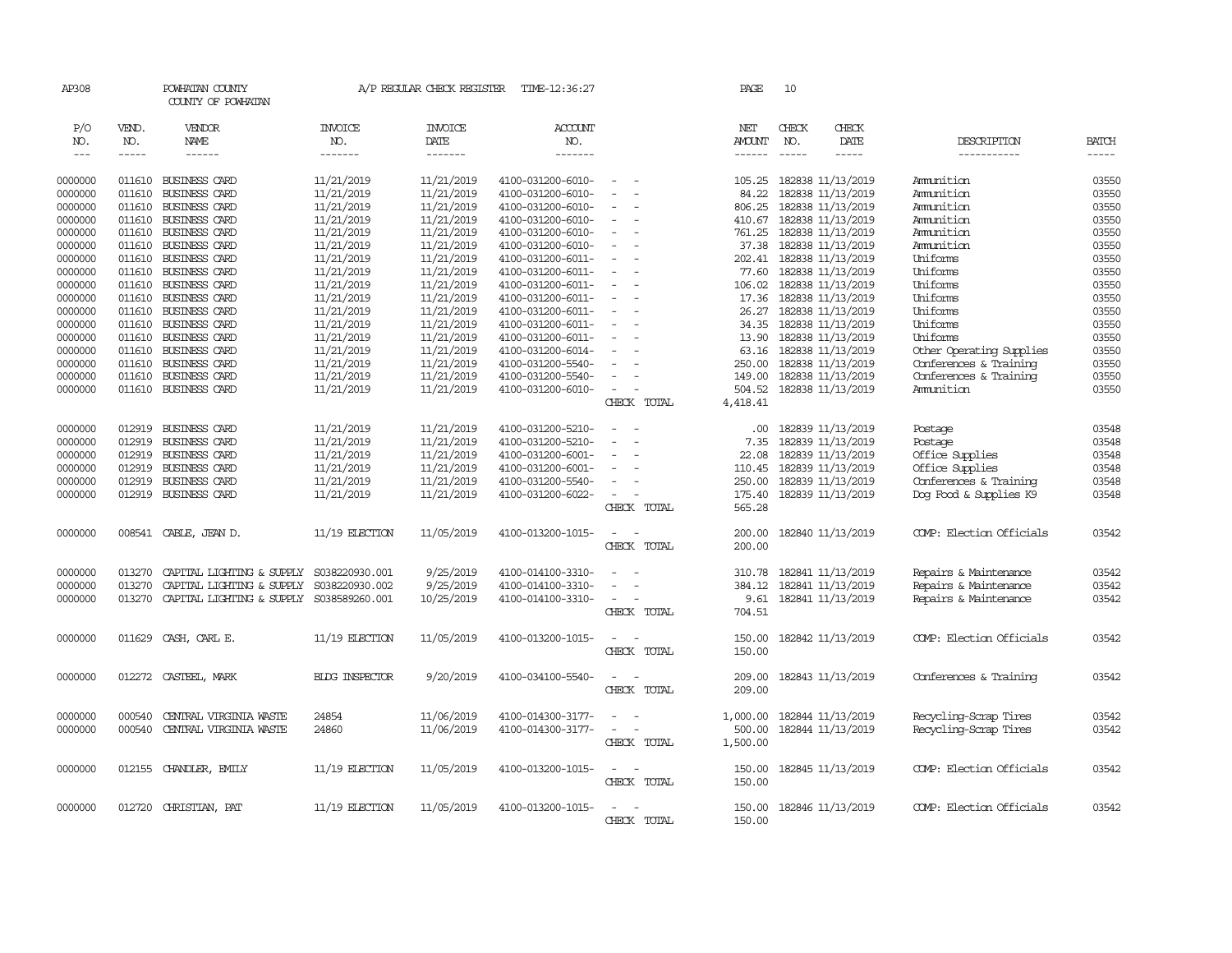| AP308         |        | POWHATAN COUNTY<br>COUNTY OF POWHATAN    |                       | A/P REGULAR CHECK REGISTER | TIME-12:36:27     |                                                                                                              | PAGE     | 10                       |                          |                          |              |
|---------------|--------|------------------------------------------|-----------------------|----------------------------|-------------------|--------------------------------------------------------------------------------------------------------------|----------|--------------------------|--------------------------|--------------------------|--------------|
| P/O           | VEND.  | <b>VENDOR</b>                            | INVOICE               | <b>INVOICE</b>             | <b>ACCOUNT</b>    |                                                                                                              | NET      | CHECK                    | CHECK                    |                          |              |
| NO.           | NO.    | NAME                                     | NO.                   | DATE                       | NO.               |                                                                                                              | AMOUNT   | NO.                      | DATE                     | DESCRIPTION              | <b>BATCH</b> |
| $\frac{1}{2}$ | -----  | $- - - - - -$                            | -------               | -------                    | -------           |                                                                                                              | ------   | $\frac{1}{2}$            | $- - - - -$              | -----------              | $- - - - -$  |
| 0000000       | 011610 | BUSINESS CARD                            | 11/21/2019            | 11/21/2019                 | 4100-031200-6010- | $\frac{1}{2} \left( \frac{1}{2} \right) \left( \frac{1}{2} \right) = \frac{1}{2} \left( \frac{1}{2} \right)$ | 105.25   | 182838 11/13/2019        |                          | Amunition                | 03550        |
| 0000000       | 011610 | <b>BUSINESS CARD</b>                     | 11/21/2019            | 11/21/2019                 | 4100-031200-6010- |                                                                                                              | 84.22    | 182838 11/13/2019        |                          | Ammition                 | 03550        |
| 0000000       | 011610 | <b>BUSINESS CARD</b>                     | 11/21/2019            | 11/21/2019                 | 4100-031200-6010- |                                                                                                              | 806.25   | 182838 11/13/2019        |                          | Ammition                 | 03550        |
| 0000000       | 011610 | BUSINESS CARD                            | 11/21/2019            | 11/21/2019                 | 4100-031200-6010- |                                                                                                              |          | 410.67 182838 11/13/2019 |                          | Ammition                 | 03550        |
| 0000000       | 011610 | BUSINESS CARD                            | 11/21/2019            | 11/21/2019                 | 4100-031200-6010- |                                                                                                              | 761.25   | 182838 11/13/2019        |                          | Ammition                 | 03550        |
| 0000000       | 011610 | <b>BUSINESS CARD</b>                     | 11/21/2019            | 11/21/2019                 | 4100-031200-6010- |                                                                                                              |          | 37.38 182838 11/13/2019  |                          | Ammition                 | 03550        |
| 0000000       | 011610 | BUSINESS CARD                            | 11/21/2019            | 11/21/2019                 | 4100-031200-6011- | $\equiv$                                                                                                     |          | 202.41 182838 11/13/2019 |                          | Uniforms                 | 03550        |
| 0000000       | 011610 | <b>BUSINESS CARD</b>                     | 11/21/2019            | 11/21/2019                 | 4100-031200-6011- | $\sim$                                                                                                       |          | 77.60 182838 11/13/2019  |                          | Uniforms                 | 03550        |
| 0000000       | 011610 | <b>BUSINESS CARD</b>                     | 11/21/2019            | 11/21/2019                 | 4100-031200-6011- |                                                                                                              |          | 106.02 182838 11/13/2019 |                          | Uniforms                 | 03550        |
| 0000000       | 011610 | <b>BUSINESS CARD</b>                     | 11/21/2019            | 11/21/2019                 | 4100-031200-6011- | $\overline{\phantom{a}}$                                                                                     | 17.36    | 182838 11/13/2019        |                          | Uniforms                 | 03550        |
| 0000000       | 011610 | <b>BUSINESS CARD</b>                     | 11/21/2019            | 11/21/2019                 | 4100-031200-6011- |                                                                                                              | 26.27    | 182838 11/13/2019        |                          | Uniforms                 | 03550        |
| 0000000       | 011610 | <b>BUSINESS CARD</b>                     | 11/21/2019            | 11/21/2019                 | 4100-031200-6011- |                                                                                                              |          | 34.35 182838 11/13/2019  |                          | Uniforms                 | 03550        |
| 0000000       | 011610 | <b>BUSINESS CARD</b>                     | 11/21/2019            | 11/21/2019                 | 4100-031200-6011- | $\equiv$                                                                                                     |          | 13.90 182838 11/13/2019  |                          | Uniforms                 | 03550        |
| 0000000       | 011610 | <b>BUSINESS CARD</b>                     | 11/21/2019            | 11/21/2019                 | 4100-031200-6014- |                                                                                                              | 63.16    | 182838 11/13/2019        |                          | Other Operating Supplies | 03550        |
| 0000000       | 011610 | <b>BUSINESS CARD</b>                     | 11/21/2019            | 11/21/2019                 | 4100-031200-5540- |                                                                                                              | 250.00   | 182838 11/13/2019        |                          | Conferences & Training   | 03550        |
| 0000000       | 011610 | <b>BUSINESS CARD</b>                     | 11/21/2019            | 11/21/2019                 | 4100-031200-5540- | $\sim$                                                                                                       |          |                          | 149.00 182838 11/13/2019 | Conferences & Training   | 03550        |
| 0000000       | 011610 | <b>BUSINESS CARD</b>                     | 11/21/2019            | 11/21/2019                 | 4100-031200-6010- | $\overline{\phantom{a}}$                                                                                     | 504.52   | 182838 11/13/2019        |                          | Ammition                 | 03550        |
|               |        |                                          |                       |                            |                   | CHECK TOTAL                                                                                                  | 4,418.41 |                          |                          |                          |              |
| 0000000       | 012919 | <b>BUSINESS CARD</b>                     | 11/21/2019            | 11/21/2019                 | 4100-031200-5210- | $\sim$                                                                                                       | .00.     |                          | 182839 11/13/2019        | Postage                  | 03548        |
| 0000000       | 012919 | BUSINESS CARD                            | 11/21/2019            | 11/21/2019                 | 4100-031200-5210- |                                                                                                              | 7.35     |                          | 182839 11/13/2019        | Postage                  | 03548        |
| 0000000       | 012919 | BUSINESS CARD                            | 11/21/2019            | 11/21/2019                 | 4100-031200-6001- | $\equiv$                                                                                                     | 22.08    |                          | 182839 11/13/2019        | Office Supplies          | 03548        |
| 0000000       | 012919 | <b>BUSINESS CARD</b>                     | 11/21/2019            | 11/21/2019                 | 4100-031200-6001- |                                                                                                              | 110.45   |                          | 182839 11/13/2019        | Office Supplies          | 03548        |
| 0000000       | 012919 | BUSINESS CARD                            | 11/21/2019            | 11/21/2019                 | 4100-031200-5540- |                                                                                                              | 250.00   | 182839 11/13/2019        |                          | Conferences & Training   | 03548        |
| 0000000       |        | 012919 BUSINESS CARD                     | 11/21/2019            | 11/21/2019                 | 4100-031200-6022- |                                                                                                              |          |                          | 175.40 182839 11/13/2019 | Dog Food & Supplies K9   | 03548        |
|               |        |                                          |                       |                            |                   | CHECK TOTAL                                                                                                  | 565.28   |                          |                          |                          |              |
| 0000000       |        | 008541 CABLE, JEAN D.                    | 11/19 ELECTION        | 11/05/2019                 | 4100-013200-1015- | $\sim$<br>$\sim$                                                                                             |          |                          | 200.00 182840 11/13/2019 | COMP: Election Officials | 03542        |
|               |        |                                          |                       |                            |                   | CHECK TOTAL                                                                                                  | 200.00   |                          |                          |                          |              |
| 0000000       | 013270 | CAPITAL LIGHTING & SUPPLY                | S038220930.001        | 9/25/2019                  | 4100-014100-3310- | $\equiv$                                                                                                     |          |                          | 310.78 182841 11/13/2019 | Repairs & Maintenance    | 03542        |
| 0000000       | 013270 | CAPITAL LIGHTING & SUPPLY                | S038220930.002        | 9/25/2019                  | 4100-014100-3310- | $\equiv$                                                                                                     |          | 384.12 182841 11/13/2019 |                          | Repairs & Maintenance    | 03542        |
| 0000000       | 013270 | CAPITAL LIGHTING & SUPPLY S038589260.001 |                       | 10/25/2019                 | 4100-014100-3310- | $\frac{1}{2} \left( \frac{1}{2} \right) \left( \frac{1}{2} \right) = \frac{1}{2} \left( \frac{1}{2} \right)$ |          |                          | 9.61 182841 11/13/2019   | Repairs & Maintenance    | 03542        |
|               |        |                                          |                       |                            |                   | CHECK TOTAL                                                                                                  | 704.51   |                          |                          |                          |              |
| 0000000       | 011629 | CASH, CARL E.                            | 11/19 ELECTION        | 11/05/2019                 | 4100-013200-1015- |                                                                                                              | 150.00   | 182842 11/13/2019        |                          | COMP: Election Officials | 03542        |
|               |        |                                          |                       |                            |                   | CHECK TOTAL                                                                                                  | 150.00   |                          |                          |                          |              |
| 0000000       | 012272 | CASTEEL, MARK                            | <b>BLDG INSPECTOR</b> | 9/20/2019                  | 4100-034100-5540- |                                                                                                              | 209.00   |                          | 182843 11/13/2019        | Conferences & Training   | 03542        |
|               |        |                                          |                       |                            |                   | CHECK TOTAL                                                                                                  | 209.00   |                          |                          |                          |              |
| 0000000       | 000540 | CENTRAL VIRGINIA WASTE                   | 24854                 | 11/06/2019                 | 4100-014300-3177- |                                                                                                              | 1,000.00 |                          | 182844 11/13/2019        | Recycling-Scrap Tires    | 03542        |
| 0000000       | 000540 | CENTRAL VIRGINIA WASTE                   | 24860                 | 11/06/2019                 | 4100-014300-3177- | $\sim$                                                                                                       | 500.00   |                          | 182844 11/13/2019        | Recycling-Scrap Tires    | 03542        |
|               |        |                                          |                       |                            |                   | CHECK TOTAL                                                                                                  | 1,500.00 |                          |                          |                          |              |
| 0000000       |        | 012155 CHANDLER, EMILY                   | $11/19$ ELECTION      | 11/05/2019                 | 4100-013200-1015- | $\frac{1}{2} \left( \frac{1}{2} \right) \left( \frac{1}{2} \right) = \frac{1}{2} \left( \frac{1}{2} \right)$ |          |                          | 150.00 182845 11/13/2019 | COMP: Election Officials | 03542        |
|               |        |                                          |                       |                            |                   | CHECK TOTAL                                                                                                  | 150.00   |                          |                          |                          |              |
| 0000000       | 012720 | CHRISTIAN, PAT                           | $11/19$ ELECTION      | 11/05/2019                 | 4100-013200-1015- | $\overline{\phantom{a}}$                                                                                     |          |                          | 150.00 182846 11/13/2019 | COMP: Election Officials | 03542        |
|               |        |                                          |                       |                            |                   | CHECK TOTAL                                                                                                  | 150.00   |                          |                          |                          |              |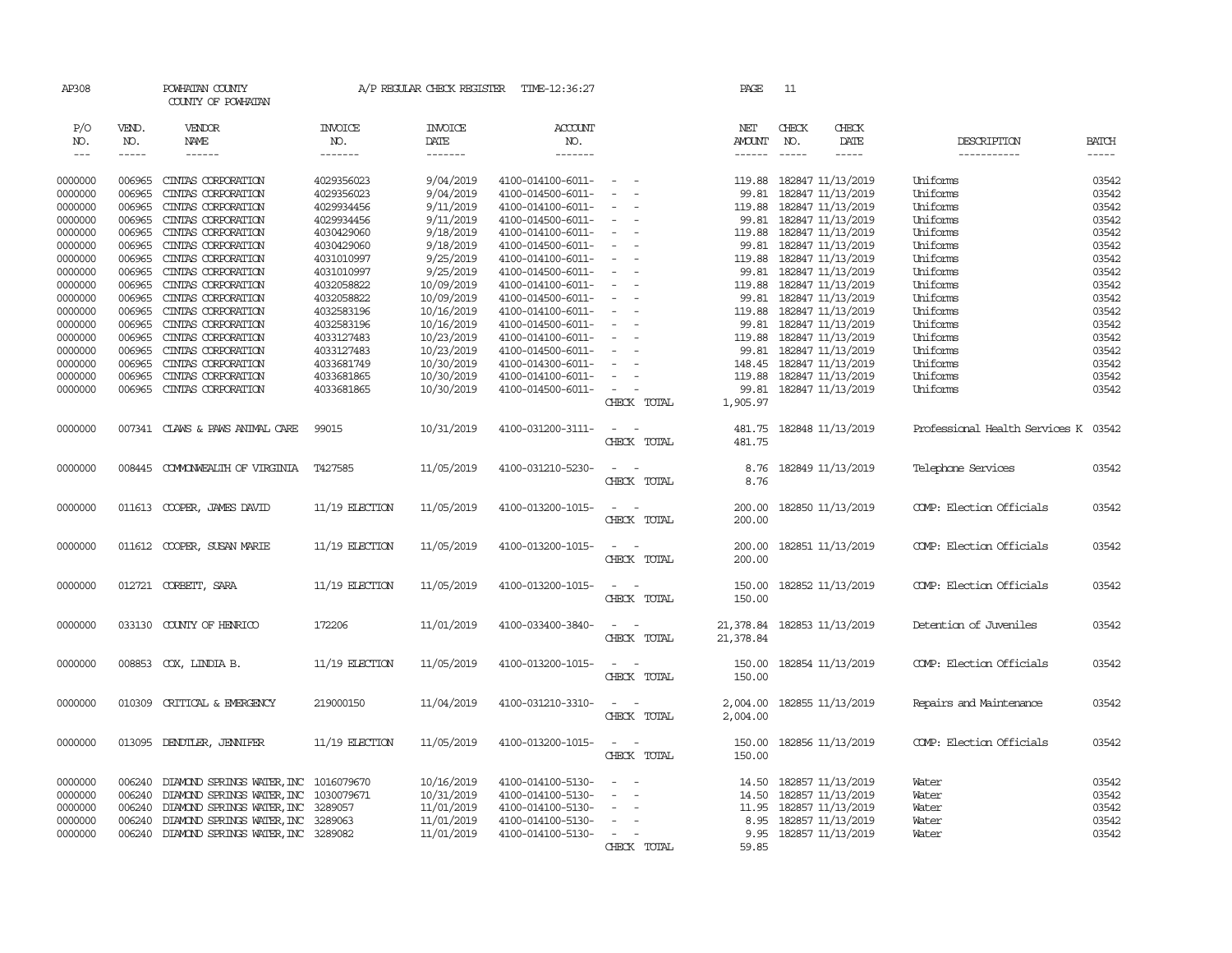| AP308   |             | POWHATAN COUNTY<br>COUNTY OF POWHATAN |                  | A/P REGULAR CHECK REGISTER | TIME-12:36:27     |                                                                                                              | PAGE                        | 11                       |             |                                      |              |
|---------|-------------|---------------------------------------|------------------|----------------------------|-------------------|--------------------------------------------------------------------------------------------------------------|-----------------------------|--------------------------|-------------|--------------------------------------|--------------|
| P/O     | VEND.       | VENDOR                                | <b>INVOICE</b>   | <b>INVOICE</b>             | ACCOUNT           |                                                                                                              | NET                         | CHECK                    | CHECK       |                                      |              |
| NO.     | NO.         | NAME                                  | NO.              | DATE                       | NO.               |                                                                                                              | AMOUNT                      | NO.                      | DATE        | DESCRIPTION                          | <b>BATCH</b> |
| $---$   | $- - - - -$ | $- - - - - -$                         | -------          | -------                    | -------           |                                                                                                              | ------                      | $- - - - -$              | $- - - - -$ | -----------                          | -----        |
|         |             |                                       |                  |                            |                   |                                                                                                              |                             |                          |             |                                      |              |
| 0000000 | 006965      | CINIAS CORPORATION                    | 4029356023       | 9/04/2019                  | 4100-014100-6011- | $\sim$ $\sim$                                                                                                |                             | 119.88 182847 11/13/2019 |             | Uniforms                             | 03542        |
| 0000000 | 006965      | CINIAS CORPORATION                    | 4029356023       | 9/04/2019                  | 4100-014500-6011- | $\sim$                                                                                                       | 99.81                       | 182847 11/13/2019        |             | Uniforms                             | 03542        |
| 0000000 | 006965      | CINIAS CORPORATION                    | 4029934456       | 9/11/2019                  | 4100-014100-6011- |                                                                                                              |                             | 119.88 182847 11/13/2019 |             | Uniforms                             | 03542        |
| 0000000 | 006965      | CINIAS CORPORATION                    | 4029934456       | 9/11/2019                  | 4100-014500-6011- |                                                                                                              |                             | 99.81 182847 11/13/2019  |             | Uniforms                             | 03542        |
| 0000000 | 006965      | CINIAS CORPORATION                    | 4030429060       | 9/18/2019                  | 4100-014100-6011- | $\overline{\phantom{a}}$                                                                                     |                             | 119.88 182847 11/13/2019 |             | Uniforms                             | 03542        |
| 0000000 | 006965      | CINIAS CORPORATION                    | 4030429060       | 9/18/2019                  | 4100-014500-6011- | $\overline{\phantom{a}}$                                                                                     | 99.81                       | 182847 11/13/2019        |             | Uniforms                             | 03542        |
| 0000000 | 006965      | CINIAS CORPORATION                    | 4031010997       | 9/25/2019                  | 4100-014100-6011- |                                                                                                              |                             | 119.88 182847 11/13/2019 |             | Uniforms                             | 03542        |
| 0000000 | 006965      | CINTAS CORPORATION                    | 4031010997       | 9/25/2019                  | 4100-014500-6011- |                                                                                                              |                             | 99.81 182847 11/13/2019  |             | Uniforms                             | 03542        |
| 0000000 | 006965      | CINIAS CORPORATION                    | 4032058822       | 10/09/2019                 | 4100-014100-6011- |                                                                                                              |                             | 119.88 182847 11/13/2019 |             | Uniforms                             | 03542        |
| 0000000 | 006965      | CINIAS CORPORATION                    | 4032058822       | 10/09/2019                 | 4100-014500-6011- | $\overline{\phantom{a}}$                                                                                     |                             | 99.81 182847 11/13/2019  |             | Uniforms                             | 03542        |
| 0000000 | 006965      | CINIAS CORPORATION                    | 4032583196       | 10/16/2019                 | 4100-014100-6011- |                                                                                                              |                             | 119.88 182847 11/13/2019 |             | Uniforms                             | 03542        |
| 0000000 | 006965      | CINIAS CORPORATION                    | 4032583196       | 10/16/2019                 | 4100-014500-6011- | $\overline{\phantom{a}}$                                                                                     |                             | 99.81 182847 11/13/2019  |             | Uniforms                             | 03542        |
| 0000000 | 006965      | CINIAS CORPORATION                    | 4033127483       | 10/23/2019                 | 4100-014100-6011- |                                                                                                              |                             | 119.88 182847 11/13/2019 |             | Uniforms                             | 03542        |
| 0000000 | 006965      | CINIAS CORPORATION                    | 4033127483       | 10/23/2019                 | 4100-014500-6011- |                                                                                                              |                             | 99.81 182847 11/13/2019  |             | Uniforms                             | 03542        |
| 0000000 | 006965      | CINIAS CORPORATION                    | 4033681749       | 10/30/2019                 | 4100-014300-6011- |                                                                                                              |                             | 148.45 182847 11/13/2019 |             | Uniforms                             | 03542        |
| 0000000 | 006965      | CINIAS CORPORATION                    | 4033681865       | 10/30/2019                 | 4100-014100-6011- | $\overline{\phantom{a}}$                                                                                     |                             | 119.88 182847 11/13/2019 |             | Uniforms                             | 03542        |
| 0000000 | 006965      | CINIAS CORPORATION                    | 4033681865       | 10/30/2019                 | 4100-014500-6011- | $\overline{\phantom{a}}$                                                                                     | 99.81                       | 182847 11/13/2019        |             | Uniforms                             | 03542        |
|         |             |                                       |                  |                            |                   | CHECK TOTAL                                                                                                  | 1,905.97                    |                          |             |                                      |              |
| 0000000 |             | 007341 CLAWS & PAWS ANIMAL CARE       | 99015            | 10/31/2019                 | 4100-031200-3111- | $\overline{\phantom{a}}$<br>$\sim$                                                                           | 481.75                      | 182848 11/13/2019        |             | Professional Health Services K 03542 |              |
|         |             |                                       |                  |                            |                   | CHECK TOTAL                                                                                                  | 481.75                      |                          |             |                                      |              |
|         |             |                                       |                  |                            |                   |                                                                                                              |                             |                          |             |                                      |              |
| 0000000 |             | 008445 COMMONWEALTH OF VIRGINIA       | T427585          | 11/05/2019                 | 4100-031210-5230- | $\sim$                                                                                                       |                             | 8.76 182849 11/13/2019   |             | Telephone Services                   | 03542        |
|         |             |                                       |                  |                            |                   | CHECK TOTAL                                                                                                  | 8.76                        |                          |             |                                      |              |
| 0000000 |             | 011613 COOPER, JAMES DAVID            | $11/19$ ELECTION | 11/05/2019                 | 4100-013200-1015- | $\frac{1}{2} \left( \frac{1}{2} \right) \left( \frac{1}{2} \right) \left( \frac{1}{2} \right)$               | 200.00                      | 182850 11/13/2019        |             | COMP: Election Officials             | 03542        |
|         |             |                                       |                  |                            |                   | CHECK TOTAL                                                                                                  | 200.00                      |                          |             |                                      |              |
|         |             |                                       |                  |                            |                   |                                                                                                              |                             |                          |             |                                      |              |
| 0000000 | 011612      | COOPER, SUSAN MARIE                   | $11/19$ ELECTION | 11/05/2019                 | 4100-013200-1015- | $\sim$ $\sim$                                                                                                |                             | 200.00 182851 11/13/2019 |             | COMP: Election Officials             | 03542        |
|         |             |                                       |                  |                            |                   | CHECK TOTAL                                                                                                  | 200.00                      |                          |             |                                      |              |
|         |             |                                       |                  |                            |                   |                                                                                                              |                             |                          |             |                                      |              |
| 0000000 |             | 012721 CORBETT, SARA                  | $11/19$ ELECTION | 11/05/2019                 | 4100-013200-1015- | $\overline{\phantom{a}}$                                                                                     | 150.00                      | 182852 11/13/2019        |             | COMP: Election Officials             | 03542        |
|         |             |                                       |                  |                            |                   | CHECK TOTAL                                                                                                  | 150.00                      |                          |             |                                      |              |
|         |             |                                       |                  |                            |                   |                                                                                                              |                             |                          |             |                                      |              |
| 0000000 | 033130      | COUNTY OF HENRICO                     | 172206           | 11/01/2019                 | 4100-033400-3840- | $\sim$                                                                                                       | 21,378.84 182853 11/13/2019 |                          |             | Detention of Juveniles               | 03542        |
|         |             |                                       |                  |                            |                   | CHECK TOTAL                                                                                                  | 21,378.84                   |                          |             |                                      |              |
|         |             |                                       |                  |                            |                   |                                                                                                              |                             |                          |             |                                      |              |
| 0000000 | 008853      | COX, LINDIA B.                        | $11/19$ ELECTION | 11/05/2019                 | 4100-013200-1015- | $\frac{1}{2} \left( \frac{1}{2} \right) \left( \frac{1}{2} \right) = \frac{1}{2} \left( \frac{1}{2} \right)$ | 150.00                      | 182854 11/13/2019        |             | COMP: Election Officials             | 03542        |
|         |             |                                       |                  |                            |                   | CHECK TOTAL                                                                                                  | 150.00                      |                          |             |                                      |              |
|         |             |                                       |                  |                            |                   |                                                                                                              |                             |                          |             |                                      |              |
| 0000000 | 010309      | CRITICAL & EMERGENCY                  | 219000150        | 11/04/2019                 | 4100-031210-3310- | $\sim$ $  -$                                                                                                 | 2,004.00 182855 11/13/2019  |                          |             | Repairs and Maintenance              | 03542        |
|         |             |                                       |                  |                            |                   | CHECK TOTAL                                                                                                  | 2,004.00                    |                          |             |                                      |              |
|         |             |                                       |                  |                            |                   |                                                                                                              |                             |                          |             |                                      |              |
| 0000000 |             | 013095 DENDTLER, JENNIFER             | $11/19$ ELECTION | 11/05/2019                 | 4100-013200-1015- | $\sim$ $\sim$                                                                                                |                             | 150.00 182856 11/13/2019 |             | COMP: Election Officials             | 03542        |
|         |             |                                       |                  |                            |                   | CHECK TOTAL                                                                                                  | 150.00                      |                          |             |                                      |              |
|         |             |                                       |                  |                            |                   |                                                                                                              |                             |                          |             |                                      |              |
| 0000000 | 006240      | DIAMOND SPRINGS WATER, INC 1016079670 |                  | 10/16/2019                 | 4100-014100-5130- | $\overline{\phantom{a}}$                                                                                     |                             | 14.50 182857 11/13/2019  |             | Water                                | 03542        |
| 0000000 | 006240      | DIAMOND SPRINGS WATER, INC 1030079671 |                  | 10/31/2019                 | 4100-014100-5130- | $\sim$                                                                                                       | 14.50                       | 182857 11/13/2019        |             | Water                                | 03542        |
| 0000000 | 006240      | DIAMOND SPRINGS WATER, INC 3289057    |                  | 11/01/2019                 | 4100-014100-5130- | $\overline{\phantom{a}}$                                                                                     | 11.95                       | 182857 11/13/2019        |             | Water                                | 03542        |
| 0000000 | 006240      | DIAMOND SPRINGS WATER, INC            | 3289063          | 11/01/2019                 | 4100-014100-5130- | $\equiv$                                                                                                     | 8.95                        | 182857 11/13/2019        |             | Water                                | 03542        |
| 0000000 | 006240      | DIAMOND SPRINGS WATER, INC 3289082    |                  | 11/01/2019                 | 4100-014100-5130- | $\sim$<br>$\sim$                                                                                             |                             | 9.95 182857 11/13/2019   |             | Water                                | 03542        |
|         |             |                                       |                  |                            |                   | CHECK TOTAL                                                                                                  | 59.85                       |                          |             |                                      |              |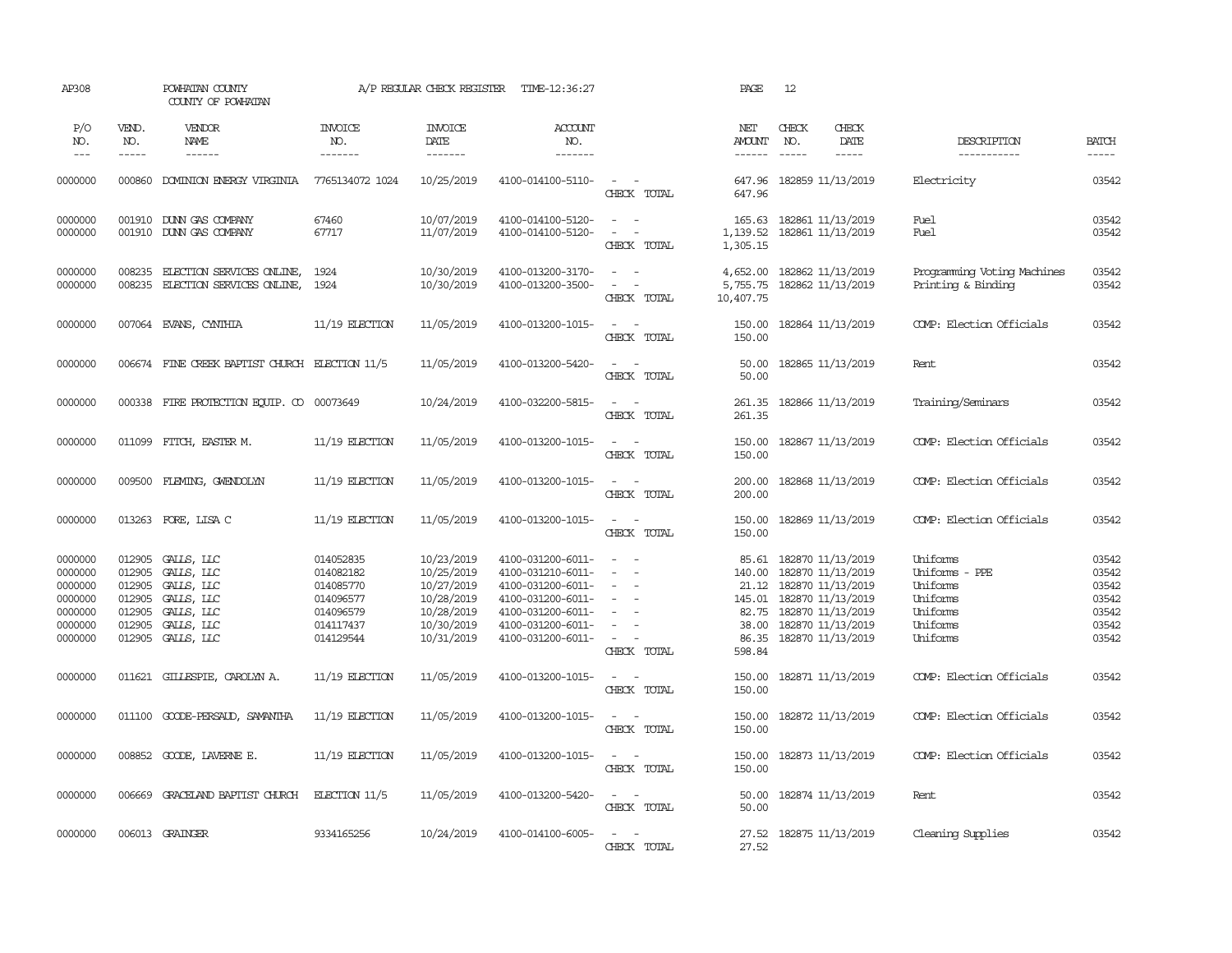| AP308                                                                     |                                                                    | POWHATAN COUNTY<br>COUNTY OF POWHATAN                                                          |                                                                                         | A/P REGULAR CHECK REGISTER                                                                     | TIME-12:36:27                                                                                                                                   |                                                                                                                 | PAGE                                                 | 12            |                                                                                                                                                              |                                                                                        |                                                             |
|---------------------------------------------------------------------------|--------------------------------------------------------------------|------------------------------------------------------------------------------------------------|-----------------------------------------------------------------------------------------|------------------------------------------------------------------------------------------------|-------------------------------------------------------------------------------------------------------------------------------------------------|-----------------------------------------------------------------------------------------------------------------|------------------------------------------------------|---------------|--------------------------------------------------------------------------------------------------------------------------------------------------------------|----------------------------------------------------------------------------------------|-------------------------------------------------------------|
| P/O<br>NO.                                                                | VEND.<br>NO.                                                       | VENDOR<br>NAME                                                                                 | <b>INVOICE</b><br>NO.                                                                   | <b>INVOICE</b><br>DATE                                                                         | ACCOUNT<br>NO.                                                                                                                                  |                                                                                                                 | NET<br><b>AMOUNT</b>                                 | CHECK<br>NO.  | CHECK<br>DATE                                                                                                                                                | DESCRIPTION                                                                            | <b>BATCH</b>                                                |
| $---$                                                                     | $- - - - -$                                                        | ------                                                                                         | -------                                                                                 | -------                                                                                        | -------                                                                                                                                         |                                                                                                                 | $- - - - - -$                                        | $\frac{1}{2}$ | $- - - - -$                                                                                                                                                  | -----------                                                                            | $- - - - -$                                                 |
| 0000000                                                                   |                                                                    | 000860 DOMINION ENERGY VIRGINIA                                                                | 7765134072 1024                                                                         | 10/25/2019                                                                                     | 4100-014100-5110-                                                                                                                               | $\sim$ $  -$<br>CHECK TOTAL                                                                                     | 647.96<br>647.96                                     |               | 182859 11/13/2019                                                                                                                                            | Electricity                                                                            | 03542                                                       |
| 0000000<br>0000000                                                        | 001910                                                             | DUNN GAS COMPANY<br>001910 DUNN GAS COMPANY                                                    | 67460<br>67717                                                                          | 10/07/2019<br>11/07/2019                                                                       | 4100-014100-5120-<br>4100-014100-5120-                                                                                                          | $\sim$<br>$\sim$<br>$\sim$<br>$\overline{\phantom{a}}$<br>CHECK TOTAL                                           | 165.63<br>1,139.52<br>1,305.15                       |               | 182861 11/13/2019<br>182861 11/13/2019                                                                                                                       | Fuel<br>Fuel                                                                           | 03542<br>03542                                              |
| 0000000<br>0000000                                                        | 008235<br>008235                                                   | ELECTION SERVICES ONLINE,<br>ELECTION SERVICES ONLINE,                                         | 1924<br>1924                                                                            | 10/30/2019<br>10/30/2019                                                                       | 4100-013200-3170-<br>4100-013200-3500-                                                                                                          | $\sim$<br>$\sim$<br>$\sim$<br>$\sim$<br>CHECK TOTAL                                                             | 4,652.00<br>5,755.75<br>10,407.75                    |               | 182862 11/13/2019<br>182862 11/13/2019                                                                                                                       | Programming Voting Machines<br>Printing & Binding                                      | 03542<br>03542                                              |
| 0000000                                                                   |                                                                    | 007064 EVANS, CYNTHIA                                                                          | $11/19$ ELECTION                                                                        | 11/05/2019                                                                                     | 4100-013200-1015-                                                                                                                               | $\sim$ $ \sim$<br>CHECK TOTAL                                                                                   | 150.00<br>150.00                                     |               | 182864 11/13/2019                                                                                                                                            | COMP: Election Officials                                                               | 03542                                                       |
| 0000000                                                                   |                                                                    | 006674 FINE CREEK BAPTIST CHURCH ELECTION 11/5                                                 |                                                                                         | 11/05/2019                                                                                     | 4100-013200-5420-                                                                                                                               | $\sim$ $\sim$<br>CHECK TOTAL                                                                                    | 50.00<br>50.00                                       |               | 182865 11/13/2019                                                                                                                                            | Rent                                                                                   | 03542                                                       |
| 0000000                                                                   |                                                                    | 000338 FIRE PROTECTION EQUIP. CO 00073649                                                      |                                                                                         | 10/24/2019                                                                                     | 4100-032200-5815-                                                                                                                               | $\sim$ $\sim$<br>CHECK TOTAL                                                                                    | 261.35<br>261.35                                     |               | 182866 11/13/2019                                                                                                                                            | Training/Seminars                                                                      | 03542                                                       |
| 0000000                                                                   | 011099                                                             | FITCH, EASTER M.                                                                               | $11/19$ ELECTION                                                                        | 11/05/2019                                                                                     | 4100-013200-1015-                                                                                                                               | $\sim$<br>$\sim$<br>CHECK TOTAL                                                                                 | 150.00<br>150.00                                     |               | 182867 11/13/2019                                                                                                                                            | COMP: Election Officials                                                               | 03542                                                       |
| 0000000                                                                   | 009500                                                             | FLEMING, GWENDOLYN                                                                             | 11/19 ELECTION                                                                          | 11/05/2019                                                                                     | 4100-013200-1015-                                                                                                                               | $\sim$<br>$\sim$<br>CHECK TOTAL                                                                                 | 200.00<br>200.00                                     |               | 182868 11/13/2019                                                                                                                                            | COMP: Election Officials                                                               | 03542                                                       |
| 0000000                                                                   |                                                                    | 013263 FORE, LISA C                                                                            | 11/19 ELECTION                                                                          | 11/05/2019                                                                                     | 4100-013200-1015-                                                                                                                               | $\sim$ $ \sim$<br>CHECK TOTAL                                                                                   | 150.00<br>150.00                                     |               | 182869 11/13/2019                                                                                                                                            | COMP: Election Officials                                                               | 03542                                                       |
| 0000000<br>0000000<br>0000000<br>0000000<br>0000000<br>0000000<br>0000000 | 012905<br>012905<br>012905<br>012905<br>012905<br>012905<br>012905 | GALLS, LLC<br>GALLS, LLC<br>GALLS, LLC<br>GALLS, LLC<br>GALLS, LLC<br>GALLS, LLC<br>GALLS, LLC | 014052835<br>014082182<br>014085770<br>014096577<br>014096579<br>014117437<br>014129544 | 10/23/2019<br>10/25/2019<br>10/27/2019<br>10/28/2019<br>10/28/2019<br>10/30/2019<br>10/31/2019 | 4100-031200-6011-<br>4100-031210-6011-<br>4100-031200-6011-<br>4100-031200-6011-<br>4100-031200-6011-<br>4100-031200-6011-<br>4100-031200-6011- | $\overline{\phantom{a}}$<br>$\sim$<br>$\sim$<br>$\equiv$<br>$\sim$<br>$\sim$<br>$\sim$<br>$\sim$<br>CHECK TOTAL | 85.61<br>140.00<br>82.75<br>38.00<br>86.35<br>598.84 |               | 182870 11/13/2019<br>182870 11/13/2019<br>21.12 182870 11/13/2019<br>145.01 182870 11/13/2019<br>182870 11/13/2019<br>182870 11/13/2019<br>182870 11/13/2019 | Uniforms<br>Uniforms - PPE<br>Uniforms<br>Uniforms<br>Uniforms<br>Uniforms<br>Uniforms | 03542<br>03542<br>03542<br>03542<br>03542<br>03542<br>03542 |
| 0000000                                                                   | 011621                                                             | GILLESPIE, CAROLYN A.                                                                          | $11/19$ ELECTION                                                                        | 11/05/2019                                                                                     | 4100-013200-1015-                                                                                                                               | $\overline{\phantom{a}}$<br>CHECK TOTAL                                                                         | 150.00<br>150.00                                     |               | 182871 11/13/2019                                                                                                                                            | COMP: Election Officials                                                               | 03542                                                       |
| 0000000                                                                   |                                                                    | 011100 GOODE-PERSAUD, SAMANTHA                                                                 | $11/19$ ELECTION                                                                        | 11/05/2019                                                                                     | 4100-013200-1015-                                                                                                                               | $\sim$<br>CHECK TOTAL                                                                                           | 150.00<br>150.00                                     |               | 182872 11/13/2019                                                                                                                                            | COMP: Election Officials                                                               | 03542                                                       |
| 0000000                                                                   |                                                                    | 008852 GOODE, LAVERNE E.                                                                       | $11/19$ ELECTION                                                                        | 11/05/2019                                                                                     | 4100-013200-1015-                                                                                                                               | $\omega_{\rm{max}}$ and $\omega_{\rm{max}}$<br>CHECK TOTAL                                                      | 150.00<br>150.00                                     |               | 182873 11/13/2019                                                                                                                                            | COMP: Election Officials                                                               | 03542                                                       |
| 0000000                                                                   | 006669                                                             | GRACELAND BAPTIST CHURCH                                                                       | ELECTION $11/5$                                                                         | 11/05/2019                                                                                     | 4100-013200-5420-                                                                                                                               | $\sim$<br>$\sim$<br>CHECK TOTAL                                                                                 | 50.00<br>50.00                                       |               | 182874 11/13/2019                                                                                                                                            | Rent                                                                                   | 03542                                                       |
| 0000000                                                                   |                                                                    | 006013 GRAINGER                                                                                | 9334165256                                                                              | 10/24/2019                                                                                     | 4100-014100-6005-                                                                                                                               | $\sim$<br>$\sim$<br>CHECK TOTAL                                                                                 | 27.52<br>27.52                                       |               | 182875 11/13/2019                                                                                                                                            | Cleaning Supplies                                                                      | 03542                                                       |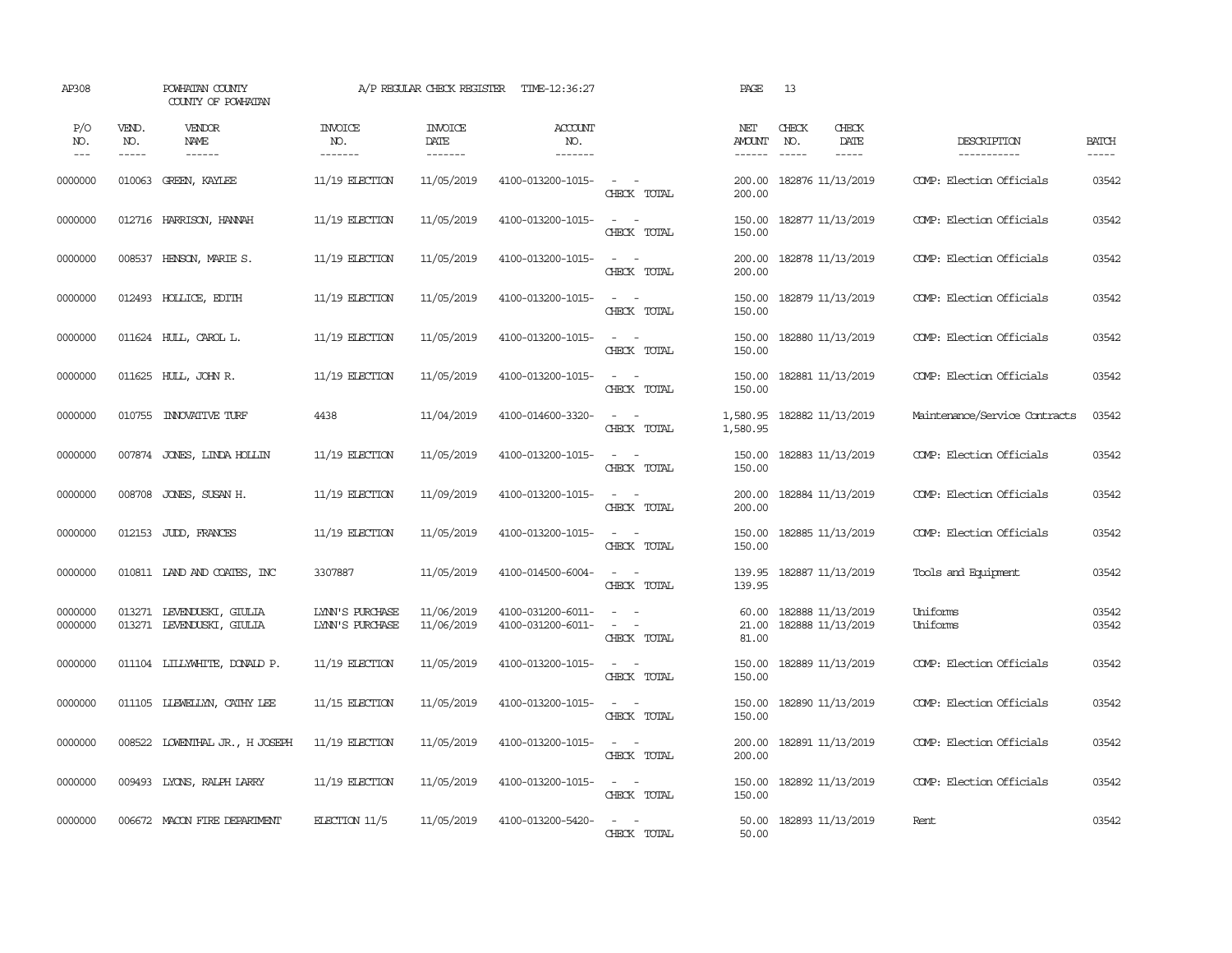| AP308               |                       | POWHATAN COUNTY<br>COUNTY OF POWHATAN                  |                                    | A/P REGULAR CHECK REGISTER                | TIME-12:36:27                          |                                                                              | PAGE                                  | 13                                     |                              |                               |                             |
|---------------------|-----------------------|--------------------------------------------------------|------------------------------------|-------------------------------------------|----------------------------------------|------------------------------------------------------------------------------|---------------------------------------|----------------------------------------|------------------------------|-------------------------------|-----------------------------|
| P/O<br>NO.<br>$---$ | VEND.<br>NO.<br>----- | VENDOR<br>NAME<br>$- - - - - -$                        | <b>INVOICE</b><br>NO.<br>-------   | <b>INVOICE</b><br>DATE<br>$- - - - - - -$ | <b>ACCOUNT</b><br>NO.<br>-------       |                                                                              | NET<br><b>AMOUNT</b><br>$- - - - - -$ | CHECK<br>NO.<br>$\frac{1}{2}$          | CHECK<br>DATE<br>$- - - - -$ | DESCRIPTION<br>-----------    | <b>BATCH</b><br>$- - - - -$ |
| 0000000             |                       | 010063 GREEN, KAYLEE                                   | $11/19$ ELECTION                   | 11/05/2019                                | 4100-013200-1015-                      | $\sim$ $-$<br>CHECK TOTAL                                                    | 200.00<br>200.00                      | 182876 11/13/2019                      |                              | COMP: Election Officials      | 03542                       |
| 0000000             |                       | 012716 HARRISON, HANNAH                                | $11/19$ ELECTION                   | 11/05/2019                                | 4100-013200-1015-                      | $\sim$ $ -$<br>CHECK TOTAL                                                   | 150.00                                | 150.00 182877 11/13/2019               |                              | COMP: Election Officials      | 03542                       |
| 0000000             |                       | 008537 HENSON, MARIE S.                                | $11/19$ ELECTION                   | 11/05/2019                                | 4100-013200-1015-                      | $\sim$ $ \sim$<br>CHECK TOTAL                                                | 200.00<br>200.00                      | 182878 11/13/2019                      |                              | COMP: Election Officials      | 03542                       |
| 0000000             |                       | 012493 HOLLICE, EDITH                                  | 11/19 ELECTION                     | 11/05/2019                                | 4100-013200-1015-                      | $\sim$ $\sim$<br>CHECK TOTAL                                                 | 150.00<br>150.00                      | 182879 11/13/2019                      |                              | COMP: Election Officials      | 03542                       |
| 0000000             |                       | 011624 HULL, CAROL L.                                  | $11/19$ ELECTION                   | 11/05/2019                                | 4100-013200-1015-                      | $\sim$ $ \sim$<br>CHECK TOTAL                                                | 150.00<br>150.00                      | 182880 11/13/2019                      |                              | COMP: Election Officials      | 03542                       |
| 0000000             |                       | 011625 HULL, JOHN R.                                   | $11/19$ ELECTION                   | 11/05/2019                                | 4100-013200-1015-                      | $\sim$ $ \sim$<br>CHECK TOTAL                                                | 150.00<br>150.00                      | 182881 11/13/2019                      |                              | COMP: Election Officials      | 03542                       |
| 0000000             |                       | 010755 INNOVATIVE TURF                                 | 4438                               | 11/04/2019                                | 4100-014600-3320-                      | $\sim$ $\sim$<br>CHECK TOTAL                                                 | 1,580.95<br>1,580.95                  | 182882 11/13/2019                      |                              | Maintenance/Service Contracts | 03542                       |
| 0000000             |                       | 007874 JONES, LINDA HOLLIN                             | $11/19$ ELECTION                   | 11/05/2019                                | 4100-013200-1015-                      | $\sim$<br>$\sim$<br>CHECK TOTAL                                              | 150.00<br>150.00                      | 182883 11/13/2019                      |                              | COMP: Election Officials      | 03542                       |
| 0000000             | 008708                | JONES, SUSAN H.                                        | $11/19$ ELECTION                   | 11/09/2019                                | 4100-013200-1015-                      | $\sim$ $\sim$<br>CHECK TOTAL                                                 | 200.00<br>200.00                      | 182884 11/13/2019                      |                              | COMP: Election Officials      | 03542                       |
| 0000000             |                       | 012153 JUDD, FRANCES                                   | $11/19$ ELECTION                   | 11/05/2019                                | 4100-013200-1015-                      | $\sim$ $\sim$<br>CHECK TOTAL                                                 | 150.00<br>150.00                      | 182885 11/13/2019                      |                              | COMP: Election Officials      | 03542                       |
| 0000000             |                       | 010811 LAND AND COATES, INC                            | 3307887                            | 11/05/2019                                | 4100-014500-6004-                      | $\sim$ $ \sim$<br>CHECK TOTAL                                                | 139.95<br>139.95                      | 182887 11/13/2019                      |                              | Tools and Equipment           | 03542                       |
| 0000000<br>0000000  |                       | 013271 LEVENDUSKI, GIULIA<br>013271 LEVENDUSKI, GIULIA | LYNN'S PURCHASE<br>LYNN'S PURCHASE | 11/06/2019<br>11/06/2019                  | 4100-031200-6011-<br>4100-031200-6011- | $\omega_{\rm{max}}$ and $\omega_{\rm{max}}$<br>$\sim$ $ \sim$<br>CHECK TOTAL | 60.00<br>21.00<br>81.00               | 182888 11/13/2019<br>182888 11/13/2019 |                              | Uniforms<br>Uniforms          | 03542<br>03542              |
| 0000000             |                       | 011104 LILLYWHITE, DONALD P.                           | $11/19$ ELECTION                   | 11/05/2019                                | 4100-013200-1015-                      | $\sim$ $ -$<br>CHECK TOTAL                                                   | 150.00<br>150.00                      | 182889 11/13/2019                      |                              | COMP: Election Officials      | 03542                       |
| 0000000             |                       | 011105 LIEWELLYN, CATHY LEE                            | $11/15$ ELECTION                   | 11/05/2019                                | 4100-013200-1015-                      | $\sim$ $ -$<br>CHECK TOTAL                                                   | 150.00<br>150.00                      | 182890 11/13/2019                      |                              | COMP: Election Officials      | 03542                       |
| 0000000             |                       | 008522 LOWENTHAL JR., H JOSEPH                         | $11/19$ ELECTION                   | 11/05/2019                                | 4100-013200-1015-                      | $\sim$ $ -$<br>CHECK TOTAL                                                   | 200.00<br>200.00                      | 182891 11/13/2019                      |                              | COMP: Election Officials      | 03542                       |
| 0000000             |                       | 009493 LYONS, RALPH LARRY                              | $11/19$ ELECTION                   | 11/05/2019                                | 4100-013200-1015-                      | $\sim$ $ -$<br>CHECK TOTAL                                                   | 150.00<br>150.00                      | 182892 11/13/2019                      |                              | COMP: Election Officials      | 03542                       |
| 0000000             |                       | 006672 MACON FIRE DEPARTMENT                           | ELECTION 11/5                      | 11/05/2019                                | 4100-013200-5420-                      | $\sim$ $ \sim$<br>CHECK TOTAL                                                | 50.00<br>50.00                        | 182893 11/13/2019                      |                              | Rent                          | 03542                       |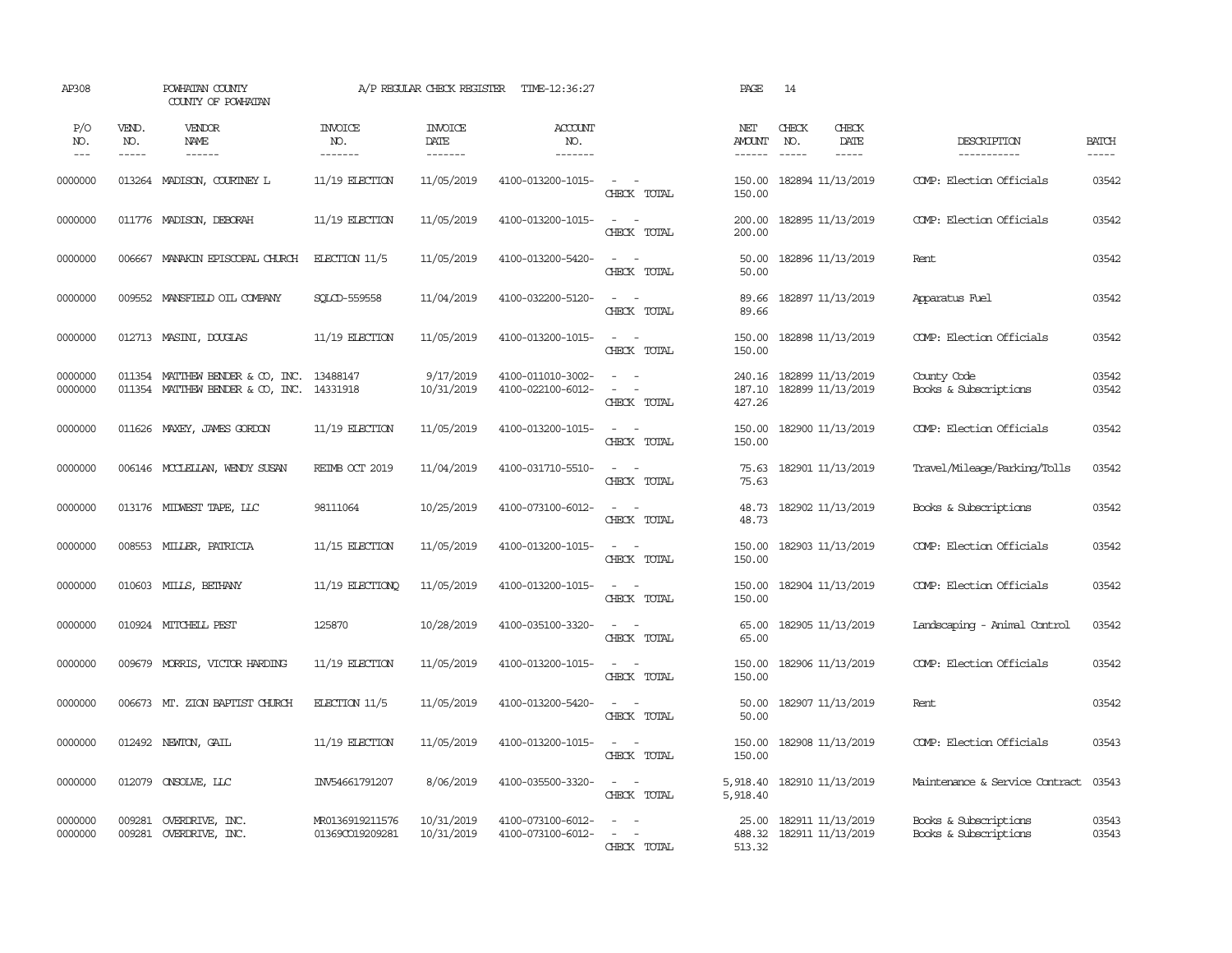| AP308               |                             | POWHATAN COUNTY<br>COUNTY OF POWHATAN                                |                                    | A/P REGULAR CHECK REGISTER        | TIME-12:36:27                          |                                                            | PAGE                           | 14                                                          |                                                |                       |
|---------------------|-----------------------------|----------------------------------------------------------------------|------------------------------------|-----------------------------------|----------------------------------------|------------------------------------------------------------|--------------------------------|-------------------------------------------------------------|------------------------------------------------|-----------------------|
| P/O<br>NO.<br>$---$ | VEND.<br>NO.<br>$- - - - -$ | VENDOR<br>NAME<br>$- - - - - -$                                      | <b>INVOICE</b><br>NO.<br>-------   | <b>INVOICE</b><br>DATE<br>------- | <b>ACCOUNT</b><br>NO.<br>-------       |                                                            | NET<br>AMOUNT<br>$- - - - - -$ | CHECK<br>CHECK<br>DATE<br>NO.<br>$- - - - -$<br>$- - - - -$ | DESCRIPTION<br>-----------                     | <b>BATCH</b><br>----- |
| 0000000             |                             | 013264 MADISON, COURINEY L                                           | $11/19$ ELECTION                   | 11/05/2019                        | 4100-013200-1015-                      | $\sim$<br>$\sim$<br>CHECK TOTAL                            | 150.00<br>150.00               | 182894 11/13/2019                                           | COMP: Election Officials                       | 03542                 |
| 0000000             |                             | 011776 MADISON, DEBORAH                                              | $11/19$ ELECTION                   | 11/05/2019                        | 4100-013200-1015-                      | $\sim$ $\sim$<br>CHECK TOTAL                               | 200.00<br>200.00               | 182895 11/13/2019                                           | COMP: Election Officials                       | 03542                 |
| 0000000             | 006667                      | MANAKIN EPISCOPAL CHURCH                                             | ELECTION 11/5                      | 11/05/2019                        | 4100-013200-5420-                      | $\sim$<br>$\sim$<br>CHECK TOTAL                            | 50.00<br>50.00                 | 182896 11/13/2019                                           | Rent                                           | 03542                 |
| 0000000             | 009552                      | MANSFIELD OIL COMPANY                                                | SOLCD-559558                       | 11/04/2019                        | 4100-032200-5120-                      | $\sim$<br>$\sim$<br>CHECK TOTAL                            | 89.66<br>89.66                 | 182897 11/13/2019                                           | Apparatus Fuel                                 | 03542                 |
| 0000000             |                             | 012713 MASINI, DOUGLAS                                               | $11/19$ ELECTION                   | 11/05/2019                        | 4100-013200-1015-                      | $\sim$ $ \sim$<br>CHECK TOTAL                              | 150.00<br>150.00               | 182898 11/13/2019                                           | COMP: Election Officials                       | 03542                 |
| 0000000<br>0000000  |                             | 011354 MATTHEW BENDER & CO, INC.<br>011354 MATTHEW BENDER & CO, INC. | 13488147<br>14331918               | 9/17/2019<br>10/31/2019           | 4100-011010-3002-<br>4100-022100-6012- | $\sim$<br>$\sim$<br>$\sim$<br>$\sim$ $-$<br>CHECK TOTAL    | 240.16<br>187.10<br>427.26     | 182899 11/13/2019<br>182899 11/13/2019                      | County Code<br>Books & Subscriptions           | 03542<br>03542        |
| 0000000             | 011626                      | MAXEY, JAMES GORDON                                                  | 11/19 ELECTION                     | 11/05/2019                        | 4100-013200-1015-                      | $\sim$<br>$\sim$<br>CHECK TOTAL                            | 150.00<br>150.00               | 182900 11/13/2019                                           | COMP: Election Officials                       | 03542                 |
| 0000000             |                             | 006146 MCCLELLAN, WENDY SUSAN                                        | REIMB OCT 2019                     | 11/04/2019                        | 4100-031710-5510-                      | $\sim$ $\sim$<br>CHECK TOTAL                               | 75.63<br>75.63                 | 182901 11/13/2019                                           | Travel/Mileage/Parking/Tolls                   | 03542                 |
| 0000000             |                             | 013176 MIDWEST TAPE, LLC                                             | 98111064                           | 10/25/2019                        | 4100-073100-6012-                      | $\sim$<br>$\sim$<br>CHECK TOTAL                            | 48.73<br>48.73                 | 182902 11/13/2019                                           | Books & Subscriptions                          | 03542                 |
| 0000000             | 008553                      | MILLER, PATRICIA                                                     | $11/15$ ELECTION                   | 11/05/2019                        | 4100-013200-1015-                      | $\sim$ $\sim$<br>CHECK TOTAL                               | 150.00<br>150.00               | 182903 11/13/2019                                           | COMP: Election Officials                       | 03542                 |
| 0000000             |                             | 010603 MILLS, BETHANY                                                | 11/19 ELECTIONO                    | 11/05/2019                        | 4100-013200-1015-                      | $\sim$ $ \sim$<br>CHECK TOTAL                              | 150.00<br>150.00               | 182904 11/13/2019                                           | COMP: Election Officials                       | 03542                 |
| 0000000             |                             | 010924 MITCHELL PEST                                                 | 125870                             | 10/28/2019                        | 4100-035100-3320-                      | $\sim$ $\sim$<br>CHECK TOTAL                               | 65.00<br>65.00                 | 182905 11/13/2019                                           | Landscaping - Animal Control                   | 03542                 |
| 0000000             | 009679                      | MORRIS, VICTOR HARDING                                               | $11/19$ ELECTION                   | 11/05/2019                        | 4100-013200-1015-                      | $\sim$<br>$\sim$<br>CHECK TOTAL                            | 150.00<br>150.00               | 182906 11/13/2019                                           | COMP: Election Officials                       | 03542                 |
| 0000000             | 006673                      | MT. ZION BAPTIST CHURCH                                              | ELECTION 11/5                      | 11/05/2019                        | 4100-013200-5420-                      | $\sim$<br>CHECK TOTAL                                      | 50.00<br>50.00                 | 182907 11/13/2019                                           | Rent                                           | 03542                 |
| 0000000             |                             | 012492 NEWTON, GAIL                                                  | 11/19 ELECTION                     | 11/05/2019                        | 4100-013200-1015-                      | $\sim$<br>$\sim$<br>CHECK TOTAL                            | 150.00<br>150.00               | 182908 11/13/2019                                           | COMP: Election Officials                       | 03543                 |
| 0000000             | 012079                      | ONSOLVE, LLC                                                         | INV54661791207                     | 8/06/2019                         | 4100-035500-3320-                      | $\omega_{\rm{max}}$ and $\omega_{\rm{max}}$<br>CHECK TOTAL | 5,918.40<br>5,918.40           | 182910 11/13/2019                                           | Maintenance & Service Contract                 | 03543                 |
| 0000000<br>0000000  | 009281                      | OVERDRIVE, INC.<br>009281 OVERDRIVE, INC.                            | MR0136919211576<br>01369CO19209281 | 10/31/2019<br>10/31/2019          | 4100-073100-6012-<br>4100-073100-6012- | $\sim$<br>$\sim$<br>$\sim$<br>CHECK TOTAL                  | 25.00<br>488.32<br>513.32      | 182911 11/13/2019<br>182911 11/13/2019                      | Books & Subscriptions<br>Books & Subscriptions | 03543<br>03543        |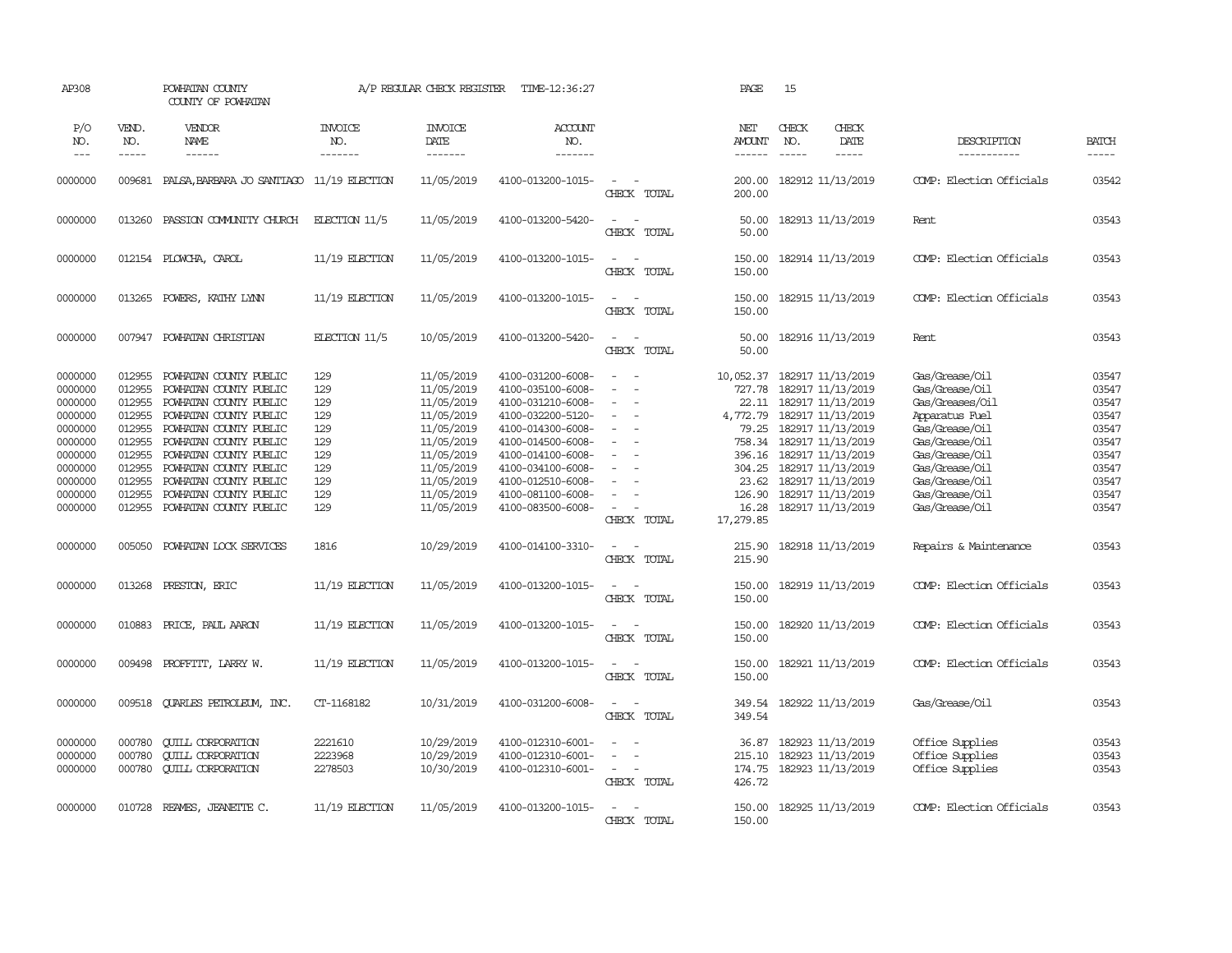| AP308                                                                                                                            |                                                                                                                      | POWHATAN COUNTY<br>COUNTY OF POWHATAN                                                                                                                                                                                                                                                                                |                                                                                   | A/P REGULAR CHECK REGISTER                                                                                                                                           | TIME-12:36:27                                                                                                                                                                                                                                            |                                                                                                                                                                | PAGE                                                                                                                                                 | 15                            |                                                                                                                                                                                                                                            |                                                                                                                                                                                                                              |                                                                                                          |
|----------------------------------------------------------------------------------------------------------------------------------|----------------------------------------------------------------------------------------------------------------------|----------------------------------------------------------------------------------------------------------------------------------------------------------------------------------------------------------------------------------------------------------------------------------------------------------------------|-----------------------------------------------------------------------------------|----------------------------------------------------------------------------------------------------------------------------------------------------------------------|----------------------------------------------------------------------------------------------------------------------------------------------------------------------------------------------------------------------------------------------------------|----------------------------------------------------------------------------------------------------------------------------------------------------------------|------------------------------------------------------------------------------------------------------------------------------------------------------|-------------------------------|--------------------------------------------------------------------------------------------------------------------------------------------------------------------------------------------------------------------------------------------|------------------------------------------------------------------------------------------------------------------------------------------------------------------------------------------------------------------------------|----------------------------------------------------------------------------------------------------------|
| P/O<br>NO.<br>$---$                                                                                                              | VEND.<br>NO.<br>$\frac{1}{2}$                                                                                        | VENDOR<br>NAME<br>------                                                                                                                                                                                                                                                                                             | <b>INVOICE</b><br>NO.<br>-------                                                  | <b>INVOICE</b><br>DATE<br>-------                                                                                                                                    | <b>ACCOUNT</b><br>NO.<br>-------                                                                                                                                                                                                                         |                                                                                                                                                                | NET<br><b>AMOUNT</b>                                                                                                                                 | CHECK<br>NO.<br>$\frac{1}{2}$ | CHECK<br>DATE<br>$- - - - -$                                                                                                                                                                                                               | DESCRIPTION<br>-----------                                                                                                                                                                                                   | <b>BATCH</b><br>-----                                                                                    |
| 0000000                                                                                                                          | 009681                                                                                                               | PALSA, BARBARA JO SANTIAGO                                                                                                                                                                                                                                                                                           | 11/19 ELECTION                                                                    | 11/05/2019                                                                                                                                                           | 4100-013200-1015-                                                                                                                                                                                                                                        | $\overline{\phantom{a}}$<br>$\overline{\phantom{a}}$<br>CHECK TOTAL                                                                                            | 200.00<br>200.00                                                                                                                                     |                               | 182912 11/13/2019                                                                                                                                                                                                                          | COMP: Election Officials                                                                                                                                                                                                     | 03542                                                                                                    |
| 0000000                                                                                                                          | 013260                                                                                                               | PASSION COMUNITY CHURCH                                                                                                                                                                                                                                                                                              | $EECTON$ 11/5                                                                     | 11/05/2019                                                                                                                                                           | 4100-013200-5420-                                                                                                                                                                                                                                        | $\sim$<br>$\sim$<br>CHECK TOTAL                                                                                                                                | 50.00<br>50.00                                                                                                                                       |                               | 182913 11/13/2019                                                                                                                                                                                                                          | Rent                                                                                                                                                                                                                         | 03543                                                                                                    |
| 0000000                                                                                                                          |                                                                                                                      | 012154 PLOWCHA, CAROL                                                                                                                                                                                                                                                                                                | $11/19$ ELECTION                                                                  | 11/05/2019                                                                                                                                                           | 4100-013200-1015-                                                                                                                                                                                                                                        | $\overline{\phantom{a}}$<br>$\sim$<br>CHECK TOTAL                                                                                                              | 150.00<br>150.00                                                                                                                                     |                               | 182914 11/13/2019                                                                                                                                                                                                                          | COMP: Election Officials                                                                                                                                                                                                     | 03543                                                                                                    |
| 0000000                                                                                                                          |                                                                                                                      | 013265 POWERS, KATHY LYNN                                                                                                                                                                                                                                                                                            | $11/19$ ELECTION                                                                  | 11/05/2019                                                                                                                                                           | 4100-013200-1015-                                                                                                                                                                                                                                        | $\sim$<br>$\sim$<br>CHECK TOTAL                                                                                                                                | 150.00<br>150.00                                                                                                                                     |                               | 182915 11/13/2019                                                                                                                                                                                                                          | COMP: Election Officials                                                                                                                                                                                                     | 03543                                                                                                    |
| 0000000                                                                                                                          |                                                                                                                      | 007947 POWHATAN CHRISTIAN                                                                                                                                                                                                                                                                                            | ELECTION 11/5                                                                     | 10/05/2019                                                                                                                                                           | 4100-013200-5420-                                                                                                                                                                                                                                        | $\sim$<br>$\sim$<br>CHECK TOTAL                                                                                                                                | 50.00<br>50.00                                                                                                                                       |                               | 182916 11/13/2019                                                                                                                                                                                                                          | Rent                                                                                                                                                                                                                         | 03543                                                                                                    |
| 0000000<br>0000000<br>0000000<br>0000000<br>0000000<br>0000000<br>0000000<br>0000000<br>0000000<br>0000000<br>0000000<br>0000000 | 012955<br>012955<br>012955<br>012955<br>012955<br>012955<br>012955<br>012955<br>012955<br>012955<br>012955<br>005050 | POWHATAN COUNTY PUBLIC<br>POWHATAN COUNTY PUBLIC<br>POWHATAN COUNTY PUBLIC<br>POWHATAN COUNTY PUBLIC<br>POWHATAN COUNTY PUBLIC<br>POWHATAN COUNTY PUBLIC<br>POWHATAN COUNTY PUBLIC<br>POWHATAN COUNTY PUBLIC<br>POWHATAN COUNTY PUBLIC<br>POWHATAN COUNTY PUBLIC<br>POWHATAN COUNTY PUBLIC<br>POWHATAN LOCK SERVICES | 129<br>129<br>129<br>129<br>129<br>129<br>129<br>129<br>129<br>129<br>129<br>1816 | 11/05/2019<br>11/05/2019<br>11/05/2019<br>11/05/2019<br>11/05/2019<br>11/05/2019<br>11/05/2019<br>11/05/2019<br>11/05/2019<br>11/05/2019<br>11/05/2019<br>10/29/2019 | 4100-031200-6008-<br>4100-035100-6008-<br>4100-031210-6008-<br>4100-032200-5120-<br>4100-014300-6008-<br>4100-014500-6008-<br>4100-014100-6008-<br>4100-034100-6008-<br>4100-012510-6008-<br>4100-081100-6008-<br>4100-083500-6008-<br>4100-014100-3310- | $\overline{\phantom{a}}$<br>$\sim$<br>$\sim$<br>$\equiv$<br>$\equiv$<br>$\sim$<br>$\sim$<br>$\equiv$<br>$\sim$<br>CHECK TOTAL<br>$\sim$ $ \sim$<br>CHECK TOTAL | 10,052.37 182917 11/13/2019<br>727.78<br>22.11<br>4,772.79<br>79.25<br>758.34<br>396.16<br>23.62<br>126.90<br>16.28<br>17,279.85<br>215.90<br>215.90 |                               | 182917 11/13/2019<br>182917 11/13/2019<br>182917 11/13/2019<br>182917 11/13/2019<br>182917 11/13/2019<br>182917 11/13/2019<br>304.25 182917 11/13/2019<br>182917 11/13/2019<br>182917 11/13/2019<br>182917 11/13/2019<br>182918 11/13/2019 | Gas/Grease/Oil<br>Gas/Grease/Oil<br>Gas/Greases/Oil<br>Apparatus Fuel<br>Gas/Grease/Oil<br>Gas/Grease/Oil<br>Gas/Grease/Oil<br>Gas/Grease/Oil<br>Gas/Grease/Oil<br>Gas/Grease/Oil<br>Gas/Grease/Oil<br>Repairs & Maintenance | 03547<br>03547<br>03547<br>03547<br>03547<br>03547<br>03547<br>03547<br>03547<br>03547<br>03547<br>03543 |
| 0000000                                                                                                                          | 013268                                                                                                               | PRESTON, ERIC                                                                                                                                                                                                                                                                                                        | $11/19$ ELECTION                                                                  | 11/05/2019                                                                                                                                                           | 4100-013200-1015-                                                                                                                                                                                                                                        | $\omega_{\rm{max}}$ and $\omega_{\rm{max}}$<br>CHECK TOTAL                                                                                                     | 150.00<br>150.00                                                                                                                                     |                               | 182919 11/13/2019                                                                                                                                                                                                                          | COMP: Election Officials                                                                                                                                                                                                     | 03543                                                                                                    |
| 0000000                                                                                                                          | 010883                                                                                                               | PRICE, PAUL AARON                                                                                                                                                                                                                                                                                                    | $11/19$ ELECTION                                                                  | 11/05/2019                                                                                                                                                           | 4100-013200-1015-                                                                                                                                                                                                                                        | $\sim$<br>$\sim$<br>CHECK TOTAL                                                                                                                                | 150.00<br>150.00                                                                                                                                     |                               | 182920 11/13/2019                                                                                                                                                                                                                          | COMP: Election Officials                                                                                                                                                                                                     | 03543                                                                                                    |
| 0000000                                                                                                                          | 009498                                                                                                               | PROFFITT, LARRY W.                                                                                                                                                                                                                                                                                                   | 11/19 ELECTION                                                                    | 11/05/2019                                                                                                                                                           | 4100-013200-1015-                                                                                                                                                                                                                                        | $\sim$<br>$\sim$<br>CHECK TOTAL                                                                                                                                | 150.00<br>150.00                                                                                                                                     |                               | 182921 11/13/2019                                                                                                                                                                                                                          | COMP: Election Officials                                                                                                                                                                                                     | 03543                                                                                                    |
| 0000000                                                                                                                          | 009518                                                                                                               | QUARLES PETROLEUM, INC.                                                                                                                                                                                                                                                                                              | CT-1168182                                                                        | 10/31/2019                                                                                                                                                           | 4100-031200-6008-                                                                                                                                                                                                                                        | $\sim$<br>$\overline{\phantom{a}}$<br>CHECK TOTAL                                                                                                              | 349.54<br>349.54                                                                                                                                     |                               | 182922 11/13/2019                                                                                                                                                                                                                          | Gas/Grease/Oil                                                                                                                                                                                                               | 03543                                                                                                    |
| 0000000<br>0000000<br>0000000                                                                                                    | 000780<br>000780<br>000780                                                                                           | <b>CUILL CORPORATION</b><br><b>CUILL CORPORATION</b><br><b>QUILL CORPORATION</b>                                                                                                                                                                                                                                     | 2221610<br>2223968<br>2278503                                                     | 10/29/2019<br>10/29/2019<br>10/30/2019                                                                                                                               | 4100-012310-6001-<br>4100-012310-6001-<br>4100-012310-6001-                                                                                                                                                                                              | $\overline{a}$<br>$\equiv$<br>$\sim$<br>$\sim$<br>CHECK TOTAL                                                                                                  | 36.87<br>215.10<br>174.75<br>426.72                                                                                                                  |                               | 182923 11/13/2019<br>182923 11/13/2019<br>182923 11/13/2019                                                                                                                                                                                | Office Supplies<br>Office Supplies<br>Office Supplies                                                                                                                                                                        | 03543<br>03543<br>03543                                                                                  |
| 0000000                                                                                                                          |                                                                                                                      | 010728 REAMES, JEANETTE C.                                                                                                                                                                                                                                                                                           | $11/19$ ELECTION                                                                  | 11/05/2019                                                                                                                                                           | 4100-013200-1015-                                                                                                                                                                                                                                        | $\overline{\phantom{a}}$<br>$\sim$<br>CHECK TOTAL                                                                                                              | 150.00<br>150.00                                                                                                                                     |                               | 182925 11/13/2019                                                                                                                                                                                                                          | COMP: Election Officials                                                                                                                                                                                                     | 03543                                                                                                    |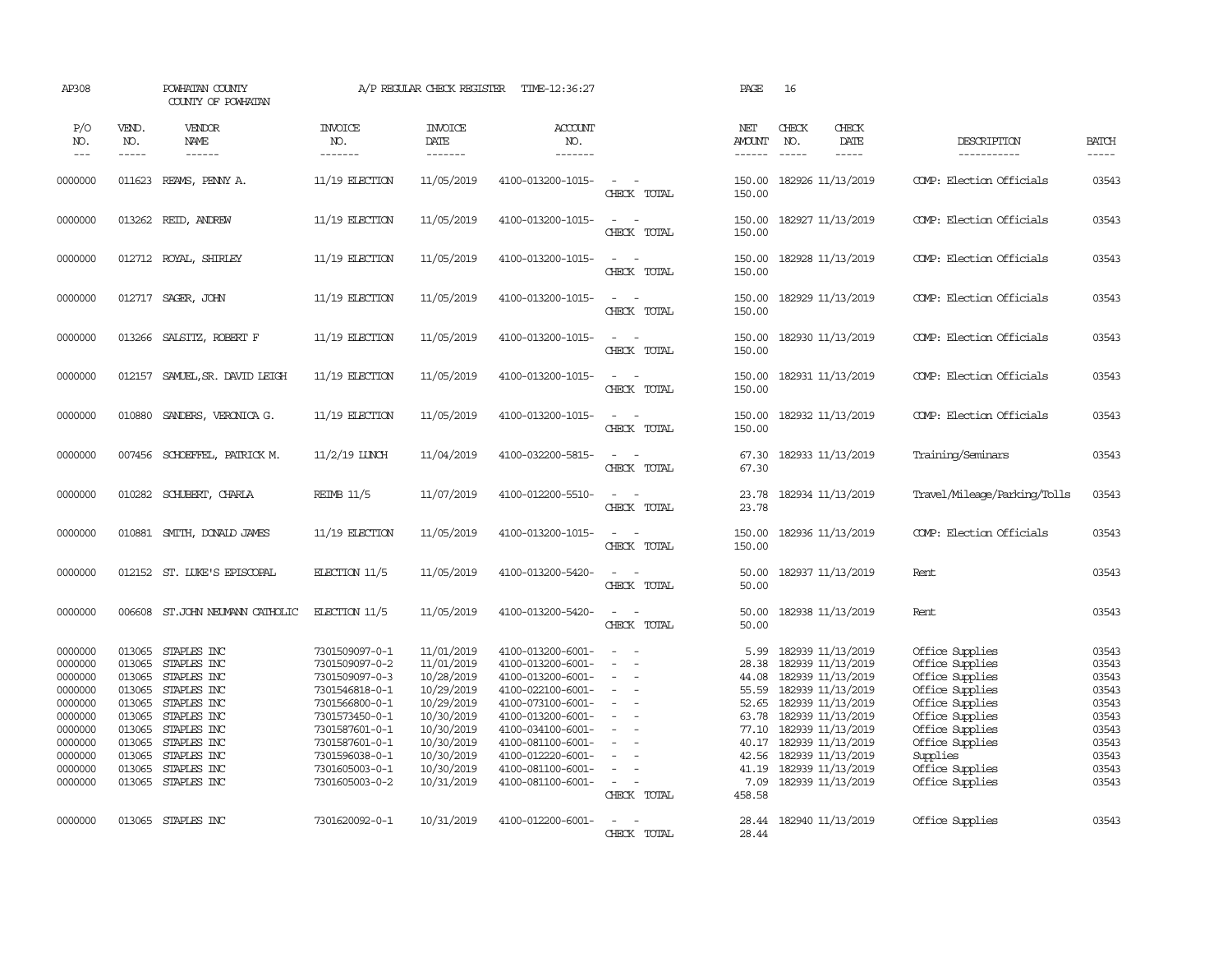| AP308                                                                                                                 |                                                                                                            | POWHATAN COUNTY<br>COUNTY OF POWHATAN                                                                                                                             |                                                                                                                                                                                                    | A/P REGULAR CHECK REGISTER                                                                                                                             | TIME-12:36:27                                                                                                                                                                                                                       |                                                                                                                                                             | PAGE                                                                                                    | 16                                                                                                                                                                                                                                  |                        |                                                                                                                                                                                                        |                                                                                                 |
|-----------------------------------------------------------------------------------------------------------------------|------------------------------------------------------------------------------------------------------------|-------------------------------------------------------------------------------------------------------------------------------------------------------------------|----------------------------------------------------------------------------------------------------------------------------------------------------------------------------------------------------|--------------------------------------------------------------------------------------------------------------------------------------------------------|-------------------------------------------------------------------------------------------------------------------------------------------------------------------------------------------------------------------------------------|-------------------------------------------------------------------------------------------------------------------------------------------------------------|---------------------------------------------------------------------------------------------------------|-------------------------------------------------------------------------------------------------------------------------------------------------------------------------------------------------------------------------------------|------------------------|--------------------------------------------------------------------------------------------------------------------------------------------------------------------------------------------------------|-------------------------------------------------------------------------------------------------|
| P/O<br>NO.<br>$---$                                                                                                   | VEND.<br>NO.<br>$- - - - -$                                                                                | <b>VENDOR</b><br><b>NAME</b><br>$- - - - - -$                                                                                                                     | <b>INVOICE</b><br>NO.<br>-------                                                                                                                                                                   | <b>INVOICE</b><br>DATE<br>$- - - - - - -$                                                                                                              | ACCOUNT<br>NO.<br>-------                                                                                                                                                                                                           |                                                                                                                                                             | NET<br><b>AMOUNT</b><br>$- - - - - -$                                                                   | CHECK<br>NO.<br>$\frac{1}{2}$                                                                                                                                                                                                       | CHECK<br>DATE<br>----- | DESCRIPTION<br>-----------                                                                                                                                                                             | <b>BATCH</b><br>-----                                                                           |
| 0000000                                                                                                               | 011623                                                                                                     | REAMS, PENNY A.                                                                                                                                                   | 11/19 ELECTION                                                                                                                                                                                     | 11/05/2019                                                                                                                                             | 4100-013200-1015-                                                                                                                                                                                                                   | $\sim$<br>$\sim$<br>CHECK TOTAL                                                                                                                             | 150.00<br>150.00                                                                                        | 182926 11/13/2019                                                                                                                                                                                                                   |                        | COMP: Election Officials                                                                                                                                                                               | 03543                                                                                           |
| 0000000                                                                                                               | 013262                                                                                                     | REID, ANDREW                                                                                                                                                      | 11/19 ELECTION                                                                                                                                                                                     | 11/05/2019                                                                                                                                             | 4100-013200-1015-                                                                                                                                                                                                                   | $\sim$<br>$\sim$<br>CHECK TOTAL                                                                                                                             | 150.00<br>150.00                                                                                        | 182927 11/13/2019                                                                                                                                                                                                                   |                        | COMP: Election Officials                                                                                                                                                                               | 03543                                                                                           |
| 0000000                                                                                                               |                                                                                                            | 012712 ROYAL, SHIRLEY                                                                                                                                             | $11/19$ ELECTION                                                                                                                                                                                   | 11/05/2019                                                                                                                                             | 4100-013200-1015-                                                                                                                                                                                                                   | $\overline{\phantom{a}}$<br>$\sim$<br>CHECK TOTAL                                                                                                           | 150.00<br>150.00                                                                                        | 182928 11/13/2019                                                                                                                                                                                                                   |                        | COMP: Election Officials                                                                                                                                                                               | 03543                                                                                           |
| 0000000                                                                                                               | 012717                                                                                                     | SAGER, JOHN                                                                                                                                                       | $11/19$ ELECTION                                                                                                                                                                                   | 11/05/2019                                                                                                                                             | 4100-013200-1015-                                                                                                                                                                                                                   | $\sim$<br>$\sim$<br>CHECK TOTAL                                                                                                                             | 150.00<br>150.00                                                                                        | 182929 11/13/2019                                                                                                                                                                                                                   |                        | COMP: Election Officials                                                                                                                                                                               | 03543                                                                                           |
| 0000000                                                                                                               | 013266                                                                                                     | SALSITZ, ROBERT F                                                                                                                                                 | $11/19$ ELECTION                                                                                                                                                                                   | 11/05/2019                                                                                                                                             | 4100-013200-1015-                                                                                                                                                                                                                   | $\sim$<br>$\sim$<br>CHECK TOTAL                                                                                                                             | 150.00<br>150.00                                                                                        | 182930 11/13/2019                                                                                                                                                                                                                   |                        | COMP: Election Officials                                                                                                                                                                               | 03543                                                                                           |
| 0000000                                                                                                               | 012157                                                                                                     | SAMUEL, SR. DAVID LEIGH                                                                                                                                           | $11/19$ ELECTION                                                                                                                                                                                   | 11/05/2019                                                                                                                                             | 4100-013200-1015-                                                                                                                                                                                                                   | $\overline{\phantom{a}}$<br>$\sim$<br>CHECK TOTAL                                                                                                           | 150.00<br>150.00                                                                                        | 182931 11/13/2019                                                                                                                                                                                                                   |                        | COMP: Election Officials                                                                                                                                                                               | 03543                                                                                           |
| 0000000                                                                                                               | 010880                                                                                                     | SANDERS, VERONICA G.                                                                                                                                              | $11/19$ ELECTION                                                                                                                                                                                   | 11/05/2019                                                                                                                                             | 4100-013200-1015-                                                                                                                                                                                                                   | $\sim$<br>$\sim$<br>CHECK TOTAL                                                                                                                             | 150.00<br>150.00                                                                                        | 182932 11/13/2019                                                                                                                                                                                                                   |                        | COMP: Election Officials                                                                                                                                                                               | 03543                                                                                           |
| 0000000                                                                                                               |                                                                                                            | 007456 SCHOEFFEL, PATRICK M.                                                                                                                                      | $11/2/19$ LUNCH                                                                                                                                                                                    | 11/04/2019                                                                                                                                             | 4100-032200-5815-                                                                                                                                                                                                                   | $\sim$ $ \sim$<br>CHECK TOTAL                                                                                                                               | 67.30<br>67.30                                                                                          | 182933 11/13/2019                                                                                                                                                                                                                   |                        | Training/Seminars                                                                                                                                                                                      | 03543                                                                                           |
| 0000000                                                                                                               | 010282                                                                                                     | SCHUBERT, CHARLA                                                                                                                                                  | <b>REIMB 11/5</b>                                                                                                                                                                                  | 11/07/2019                                                                                                                                             | 4100-012200-5510-                                                                                                                                                                                                                   | $\sim$ 100 $\sim$<br>CHECK TOTAL                                                                                                                            | 23.78<br>23.78                                                                                          | 182934 11/13/2019                                                                                                                                                                                                                   |                        | Travel/Mileage/Parking/Tolls                                                                                                                                                                           | 03543                                                                                           |
| 0000000                                                                                                               | 010881                                                                                                     | SMITH, DONALD JAMES                                                                                                                                               | $11/19$ ELECTION                                                                                                                                                                                   | 11/05/2019                                                                                                                                             | 4100-013200-1015-                                                                                                                                                                                                                   | $\sim$<br>CHECK TOTAL                                                                                                                                       | 150.00<br>150.00                                                                                        | 182936 11/13/2019                                                                                                                                                                                                                   |                        | COMP: Election Officials                                                                                                                                                                               | 03543                                                                                           |
| 0000000                                                                                                               |                                                                                                            | 012152 ST. LUKE'S EPISCOPAL                                                                                                                                       | ELECTION $11/5$                                                                                                                                                                                    | 11/05/2019                                                                                                                                             | 4100-013200-5420-                                                                                                                                                                                                                   | $\sim$<br>$\sim$<br>CHECK TOTAL                                                                                                                             | 50.00<br>50.00                                                                                          | 182937 11/13/2019                                                                                                                                                                                                                   |                        | Rent                                                                                                                                                                                                   | 03543                                                                                           |
| 0000000                                                                                                               |                                                                                                            | 006608 ST.JOHN NEUMANN CATHOLIC                                                                                                                                   | ELECTION 11/5                                                                                                                                                                                      | 11/05/2019                                                                                                                                             | 4100-013200-5420-                                                                                                                                                                                                                   | $\overline{\phantom{a}}$<br>$\sim$<br>CHECK TOTAL                                                                                                           | 50.00<br>50.00                                                                                          | 182938 11/13/2019                                                                                                                                                                                                                   |                        | Rent                                                                                                                                                                                                   | 03543                                                                                           |
| 0000000<br>0000000<br>0000000<br>0000000<br>0000000<br>0000000<br>0000000<br>0000000<br>0000000<br>0000000<br>0000000 | 013065<br>013065<br>013065<br>013065<br>013065<br>013065<br>013065<br>013065<br>013065<br>013065<br>013065 | STAPLES INC<br>STAPLES INC<br>STAPLES INC<br>STAPLES INC<br>STAPLES INC<br>STAPLES INC<br>STAPLES INC<br>STAPLES INC<br>STAPLES INC<br>STAPLES INC<br>STAPLES INC | 7301509097-0-1<br>7301509097-0-2<br>7301509097-0-3<br>7301546818-0-1<br>7301566800-0-1<br>7301573450-0-1<br>7301587601-0-1<br>7301587601-0-1<br>7301596038-0-1<br>7301605003-0-1<br>7301605003-0-2 | 11/01/2019<br>11/01/2019<br>10/28/2019<br>10/29/2019<br>10/29/2019<br>10/30/2019<br>10/30/2019<br>10/30/2019<br>10/30/2019<br>10/30/2019<br>10/31/2019 | 4100-013200-6001-<br>4100-013200-6001-<br>4100-013200-6001-<br>4100-022100-6001-<br>4100-073100-6001-<br>4100-013200-6001-<br>4100-034100-6001-<br>4100-081100-6001-<br>4100-012220-6001-<br>4100-081100-6001-<br>4100-081100-6001- | $\sim$<br>$\sim$<br>$\equiv$<br>$\sim$<br>$\overline{\phantom{a}}$<br>$\overline{\phantom{a}}$<br>$\equiv$<br>$\sim$<br>$\equiv$<br>$\equiv$<br>CHECK TOTAL | 5.99<br>28.38<br>44.08<br>55.59<br>52.65<br>63.78<br>77.10<br>40.17<br>42.56<br>41.19<br>7.09<br>458.58 | 182939 11/13/2019<br>182939 11/13/2019<br>182939 11/13/2019<br>182939 11/13/2019<br>182939 11/13/2019<br>182939 11/13/2019<br>182939 11/13/2019<br>182939 11/13/2019<br>182939 11/13/2019<br>182939 11/13/2019<br>182939 11/13/2019 |                        | Office Supplies<br>Office Supplies<br>Office Supplies<br>Office Supplies<br>Office Supplies<br>Office Supplies<br>Office Supplies<br>Office Supplies<br>Supplies<br>Office Supplies<br>Office Supplies | 03543<br>03543<br>03543<br>03543<br>03543<br>03543<br>03543<br>03543<br>03543<br>03543<br>03543 |
| 0000000                                                                                                               | 013065                                                                                                     | STAPLES INC                                                                                                                                                       | 7301620092-0-1                                                                                                                                                                                     | 10/31/2019                                                                                                                                             | 4100-012200-6001-                                                                                                                                                                                                                   | CHECK TOTAL                                                                                                                                                 | 28.44<br>28.44                                                                                          | 182940 11/13/2019                                                                                                                                                                                                                   |                        | Office Supplies                                                                                                                                                                                        | 03543                                                                                           |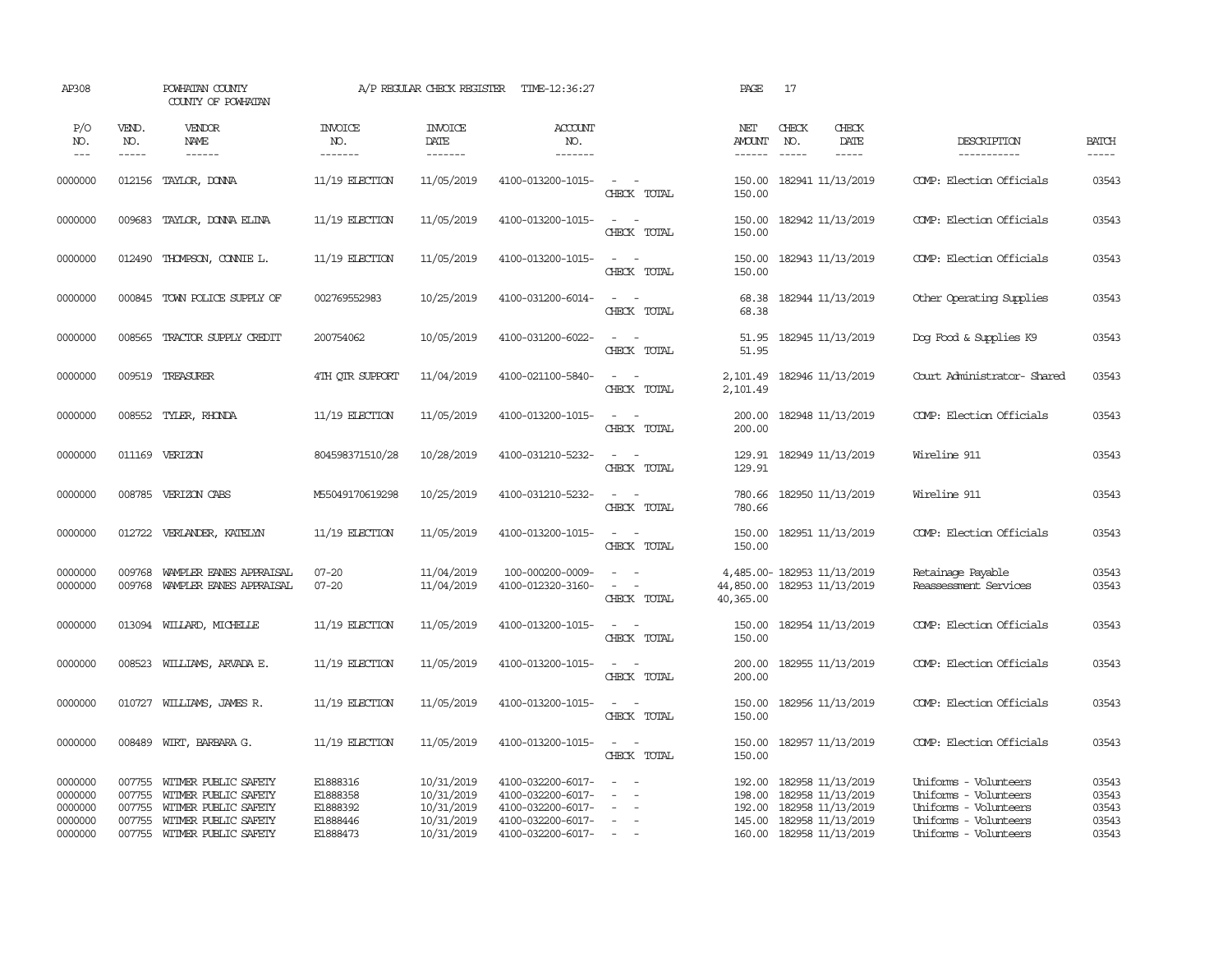| AP308                                               |                            | POWHATAN COUNTY<br>COUNTY OF POWHATAN                                                                                              |                                                          | A/P REGULAR CHECK REGISTER                                         | TIME-12:36:27                                                                                         |                                                             | PAGE                                  | 17                                                                                                                         |                                                                                                                           |                                           |
|-----------------------------------------------------|----------------------------|------------------------------------------------------------------------------------------------------------------------------------|----------------------------------------------------------|--------------------------------------------------------------------|-------------------------------------------------------------------------------------------------------|-------------------------------------------------------------|---------------------------------------|----------------------------------------------------------------------------------------------------------------------------|---------------------------------------------------------------------------------------------------------------------------|-------------------------------------------|
| P/O<br>NO.<br>$---$                                 | VEND.<br>NO.<br>-----      | VENDOR<br><b>NAME</b><br>$- - - - - -$                                                                                             | <b>INVOICE</b><br>NO.<br>-------                         | <b>INVOICE</b><br>DATE<br>-------                                  | ACCOUNT<br>NO.<br>-------                                                                             |                                                             | NET<br><b>AMOUNT</b><br>$- - - - - -$ | CHECK<br><b>CHECK</b><br>DATE<br>NO.<br>$\cdots$<br>-----                                                                  | DESCRIPTION<br>-----------                                                                                                | <b>BATCH</b><br>$- - - - -$               |
| 0000000                                             |                            | 012156 TAYLOR, DONNA                                                                                                               | $11/19$ ELECTION                                         | 11/05/2019                                                         | 4100-013200-1015-                                                                                     | $\sim$<br>CHECK TOTAL                                       | 150.00<br>150.00                      | 182941 11/13/2019                                                                                                          | COMP: Election Officials                                                                                                  | 03543                                     |
| 0000000                                             | 009683                     | TAYLOR, DONNA ELINA                                                                                                                | $11/19$ ELECTION                                         | 11/05/2019                                                         | 4100-013200-1015-                                                                                     | $\sim$<br>$\sim$<br>CHECK TOTAL                             | 150.00                                | 150.00 182942 11/13/2019                                                                                                   | COMP: Election Officials                                                                                                  | 03543                                     |
| 0000000                                             | 012490                     | THOMPSON, CONNIE L.                                                                                                                | $11/19$ ELECTION                                         | 11/05/2019                                                         | 4100-013200-1015-                                                                                     | $\sim$<br>$\sim$<br>CHECK TOTAL                             | 150.00<br>150.00                      | 182943 11/13/2019                                                                                                          | COMP: Election Officials                                                                                                  | 03543                                     |
| 0000000                                             |                            | 000845 TOWN POLICE SUPPLY OF                                                                                                       | 002769552983                                             | 10/25/2019                                                         | 4100-031200-6014-                                                                                     | $\sim$ 10 $\sim$ 10 $\sim$<br>CHECK TOTAL                   | 68.38<br>68.38                        | 182944 11/13/2019                                                                                                          | Other Operating Supplies                                                                                                  | 03543                                     |
| 0000000                                             |                            | 008565 TRACTOR SUPPLY CREDIT                                                                                                       | 200754062                                                | 10/05/2019                                                         | 4100-031200-6022-                                                                                     | $\sim$<br>$\sim$<br>CHECK TOTAL                             | 51.95<br>51.95                        | 182945 11/13/2019                                                                                                          | Dog Food & Supplies K9                                                                                                    | 03543                                     |
| 0000000                                             |                            | 009519 TREASURER                                                                                                                   | 4TH OTR SUPPORT                                          | 11/04/2019                                                         | 4100-021100-5840-                                                                                     | $\sim$ $\sim$<br>CHECK TOTAL                                | 2,101.49<br>2,101.49                  | 182946 11/13/2019                                                                                                          | Court Administrator-Shared                                                                                                | 03543                                     |
| 0000000                                             | 008552                     | TYLER, RHONDA                                                                                                                      | $11/19$ ELECTION                                         | 11/05/2019                                                         | 4100-013200-1015-                                                                                     | $\overline{\phantom{a}}$<br>$\sim$<br>CHECK TOTAL           | 200.00<br>200.00                      | 182948 11/13/2019                                                                                                          | COMP: Election Officials                                                                                                  | 03543                                     |
| 0000000                                             | 011169                     | VERIZON                                                                                                                            | 804598371510/28                                          | 10/28/2019                                                         | 4100-031210-5232-                                                                                     | $\sim$<br>CHECK TOTAL                                       | 129.91<br>129.91                      | 182949 11/13/2019                                                                                                          | Wireline 911                                                                                                              | 03543                                     |
| 0000000                                             |                            | 008785 VERIZON CABS                                                                                                                | M55049170619298                                          | 10/25/2019                                                         | 4100-031210-5232-                                                                                     | $\sim$ $ \sim$<br>CHECK TOTAL                               | 780.66<br>780.66                      | 182950 11/13/2019                                                                                                          | Wireline 911                                                                                                              | 03543                                     |
| 0000000                                             |                            | 012722 VERLANDER, KATELYN                                                                                                          | $11/19$ ELECTION                                         | 11/05/2019                                                         | 4100-013200-1015-                                                                                     | $\sim$<br>$\sim$<br>CHECK TOTAL                             | 150.00<br>150.00                      | 182951 11/13/2019                                                                                                          | COMP: Election Officials                                                                                                  | 03543                                     |
| 0000000<br>0000000                                  | 009768                     | WAMPLER EANES APPRAISAL<br>009768 WAMPLER EANES APPRAISAL                                                                          | $07 - 20$<br>$07 - 20$                                   | 11/04/2019<br>11/04/2019                                           | 100-000200-0009-<br>4100-012320-3160-                                                                 | $\sim$<br>$\sim$<br>$\overline{\phantom{a}}$<br>CHECK TOTAL | 40,365.00                             | 4,485.00-182953 11/13/2019<br>44,850.00 182953 11/13/2019                                                                  | Retainage Payable<br>Reassessment Services                                                                                | 03543<br>03543                            |
| 0000000                                             |                            | 013094 WILLARD, MICHELLE                                                                                                           | $11/19$ ELECTION                                         | 11/05/2019                                                         | 4100-013200-1015-                                                                                     | $\sim$<br>CHECK TOTAL                                       | 150.00<br>150.00                      | 182954 11/13/2019                                                                                                          | COMP: Election Officials                                                                                                  | 03543                                     |
| 0000000                                             | 008523                     | WILLIAMS, ARVADA E.                                                                                                                | $11/19$ ELECTION                                         | 11/05/2019                                                         | 4100-013200-1015-                                                                                     | $\sim$ $ \sim$<br>CHECK TOTAL                               | 200.00<br>200.00                      | 182955 11/13/2019                                                                                                          | COMP: Election Officials                                                                                                  | 03543                                     |
| 0000000                                             |                            | 010727 WILLIAMS, JAMES R.                                                                                                          | $11/19$ ELECTION                                         | 11/05/2019                                                         | 4100-013200-1015-                                                                                     | $\sim$ $\sim$<br>CHECK TOTAL                                | 150.00<br>150.00                      | 182956 11/13/2019                                                                                                          | COMP: Election Officials                                                                                                  | 03543                                     |
| 0000000                                             | 008489                     | WIRT, BARBARA G.                                                                                                                   | $11/19$ ELECTION                                         | 11/05/2019                                                         | 4100-013200-1015-                                                                                     | $\sim$ $ \sim$<br>CHECK TOTAL                               | 150.00<br>150.00                      | 182957 11/13/2019                                                                                                          | COMP: Election Officials                                                                                                  | 03543                                     |
| 0000000<br>0000000<br>0000000<br>0000000<br>0000000 | 007755<br>007755<br>007755 | WITMER PUBLIC SAFETY<br>WITMER PUBLIC SAFETY<br>WITMER PUBLIC SAFETY<br>007755 WITMER PUBLIC SAFETY<br>007755 WITMER PUBLIC SAFETY | E1888316<br>E1888358<br>E1888392<br>E1888446<br>E1888473 | 10/31/2019<br>10/31/2019<br>10/31/2019<br>10/31/2019<br>10/31/2019 | 4100-032200-6017-<br>4100-032200-6017-<br>4100-032200-6017-<br>4100-032200-6017-<br>4100-032200-6017- | $\sim$<br>$\overline{a}$                                    | 192.00<br>198.00                      | 182958 11/13/2019<br>182958 11/13/2019<br>192.00 182958 11/13/2019<br>145.00 182958 11/13/2019<br>160.00 182958 11/13/2019 | Uniforms - Volunteers<br>Uniforms - Volunteers<br>Uniforms - Volunteers<br>Uniforms - Volunteers<br>Uniforms - Volunteers | 03543<br>03543<br>03543<br>03543<br>03543 |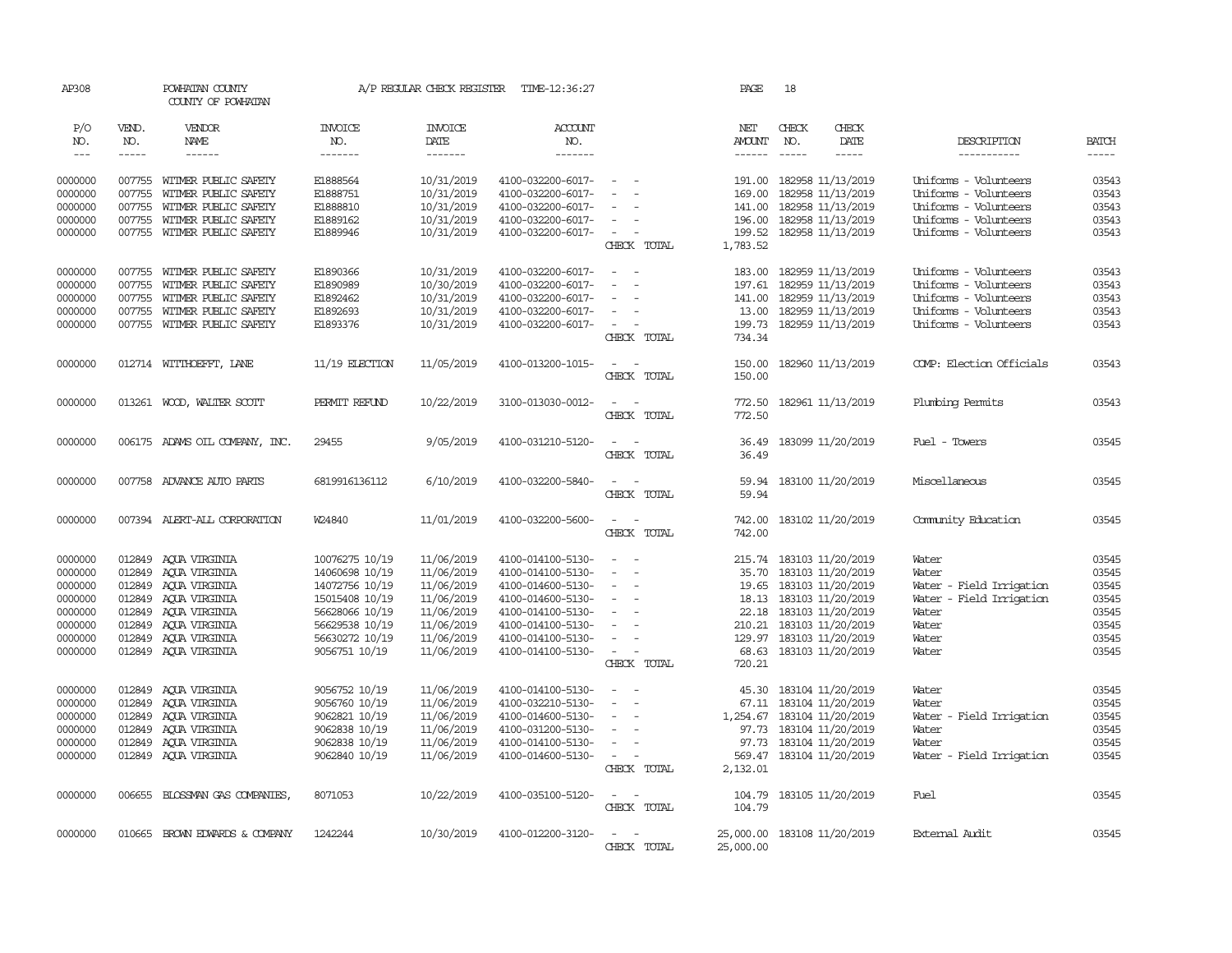| AP308         |              | POWHATAN COUNTY<br>COUNTY OF POWHATAN |                       | A/P REGULAR CHECK REGISTER | TIME-12:36:27         |                                            | PAGE                 | 18                       |               |                          |              |
|---------------|--------------|---------------------------------------|-----------------------|----------------------------|-----------------------|--------------------------------------------|----------------------|--------------------------|---------------|--------------------------|--------------|
| P/O<br>NO.    | VEND.<br>NO. | VENDOR<br>NAME                        | <b>INVOICE</b><br>NO. | <b>INVOICE</b><br>DATE     | <b>ACCOUNT</b><br>NO. |                                            | NET<br><b>AMOUNT</b> | CHECK<br>NO.             | CHECK<br>DATE | DESCRIPTION              | <b>BATCH</b> |
| $\frac{1}{2}$ | $- - - - -$  | $- - - - - -$                         | -------               | -------                    | -------               |                                            | $- - - - - -$        | $\frac{1}{2}$            | -----         | -----------              | $- - - - -$  |
| 0000000       | 007755       | WITMER PUBLIC SAFETY                  | E1888564              | 10/31/2019                 | 4100-032200-6017-     | $\sim$                                     |                      | 191.00 182958 11/13/2019 |               | Uniforms - Volunteers    | 03543        |
| 0000000       | 007755       | WITMER PUBLIC SAFETY                  | E1888751              | 10/31/2019                 | 4100-032200-6017-     | $\equiv$<br>$\sim$                         | 169.00               | 182958 11/13/2019        |               | Uniforms - Volunteers    | 03543        |
| 0000000       | 007755       | WITMER PUBLIC SAFETY                  | E1888810              | 10/31/2019                 | 4100-032200-6017-     |                                            | 141.00               | 182958 11/13/2019        |               | Uniforms - Volunteers    | 03543        |
| 0000000       | 007755       | WITMER PUBLIC SAFETY                  | E1889162              | 10/31/2019                 | 4100-032200-6017-     |                                            | 196.00               | 182958 11/13/2019        |               | Uniforms - Volunteers    | 03543        |
| 0000000       |              | 007755 WITMER PUBLIC SAFETY           | E1889946              | 10/31/2019                 | 4100-032200-6017-     | $\overline{\phantom{a}}$                   |                      | 199.52 182958 11/13/2019 |               | Uniforms - Volunteers    | 03543        |
|               |              |                                       |                       |                            |                       | CHECK TOTAL                                | 1,783.52             |                          |               |                          |              |
| 0000000       | 007755       | WITMER PUBLIC SAFETY                  | E1890366              | 10/31/2019                 | 4100-032200-6017-     |                                            | 183.00               | 182959 11/13/2019        |               | Uniforms - Volunteers    | 03543        |
| 0000000       | 007755       | WITMER PUBLIC SAFETY                  | E1890989              | 10/30/2019                 | 4100-032200-6017-     | $\equiv$                                   |                      | 197.61 182959 11/13/2019 |               | Uniforms - Volunteers    | 03543        |
| 0000000       | 007755       | WITMER PUBLIC SAFETY                  | E1892462              | 10/31/2019                 | 4100-032200-6017-     | $\equiv$                                   | 141.00               | 182959 11/13/2019        |               | Uniforms - Volunteers    | 03543        |
| 0000000       | 007755       | WITMER PUBLIC SAFETY                  | E1892693              | 10/31/2019                 | 4100-032200-6017-     | $\sim$                                     | 13.00                | 182959 11/13/2019        |               | Uniforms - Volunteers    | 03543        |
| 0000000       | 007755       | WITMER PUBLIC SAFETY                  | E1893376              | 10/31/2019                 | 4100-032200-6017-     | $\sim$                                     | 199.73               | 182959 11/13/2019        |               | Uniforms - Volunteers    | 03543        |
|               |              |                                       |                       |                            |                       | CHECK TOTAL                                | 734.34               |                          |               |                          |              |
| 0000000       |              | 012714 WITTHOEFFT, LANE               | $11/19$ ELECTION      | 11/05/2019                 | 4100-013200-1015-     | $\sim$<br>$\sim$                           | 150.00               | 182960 11/13/2019        |               | COMP: Election Officials | 03543        |
|               |              |                                       |                       |                            |                       | CHECK TOTAL                                | 150.00               |                          |               |                          |              |
| 0000000       |              | 013261 WOOD, WALTER SCOTT             | PERMIT REFUND         | 10/22/2019                 | 3100-013030-0012-     | $\sim$<br>$\sim$                           | 772.50               | 182961 11/13/2019        |               | Plumbing Permits         | 03543        |
|               |              |                                       |                       |                            |                       | CHECK TOTAL                                | 772.50               |                          |               |                          |              |
| 0000000       |              | 006175 ADAMS OIL COMPANY, INC.        | 29455                 | 9/05/2019                  | 4100-031210-5120-     | $\sim$<br>$\sim$                           | 36.49                | 183099 11/20/2019        |               | Fuel - Towers            | 03545        |
|               |              |                                       |                       |                            |                       | CHECK TOTAL                                | 36.49                |                          |               |                          |              |
| 0000000       |              | 007758 ADVANCE AUTO PARTS             | 6819916136112         | 6/10/2019                  | 4100-032200-5840-     | $\sim$ $ \sim$                             | 59.94                | 183100 11/20/2019        |               | Miscellaneous            | 03545        |
|               |              |                                       |                       |                            |                       | CHECK TOTAL                                | 59.94                |                          |               |                          |              |
| 0000000       |              | 007394 ALERT-ALL CORPORATION          | W24840                | 11/01/2019                 | 4100-032200-5600-     | $\sim$<br>$\sim$                           | 742.00               | 183102 11/20/2019        |               | Community Education      | 03545        |
|               |              |                                       |                       |                            |                       | CHECK TOTAL                                | 742.00               |                          |               |                          |              |
| 0000000       | 012849       | AQUA VIRGINIA                         | 10076275 10/19        | 11/06/2019                 | 4100-014100-5130-     | $\overline{\phantom{a}}$                   | 215.74               | 183103 11/20/2019        |               | Water                    | 03545        |
| 0000000       | 012849       | AOUA VIRGINIA                         | 14060698 10/19        | 11/06/2019                 | 4100-014100-5130-     | $\sim$                                     | 35.70                | 183103 11/20/2019        |               | Water                    | 03545        |
| 0000000       | 012849       | AQUA VIRGINIA                         | 14072756 10/19        | 11/06/2019                 | 4100-014600-5130-     |                                            | 19.65                | 183103 11/20/2019        |               | Water - Field Irrigation | 03545        |
| 0000000       | 012849       | AOUA VIRGINIA                         | 15015408 10/19        | 11/06/2019                 | 4100-014600-5130-     | $\equiv$                                   | 18.13                | 183103 11/20/2019        |               | Water - Field Irrigation | 03545        |
| 0000000       | 012849       | AOUA VIRGINIA                         | 56628066 10/19        | 11/06/2019                 | 4100-014100-5130-     | $\equiv$                                   | 22.18                | 183103 11/20/2019        |               | Water                    | 03545        |
| 0000000       | 012849       | AQUA VIRGINIA                         | 56629538 10/19        | 11/06/2019                 | 4100-014100-5130-     |                                            | 210.21               | 183103 11/20/2019        |               | Water                    | 03545        |
| 0000000       | 012849       | ACUA VIRGINIA                         | 56630272 10/19        | 11/06/2019                 | 4100-014100-5130-     | $\equiv$                                   | 129.97               | 183103 11/20/2019        |               | Water                    | 03545        |
| 0000000       | 012849       | AOUA VIRGINIA                         | 9056751 10/19         | 11/06/2019                 | 4100-014100-5130-     | $\overline{\phantom{a}}$                   | 68.63                | 183103 11/20/2019        |               | Water                    | 03545        |
|               |              |                                       |                       |                            |                       | CHECK TOTAL                                | 720.21               |                          |               |                          |              |
| 0000000       | 012849       | AQUA VIRGINIA                         | 9056752 10/19         | 11/06/2019                 | 4100-014100-5130-     | $\equiv$                                   | 45.30                | 183104 11/20/2019        |               | Water                    | 03545        |
| 0000000       | 012849       | AOUA VIRGINIA                         | 9056760 10/19         | 11/06/2019                 | 4100-032210-5130-     | $\blacksquare$<br>$\overline{\phantom{0}}$ | 67.11                | 183104 11/20/2019        |               | Water                    | 03545        |
| 0000000       | 012849       | AQUA VIRGINIA                         | 9062821 10/19         | 11/06/2019                 | 4100-014600-5130-     | $\equiv$                                   | 1,254.67             | 183104 11/20/2019        |               | Water - Field Irrigation | 03545        |
| 0000000       | 012849       | AOUA VIRGINIA                         | 9062838 10/19         | 11/06/2019                 | 4100-031200-5130-     |                                            | 97.73                | 183104 11/20/2019        |               | Water                    | 03545        |
| 0000000       | 012849       | AQUA VIRGINIA                         | 9062838 10/19         | 11/06/2019                 | 4100-014100-5130-     | $\equiv$                                   | 97.73                | 183104 11/20/2019        |               | Water                    | 03545        |
| 0000000       | 012849       | AQUA VIRGINIA                         | 9062840 10/19         | 11/06/2019                 | 4100-014600-5130-     | $\sim$                                     | 569.47               | 183104 11/20/2019        |               | Water - Field Irrigation | 03545        |
|               |              |                                       |                       |                            |                       | CHECK TOTAL                                | 2,132.01             |                          |               |                          |              |
| 0000000       |              | 006655 BLOSSMAN GAS COMPANIES         | 8071053               | 10/22/2019                 | 4100-035100-5120-     | $\sim$<br>$\sim$                           | 104.79               | 183105 11/20/2019        |               | Fuel                     | 03545        |
|               |              |                                       |                       |                            |                       | CHECK TOTAL                                | 104.79               |                          |               |                          |              |
| 0000000       |              | 010665 BROWN EDWARDS & COMPANY        | 1242244               | 10/30/2019                 | 4100-012200-3120-     | $\sim$<br>$\sim$                           | 25,000.00            | 183108 11/20/2019        |               | External Audit           | 03545        |
|               |              |                                       |                       |                            |                       | CHECK TOTAL                                | 25,000.00            |                          |               |                          |              |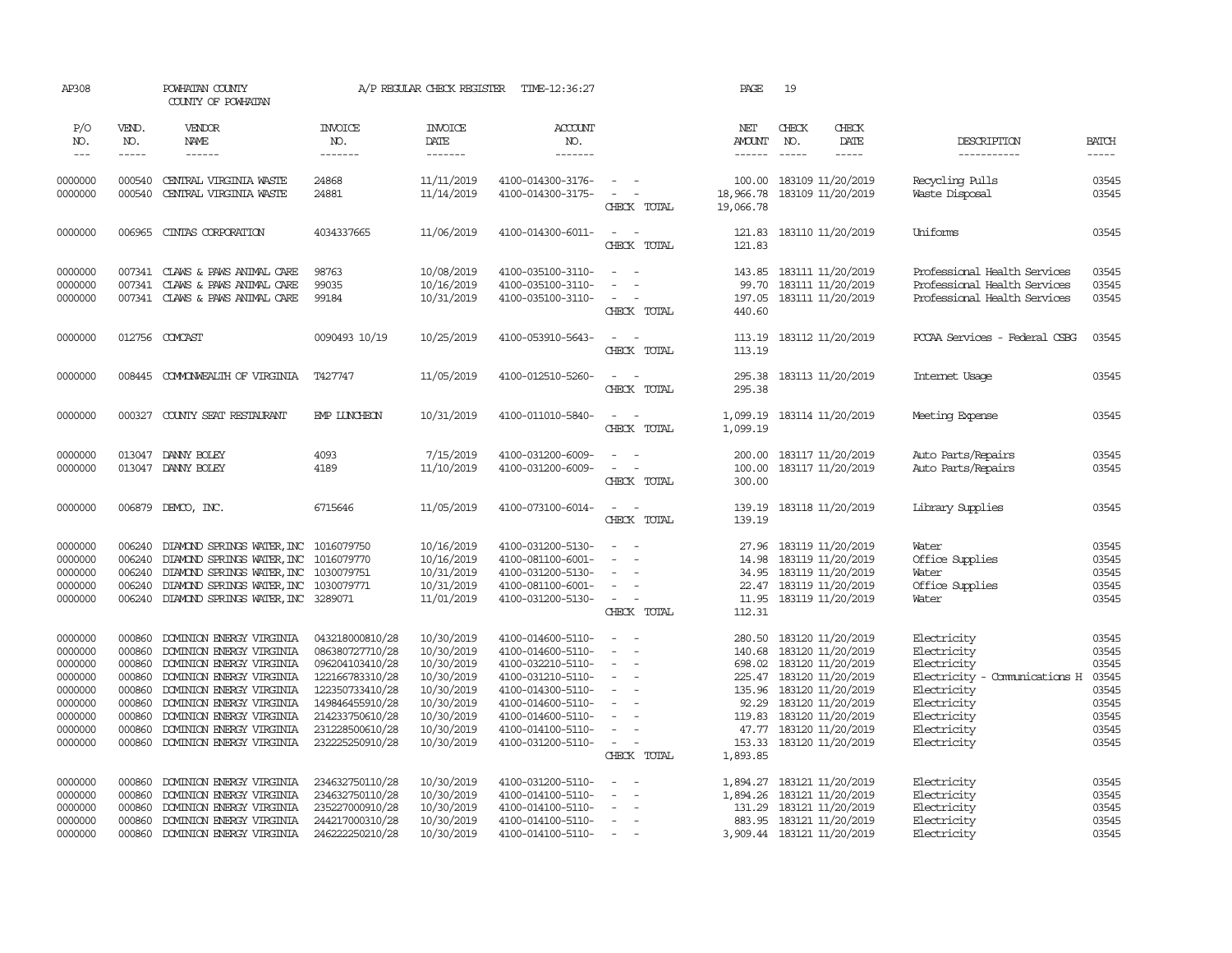| AP308                                                                                           |                                                                                        | POWHATAN COUNTY<br>COUNTY OF POWHATAN                                                                                                                                                                                                                                                                                                                                                                                                                                                                    |                                                                                                                                                                         | A/P REGULAR CHECK REGISTER                                                                                                 | TIME-12:36:27                                                                                                                                                                             |                                                                                                                                                                                           | PAGE                                  | 19                                                                                                                                                                                                                                 |                        |                                                                                                                                                       |                                                                               |
|-------------------------------------------------------------------------------------------------|----------------------------------------------------------------------------------------|----------------------------------------------------------------------------------------------------------------------------------------------------------------------------------------------------------------------------------------------------------------------------------------------------------------------------------------------------------------------------------------------------------------------------------------------------------------------------------------------------------|-------------------------------------------------------------------------------------------------------------------------------------------------------------------------|----------------------------------------------------------------------------------------------------------------------------|-------------------------------------------------------------------------------------------------------------------------------------------------------------------------------------------|-------------------------------------------------------------------------------------------------------------------------------------------------------------------------------------------|---------------------------------------|------------------------------------------------------------------------------------------------------------------------------------------------------------------------------------------------------------------------------------|------------------------|-------------------------------------------------------------------------------------------------------------------------------------------------------|-------------------------------------------------------------------------------|
| P/O<br>NO.<br>$\qquad \qquad - -$                                                               | VEND.<br>NO.<br>$\cdots$                                                               | VENDOR<br>NAME<br>$\begin{array}{cccccccccc} \multicolumn{2}{c}{} & \multicolumn{2}{c}{} & \multicolumn{2}{c}{} & \multicolumn{2}{c}{} & \multicolumn{2}{c}{} & \multicolumn{2}{c}{} & \multicolumn{2}{c}{} & \multicolumn{2}{c}{} & \multicolumn{2}{c}{} & \multicolumn{2}{c}{} & \multicolumn{2}{c}{} & \multicolumn{2}{c}{} & \multicolumn{2}{c}{} & \multicolumn{2}{c}{} & \multicolumn{2}{c}{} & \multicolumn{2}{c}{} & \multicolumn{2}{c}{} & \multicolumn{2}{c}{} & \multicolumn{2}{c}{} & \mult$ | <b>INVOICE</b><br>NO.<br>-------                                                                                                                                        | <b>INVOICE</b><br>DATE<br>-------                                                                                          | <b>ACCOUNT</b><br>NO.<br>-------                                                                                                                                                          |                                                                                                                                                                                           | NET<br><b>AMOUNT</b>                  | CHECK<br>NO.                                                                                                                                                                                                                       | CHECK<br>DATE<br>----- | DESCRIPTION<br>-----------                                                                                                                            | <b>BATCH</b><br>$- - - - -$                                                   |
| 0000000<br>0000000                                                                              | 000540<br>000540                                                                       | CENTRAL VIRGINIA WASTE<br>CENTRAL VIRGINIA WASTE                                                                                                                                                                                                                                                                                                                                                                                                                                                         | 24868<br>24881                                                                                                                                                          | 11/11/2019<br>11/14/2019                                                                                                   | 4100-014300-3176-<br>4100-014300-3175-                                                                                                                                                    | $\sim$ $-$<br>$\sim$ $ -$<br>CHECK TOTAL                                                                                                                                                  | 100.00<br>18,966.78<br>19,066.78      | 183109 11/20/2019<br>183109 11/20/2019                                                                                                                                                                                             |                        | Recycling Pulls<br>Waste Disposal                                                                                                                     | 03545<br>03545                                                                |
| 0000000                                                                                         | 006965                                                                                 | CINIAS CORPORATION                                                                                                                                                                                                                                                                                                                                                                                                                                                                                       | 4034337665                                                                                                                                                              | 11/06/2019                                                                                                                 | 4100-014300-6011-                                                                                                                                                                         | $\overline{\phantom{a}}$<br>$\sim$ $-$<br>CHECK TOTAL                                                                                                                                     | 121.83<br>121.83                      | 183110 11/20/2019                                                                                                                                                                                                                  |                        | Uniforms                                                                                                                                              | 03545                                                                         |
| 0000000<br>0000000<br>0000000                                                                   | 007341<br>007341                                                                       | CLAWS & PAWS ANIMAL CARE<br>CLAWS & PAWS ANIMAL CARE<br>007341 CLAWS & PAWS ANIMAL CARE                                                                                                                                                                                                                                                                                                                                                                                                                  | 98763<br>99035<br>99184                                                                                                                                                 | 10/08/2019<br>10/16/2019<br>10/31/2019                                                                                     | 4100-035100-3110-<br>4100-035100-3110-<br>4100-035100-3110-                                                                                                                               | $\sim$<br>$\sim$<br>$\sim$<br>$\sim$ $ \sim$<br>CHECK TOTAL                                                                                                                               | 440.60                                | 143.85 183111 11/20/2019<br>99.70 183111 11/20/2019<br>197.05 183111 11/20/2019                                                                                                                                                    |                        | Professional Health Services<br>Professional Health Services<br>Professional Health Services                                                          | 03545<br>03545<br>03545                                                       |
| 0000000                                                                                         |                                                                                        | 012756 COMCAST                                                                                                                                                                                                                                                                                                                                                                                                                                                                                           | 0090493 10/19                                                                                                                                                           | 10/25/2019                                                                                                                 | 4100-053910-5643-                                                                                                                                                                         | $\sim$ $ \sim$<br>CHECK TOTAL                                                                                                                                                             | 113.19                                | 113.19 183112 11/20/2019                                                                                                                                                                                                           |                        | PCCAA Services - Federal CSBG                                                                                                                         | 03545                                                                         |
| 0000000                                                                                         |                                                                                        | 008445 COMONWEALTH OF VIRGINIA                                                                                                                                                                                                                                                                                                                                                                                                                                                                           | T427747                                                                                                                                                                 | 11/05/2019                                                                                                                 | 4100-012510-5260-                                                                                                                                                                         | $\sim$ $\sim$<br>CHECK TOTAL                                                                                                                                                              | 295.38<br>295.38                      | 183113 11/20/2019                                                                                                                                                                                                                  |                        | Internet Usage                                                                                                                                        | 03545                                                                         |
| 0000000                                                                                         |                                                                                        | 000327 COUNTY SEAT RESTAURANT                                                                                                                                                                                                                                                                                                                                                                                                                                                                            | EMP LUNCHEON                                                                                                                                                            | 10/31/2019                                                                                                                 | 4100-011010-5840-                                                                                                                                                                         | $\sim$<br>$\sim$ $-$<br>CHECK TOTAL                                                                                                                                                       | 1,099.19<br>1,099.19                  | 183114 11/20/2019                                                                                                                                                                                                                  |                        | Meeting Expense                                                                                                                                       | 03545                                                                         |
| 0000000<br>0000000                                                                              |                                                                                        | 013047 DANNY BOLEY<br>013047 DANNY BOLEY                                                                                                                                                                                                                                                                                                                                                                                                                                                                 | 4093<br>4189                                                                                                                                                            | 7/15/2019<br>11/10/2019                                                                                                    | 4100-031200-6009-<br>4100-031200-6009-                                                                                                                                                    | $\sim$<br>$\sim$<br>$\sim$<br>CHECK TOTAL                                                                                                                                                 | 200.00<br>100.00<br>300.00            | 183117 11/20/2019<br>183117 11/20/2019                                                                                                                                                                                             |                        | Auto Parts/Repairs<br>Auto Parts/Repairs                                                                                                              | 03545<br>03545                                                                |
| 0000000                                                                                         |                                                                                        | 006879 DEMCO, INC.                                                                                                                                                                                                                                                                                                                                                                                                                                                                                       | 6715646                                                                                                                                                                 | 11/05/2019                                                                                                                 | 4100-073100-6014-                                                                                                                                                                         | $\frac{1}{2} \left( \frac{1}{2} \right) \left( \frac{1}{2} \right) \left( \frac{1}{2} \right)$<br>CHECK TOTAL                                                                             | 139.19<br>139.19                      | 183118 11/20/2019                                                                                                                                                                                                                  |                        | Library Supplies                                                                                                                                      | 03545                                                                         |
| 0000000<br>0000000<br>0000000<br>0000000<br>0000000                                             | 006240<br>006240<br>006240<br>006240<br>006240                                         | DIAMOND SPRINGS WATER, INC 1016079750<br>DIAMOND SPRINGS WATER, INC 1016079770<br>DIAMOND SPRINGS WATER, INC 1030079751<br>DIAMOND SPRINGS WATER, INC 1030079771<br>DIAMOND SPRINGS WATER, INC 3289071                                                                                                                                                                                                                                                                                                   |                                                                                                                                                                         | 10/16/2019<br>10/16/2019<br>10/31/2019<br>10/31/2019<br>11/01/2019                                                         | 4100-031200-5130-<br>4100-081100-6001-<br>4100-031200-5130-<br>4100-081100-6001-<br>4100-031200-5130-                                                                                     | $\overline{\phantom{a}}$<br>$\sim$<br>$\equiv$<br>$\sim$<br>$\sim$<br>$\sim$ $ -$<br>CHECK TOTAL                                                                                          | 27.96<br>112.31                       | 183119 11/20/2019<br>14.98 183119 11/20/2019<br>34.95 183119 11/20/2019<br>22.47 183119 11/20/2019<br>11.95 183119 11/20/2019                                                                                                      |                        | Water<br>Office Supplies<br>Water<br>Office Supplies<br>Water                                                                                         | 03545<br>03545<br>03545<br>03545<br>03545                                     |
| 0000000<br>0000000<br>0000000<br>0000000<br>0000000<br>0000000<br>0000000<br>0000000<br>0000000 | 000860<br>000860<br>000860<br>000860<br>000860<br>000860<br>000860<br>000860<br>000860 | DOMINION ENERGY VIRGINIA<br>DOMINION ENERGY VIRGINIA<br>DOMINION ENERGY VIRGINIA<br>DOMINION ENERGY VIRGINIA<br>DOMINION ENERGY VIRGINIA<br>DOMINION ENERGY VIRGINIA<br>DOMINION ENERGY VIRGINIA<br>DOMINION ENERGY VIRGINIA<br>DOMINION ENERGY VIRGINIA                                                                                                                                                                                                                                                 | 043218000810/28<br>086380727710/28<br>096204103410/28<br>122166783310/28<br>122350733410/28<br>149846455910/28<br>214233750610/28<br>231228500610/28<br>232225250910/28 | 10/30/2019<br>10/30/2019<br>10/30/2019<br>10/30/2019<br>10/30/2019<br>10/30/2019<br>10/30/2019<br>10/30/2019<br>10/30/2019 | 4100-014600-5110-<br>4100-014600-5110-<br>4100-032210-5110-<br>4100-031210-5110-<br>4100-014300-5110-<br>4100-014600-5110-<br>4100-014600-5110-<br>4100-014100-5110-<br>4100-031200-5110- | $\sim$<br>$\equiv$<br>$\sim$<br>$\sim$<br>$\overline{\phantom{a}}$<br>$\sim$<br>$\overline{\phantom{a}}$<br>$\sim$<br>$\overline{\phantom{a}}$<br>$\sim$<br>$\sim$ $ \sim$<br>CHECK TOTAL | 280.50<br>140.68<br>92.29<br>1,893.85 | 183120 11/20/2019<br>183120 11/20/2019<br>698.02 183120 11/20/2019<br>225.47 183120 11/20/2019<br>135.96 183120 11/20/2019<br>183120 11/20/2019<br>119.83 183120 11/20/2019<br>47.77 183120 11/20/2019<br>153.33 183120 11/20/2019 |                        | Electricity<br>Electricity<br>Electricity<br>Electricity - Comunications H<br>Electricity<br>Electricity<br>Electricity<br>Electricity<br>Electricity | 03545<br>03545<br>03545<br>03545<br>03545<br>03545<br>03545<br>03545<br>03545 |
| 0000000<br>0000000<br>0000000<br>0000000<br>0000000                                             | 000860<br>000860<br>000860<br>000860<br>000860                                         | DOMINION ENERGY VIRGINIA<br>DOMINION ENERGY VIRGINIA<br>DOMINION ENERGY VIRGINIA<br>DOMINION ENERGY VIRGINIA<br>DOMINION ENERGY VIRGINIA                                                                                                                                                                                                                                                                                                                                                                 | 234632750110/28<br>234632750110/28<br>235227000910/28<br>244217000310/28<br>246222250210/28                                                                             | 10/30/2019<br>10/30/2019<br>10/30/2019<br>10/30/2019<br>10/30/2019                                                         | 4100-031200-5110-<br>4100-014100-5110-<br>4100-014100-5110-<br>4100-014100-5110-<br>4100-014100-5110-                                                                                     | $\sim$<br>$\sim$<br>$\equiv$<br>$\overline{\phantom{a}}$<br>$\sim$<br>$\sim$ $-$                                                                                                          | 1,894.26<br>131.29                    | 1,894.27 183121 11/20/2019<br>183121 11/20/2019<br>183121 11/20/2019<br>883.95 183121 11/20/2019<br>3,909.44 183121 11/20/2019                                                                                                     |                        | Electricity<br>Electricity<br>Electricity<br>Electricity<br>Electricity                                                                               | 03545<br>03545<br>03545<br>03545<br>03545                                     |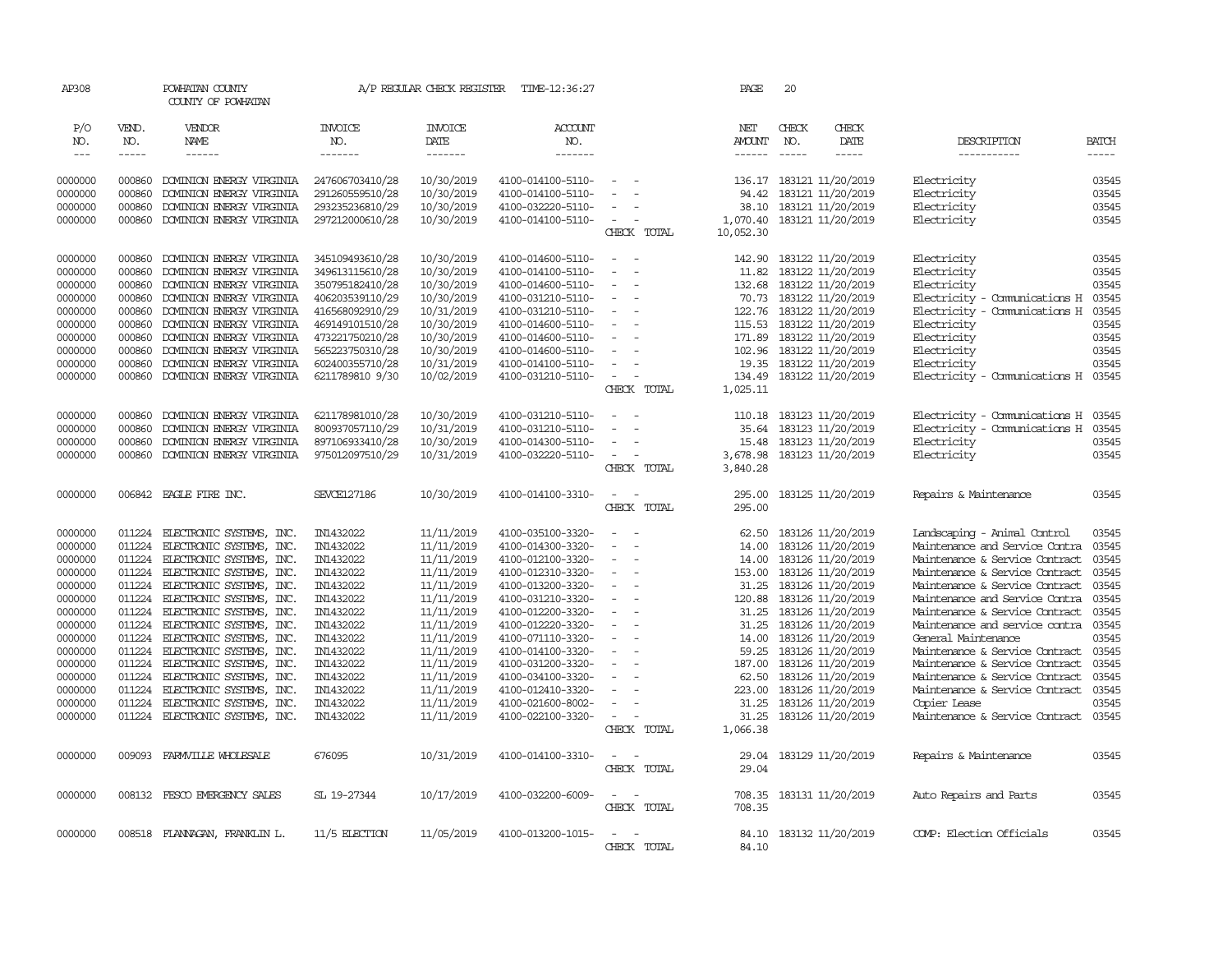| AP308      |              | POWHATAN COUNTY<br>COUNTY OF POWHATAN |                    | A/P REGULAR CHECK REGISTER | TIME-12:36:27     |                                                                                                              | PAGE                 | 20            |                            |                                      |              |
|------------|--------------|---------------------------------------|--------------------|----------------------------|-------------------|--------------------------------------------------------------------------------------------------------------|----------------------|---------------|----------------------------|--------------------------------------|--------------|
| P/O<br>NO. | VEND.<br>NO. | VENDOR<br>NAME                        | INVOICE<br>NO.     | <b>INVOICE</b><br>DATE     | ACCOUNT<br>NO.    |                                                                                                              | NET<br><b>AMOUNT</b> | CHECK<br>NO.  | CHECK<br>DATE              | DESCRIPTION                          | <b>BATCH</b> |
| $---$      | -----        | $- - - - - -$                         | -------            | -------                    | -------           |                                                                                                              | $- - - - - -$        | $\frac{1}{2}$ | -----                      | -----------                          | $- - - - -$  |
|            |              |                                       |                    |                            |                   |                                                                                                              |                      |               |                            |                                      |              |
| 0000000    | 000860       | DOMINION ENERGY VIRGINIA              | 247606703410/28    | 10/30/2019                 | 4100-014100-5110- | $\overline{\phantom{a}}$                                                                                     |                      |               | 136.17 183121 11/20/2019   | Electricity                          | 03545        |
| 0000000    | 000860       | DOMINION ENERGY VIRGINIA              | 291260559510/28    | 10/30/2019                 | 4100-014100-5110- | $\sim$                                                                                                       | 94.42                |               | 183121 11/20/2019          | Electricity                          | 03545        |
| 0000000    | 000860       | DOMINION ENERGY VIRGINIA              | 293235236810/29    | 10/30/2019                 | 4100-032220-5110- |                                                                                                              | 38.10                |               | 183121 11/20/2019          | Electricity                          | 03545        |
| 0000000    | 000860       | DOMINION ENERGY VIRGINIA              | 297212000610/28    | 10/30/2019                 | 4100-014100-5110- | $\sim$<br>$\sim$                                                                                             |                      |               | 1,070.40 183121 11/20/2019 | Electricity                          | 03545        |
|            |              |                                       |                    |                            |                   | CHECK TOTAL                                                                                                  | 10,052.30            |               |                            |                                      |              |
| 0000000    | 000860       | DOMINION ENERGY VIRGINIA              | 345109493610/28    | 10/30/2019                 | 4100-014600-5110- | $\sim$<br>$\sim$                                                                                             | 142.90               |               | 183122 11/20/2019          | Electricity                          | 03545        |
| 0000000    | 000860       | DOMINION ENERGY VIRGINIA              | 349613115610/28    | 10/30/2019                 | 4100-014100-5110- | $\equiv$<br>$\sim$                                                                                           | 11.82                |               | 183122 11/20/2019          | Electricity                          | 03545        |
| 0000000    | 000860       | DOMINION ENERGY VIRGINIA              | 350795182410/28    | 10/30/2019                 | 4100-014600-5110- | $\overline{\phantom{a}}$                                                                                     | 132.68               |               | 183122 11/20/2019          | Electricity                          | 03545        |
| 0000000    | 000860       | DOMINION ENERGY VIRGINIA              | 406203539110/29    | 10/30/2019                 | 4100-031210-5110- | $\overline{\phantom{a}}$                                                                                     |                      |               | 70.73 183122 11/20/2019    | Electricity - Comunications H        | 03545        |
| 0000000    | 000860       | DOMINION ENERGY VIRGINIA              | 416568092910/29    | 10/31/2019                 | 4100-031210-5110- | $\equiv$<br>$\sim$                                                                                           |                      |               | 122.76 183122 11/20/2019   | Electricity - Comunications H        | 03545        |
| 0000000    | 000860       | DOMINION ENERGY VIRGINIA              | 469149101510/28    | 10/30/2019                 | 4100-014600-5110- | $\overline{\phantom{a}}$                                                                                     | 115.53               |               | 183122 11/20/2019          | Electricity                          | 03545        |
| 0000000    | 000860       | DOMINION ENERGY VIRGINIA              | 473221750210/28    | 10/30/2019                 | 4100-014600-5110- | $\overline{\phantom{a}}$                                                                                     | 171.89               |               | 183122 11/20/2019          | Electricity                          | 03545        |
| 0000000    | 000860       | DOMINION ENERGY VIRGINIA              | 565223750310/28    | 10/30/2019                 | 4100-014600-5110- |                                                                                                              | 102.96               |               | 183122 11/20/2019          | Electricity                          | 03545        |
| 0000000    | 000860       | DOMINION ENERGY VIRGINIA              | 602400355710/28    | 10/31/2019                 | 4100-014100-5110- | $\overline{\phantom{a}}$                                                                                     | 19.35                |               | 183122 11/20/2019          | Electricity                          | 03545        |
| 0000000    | 000860       | DOMINION ENERGY VIRGINIA              | 6211789810 9/30    | 10/02/2019                 | 4100-031210-5110- | $\overline{\phantom{a}}$                                                                                     | 134.49               |               | 183122 11/20/2019          | Electricity - Comunications H 03545  |              |
|            |              |                                       |                    |                            |                   | CHECK TOTAL                                                                                                  | 1,025.11             |               |                            |                                      |              |
|            |              |                                       |                    |                            |                   |                                                                                                              |                      |               |                            |                                      |              |
| 0000000    | 000860       | DOMINION ENERGY VIRGINIA              | 621178981010/28    | 10/30/2019                 | 4100-031210-5110- | $\equiv$<br>$\sim$                                                                                           | 110.18               |               | 183123 11/20/2019          | Electricity - Comunications H        | 03545        |
| 0000000    | 000860       | DOMINION ENERGY VIRGINIA              | 800937057110/29    | 10/31/2019                 | 4100-031210-5110- | $\equiv$                                                                                                     | 35.64                |               | 183123 11/20/2019          | Electricity - Comunications H 03545  |              |
| 0000000    | 000860       | DOMINION ENERGY VIRGINIA              | 897106933410/28    | 10/30/2019                 | 4100-014300-5110- | $\overline{\phantom{a}}$                                                                                     | 15.48                |               | 183123 11/20/2019          | Electricity                          | 03545        |
| 0000000    | 000860       | DOMINION ENERGY VIRGINIA              | 975012097510/29    | 10/31/2019                 | 4100-032220-5110- | $\overline{\phantom{a}}$                                                                                     | 3,678.98             |               | 183123 11/20/2019          | Electricity                          | 03545        |
|            |              |                                       |                    |                            |                   | CHECK TOTAL                                                                                                  | 3,840.28             |               |                            |                                      |              |
| 0000000    |              | 006842 EAGLE FIRE INC.                | <b>SEVCE127186</b> | 10/30/2019                 | 4100-014100-3310- | $\overline{\phantom{a}}$<br>$\sim$                                                                           | 295.00               |               | 183125 11/20/2019          | Repairs & Maintenance                | 03545        |
|            |              |                                       |                    |                            |                   | CHECK TOTAL                                                                                                  | 295.00               |               |                            |                                      |              |
|            |              |                                       |                    |                            |                   |                                                                                                              |                      |               |                            |                                      |              |
| 0000000    | 011224       | ELECTRONIC SYSTEMS, INC.              | IN1432022          | 11/11/2019                 | 4100-035100-3320- | $\overline{\phantom{a}}$                                                                                     | 62.50                |               | 183126 11/20/2019          | Landscaping - Animal Control         | 03545        |
| 0000000    | 011224       | ELECTRONIC SYSTEMS, INC.              | IN1432022          | 11/11/2019                 | 4100-014300-3320- | $\sim$                                                                                                       | 14.00                |               | 183126 11/20/2019          | Maintenance and Service Contra       | 03545        |
| 0000000    | 011224       | ELECTRONIC SYSTEMS, INC.              | IN1432022          | 11/11/2019                 | 4100-012100-3320- | $\sim$<br>$\sim$                                                                                             | 14.00                |               | 183126 11/20/2019          | Maintenance & Service Contract       | 03545        |
| 0000000    | 011224       | ELECTRONIC SYSTEMS, INC.              | IN1432022          | 11/11/2019                 | 4100-012310-3320- | $\overline{\phantom{a}}$                                                                                     | 153.00               |               | 183126 11/20/2019          | Maintenance & Service Contract       | 03545        |
| 0000000    | 011224       | ELECTRONIC SYSTEMS, INC.              | IN1432022          | 11/11/2019                 | 4100-013200-3320- | $\overline{\phantom{a}}$                                                                                     | 31.25                |               | 183126 11/20/2019          | Maintenance & Service Contract       | 03545        |
| 0000000    | 011224       | ELECTRONIC SYSTEMS, INC.              | IN1432022          | 11/11/2019                 | 4100-031210-3320- | $\blacksquare$                                                                                               | 120.88               |               | 183126 11/20/2019          | Maintenance and Service Contra       | 03545        |
| 0000000    | 011224       | ELECTRONIC SYSTEMS, INC.              | IN1432022          | 11/11/2019                 | 4100-012200-3320- | $\sim$                                                                                                       | 31.25                |               | 183126 11/20/2019          | Maintenance & Service Contract       | 03545        |
| 0000000    | 011224       | ELECTRONIC SYSTEMS, INC.              | IN1432022          | 11/11/2019                 | 4100-012220-3320- | $\overline{\phantom{a}}$                                                                                     | 31.25                |               | 183126 11/20/2019          | Maintenance and service contra       | 03545        |
| 0000000    | 011224       | ELECTRONIC SYSTEMS, INC.              | IN1432022          | 11/11/2019                 | 4100-071110-3320- | $\sim$                                                                                                       | 14.00                |               | 183126 11/20/2019          | General Maintenance                  | 03545        |
| 0000000    | 011224       | ELECTRONIC SYSTEMS, INC.              | IN1432022          | 11/11/2019                 | 4100-014100-3320- | $\sim$<br>$\overline{\phantom{a}}$                                                                           | 59.25                |               | 183126 11/20/2019          | Maintenance & Service Contract       | 03545        |
| 0000000    | 011224       | ELECTRONIC SYSTEMS, INC.              | IN1432022          | 11/11/2019                 | 4100-031200-3320- | $\sim$                                                                                                       | 187.00               |               | 183126 11/20/2019          | Maintenance & Service Contract       | 03545        |
| 0000000    | 011224       | ELECTRONIC SYSTEMS, INC.              | IN1432022          | 11/11/2019                 | 4100-034100-3320- | $\sim$                                                                                                       | 62.50                |               | 183126 11/20/2019          | Maintenance & Service Contract       | 03545        |
| 0000000    | 011224       | ELECTRONIC SYSTEMS, INC.              | IN1432022          | 11/11/2019                 | 4100-012410-3320- | $\sim$                                                                                                       | 223.00               |               | 183126 11/20/2019          | Maintenance & Service Contract 03545 |              |
| 0000000    | 011224       | ELECTRONIC SYSTEMS, INC.              | IN1432022          | 11/11/2019                 | 4100-021600-8002- | $\overline{\phantom{a}}$                                                                                     | 31.25                |               | 183126 11/20/2019          | Copier Lease                         | 03545        |
| 0000000    | 011224       | ELECTRONIC SYSTEMS, INC.              | IN1432022          | 11/11/2019                 | 4100-022100-3320- | $\overline{\phantom{a}}$                                                                                     | 31.25                |               | 183126 11/20/2019          | Maintenance & Service Contract       | 03545        |
|            |              |                                       |                    |                            |                   | CHECK TOTAL                                                                                                  | 1,066.38             |               |                            |                                      |              |
| 0000000    | 009093       | FARMVILLE WHOLESALE                   | 676095             | 10/31/2019                 | 4100-014100-3310- | $\overline{\phantom{a}}$<br>$\sim$                                                                           | 29.04                |               | 183129 11/20/2019          | Repairs & Maintenance                | 03545        |
|            |              |                                       |                    |                            |                   | CHECK TOTAL                                                                                                  | 29.04                |               |                            |                                      |              |
|            |              |                                       |                    |                            |                   |                                                                                                              |                      |               |                            |                                      |              |
| 0000000    |              | 008132 FESCO EMERGENCY SALES          | SL 19-27344        | 10/17/2019                 | 4100-032200-6009- | $\frac{1}{2} \left( \frac{1}{2} \right) \left( \frac{1}{2} \right) = \frac{1}{2} \left( \frac{1}{2} \right)$ | 708.35               |               | 183131 11/20/2019          | Auto Repairs and Parts               | 03545        |
|            |              |                                       |                    |                            |                   | CHECK TOTAL                                                                                                  | 708.35               |               |                            |                                      |              |
|            |              |                                       |                    |                            |                   |                                                                                                              |                      |               |                            |                                      |              |
| 0000000    |              | 008518 FLANNAGAN, FRANKLIN L.         | 11/5 ELECTION      | 11/05/2019                 | 4100-013200-1015- | $\sim$<br>$\sim$                                                                                             |                      |               | 84.10 183132 11/20/2019    | COMP: Election Officials             | 03545        |
|            |              |                                       |                    |                            |                   | <b>CHFLCK</b><br>TOTAI                                                                                       | 84.10                |               |                            |                                      |              |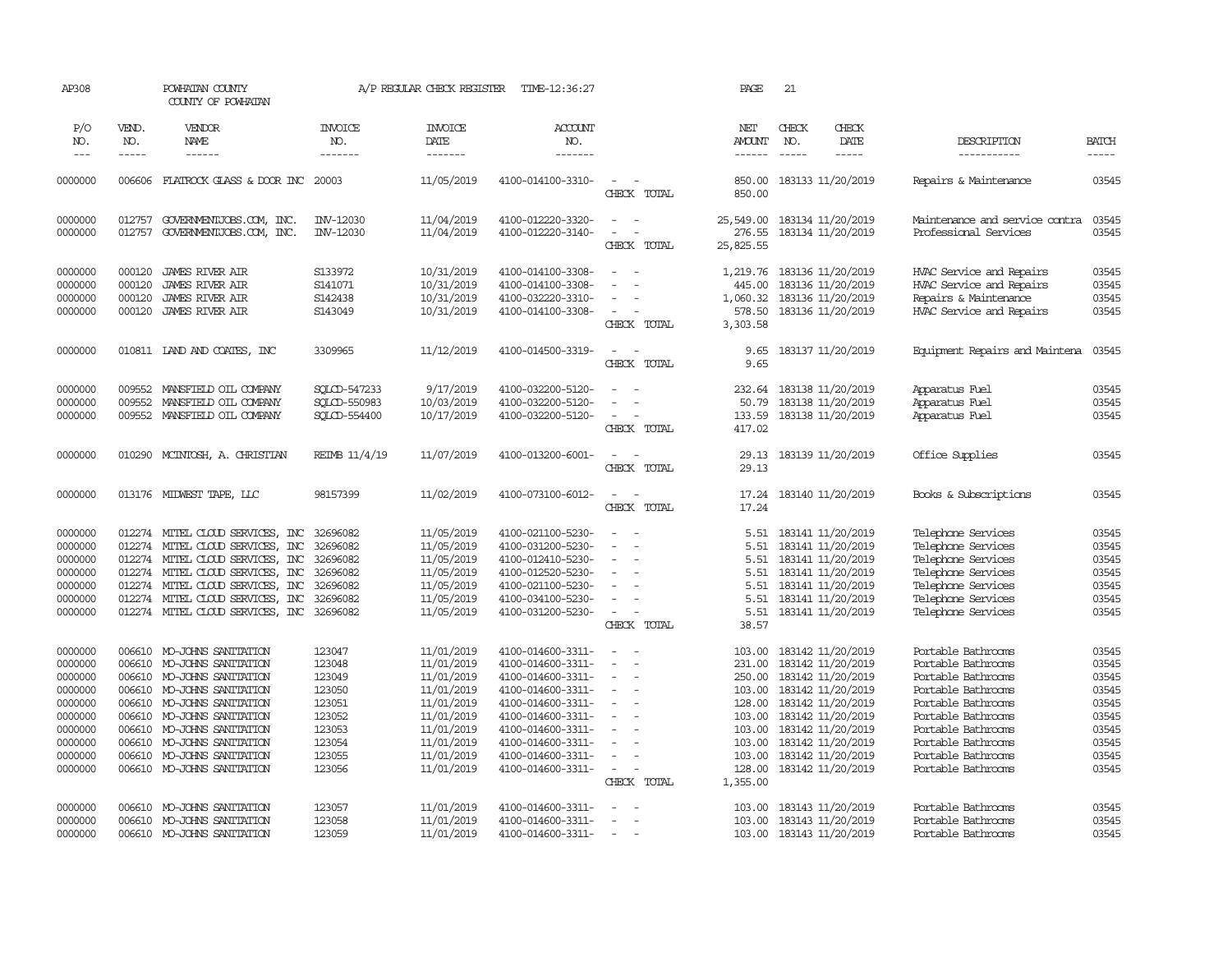| AP308               |                       | POWHATAN COUNTY<br>COUNTY OF POWHATAN                         |                                  | A/P REGULAR CHECK REGISTER         | TIME-12:36:27                            |                                         | PAGE                                  | 21                            |                                             |                                          |                             |
|---------------------|-----------------------|---------------------------------------------------------------|----------------------------------|------------------------------------|------------------------------------------|-----------------------------------------|---------------------------------------|-------------------------------|---------------------------------------------|------------------------------------------|-----------------------------|
| P/O<br>NO.<br>$---$ | VEND.<br>NO.<br>----- | VENDOR<br>NAME<br>$- - - - - -$                               | <b>INVOICE</b><br>NO.<br>------- | <b>INVOICE</b><br>DATE<br>-------- | <b>ACCOUNT</b><br>NO.<br>$- - - - - - -$ |                                         | NET<br><b>AMOUNT</b><br>$- - - - - -$ | CHECK<br>NO.<br>$\frac{1}{2}$ | CHECK<br>DATE<br>$- - - - -$                | DESCRIPTION<br>-----------               | <b>BATCH</b><br>$- - - - -$ |
|                     |                       |                                                               |                                  |                                    |                                          |                                         |                                       |                               |                                             |                                          |                             |
| 0000000             | 006606                | FLATROCK GLASS & DOOR INC 20003                               |                                  | 11/05/2019                         | 4100-014100-3310-                        | $\overline{\phantom{a}}$<br>CHECK TOTAL | 850.00<br>850.00                      |                               | 183133 11/20/2019                           | Repairs & Maintenance                    | 03545                       |
| 0000000             | 012757                | GOVERNMENTJOBS.COM, INC.                                      | INV-12030                        | 11/04/2019                         | 4100-012220-3320-                        | $\sim$<br>$\sim$                        | 25,549.00 183134 11/20/2019           |                               |                                             | Maintenance and service contra           | 03545                       |
| 0000000             | 012757                | GOVERNMENTJOBS.COM, INC.                                      | INV-12030                        | 11/04/2019                         | 4100-012220-3140-                        | $\equiv$<br>CHECK TOTAL                 | 276.55<br>25,825.55                   |                               | 183134 11/20/2019                           | Professional Services                    | 03545                       |
| 0000000             | 000120                | <b>JAMES RIVER AIR</b>                                        | S133972                          | 10/31/2019                         | 4100-014100-3308-                        | $\equiv$                                | 1,219.76                              |                               | 183136 11/20/2019                           | HVAC Service and Repairs                 | 03545                       |
| 0000000             | 000120                | <b>JAMES RIVER AIR</b>                                        | S141071                          | 10/31/2019                         | 4100-014100-3308-                        |                                         | 445.00                                |                               | 183136 11/20/2019                           | HVAC Service and Repairs                 | 03545                       |
| 0000000             | 000120                | <b>JAMES RIVER AIR</b>                                        | S142438                          | 10/31/2019                         | 4100-032220-3310-                        |                                         | 1,060.32                              |                               | 183136 11/20/2019                           | Repairs & Maintenance                    | 03545                       |
| 0000000             | 000120                | <b>JAMES RIVER AIR</b>                                        | S143049                          | 10/31/2019                         | 4100-014100-3308-                        | $\sim$                                  | 578.50                                |                               | 183136 11/20/2019                           | HVAC Service and Repairs                 | 03545                       |
|                     |                       |                                                               |                                  |                                    |                                          | CHECK TOTAL                             | 3,303.58                              |                               |                                             |                                          |                             |
| 0000000             |                       | 010811 IAND AND COATES, INC                                   | 3309965                          | 11/12/2019                         | 4100-014500-3319-                        | $\sim$                                  | 9.65                                  |                               | 183137 11/20/2019                           | Equipment Repairs and Maintena           | 03545                       |
|                     |                       |                                                               |                                  |                                    |                                          | CHECK TOTAL                             | 9.65                                  |                               |                                             |                                          |                             |
| 0000000             | 009552                | MANSFIELD OIL COMPANY                                         | SQLCD-547233                     | 9/17/2019                          | 4100-032200-5120-                        |                                         | 232.64                                |                               | 183138 11/20/2019                           | Apparatus Fuel                           | 03545                       |
| 0000000             | 009552                | MANSFIELD OIL COMPANY                                         | SOLCD-550983                     | 10/03/2019                         | 4100-032200-5120-                        | $\blacksquare$                          | 50.79                                 |                               | 183138 11/20/2019                           | Apparatus Fuel                           | 03545                       |
| 0000000             | 009552                | MANSFIELD OIL COMPANY                                         | SOLCD-554400                     | 10/17/2019                         | 4100-032200-5120-                        | $\sim$                                  | 133.59                                |                               | 183138 11/20/2019                           | Apparatus Fuel                           | 03545                       |
|                     |                       |                                                               |                                  |                                    |                                          | CHECK TOTAL                             | 417.02                                |                               |                                             |                                          |                             |
| 0000000             | 010290                | MCINTOSH, A. CHRISTIAN                                        | REIMB 11/4/19                    | 11/07/2019                         | 4100-013200-6001-                        | $\sim$<br>$\sim$                        | 29.13                                 |                               | 183139 11/20/2019                           | Office Supplies                          | 03545                       |
|                     |                       |                                                               |                                  |                                    |                                          | CHECK TOTAL                             | 29.13                                 |                               |                                             |                                          |                             |
| 0000000             |                       | 013176 MIDWEST TAPE, LLC                                      | 98157399                         | 11/02/2019                         | 4100-073100-6012-                        | $\overline{\phantom{a}}$<br>$\sim$      | 17.24                                 |                               | 183140 11/20/2019                           | Books & Subscriptions                    | 03545                       |
|                     |                       |                                                               |                                  |                                    |                                          | CHECK TOTAL                             | 17.24                                 |                               |                                             |                                          |                             |
| 0000000             |                       | 012274 MITEL CLOUD SERVICES, INC                              | 32696082                         | 11/05/2019                         | 4100-021100-5230-                        | $\equiv$<br>$\sim$                      | 5.51                                  |                               | 183141 11/20/2019                           | Telephone Services                       | 03545                       |
| 0000000             | 012274                | MITEL CLOUD SERVICES, INC                                     | 32696082                         | 11/05/2019                         | 4100-031200-5230-                        | $\sim$                                  | 5.51                                  |                               | 183141 11/20/2019                           | Telephone Services                       | 03545                       |
| 0000000             | 012274                | MITEL CLOUD SERVICES, INC                                     | 32696082                         | 11/05/2019                         | 4100-012410-5230-                        | $\sim$                                  | 5.51                                  |                               | 183141 11/20/2019                           | Telephone Services                       | 03545                       |
| 0000000             | 012274                | MITEL CLOUD SERVICES, INC                                     | 32696082                         | 11/05/2019                         | 4100-012520-5230-                        |                                         | 5.51                                  |                               | 183141 11/20/2019                           | Telephone Services                       | 03545                       |
| 0000000             | 012274                | MITEL CLOUD SERVICES, INC                                     | 32696082                         | 11/05/2019                         | 4100-021100-5230-                        | $\equiv$                                | 5.51                                  |                               | 183141 11/20/2019                           | Telephone Services                       | 03545                       |
| 0000000<br>0000000  | 012274                | MITEL CLOUD SERVICES, INC<br>012274 MITEL CLOUD SERVICES, INC | 32696082<br>32696082             | 11/05/2019<br>11/05/2019           | 4100-034100-5230-<br>4100-031200-5230-   | $\equiv$<br>$\sim$                      | 5.51                                  |                               | 183141 11/20/2019<br>5.51 183141 11/20/2019 | Telephone Services<br>Telephone Services | 03545<br>03545              |
|                     |                       |                                                               |                                  |                                    |                                          | CHECK TOTAL                             | 38.57                                 |                               |                                             |                                          |                             |
|                     | 006610                | MO-JOHNS SANITATION                                           | 123047                           | 11/01/2019                         | 4100-014600-3311-                        | $\equiv$                                | 103.00                                |                               | 183142 11/20/2019                           | Portable Bathrooms                       | 03545                       |
| 0000000<br>0000000  | 006610                | MO-JOHNS SANITATION                                           | 123048                           | 11/01/2019                         | 4100-014600-3311-                        | $\sim$<br>$\sim$                        | 231.00                                |                               | 183142 11/20/2019                           | Portable Bathrooms                       | 03545                       |
| 0000000             | 006610                | MO-JOHNS SANITATION                                           | 123049                           | 11/01/2019                         | 4100-014600-3311-                        | $\equiv$                                | 250.00                                |                               | 183142 11/20/2019                           | Portable Bathrooms                       | 03545                       |
| 0000000             | 006610                | MO-JOHNS SANITATION                                           | 123050                           | 11/01/2019                         | 4100-014600-3311-                        | $\equiv$                                | 103.00                                |                               | 183142 11/20/2019                           | Portable Bathrooms                       | 03545                       |
| 0000000             | 006610                | MO-JOHNS SANITATION                                           | 123051                           | 11/01/2019                         | 4100-014600-3311-                        | $\equiv$                                | 128.00                                |                               | 183142 11/20/2019                           | Portable Bathrooms                       | 03545                       |
| 0000000             | 006610                | MO-JOHNS SANITATION                                           | 123052                           | 11/01/2019                         | 4100-014600-3311-                        | $\overline{\phantom{a}}$                | 103.00                                |                               | 183142 11/20/2019                           | Portable Bathrooms                       | 03545                       |
| 0000000             | 006610                | MO-JOHNS SANITATION                                           | 123053                           | 11/01/2019                         | 4100-014600-3311-                        |                                         | 103.00                                |                               | 183142 11/20/2019                           | Portable Bathrooms                       | 03545                       |
| 0000000             | 006610                | MO-JOHNS SANITATION                                           | 123054                           | 11/01/2019                         | 4100-014600-3311-                        |                                         | 103.00                                |                               | 183142 11/20/2019                           | Portable Bathrooms                       | 03545                       |
| 0000000             | 006610                | MO-JOHNS SANITATION                                           | 123055                           | 11/01/2019                         | 4100-014600-3311-                        | $\sim$                                  |                                       |                               | 103.00 183142 11/20/2019                    | Portable Bathrooms                       | 03545                       |
| 0000000             | 006610                | MO-JOHNS SANITATION                                           | 123056                           | 11/01/2019                         | 4100-014600-3311-                        | $\sim$                                  | 128.00                                |                               | 183142 11/20/2019                           | Portable Bathrooms                       | 03545                       |
|                     |                       |                                                               |                                  |                                    |                                          | CHECK TOTAL                             | 1,355.00                              |                               |                                             |                                          |                             |
| 0000000             | 006610                | MO-JOHNS SANITATION                                           | 123057                           | 11/01/2019                         | 4100-014600-3311-                        |                                         | 103.00                                |                               | 183143 11/20/2019                           | Portable Bathrooms                       | 03545                       |
| 0000000             | 006610                | MO-JOHNS SANITATION                                           | 123058                           | 11/01/2019                         | 4100-014600-3311-                        | $\overline{\phantom{a}}$                |                                       |                               | 103.00 183143 11/20/2019                    | Portable Bathrooms                       | 03545                       |
| 0000000             |                       | 006610 MO-JOHNS SANITATION                                    | 123059                           | 11/01/2019                         | 4100-014600-3311-                        | $\equiv$                                |                                       |                               | 103.00 183143 11/20/2019                    | Portable Bathrooms                       | 03545                       |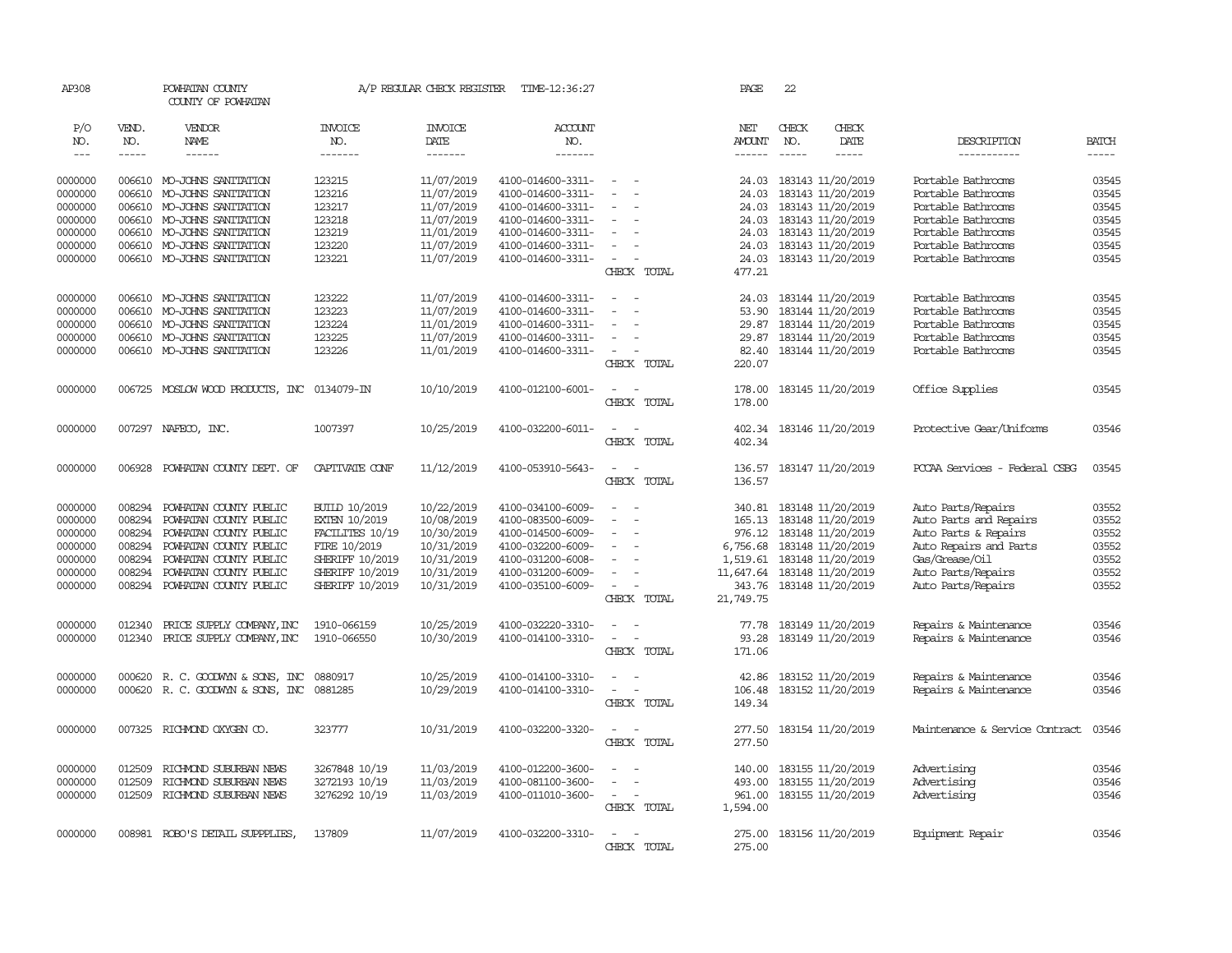| AP308               |              | POWHATAN COUNTY<br>COUNTY OF POWHATAN       |                       | A/P REGULAR CHECK REGISTER | TIME-12:36:27         |                                           | PAGE                 | 22           |                            |                                |              |
|---------------------|--------------|---------------------------------------------|-----------------------|----------------------------|-----------------------|-------------------------------------------|----------------------|--------------|----------------------------|--------------------------------|--------------|
| P/O<br>NO.          | VEND.<br>NO. | VENDOR<br>NAME                              | <b>INVOICE</b><br>NO. | <b>INVOICE</b><br>DATE     | <b>ACCOUNT</b><br>NO. |                                           | NET<br><b>AMOUNT</b> | CHECK<br>NO. | CHECK<br>DATE              | DESCRIPTION                    | <b>BATCH</b> |
| $\qquad \qquad - -$ | -----        | ------                                      | -------               | -------                    | -------               |                                           | ------               | $- - - - -$  | -----                      | -----------                    | $\cdots$     |
| 0000000             |              | 006610 MO-JOHNS SANITATION                  | 123215                | 11/07/2019                 | 4100-014600-3311-     | $\sim$                                    | 24.03                |              | 183143 11/20/2019          | Portable Bathrooms             | 03545        |
| 0000000             | 006610       | MO-JOHNS SANITATION                         | 123216                | 11/07/2019                 | 4100-014600-3311-     | $\blacksquare$                            | 24.03                |              | 183143 11/20/2019          | Portable Bathrooms             | 03545        |
| 0000000             |              | 006610 MO-JOHNS SANITATION                  | 123217                | 11/07/2019                 | 4100-014600-3311-     | $\equiv$                                  | 24.03                |              | 183143 11/20/2019          | Portable Bathrooms             | 03545        |
| 0000000             |              | 006610 MO-JOHNS SANITATION                  | 123218                | 11/07/2019                 | 4100-014600-3311-     |                                           | 24.03                |              | 183143 11/20/2019          | Portable Bathrooms             | 03545        |
| 0000000             |              | 006610 MO-JOHNS SANITATION                  | 123219                | 11/01/2019                 | 4100-014600-3311-     | $\sim$                                    | 24.03                |              | 183143 11/20/2019          | Portable Bathrooms             | 03545        |
| 0000000             |              | 006610 MO-JOHNS SANITATION                  | 123220                | 11/07/2019                 | 4100-014600-3311-     | $\sim$                                    | 24.03                |              | 183143 11/20/2019          | Portable Bathrooms             | 03545        |
| 0000000             |              | 006610 MO-JOHNS SANITATION                  | 123221                | 11/07/2019                 | 4100-014600-3311-     | $\sim$<br>$\sim$                          | 24.03                |              | 183143 11/20/2019          | Portable Bathrooms             | 03545        |
|                     |              |                                             |                       |                            |                       | CHECK TOTAL                               | 477.21               |              |                            |                                |              |
| 0000000             | 006610       | MO-JOHNS SANITATION                         | 123222                | 11/07/2019                 | 4100-014600-3311-     | $\sim$                                    | 24.03                |              | 183144 11/20/2019          | Portable Bathrooms             | 03545        |
| 0000000             | 006610       | MO-JOHNS SANITATION                         | 123223                | 11/07/2019                 | 4100-014600-3311-     |                                           | 53.90                |              | 183144 11/20/2019          | Portable Bathrooms             | 03545        |
| 0000000             |              | 006610 MO-JOHNS SANITATION                  | 123224                | 11/01/2019                 | 4100-014600-3311-     | $\equiv$                                  | 29.87                |              | 183144 11/20/2019          | Portable Bathrooms             | 03545        |
| 0000000             |              | 006610 MO-JOHNS SANITATION                  | 123225                | 11/07/2019                 | 4100-014600-3311-     | $\equiv$                                  | 29.87                |              | 183144 11/20/2019          | Portable Bathrooms             | 03545        |
| 0000000             |              | 006610 MO-JOHNS SANITATION                  | 123226                | 11/01/2019                 | 4100-014600-3311-     | $\sim$                                    | 82.40                |              | 183144 11/20/2019          | Portable Bathrooms             | 03545        |
|                     |              |                                             |                       |                            |                       | CHECK TOTAL                               | 220.07               |              |                            |                                |              |
| 0000000             |              | 006725 MOSLOW WOOD PRODUCTS, INC 0134079-IN |                       | 10/10/2019                 | 4100-012100-6001-     | $\sim$<br>$\sim$                          | 178.00               |              | 183145 11/20/2019          | Office Supplies                | 03545        |
|                     |              |                                             |                       |                            |                       | CHECK TOTAL                               | 178.00               |              |                            |                                |              |
| 0000000             |              | 007297 NAFECO, INC.                         | 1007397               | 10/25/2019                 | 4100-032200-6011-     | $\omega_{\rm{max}}$ , $\omega_{\rm{max}}$ | 402.34               |              | 183146 11/20/2019          | Protective Gear/Uniforms       | 03546        |
|                     |              |                                             |                       |                            |                       | CHECK TOTAL                               | 402.34               |              |                            |                                |              |
| 0000000             | 006928       | POWHATAN COUNTY DEPT. OF                    | CAPTIVATE CONF        | 11/12/2019                 | 4100-053910-5643-     | $\sim$ $-$<br>$\sim$                      |                      |              | 136.57 183147 11/20/2019   | PCCAA Services - Federal CSBG  | 03545        |
|                     |              |                                             |                       |                            |                       | CHECK TOTAL                               | 136.57               |              |                            |                                |              |
| 0000000             | 008294       | POWHATAN COUNTY PUBLIC                      | <b>BUILD 10/2019</b>  | 10/22/2019                 | 4100-034100-6009-     | $\sim$                                    |                      |              | 340.81 183148 11/20/2019   | Auto Parts/Repairs             | 03552        |
| 0000000             | 008294       | POWHATAN COUNTY PUBLIC                      | <b>EXTEN 10/2019</b>  | 10/08/2019                 | 4100-083500-6009-     | $\sim$                                    |                      |              | 165.13 183148 11/20/2019   | Auto Parts and Repairs         | 03552        |
| 0000000             | 008294       | POWHATAN COUNTY PUBLIC                      | FACILITES 10/19       | 10/30/2019                 | 4100-014500-6009-     | $\equiv$                                  |                      |              | 976.12 183148 11/20/2019   | Auto Parts & Repairs           | 03552        |
| 0000000             | 008294       | POWHATAN COUNTY PUBLIC                      | FIRE 10/2019          | 10/31/2019                 | 4100-032200-6009-     | $\equiv$                                  | 6,756.68             |              | 183148 11/20/2019          | Auto Repairs and Parts         | 03552        |
| 0000000             | 008294       | POWHATAN COUNTY PUBLIC                      | SHERIFF 10/2019       | 10/31/2019                 | 4100-031200-6008-     | $\equiv$                                  |                      |              | 1,519.61 183148 11/20/2019 | Gas/Grease/Oil                 | 03552        |
| 0000000             | 008294       | POWHATAN COUNTY PUBLIC                      | SHERIFF 10/2019       | 10/31/2019                 | 4100-031200-6009-     | $\equiv$                                  | 11,647.64            |              | 183148 11/20/2019          | Auto Parts/Repairs             | 03552        |
| 0000000             | 008294       | POWHATAN COUNTY PUBLIC                      | SHERIFF 10/2019       | 10/31/2019                 | 4100-035100-6009-     | $\sim$                                    | 343.76               |              | 183148 11/20/2019          | Auto Parts/Repairs             | 03552        |
|                     |              |                                             |                       |                            |                       | CHECK TOTAL                               | 21,749.75            |              |                            |                                |              |
| 0000000             | 012340       | PRICE SUPPLY COMPANY, INC                   | 1910-066159           | 10/25/2019                 | 4100-032220-3310-     | $\overline{\phantom{a}}$                  | 77.78                |              | 183149 11/20/2019          | Repairs & Maintenance          | 03546        |
| 0000000             | 012340       | PRICE SUPPLY COMPANY, INC                   | 1910-066550           | 10/30/2019                 | 4100-014100-3310-     | $\equiv$<br>$\sim$                        | 93.28                |              | 183149 11/20/2019          | Repairs & Maintenance          | 03546        |
|                     |              |                                             |                       |                            |                       | CHECK TOTAL                               | 171.06               |              |                            |                                |              |
| 0000000             | 000620       | R. C. GOODWIN & SONS, INC                   | 0880917               | 10/25/2019                 | 4100-014100-3310-     | $\overline{\phantom{a}}$                  | 42.86                |              | 183152 11/20/2019          | Repairs & Maintenance          | 03546        |
| 0000000             |              | 000620 R. C. GOODWIN & SONS, INC            | 0881285               | 10/29/2019                 | 4100-014100-3310-     | $\sim$<br>$\sim$                          | 106.48               |              | 183152 11/20/2019          | Repairs & Maintenance          | 03546        |
|                     |              |                                             |                       |                            |                       | CHECK TOTAL                               | 149.34               |              |                            |                                |              |
| 0000000             |              | 007325 RICHMOND OXYGEN CO.                  | 323777                | 10/31/2019                 | 4100-032200-3320-     | $\sim$                                    | 277.50               |              | 183154 11/20/2019          | Maintenance & Service Contract | 03546        |
|                     |              |                                             |                       |                            |                       | CHECK TOTAL                               | 277.50               |              |                            |                                |              |
| 0000000             | 012509       | RICHMOND SUBURBAN NEWS                      | 3267848 10/19         | 11/03/2019                 | 4100-012200-3600-     | $\sim$                                    | 140.00               |              | 183155 11/20/2019          | Advertising                    | 03546        |
| 0000000             | 012509       | RICHMOND SUBURBAN NEWS                      | 3272193 10/19         | 11/03/2019                 | 4100-081100-3600-     | $\equiv$                                  |                      |              | 493.00 183155 11/20/2019   | Advertising                    | 03546        |
| 0000000             | 012509       | RICHMOND SUBURBAN NEWS                      | 3276292 10/19         | 11/03/2019                 | 4100-011010-3600-     | $\sim$<br>$\sim$                          |                      |              | 961.00 183155 11/20/2019   | Advertising                    | 03546        |
|                     |              |                                             |                       |                            |                       | CHECK TOTAL                               | 1,594.00             |              |                            |                                |              |
| 0000000             |              | 008981 ROBO'S DETAIL SUPPPLIES,             | 137809                | 11/07/2019                 | 4100-032200-3310-     | $\overline{\phantom{a}}$<br>$\sim$        | 275.00               |              | 183156 11/20/2019          | Equipment Repair               | 03546        |
|                     |              |                                             |                       |                            |                       | CHECK TOTAL                               | 275.00               |              |                            |                                |              |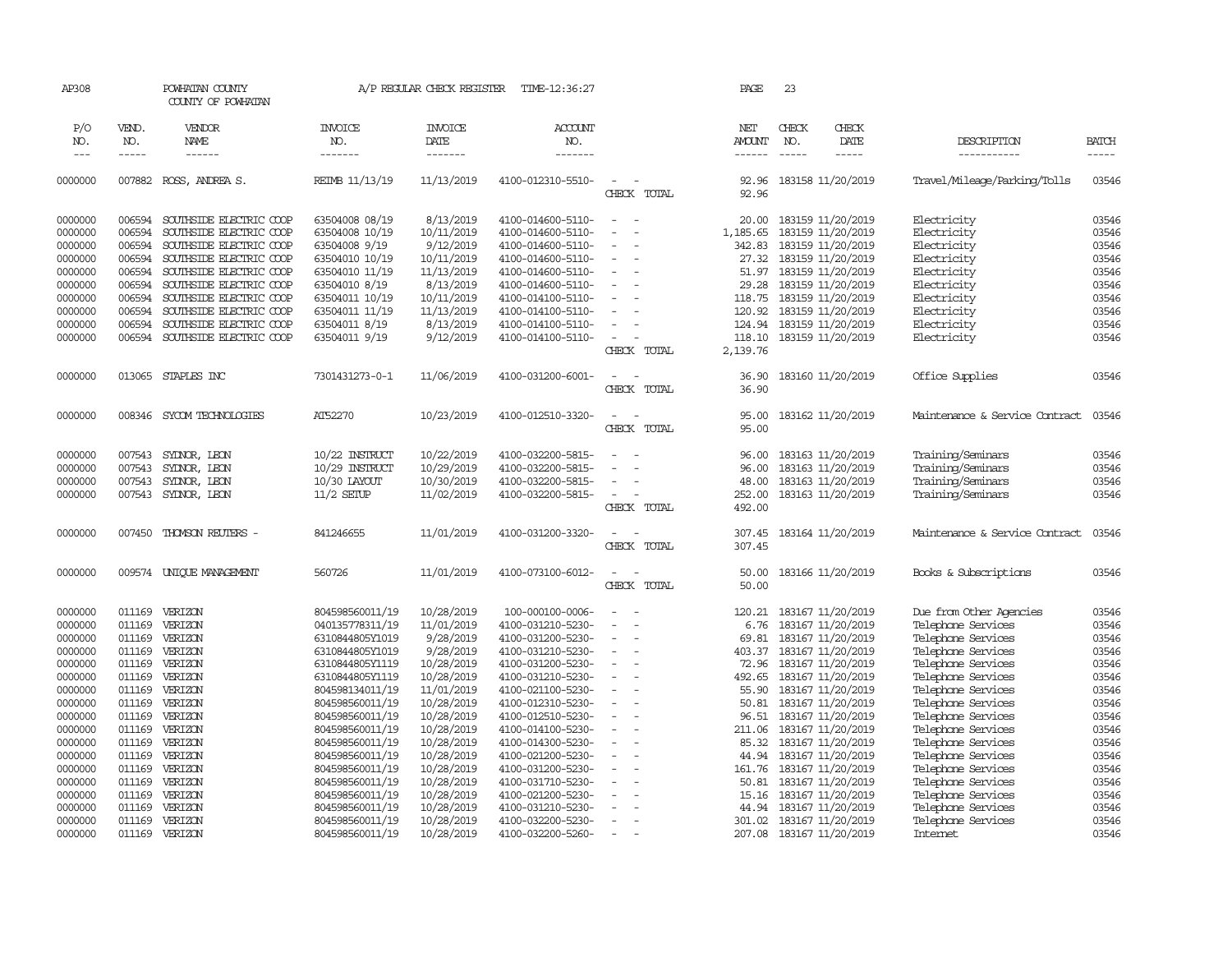| AP308                       |                             | POWHATAN COUNTY<br>COUNTY OF POWHATAN |                                  | A/P REGULAR CHECK REGISTER        | TIME-12:36:27             |                          | PAGE                           | 23                          |                          |                                |                                                                                                                                                                                                                                                                                                                                                                                                                                                                         |
|-----------------------------|-----------------------------|---------------------------------------|----------------------------------|-----------------------------------|---------------------------|--------------------------|--------------------------------|-----------------------------|--------------------------|--------------------------------|-------------------------------------------------------------------------------------------------------------------------------------------------------------------------------------------------------------------------------------------------------------------------------------------------------------------------------------------------------------------------------------------------------------------------------------------------------------------------|
| P/O<br>NO.<br>$\frac{1}{2}$ | VEND.<br>NO.<br>$- - - - -$ | VENDOR<br>NAME<br>------              | <b>INVOICE</b><br>NO.<br>------- | <b>INVOICE</b><br>DATE<br>------- | ACCOUNT<br>NO.<br>------- |                          | NET<br><b>AMOUNT</b><br>------ | CHECK<br>NO.<br>$- - - - -$ | CHECK<br>DATE<br>-----   | DESCRIPTION<br>-----------     | <b>BATCH</b><br>$\begin{tabular}{ccccc} \multicolumn{2}{c }{\multicolumn{2}{c }{\multicolumn{2}{c }{\multicolumn{2}{c}}{\hspace{-2.2cm}}}} \multicolumn{2}{c }{\multicolumn{2}{c }{\hspace{-2.2cm}}\hline} \multicolumn{2}{c }{\hspace{-2.2cm}}\hline \multicolumn{2}{c }{\hspace{-2.2cm}}\hline \multicolumn{2}{c }{\hspace{-2.2cm}}\hline \multicolumn{2}{c }{\hspace{-2.2cm}}\hline \multicolumn{2}{c }{\hspace{-2.2cm}}\hline \multicolumn{2}{c }{\hspace{-2.2cm}}$ |
|                             |                             |                                       |                                  |                                   |                           |                          |                                |                             |                          |                                |                                                                                                                                                                                                                                                                                                                                                                                                                                                                         |
| 0000000                     | 007882                      | ROSS, ANDREA S.                       | REIMB 11/13/19                   | 11/13/2019                        | 4100-012310-5510-         | $\equiv$<br>CHECK TOTAL  | 92.96<br>92.96                 |                             | 183158 11/20/2019        | Travel/Mileage/Parking/Tolls   | 03546                                                                                                                                                                                                                                                                                                                                                                                                                                                                   |
| 0000000                     | 006594                      | SOUTHSIDE ELECTRIC COOP               | 63504008 08/19                   | 8/13/2019                         | 4100-014600-5110-         | $\sim$<br>$\sim$         | 20.00                          |                             | 183159 11/20/2019        | Electricity                    | 03546                                                                                                                                                                                                                                                                                                                                                                                                                                                                   |
| 0000000                     | 006594                      | SOUTHSIDE ELECTRIC COOP               | 63504008 10/19                   | 10/11/2019                        | 4100-014600-5110-         | $\equiv$                 | 1,185.65                       |                             | 183159 11/20/2019        | Electricity                    | 03546                                                                                                                                                                                                                                                                                                                                                                                                                                                                   |
| 0000000                     | 006594                      | SOUTHSIDE ELECTRIC COOP               | 63504008 9/19                    | 9/12/2019                         | 4100-014600-5110-         |                          | 342.83                         |                             | 183159 11/20/2019        | Electricity                    | 03546                                                                                                                                                                                                                                                                                                                                                                                                                                                                   |
| 0000000                     | 006594                      | SOUTHSIDE ELECTRIC COOP               | 63504010 10/19                   | 10/11/2019                        | 4100-014600-5110-         | $\equiv$                 | 27.32                          |                             | 183159 11/20/2019        | Electricity                    | 03546                                                                                                                                                                                                                                                                                                                                                                                                                                                                   |
| 0000000                     | 006594                      | SOUTHSIDE ELECTRIC COOP               | 63504010 11/19                   | 11/13/2019                        | 4100-014600-5110-         | $\equiv$                 | 51.97                          |                             | 183159 11/20/2019        | Electricity                    | 03546                                                                                                                                                                                                                                                                                                                                                                                                                                                                   |
| 0000000                     | 006594                      | SOUTHSIDE ELECTRIC COOP               | 63504010 8/19                    | 8/13/2019                         | 4100-014600-5110-         | $\equiv$                 | 29.28                          |                             | 183159 11/20/2019        | Electricity                    | 03546                                                                                                                                                                                                                                                                                                                                                                                                                                                                   |
| 0000000                     | 006594                      | SOUTHSIDE ELECTRIC COOP               | 63504011 10/19                   | 10/11/2019                        | 4100-014100-5110-         |                          | 118.75                         |                             | 183159 11/20/2019        | Electricity                    | 03546                                                                                                                                                                                                                                                                                                                                                                                                                                                                   |
| 0000000                     | 006594                      | SOUTHSIDE ELECTRIC COOP               | 63504011 11/19                   | 11/13/2019                        | 4100-014100-5110-         |                          | 120.92                         |                             | 183159 11/20/2019        | Electricity                    | 03546                                                                                                                                                                                                                                                                                                                                                                                                                                                                   |
| 0000000                     | 006594                      | SOUTHSIDE ELECTRIC COOP               | 63504011 8/19                    | 8/13/2019                         | 4100-014100-5110-         | $\equiv$                 | 124.94                         |                             | 183159 11/20/2019        | Electricity                    | 03546                                                                                                                                                                                                                                                                                                                                                                                                                                                                   |
| 0000000                     | 006594                      | SOUTHSIDE ELECTRIC COOP               | 63504011 9/19                    | 9/12/2019                         | 4100-014100-5110-         | $\equiv$                 | 118.10                         |                             | 183159 11/20/2019        | Electricity                    | 03546                                                                                                                                                                                                                                                                                                                                                                                                                                                                   |
|                             |                             |                                       |                                  |                                   |                           | CHECK TOTAL              | 2,139.76                       |                             |                          |                                |                                                                                                                                                                                                                                                                                                                                                                                                                                                                         |
| 0000000                     | 013065                      | STAPLES INC                           | 7301431273-0-1                   | 11/06/2019                        | 4100-031200-6001-         | $\sim$<br>$\sim$         | 36.90                          |                             | 183160 11/20/2019        | Office Supplies                | 03546                                                                                                                                                                                                                                                                                                                                                                                                                                                                   |
|                             |                             |                                       |                                  |                                   |                           | CHECK TOTAL              | 36.90                          |                             |                          |                                |                                                                                                                                                                                                                                                                                                                                                                                                                                                                         |
| 0000000                     | 008346                      | SYCOM TECHNOLOGIES                    | AT52270                          | 10/23/2019                        | 4100-012510-3320-         | $\sim$                   | 95.00                          |                             | 183162 11/20/2019        | Maintenance & Service Contract | 03546                                                                                                                                                                                                                                                                                                                                                                                                                                                                   |
|                             |                             |                                       |                                  |                                   |                           | CHECK TOTAL              | 95.00                          |                             |                          |                                |                                                                                                                                                                                                                                                                                                                                                                                                                                                                         |
| 0000000                     | 007543                      | SYDNOR, LEON                          | 10/22 INSTRUCT                   | 10/22/2019                        | 4100-032200-5815-         | $\equiv$                 | 96.00                          |                             | 183163 11/20/2019        | Training/Seminars              | 03546                                                                                                                                                                                                                                                                                                                                                                                                                                                                   |
| 0000000                     | 007543                      | SYDNOR, LEON                          | 10/29 INSTRUCT                   | 10/29/2019                        | 4100-032200-5815-         |                          | 96.00                          |                             | 183163 11/20/2019        | Training/Seminars              | 03546                                                                                                                                                                                                                                                                                                                                                                                                                                                                   |
| 0000000                     | 007543                      | SYDNOR, LEON                          | 10/30 LAYOUT                     | 10/30/2019                        | 4100-032200-5815-         |                          | 48.00                          |                             | 183163 11/20/2019        | Training/Seminars              | 03546                                                                                                                                                                                                                                                                                                                                                                                                                                                                   |
| 0000000                     | 007543                      | SYDNOR, LEON                          | $11/2$ SETUP                     | 11/02/2019                        | 4100-032200-5815-         | $\overline{\phantom{a}}$ | 252.00                         |                             | 183163 11/20/2019        | Training/Seminars              | 03546                                                                                                                                                                                                                                                                                                                                                                                                                                                                   |
|                             |                             |                                       |                                  |                                   |                           | CHECK TOTAL              | 492.00                         |                             |                          |                                |                                                                                                                                                                                                                                                                                                                                                                                                                                                                         |
| 0000000                     | 007450                      | THOMSON REUTERS -                     | 841246655                        | 11/01/2019                        | 4100-031200-3320-         | $\sim$                   | 307.45                         |                             | 183164 11/20/2019        | Maintenance & Service Contract | 03546                                                                                                                                                                                                                                                                                                                                                                                                                                                                   |
|                             |                             |                                       |                                  |                                   |                           | CHECK TOTAL              | 307.45                         |                             |                          |                                |                                                                                                                                                                                                                                                                                                                                                                                                                                                                         |
| 0000000                     |                             | 009574 UNIOUE MANAGEMENT              | 560726                           | 11/01/2019                        | 4100-073100-6012-         | $\equiv$                 | 50.00                          |                             | 183166 11/20/2019        | Books & Subscriptions          | 03546                                                                                                                                                                                                                                                                                                                                                                                                                                                                   |
|                             |                             |                                       |                                  |                                   |                           | CHECK TOTAL              | 50.00                          |                             |                          |                                |                                                                                                                                                                                                                                                                                                                                                                                                                                                                         |
| 0000000                     | 011169                      | VERIZON                               | 804598560011/19                  | 10/28/2019                        | 100-000100-0006-          |                          | 120.21                         |                             | 183167 11/20/2019        | Due from Other Agencies        | 03546                                                                                                                                                                                                                                                                                                                                                                                                                                                                   |
| 0000000                     | 011169                      | VERIZON                               | 040135778311/19                  | 11/01/2019                        | 4100-031210-5230-         | $\equiv$<br>$\sim$       | 6.76                           |                             | 183167 11/20/2019        | Telephone Services             | 03546                                                                                                                                                                                                                                                                                                                                                                                                                                                                   |
| 0000000                     | 011169                      | VERIZON                               | 6310844805Y1019                  | 9/28/2019                         | 4100-031200-5230-         | $\equiv$                 | 69.81                          |                             | 183167 11/20/2019        | Telephone Services             | 03546                                                                                                                                                                                                                                                                                                                                                                                                                                                                   |
| 0000000                     | 011169                      | VERIZON                               | 6310844805Y1019                  | 9/28/2019                         | 4100-031210-5230-         |                          | 403.37                         |                             | 183167 11/20/2019        | Telephone Services             | 03546                                                                                                                                                                                                                                                                                                                                                                                                                                                                   |
| 0000000                     | 011169                      | VERIZON                               | 6310844805Y1119                  | 10/28/2019                        | 4100-031200-5230-         | $\equiv$                 | 72.96                          |                             | 183167 11/20/2019        | Telephone Services             | 03546                                                                                                                                                                                                                                                                                                                                                                                                                                                                   |
| 0000000                     | 011169                      | VERIZON                               | 6310844805Y1119                  | 10/28/2019                        | 4100-031210-5230-         | $\sim$                   | 492.65                         |                             | 183167 11/20/2019        | Telephone Services             | 03546                                                                                                                                                                                                                                                                                                                                                                                                                                                                   |
| 0000000                     | 011169                      | VERIZON                               | 804598134011/19                  | 11/01/2019                        | 4100-021100-5230-         | $\equiv$                 | 55.90                          |                             | 183167 11/20/2019        | Telephone Services             | 03546                                                                                                                                                                                                                                                                                                                                                                                                                                                                   |
| 0000000                     | 011169                      | VERIZON                               | 804598560011/19                  | 10/28/2019                        | 4100-012310-5230-         | $\equiv$                 | 50.81                          |                             | 183167 11/20/2019        | Telephone Services             | 03546                                                                                                                                                                                                                                                                                                                                                                                                                                                                   |
| 0000000                     | 011169                      | VERIZON                               | 804598560011/19                  | 10/28/2019                        | 4100-012510-5230-         | $\equiv$                 | 96.51                          |                             | 183167 11/20/2019        | Telephone Services             | 03546                                                                                                                                                                                                                                                                                                                                                                                                                                                                   |
| 0000000                     | 011169                      | VERIZON                               | 804598560011/19                  | 10/28/2019                        | 4100-014100-5230-         | $\equiv$                 | 211.06                         |                             | 183167 11/20/2019        | Telephone Services             | 03546                                                                                                                                                                                                                                                                                                                                                                                                                                                                   |
| 0000000                     | 011169                      | VERIZON                               | 804598560011/19                  | 10/28/2019                        | 4100-014300-5230-         |                          | 85.32                          |                             | 183167 11/20/2019        | Telephone Services             | 03546                                                                                                                                                                                                                                                                                                                                                                                                                                                                   |
| 0000000                     | 011169                      | VERIZON                               | 804598560011/19                  | 10/28/2019                        | 4100-021200-5230-         | $\sim$                   | 44.94                          |                             | 183167 11/20/2019        | Telephone Services             | 03546                                                                                                                                                                                                                                                                                                                                                                                                                                                                   |
| 0000000                     | 011169                      | VERIZON                               | 804598560011/19                  | 10/28/2019                        | 4100-031200-5230-         | $\equiv$                 | 161.76                         |                             | 183167 11/20/2019        | Telephone Services             | 03546                                                                                                                                                                                                                                                                                                                                                                                                                                                                   |
| 0000000                     | 011169                      | VERIZON                               | 804598560011/19                  | 10/28/2019                        | 4100-031710-5230-         |                          | 50.81                          |                             | 183167 11/20/2019        | Telephone Services             | 03546                                                                                                                                                                                                                                                                                                                                                                                                                                                                   |
| 0000000                     | 011169                      | VERIZON                               | 804598560011/19                  | 10/28/2019                        | 4100-021200-5230-         |                          | 15.16                          |                             | 183167 11/20/2019        | Telephone Services             | 03546                                                                                                                                                                                                                                                                                                                                                                                                                                                                   |
| 0000000                     | 011169                      | VERIZON                               | 804598560011/19                  | 10/28/2019                        | 4100-031210-5230-         |                          | 44.94                          |                             | 183167 11/20/2019        | Telephone Services             | 03546                                                                                                                                                                                                                                                                                                                                                                                                                                                                   |
| 0000000                     | 011169                      | VERIZON                               | 804598560011/19                  | 10/28/2019                        | 4100-032200-5230-         | $\equiv$                 | 301.02                         |                             | 183167 11/20/2019        | Telephone Services             | 03546                                                                                                                                                                                                                                                                                                                                                                                                                                                                   |
| 0000000                     | 011169                      | VERIZON                               | 804598560011/19                  | 10/28/2019                        | 4100-032200-5260-         | $\equiv$                 |                                |                             | 207.08 183167 11/20/2019 | Internet                       | 03546                                                                                                                                                                                                                                                                                                                                                                                                                                                                   |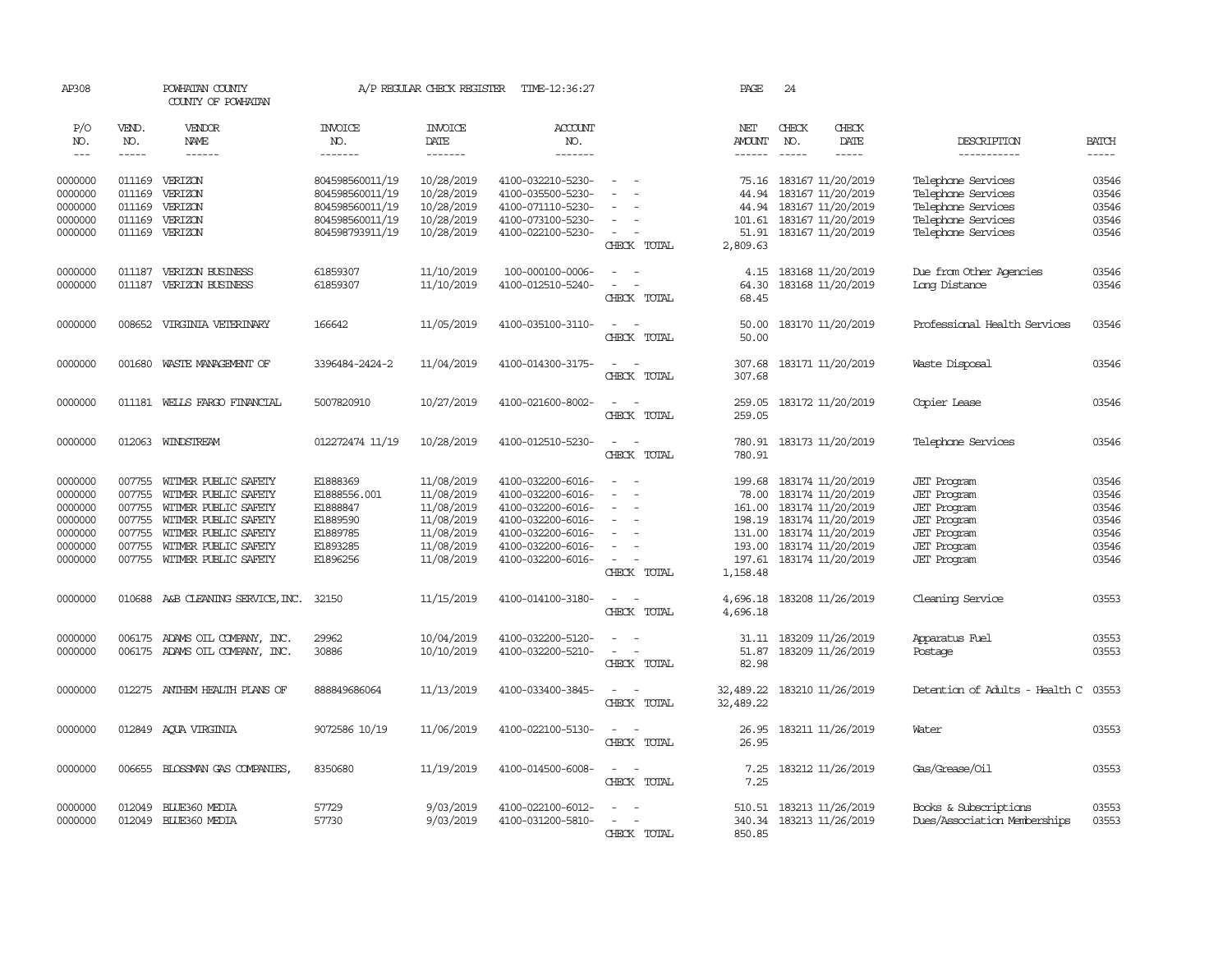| AP308                                                                     |                                                                    | POWHATAN COUNTY<br>COUNTY OF POWHATAN                                                                                                                                |                                                                                             | A/P REGULAR CHECK REGISTER                                                                     | TIME-12:36:27                                                                                                                                   |                                                                                                         | PAGE                                                                          | 24                                                                                                                                              |                                                                                                                                          |                                                             |
|---------------------------------------------------------------------------|--------------------------------------------------------------------|----------------------------------------------------------------------------------------------------------------------------------------------------------------------|---------------------------------------------------------------------------------------------|------------------------------------------------------------------------------------------------|-------------------------------------------------------------------------------------------------------------------------------------------------|---------------------------------------------------------------------------------------------------------|-------------------------------------------------------------------------------|-------------------------------------------------------------------------------------------------------------------------------------------------|------------------------------------------------------------------------------------------------------------------------------------------|-------------------------------------------------------------|
| P/O<br>NO.<br>$\qquad \qquad -$                                           | VEND.<br>NO.<br>-----                                              | VENDOR<br>NAME<br>$- - - - - -$                                                                                                                                      | <b>INVOICE</b><br>NO.<br>-------                                                            | <b>INVOICE</b><br>DATE<br>--------                                                             | ACCOUNT<br>NO.<br>--------                                                                                                                      |                                                                                                         | NET<br>AMOUNT<br>$- - - - - -$                                                | CHECK<br>CHECK<br>NO.<br>DATE<br>$\frac{1}{2}$<br>-----                                                                                         | DESCRIPTION<br>-----------                                                                                                               | <b>BATCH</b><br>$- - - - -$                                 |
| 0000000<br>0000000<br>0000000<br>0000000<br>0000000                       | 011169<br>011169<br>011169<br>011169<br>011169                     | <b>VERTZON</b><br>VERIZON<br>VERIZON<br>VERIZON<br>VERIZON                                                                                                           | 804598560011/19<br>804598560011/19<br>804598560011/19<br>804598560011/19<br>804598793911/19 | 10/28/2019<br>10/28/2019<br>10/28/2019<br>10/28/2019<br>10/28/2019                             | 4100-032210-5230-<br>4100-035500-5230-<br>4100-071110-5230-<br>4100-073100-5230-<br>4100-022100-5230-                                           | $\sim$<br>$\sim$<br>$\sim$<br>CHECK TOTAL                                                               | 75.16<br>44.94<br>44.94<br>101.61<br>51.91<br>2,809.63                        | 183167 11/20/2019<br>183167 11/20/2019<br>183167 11/20/2019<br>183167 11/20/2019<br>183167 11/20/2019                                           | Telephone Services<br>Telephone Services<br>Telephone Services<br>Telephone Services<br>Telephone Services                               | 03546<br>03546<br>03546<br>03546<br>03546                   |
| 0000000<br>0000000                                                        | 011187<br>011187                                                   | VERIZON BUSINESS<br>VERIZON BUSINESS                                                                                                                                 | 61859307<br>61859307                                                                        | 11/10/2019<br>11/10/2019                                                                       | 100-000100-0006-<br>4100-012510-5240-                                                                                                           | $\equiv$<br>$\overline{\phantom{a}}$<br>CHECK TOTAL                                                     | 4.15<br>64.30<br>68.45                                                        | 183168 11/20/2019<br>183168 11/20/2019                                                                                                          | Due from Other Agencies<br>Long Distance                                                                                                 | 03546<br>03546                                              |
| 0000000                                                                   | 008652                                                             | VIRGINIA VEIERINARY                                                                                                                                                  | 166642                                                                                      | 11/05/2019                                                                                     | 4100-035100-3110-                                                                                                                               | $\sim$<br>$\sim$<br>CHECK TOTAL                                                                         | 50.00<br>50.00                                                                | 183170 11/20/2019                                                                                                                               | Professional Health Services                                                                                                             | 03546                                                       |
| 0000000                                                                   | 001680                                                             | WASTE MANAGEMENT OF                                                                                                                                                  | 3396484-2424-2                                                                              | 11/04/2019                                                                                     | 4100-014300-3175-                                                                                                                               | $\overline{\phantom{a}}$<br>$\sim$<br>CHECK TOTAL                                                       | 307.68<br>307.68                                                              | 183171 11/20/2019                                                                                                                               | Waste Disposal                                                                                                                           | 03546                                                       |
| 0000000                                                                   |                                                                    | 011181 WELLS FARGO FINANCIAL                                                                                                                                         | 5007820910                                                                                  | 10/27/2019                                                                                     | 4100-021600-8002-                                                                                                                               | $\sim$<br>$\sim$<br>CHECK TOTAL                                                                         | 259.05<br>259.05                                                              | 183172 11/20/2019                                                                                                                               | Copier Lease                                                                                                                             | 03546                                                       |
| 0000000                                                                   |                                                                    | 012063 WINDSTREAM                                                                                                                                                    | 012272474 11/19                                                                             | 10/28/2019                                                                                     | 4100-012510-5230-                                                                                                                               | $\sim$<br>$\sim$<br>CHECK TOTAL                                                                         | 780.91                                                                        | 780.91 183173 11/20/2019                                                                                                                        | Telephone Services                                                                                                                       | 03546                                                       |
| 0000000<br>0000000<br>0000000<br>0000000<br>0000000<br>0000000<br>0000000 | 007755<br>007755<br>007755<br>007755<br>007755<br>007755<br>007755 | WITMER PUBLIC SAFETY<br>WITMER PUBLIC SAFETY<br>WITMER PUBLIC SAFETY<br>WITMER PUBLIC SAFETY<br>WITMER PUBLIC SAFETY<br>WITMER PUBLIC SAFETY<br>WITMER PUBLIC SAFETY | E1888369<br>E1888556.001<br>E1888847<br>E1889590<br>E1889785<br>E1893285<br>E1896256        | 11/08/2019<br>11/08/2019<br>11/08/2019<br>11/08/2019<br>11/08/2019<br>11/08/2019<br>11/08/2019 | 4100-032200-6016-<br>4100-032200-6016-<br>4100-032200-6016-<br>4100-032200-6016-<br>4100-032200-6016-<br>4100-032200-6016-<br>4100-032200-6016- | $\overline{\phantom{a}}$<br>$\equiv$<br>$\sim$<br>$\equiv$<br>$\sim$<br>$\sim$<br>$\sim$<br>CHECK TOTAL | 199.68<br>78.00<br>161.00<br>198.19<br>131.00<br>193.00<br>197.61<br>1,158.48 | 183174 11/20/2019<br>183174 11/20/2019<br>183174 11/20/2019<br>183174 11/20/2019<br>183174 11/20/2019<br>183174 11/20/2019<br>183174 11/20/2019 | <b>JET</b> Program<br>JET Program<br>JET Program<br><b>JET</b> Program<br><b>JET</b> Program<br><b>JET</b> Program<br><b>JET</b> Program | 03546<br>03546<br>03546<br>03546<br>03546<br>03546<br>03546 |
| 0000000                                                                   |                                                                    | 010688 A&B CLEANING SERVICE, INC.                                                                                                                                    | 32150                                                                                       | 11/15/2019                                                                                     | 4100-014100-3180-                                                                                                                               | $\sim$<br>$\sim$<br>CHECK TOTAL                                                                         | 4,696.18<br>4,696.18                                                          | 183208 11/26/2019                                                                                                                               | Cleaning Service                                                                                                                         | 03553                                                       |
| 0000000<br>0000000                                                        | 006175                                                             | 006175 ADAMS OIL COMPANY, INC.<br>ADAMS OIL COMPANY, INC.                                                                                                            | 29962<br>30886                                                                              | 10/04/2019<br>10/10/2019                                                                       | 4100-032200-5120-<br>4100-032200-5210-                                                                                                          | $\sim$<br>$\overline{\phantom{a}}$<br>CHECK TOTAL                                                       | 31.11<br>51.87<br>82.98                                                       | 183209 11/26/2019<br>183209 11/26/2019                                                                                                          | Apparatus Fuel<br>Postage                                                                                                                | 03553<br>03553                                              |
| 0000000                                                                   |                                                                    | 012275 ANTHEM HEALTH PLANS OF                                                                                                                                        | 888849686064                                                                                | 11/13/2019                                                                                     | 4100-033400-3845-                                                                                                                               | $\overline{\phantom{a}}$<br>$\sim$<br>CHECK TOTAL                                                       | 32,489.22<br>32,489.22                                                        | 183210 11/26/2019                                                                                                                               | Detention of Adults - Health C                                                                                                           | 03553                                                       |
| 0000000                                                                   |                                                                    | 012849 AQUA VIRGINIA                                                                                                                                                 | 9072586 10/19                                                                               | 11/06/2019                                                                                     | 4100-022100-5130-                                                                                                                               | $\omega_{\rm{max}}$ and $\omega_{\rm{max}}$<br>CHECK TOTAL                                              | 26.95<br>26.95                                                                | 183211 11/26/2019                                                                                                                               | Water                                                                                                                                    | 03553                                                       |
| 0000000                                                                   | 006655                                                             | BLOSSMAN GAS COMPANIES,                                                                                                                                              | 8350680                                                                                     | 11/19/2019                                                                                     | 4100-014500-6008-                                                                                                                               | $\overline{\phantom{a}}$<br>$\sim$<br>CHECK TOTAL                                                       | 7.25<br>7.25                                                                  | 183212 11/26/2019                                                                                                                               | Gas/Grease/Oil                                                                                                                           | 03553                                                       |
| 0000000<br>0000000                                                        | 012049<br>012049                                                   | BIJE360 MEDIA<br>BIJE360 MEDIA                                                                                                                                       | 57729<br>57730                                                                              | 9/03/2019<br>9/03/2019                                                                         | 4100-022100-6012-<br>4100-031200-5810-                                                                                                          | $\sim$<br>$\sim$<br>CHECK TOTAL                                                                         | 510.51<br>340.34<br>850.85                                                    | 183213 11/26/2019<br>183213 11/26/2019                                                                                                          | Books & Subscriptions<br>Dues/Association Memberships                                                                                    | 03553<br>03553                                              |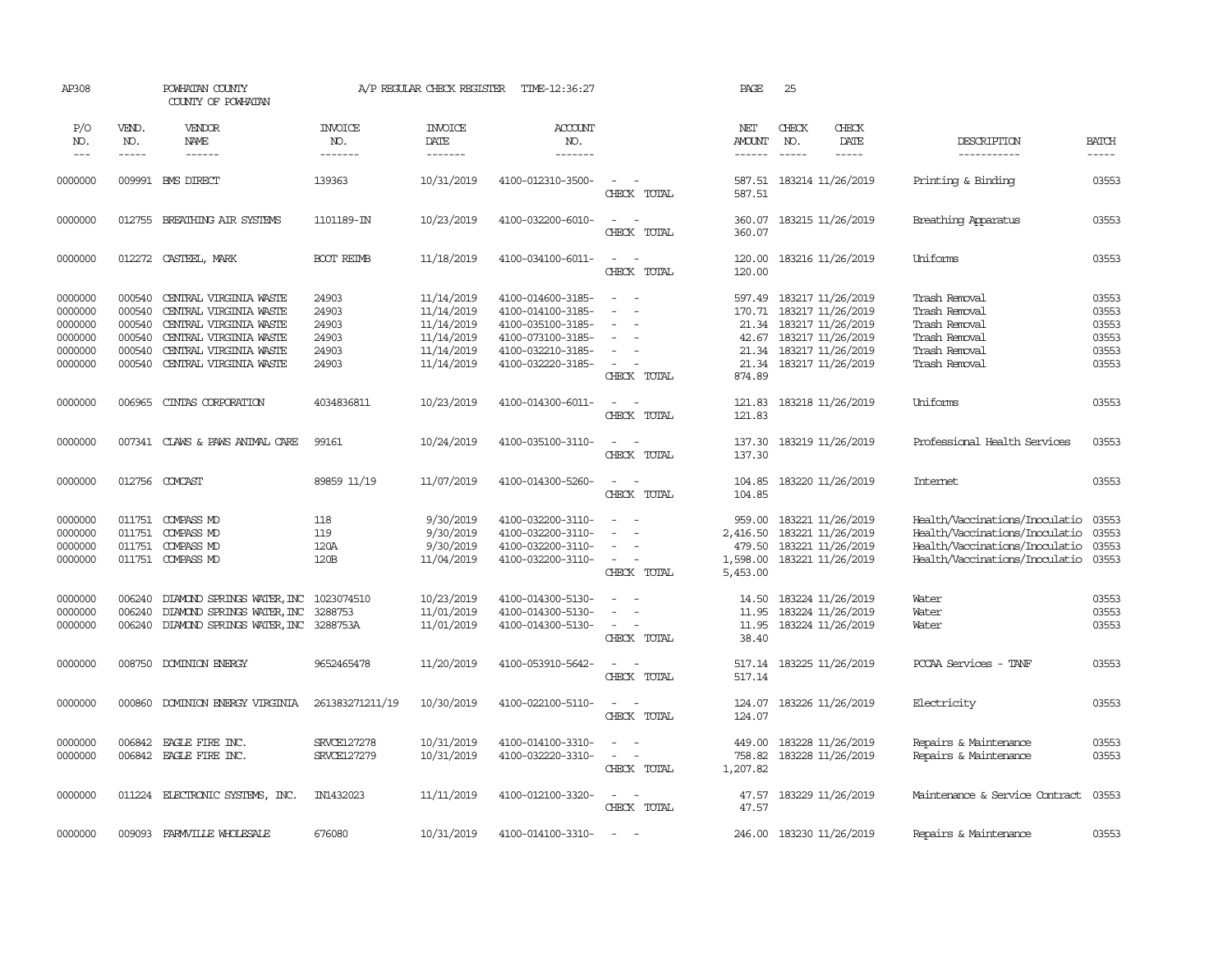| AP308                                                          |                                                          | POWHATAN COUNTY<br>COUNTY OF POWHATAN                                                                                                                    |                                                    | A/P REGULAR CHECK REGISTER                                                       | TIME-12:36:27                                                                                                              |                                                                                                                         | PAGE                                                 | 25                                                                                                                                             |                              |                                                                                                                                      |                                                    |
|----------------------------------------------------------------|----------------------------------------------------------|----------------------------------------------------------------------------------------------------------------------------------------------------------|----------------------------------------------------|----------------------------------------------------------------------------------|----------------------------------------------------------------------------------------------------------------------------|-------------------------------------------------------------------------------------------------------------------------|------------------------------------------------------|------------------------------------------------------------------------------------------------------------------------------------------------|------------------------------|--------------------------------------------------------------------------------------------------------------------------------------|----------------------------------------------------|
| P/O<br>NO.<br>$---$                                            | VEND.<br>NO.<br>$- - - - -$                              | VENDOR<br>NAME<br>$- - - - - -$                                                                                                                          | <b>INVOICE</b><br>NO.<br>-------                   | INVOICE<br>DATE<br>-------                                                       | ACCOUNT<br>NO.<br>-------                                                                                                  |                                                                                                                         | NET<br><b>AMOUNT</b><br>$- - - - - -$                | CHECK<br>NO.<br>$\frac{1}{2}$                                                                                                                  | CHECK<br>DATE<br>$- - - - -$ | DESCRIPTION<br>-----------                                                                                                           | <b>BATCH</b><br>$- - - - -$                        |
| 0000000                                                        | 009991                                                   | BMS DIRECT                                                                                                                                               | 139363                                             | 10/31/2019                                                                       | 4100-012310-3500-                                                                                                          | $\overline{\phantom{a}}$<br>CHECK TOTAL                                                                                 | 587.51<br>587.51                                     | 183214 11/26/2019                                                                                                                              |                              | Printing & Binding                                                                                                                   | 03553                                              |
| 0000000                                                        | 012755                                                   | BREATHING AIR SYSTEMS                                                                                                                                    | 1101189-IN                                         | 10/23/2019                                                                       | 4100-032200-6010-                                                                                                          | $\sim$<br>$\sim$<br>CHECK TOTAL                                                                                         | 360.07<br>360.07                                     | 183215 11/26/2019                                                                                                                              |                              | Breathing Apparatus                                                                                                                  | 03553                                              |
| 0000000                                                        |                                                          | 012272 CASTEEL, MARK                                                                                                                                     | <b>BOOT REIMB</b>                                  | 11/18/2019                                                                       | 4100-034100-6011-                                                                                                          | $\sim$<br>$\overline{\phantom{a}}$<br>CHECK TOTAL                                                                       | 120.00<br>120.00                                     | 183216 11/26/2019                                                                                                                              |                              | Uniforms                                                                                                                             | 03553                                              |
| 0000000<br>0000000<br>0000000<br>0000000<br>0000000<br>0000000 | 000540<br>000540<br>000540<br>000540<br>000540<br>000540 | CENTRAL VIRGINIA WASTE<br>CENTRAL VIRGINIA WASTE<br>CENTRAL VIRGINIA WASTE<br>CENTRAL VIRGINIA WASTE<br>CENTRAL VIRGINIA WASTE<br>CENTRAL VIRGINIA WASTE | 24903<br>24903<br>24903<br>24903<br>24903<br>24903 | 11/14/2019<br>11/14/2019<br>11/14/2019<br>11/14/2019<br>11/14/2019<br>11/14/2019 | 4100-014600-3185-<br>4100-014100-3185-<br>4100-035100-3185-<br>4100-073100-3185-<br>4100-032210-3185-<br>4100-032220-3185- | $\sim$<br>$\overline{\phantom{a}}$<br>$\sim$<br>$\equiv$<br>$\sim$<br>$\overline{\phantom{a}}$<br>CHECK TOTAL           | 21.34<br>21.34<br>21.34<br>874.89                    | 597.49 183217 11/26/2019<br>170.71 183217 11/26/2019<br>183217 11/26/2019<br>42.67 183217 11/26/2019<br>183217 11/26/2019<br>183217 11/26/2019 |                              | Trash Removal<br>Trash Removal<br>Trash Removal<br>Trash Removal<br>Trash Removal<br>Trash Removal                                   | 03553<br>03553<br>03553<br>03553<br>03553<br>03553 |
| 0000000                                                        | 006965                                                   | CINIAS CORPORATION                                                                                                                                       | 4034836811                                         | 10/23/2019                                                                       | 4100-014300-6011-                                                                                                          | $\overline{\phantom{a}}$<br>$\sim$<br>CHECK TOTAL                                                                       | 121.83<br>121.83                                     | 183218 11/26/2019                                                                                                                              |                              | Uniforms                                                                                                                             | 03553                                              |
| 0000000                                                        |                                                          | 007341 CLAWS & PAWS ANIMAL CARE                                                                                                                          | 99161                                              | 10/24/2019                                                                       | 4100-035100-3110-                                                                                                          | $\sim$<br>$\sim$<br>CHECK TOTAL                                                                                         | 137.30<br>137.30                                     | 183219 11/26/2019                                                                                                                              |                              | Professional Health Services                                                                                                         | 03553                                              |
| 0000000                                                        |                                                          | 012756 COMCAST                                                                                                                                           | 89859 11/19                                        | 11/07/2019                                                                       | 4100-014300-5260-                                                                                                          | $\sim$<br>$\sim$<br>CHECK TOTAL                                                                                         | 104.85<br>104.85                                     | 183220 11/26/2019                                                                                                                              |                              | Internet                                                                                                                             | 03553                                              |
| 0000000<br>0000000<br>0000000<br>0000000                       | 011751<br>011751                                         | 011751 COMPASS MD<br>COMPASS MD<br><b>COMPASS MD</b><br>011751 COMPASS MD                                                                                | 118<br>119<br>120A<br>120B                         | 9/30/2019<br>9/30/2019<br>9/30/2019<br>11/04/2019                                | 4100-032200-3110-<br>4100-032200-3110-<br>4100-032200-3110-<br>4100-032200-3110-                                           | $\sim$<br>$\sim$<br>$\sim$<br>$\overline{\phantom{a}}$<br>$\equiv$<br>$\overline{\phantom{a}}$<br>$\sim$<br>CHECK TOTAL | 959.00<br>2,416.50<br>479.50<br>1,598.00<br>5,453.00 | 183221 11/26/2019<br>183221 11/26/2019<br>183221 11/26/2019<br>183221 11/26/2019                                                               |                              | Health/Vaccinations/Inoculatio<br>Health/Vaccinations/Inoculatio<br>Health/Vaccinations/Inoculatio<br>Health/Vaccinations/Inoculatio | 03553<br>03553<br>03553<br>03553                   |
| 0000000<br>0000000<br>0000000                                  | 006240<br>006240<br>006240                               | DIAMOND SPRINGS WATER, INC 1023074510<br>DIAMOND SPRINGS WATER, INC<br>DIAMOND SPRINGS WATER, INC 3288753A                                               | 3288753                                            | 10/23/2019<br>11/01/2019<br>11/01/2019                                           | 4100-014300-5130-<br>4100-014300-5130-<br>4100-014300-5130-                                                                | $\equiv$<br>$\equiv$<br>$\sim$<br>CHECK TOTAL                                                                           | 14.50<br>11.95<br>11.95<br>38.40                     | 183224 11/26/2019<br>183224 11/26/2019<br>183224 11/26/2019                                                                                    |                              | Water<br>Water<br>Water                                                                                                              | 03553<br>03553<br>03553                            |
| 0000000                                                        | 008750                                                   | DOMINION ENERGY                                                                                                                                          | 9652465478                                         | 11/20/2019                                                                       | 4100-053910-5642-                                                                                                          | $\sim$<br>$\sim$<br>CHECK TOTAL                                                                                         | 517.14<br>517.14                                     | 183225 11/26/2019                                                                                                                              |                              | PCCAA Services - TANF                                                                                                                | 03553                                              |
| 0000000                                                        | 000860                                                   | DOMINION ENERGY VIRGINIA                                                                                                                                 | 261383271211/19                                    | 10/30/2019                                                                       | 4100-022100-5110-                                                                                                          | $\sim$ $-$<br>$\sim$<br>CHECK TOTAL                                                                                     | 124.07<br>124.07                                     | 183226 11/26/2019                                                                                                                              |                              | Electricity                                                                                                                          | 03553                                              |
| 0000000<br>0000000                                             | 006842                                                   | EAGLE FIRE INC.<br>006842 EAGLE FIRE INC.                                                                                                                | <b>SRVCE127278</b><br>SRVCE127279                  | 10/31/2019<br>10/31/2019                                                         | 4100-014100-3310-<br>4100-032220-3310-                                                                                     | $\overline{\phantom{a}}$<br>$\sim$<br>$\sim$<br>CHECK TOTAL                                                             | 449.00<br>758.82<br>1,207.82                         | 183228 11/26/2019<br>183228 11/26/2019                                                                                                         |                              | Repairs & Maintenance<br>Repairs & Maintenance                                                                                       | 03553<br>03553                                     |
| 0000000                                                        |                                                          | 011224 ELECTRONIC SYSTEMS, INC.                                                                                                                          | IN1432023                                          | 11/11/2019                                                                       | 4100-012100-3320-                                                                                                          | $\sim$<br>$\sim$ $-$<br>CHECK TOTAL                                                                                     | 47.57<br>47.57                                       | 183229 11/26/2019                                                                                                                              |                              | Maintenance & Service Contract                                                                                                       | 03553                                              |
| 0000000                                                        | 009093                                                   | FARMVILLE WHOLESALE                                                                                                                                      | 676080                                             | 10/31/2019                                                                       | 4100-014100-3310-                                                                                                          | $\sim$                                                                                                                  | 246.00                                               | 183230 11/26/2019                                                                                                                              |                              | Repairs & Maintenance                                                                                                                | 03553                                              |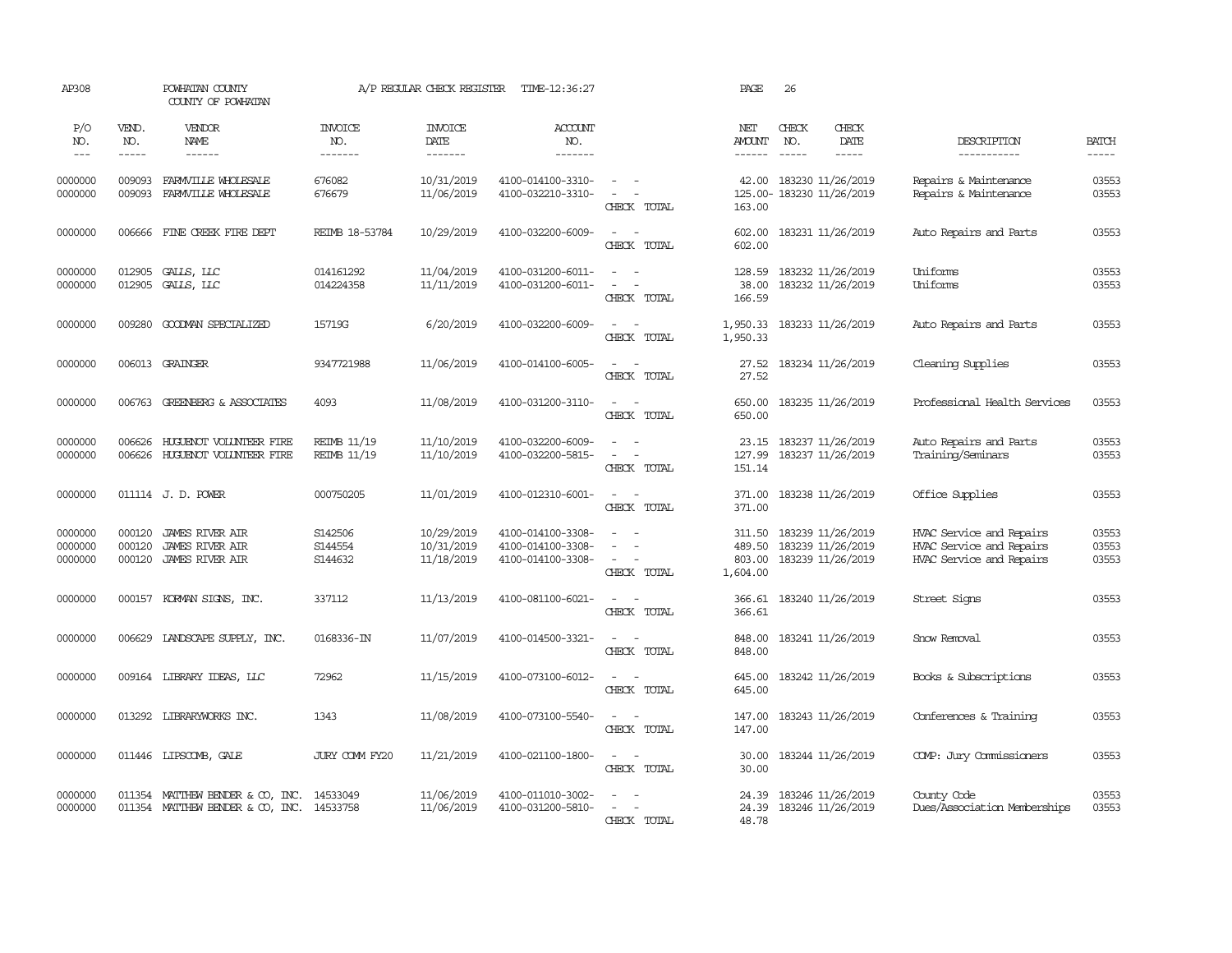| AP308                         |                            | POWHATAN COUNTY<br>COUNTY OF POWHATAN                                                  |                                          | A/P REGULAR CHECK REGISTER             | TIME-12:36:27                                               |                                                            | PAGE                                   | 26                                             |                                                             |                                                                                  |                         |
|-------------------------------|----------------------------|----------------------------------------------------------------------------------------|------------------------------------------|----------------------------------------|-------------------------------------------------------------|------------------------------------------------------------|----------------------------------------|------------------------------------------------|-------------------------------------------------------------|----------------------------------------------------------------------------------|-------------------------|
| P/O<br>NO.<br>$\frac{1}{2}$   | VEND.<br>NO.<br>-----      | VENDOR<br>NAME<br>------                                                               | <b>INVOICE</b><br>NO.<br>-------         | <b>INVOICE</b><br>DATE<br>-------      | ACCOUNT<br>NO.<br>-------                                   |                                                            | NET<br><b>AMOUNT</b><br>------         | CHECK<br>NO.                                   | CHECK<br>DATE<br>-----                                      | DESCRIPTION<br>-----------                                                       | <b>BATCH</b><br>-----   |
| 0000000<br>0000000            | 009093<br>009093           | FARMVILLE WHOLESALE<br>FARMVILLE WHOLESALE                                             | 676082<br>676679                         | 10/31/2019<br>11/06/2019               | 4100-014100-3310-<br>4100-032210-3310-                      | $\sim$<br>$\sim$<br>CHECK TOTAL                            | 42.00<br>163.00                        | 183230 11/26/2019<br>125.00- 183230 11/26/2019 |                                                             | Repairs & Maintenance<br>Repairs & Maintenance                                   | 03553<br>03553          |
| 0000000                       | 006666                     | FINE CREEK FIRE DEPT                                                                   | <b>REIMB 18-53784</b>                    | 10/29/2019                             | 4100-032200-6009-                                           | $\sim$<br>CHECK TOTAL                                      | 602.00<br>602.00                       |                                                | 183231 11/26/2019                                           | Auto Repairs and Parts                                                           | 03553                   |
| 0000000<br>0000000            | 012905<br>012905           | GALLS, LLC<br>GALLS, LLC                                                               | 014161292<br>014224358                   | 11/04/2019<br>11/11/2019               | 4100-031200-6011-<br>4100-031200-6011-                      | $\equiv$<br>CHECK TOTAL                                    | 128.59<br>38.00<br>166.59              |                                                | 183232 11/26/2019<br>183232 11/26/2019                      | Uniforms<br>Uniforms                                                             | 03553<br>03553          |
| 0000000                       | 009280                     | GOODMAN SPECIALIZED                                                                    | 15719G                                   | 6/20/2019                              | 4100-032200-6009-                                           | $\sim$<br>$\sim$<br>CHECK TOTAL                            | 1,950.33<br>1,950.33                   |                                                | 183233 11/26/2019                                           | Auto Repairs and Parts                                                           | 03553                   |
| 0000000                       |                            | 006013 GRAINGER                                                                        | 9347721988                               | 11/06/2019                             | 4100-014100-6005-                                           | $\sim$<br>$\sim$<br>CHECK TOTAL                            | 27.52<br>27.52                         |                                                | 183234 11/26/2019                                           | Cleaning Supplies                                                                | 03553                   |
| 0000000                       | 006763                     | <b>GREENBERG &amp; ASSOCIATES</b>                                                      | 4093                                     | 11/08/2019                             | 4100-031200-3110-                                           | $\sim$<br>$\sim$<br>CHECK TOTAL                            | 650.00<br>650.00                       |                                                | 183235 11/26/2019                                           | Professional Health Services                                                     | 03553                   |
| 0000000<br>0000000            | 006626<br>006626           | HUGUENOT VOLUNTEER FIRE<br>HUGUENOT VOLUNIEER FIRE                                     | <b>REIMB 11/19</b><br><b>REIMB 11/19</b> | 11/10/2019<br>11/10/2019               | 4100-032200-6009-<br>4100-032200-5815-                      | $\sim$<br>- -<br>$\sim$<br>$\sim$<br>CHECK TOTAL           | 23.15<br>127.99<br>151.14              | 183237 11/26/2019                              | 183237 11/26/2019                                           | Auto Repairs and Parts<br>Training/Seminars                                      | 03553<br>03553          |
| 0000000                       |                            | 011114 J.D. POWER                                                                      | 000750205                                | 11/01/2019                             | 4100-012310-6001-                                           | $\sim$<br>$\sim$<br>CHECK TOTAL                            | 371.00<br>371.00                       |                                                | 183238 11/26/2019                                           | Office Supplies                                                                  | 03553                   |
| 0000000<br>0000000<br>0000000 | 000120<br>000120<br>000120 | <b>JAMES RIVER AIR</b><br><b>JAMES RIVER AIR</b><br><b>JAMES RIVER AIR</b>             | S142506<br>S144554<br>S144632            | 10/29/2019<br>10/31/2019<br>11/18/2019 | 4100-014100-3308-<br>4100-014100-3308-<br>4100-014100-3308- | $\equiv$<br>٠<br>$\sim$<br>CHECK TOTAL                     | 311.50<br>489.50<br>803.00<br>1,604.00 |                                                | 183239 11/26/2019<br>183239 11/26/2019<br>183239 11/26/2019 | HVAC Service and Repairs<br>HVAC Service and Repairs<br>HVAC Service and Repairs | 03553<br>03553<br>03553 |
| 0000000                       |                            | 000157 KORMAN SIGNS, INC.                                                              | 337112                                   | 11/13/2019                             | 4100-081100-6021-                                           | $\sim$<br>$\sim$ $-$<br>CHECK TOTAL                        | 366.61<br>366.61                       | 183240 11/26/2019                              |                                                             | Street Signs                                                                     | 03553                   |
| 0000000                       | 006629                     | LANDSCAPE SUPPLY, INC.                                                                 | 0168336-IN                               | 11/07/2019                             | 4100-014500-3321-                                           | $\sim$ $-$<br>$\sim$<br>CHECK TOTAL                        | 848.00<br>848.00                       |                                                | 183241 11/26/2019                                           | Snow Removal                                                                     | 03553                   |
| 0000000                       |                            | 009164 LIBRARY IDEAS, LLC                                                              | 72962                                    | 11/15/2019                             | 4100-073100-6012-                                           | $\sim$ 100 $\sim$<br>CHECK TOTAL                           | 645.00<br>645.00                       |                                                | 183242 11/26/2019                                           | Books & Subscriptions                                                            | 03553                   |
| 0000000                       | 013292                     | LIBRARYWORKS INC.                                                                      | 1343                                     | 11/08/2019                             | 4100-073100-5540-                                           | $\omega_{\rm{max}}$ and $\omega_{\rm{max}}$<br>CHECK TOTAL | 147.00<br>147.00                       |                                                | 183243 11/26/2019                                           | Conferences & Training                                                           | 03553                   |
| 0000000                       |                            | 011446 LIPSCOMB, GALE                                                                  | JURY COMM FY20                           | 11/21/2019                             | 4100-021100-1800-                                           | $\sim$<br>$\sim$<br>CHECK TOTAL                            | 30.00<br>30.00                         |                                                | 183244 11/26/2019                                           | COMP: Jury Commissioners                                                         | 03553                   |
| 0000000<br>0000000            |                            | 011354 MATTHEW BENDER & CO, INC. 14533049<br>011354 MATTHEW BENDER & CO, INC. 14533758 |                                          | 11/06/2019<br>11/06/2019               | 4100-011010-3002-<br>4100-031200-5810-                      | $\sim$<br>CHECK TOTAL                                      | 24.39<br>24.39<br>48.78                | 183246 11/26/2019                              | 183246 11/26/2019                                           | County Code<br>Dues/Association Memberships                                      | 03553<br>03553          |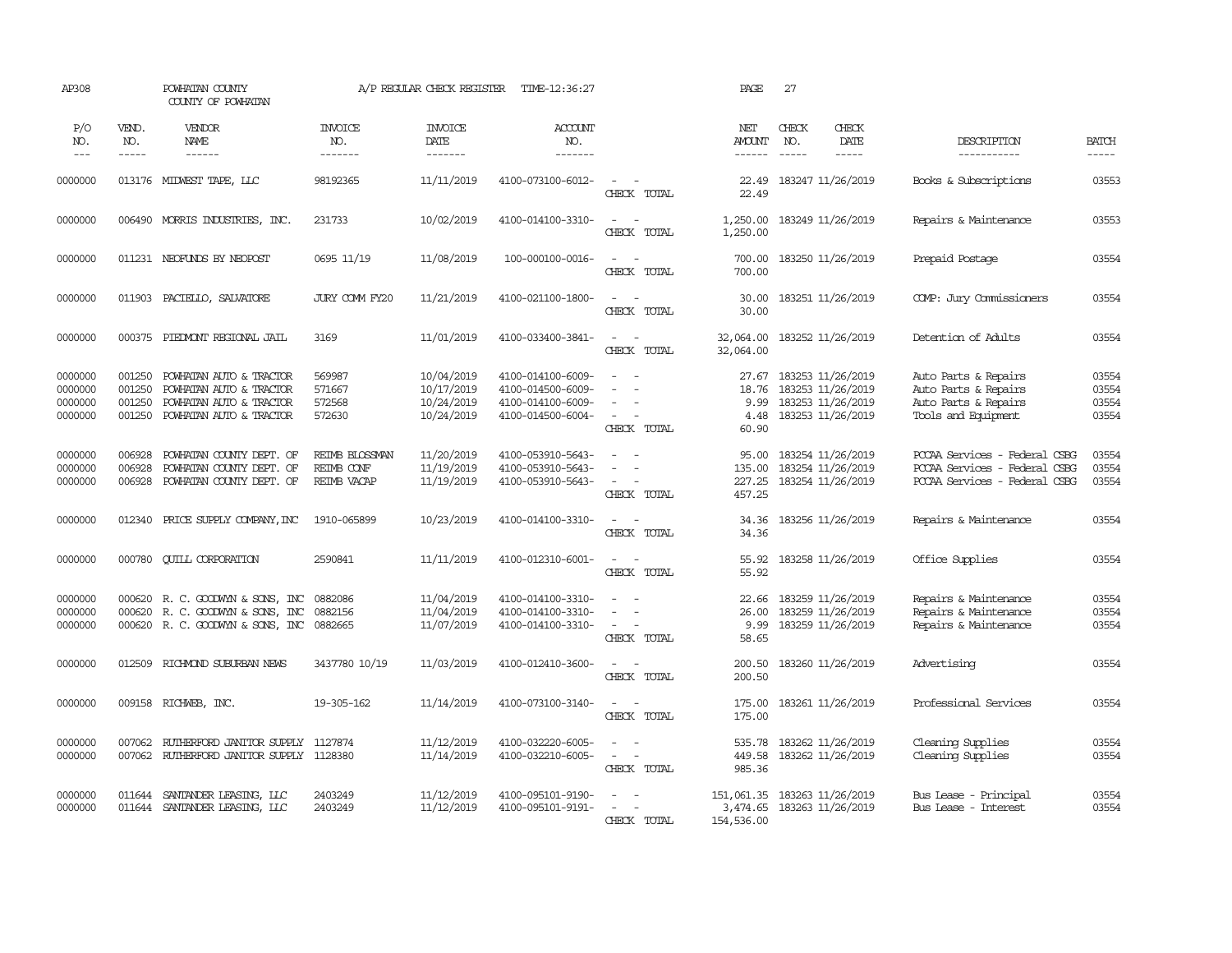| AP308                                    |                                      | POWHATAN COUNTY<br>COUNTY OF POWHATAN                                                                                                                                                                                                                                                                                                                                                                                                                                                                    |                                             | A/P REGULAR CHECK REGISTER                           | TIME-12:36:27                                                                    |                                                                                                   | PAGE                                 | 27                            |                                                                                        |                                                                                                 |                                  |
|------------------------------------------|--------------------------------------|----------------------------------------------------------------------------------------------------------------------------------------------------------------------------------------------------------------------------------------------------------------------------------------------------------------------------------------------------------------------------------------------------------------------------------------------------------------------------------------------------------|---------------------------------------------|------------------------------------------------------|----------------------------------------------------------------------------------|---------------------------------------------------------------------------------------------------|--------------------------------------|-------------------------------|----------------------------------------------------------------------------------------|-------------------------------------------------------------------------------------------------|----------------------------------|
| P/O<br>NO.<br>$\qquad \qquad - -$        | VEND.<br>NO.<br>$\cdots$             | VENDOR<br>NAME<br>$\begin{array}{cccccccccc} \multicolumn{2}{c}{} & \multicolumn{2}{c}{} & \multicolumn{2}{c}{} & \multicolumn{2}{c}{} & \multicolumn{2}{c}{} & \multicolumn{2}{c}{} & \multicolumn{2}{c}{} & \multicolumn{2}{c}{} & \multicolumn{2}{c}{} & \multicolumn{2}{c}{} & \multicolumn{2}{c}{} & \multicolumn{2}{c}{} & \multicolumn{2}{c}{} & \multicolumn{2}{c}{} & \multicolumn{2}{c}{} & \multicolumn{2}{c}{} & \multicolumn{2}{c}{} & \multicolumn{2}{c}{} & \multicolumn{2}{c}{} & \mult$ | <b>INVOICE</b><br>NO.<br>-------            | <b>INVOICE</b><br>DATE<br>-------                    | <b>ACCOUNT</b><br>NO.<br>-------                                                 |                                                                                                   | NET<br>AMOUNT<br>------              | CHECK<br>NO.<br>$\frac{1}{2}$ | CHECK<br>DATE<br>-----                                                                 | DESCRIPTION<br>-----------                                                                      | <b>BATCH</b><br>-----            |
| 0000000                                  |                                      | 013176 MIDWEST TAPE, LLC                                                                                                                                                                                                                                                                                                                                                                                                                                                                                 | 98192365                                    | 11/11/2019                                           | 4100-073100-6012-                                                                | $\sim$<br>$\sim$<br>CHECK TOTAL                                                                   | 22.49<br>22.49                       |                               | 183247 11/26/2019                                                                      | Books & Subscriptions                                                                           | 03553                            |
| 0000000                                  | 006490                               | MORRIS INDUSTRIES, INC.                                                                                                                                                                                                                                                                                                                                                                                                                                                                                  | 231733                                      | 10/02/2019                                           | 4100-014100-3310-                                                                | $\sim$<br>$\sim$<br>CHECK TOTAL                                                                   | 1,250.00<br>1,250.00                 |                               | 183249 11/26/2019                                                                      | Repairs & Maintenance                                                                           | 03553                            |
| 0000000                                  |                                      | 011231 NEOFUNDS BY NEOPOST                                                                                                                                                                                                                                                                                                                                                                                                                                                                               | 0695 11/19                                  | 11/08/2019                                           | 100-000100-0016-                                                                 | $\sim$<br>$\sim$<br>CHECK TOTAL                                                                   | 700.00<br>700.00                     |                               | 183250 11/26/2019                                                                      | Prepaid Postage                                                                                 | 03554                            |
| 0000000                                  |                                      | 011903 PACIELLO, SALVATORE                                                                                                                                                                                                                                                                                                                                                                                                                                                                               | JURY COMM FY20                              | 11/21/2019                                           | 4100-021100-1800-                                                                | $\sim$<br>$\sim$<br>CHECK TOTAL                                                                   | 30.00<br>30.00                       |                               | 183251 11/26/2019                                                                      | COMP: Jury Commissioners                                                                        | 03554                            |
| 0000000                                  | 000375                               | PIEDMONT REGIONAL JAIL                                                                                                                                                                                                                                                                                                                                                                                                                                                                                   | 3169                                        | 11/01/2019                                           | 4100-033400-3841-                                                                | $\sim$<br>$\sim$<br>CHECK TOTAL                                                                   | 32,064.00<br>32,064.00               |                               | 183252 11/26/2019                                                                      | Detention of Adults                                                                             | 03554                            |
| 0000000<br>0000000<br>0000000<br>0000000 | 001250<br>001250<br>001250<br>001250 | POWHATAN AUTO & TRACTOR<br>POWHATAN AUTO & TRACTOR<br>POWHATAN AUTO & TRACTOR<br>POWHATAN AUTO & TRACTOR                                                                                                                                                                                                                                                                                                                                                                                                 | 569987<br>571667<br>572568<br>572630        | 10/04/2019<br>10/17/2019<br>10/24/2019<br>10/24/2019 | 4100-014100-6009-<br>4100-014500-6009-<br>4100-014100-6009-<br>4100-014500-6004- | $\equiv$<br>$\sim$<br>$\sim$<br>$\sim$<br>$\sim$<br>$\sim$<br>CHECK TOTAL                         | 18.76<br>9.99<br>4.48<br>60.90       |                               | 27.67 183253 11/26/2019<br>183253 11/26/2019<br>183253 11/26/2019<br>183253 11/26/2019 | Auto Parts & Repairs<br>Auto Parts & Repairs<br>Auto Parts & Repairs<br>Tools and Equipment     | 03554<br>03554<br>03554<br>03554 |
| 0000000<br>0000000<br>0000000            | 006928<br>006928<br>006928           | POWHATAN COUNTY DEPT. OF<br>POWHATAN COUNTY DEPT. OF<br>POWHATAN COUNTY DEPT. OF                                                                                                                                                                                                                                                                                                                                                                                                                         | REIMB BLOSSMAN<br>REIMB CONF<br>REIMB VACAP | 11/20/2019<br>11/19/2019<br>11/19/2019               | 4100-053910-5643-<br>4100-053910-5643-<br>4100-053910-5643-                      | $\sim$<br>$\sim$<br>$\overline{a}$<br>$\overline{\phantom{a}}$<br>$\sim$<br>$\sim$<br>CHECK TOTAL | 95.00<br>135.00<br>227.25<br>457.25  |                               | 183254 11/26/2019<br>183254 11/26/2019<br>183254 11/26/2019                            | PCCAA Services - Federal CSBG<br>PCCAA Services - Federal CSBG<br>PCCAA Services - Federal CSBG | 03554<br>03554<br>03554          |
| 0000000                                  | 012340                               | PRICE SUPPLY COMPANY, INC                                                                                                                                                                                                                                                                                                                                                                                                                                                                                | 1910-065899                                 | 10/23/2019                                           | 4100-014100-3310-                                                                | $\overline{\phantom{a}}$<br>$\sim$<br>CHECK TOTAL                                                 | 34.36<br>34.36                       |                               | 183256 11/26/2019                                                                      | Repairs & Maintenance                                                                           | 03554                            |
| 0000000                                  | 000780                               | <b>QUILL CORPORATION</b>                                                                                                                                                                                                                                                                                                                                                                                                                                                                                 | 2590841                                     | 11/11/2019                                           | 4100-012310-6001-                                                                | $\sim$<br>$\sim$<br>CHECK TOTAL                                                                   | 55.92<br>55.92                       |                               | 183258 11/26/2019                                                                      | Office Supplies                                                                                 | 03554                            |
| 0000000<br>0000000<br>0000000            | 000620<br>000620                     | R. C. GOODWIN & SONS, INC<br>R. C. GOODWYN & SONS, INC<br>000620 R. C. GOODWIN & SONS, INC                                                                                                                                                                                                                                                                                                                                                                                                               | 0882086<br>0882156<br>0882665               | 11/04/2019<br>11/04/2019<br>11/07/2019               | 4100-014100-3310-<br>4100-014100-3310-<br>4100-014100-3310-                      | $\sim$<br>$\equiv$<br>$\overline{\phantom{a}}$<br>$\overline{\phantom{a}}$<br>CHECK TOTAL         | 22.66<br>26.00<br>9.99<br>58.65      |                               | 183259 11/26/2019<br>183259 11/26/2019<br>183259 11/26/2019                            | Repairs & Maintenance<br>Repairs & Maintenance<br>Repairs & Maintenance                         | 03554<br>03554<br>03554          |
| 0000000                                  | 012509                               | RICHMOND SUBURBAN NEWS                                                                                                                                                                                                                                                                                                                                                                                                                                                                                   | 3437780 10/19                               | 11/03/2019                                           | 4100-012410-3600-                                                                | $\sim$ $ \sim$<br>CHECK TOTAL                                                                     | 200.50<br>200.50                     |                               | 183260 11/26/2019                                                                      | Advertising                                                                                     | 03554                            |
| 0000000                                  |                                      | 009158 RICHWEB, INC.                                                                                                                                                                                                                                                                                                                                                                                                                                                                                     | 19-305-162                                  | 11/14/2019                                           | 4100-073100-3140-                                                                | $\sim$ $ \sim$<br>CHECK TOTAL                                                                     | 175.00<br>175.00                     |                               | 183261 11/26/2019                                                                      | Professional Services                                                                           | 03554                            |
| 0000000<br>0000000                       | 007062                               | RUTHERFORD JANITOR SUPPLY<br>007062 RUIHERFORD JANITOR SUPPLY 1128380                                                                                                                                                                                                                                                                                                                                                                                                                                    | 1127874                                     | 11/12/2019<br>11/14/2019                             | 4100-032220-6005-<br>4100-032210-6005-                                           | $\sim$<br>$\sim$ $-$<br>CHECK TOTAL                                                               | 535.78<br>449.58<br>985.36           |                               | 183262 11/26/2019<br>183262 11/26/2019                                                 | Cleaning Supplies<br>Cleaning Supplies                                                          | 03554<br>03554                   |
| 0000000<br>0000000                       | 011644                               | SANTANDER LEASING, LLC<br>011644 SANTANDER LEASING, LLC                                                                                                                                                                                                                                                                                                                                                                                                                                                  | 2403249<br>2403249                          | 11/12/2019<br>11/12/2019                             | 4100-095101-9190-<br>4100-095101-9191-                                           | $\equiv$<br>$\sim$<br>$\sim$<br>CHECK TOTAL                                                       | 151,061.35<br>3,474.65<br>154,536.00 |                               | 183263 11/26/2019<br>183263 11/26/2019                                                 | Bus Lease - Principal<br>Bus Lease - Interest                                                   | 03554<br>03554                   |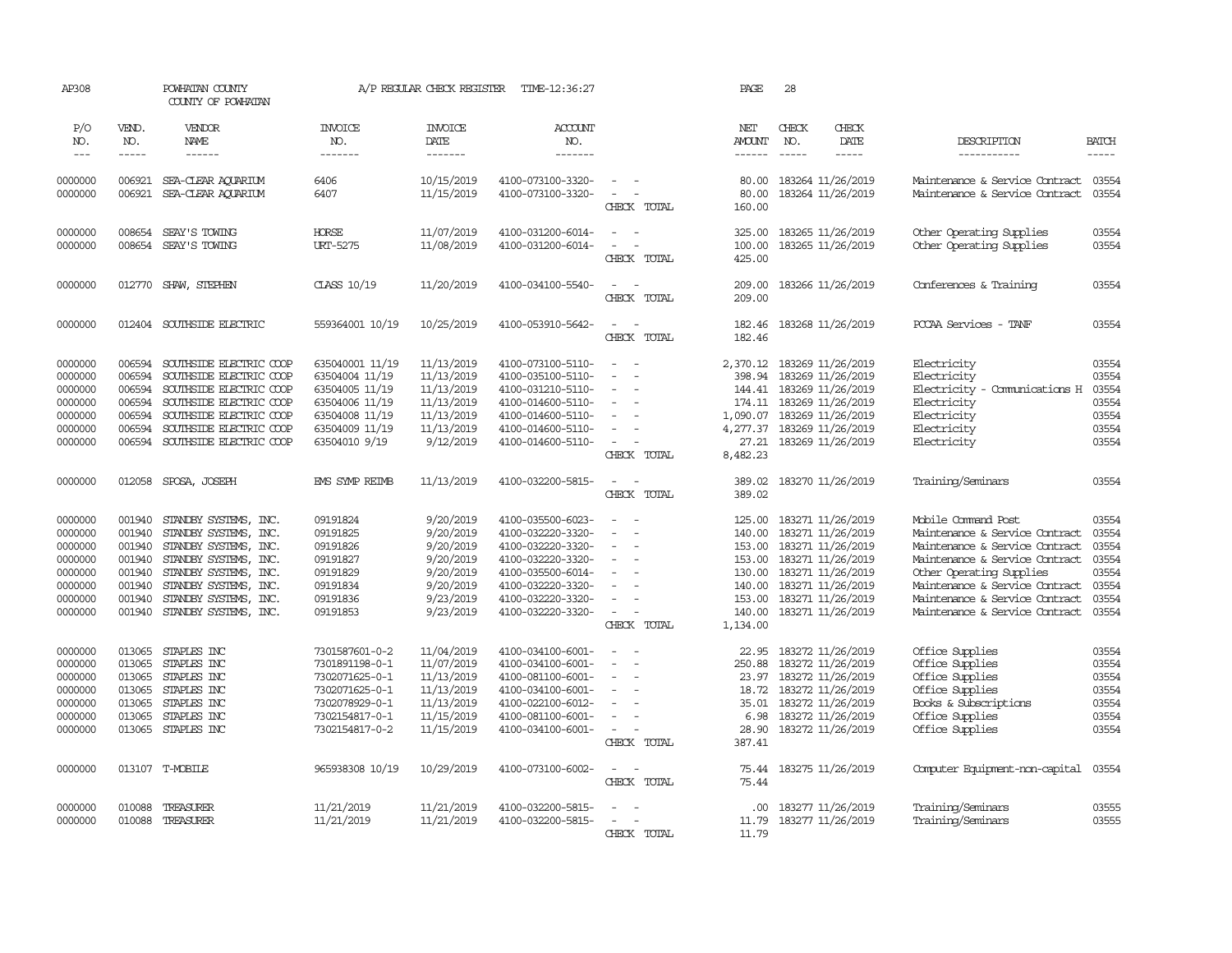| AP308              |                  | POWHATAN COUNTY<br>COUNTY OF POWHATAN          |                                  | A/P REGULAR CHECK REGISTER | TIME-12:36:27                          |                                                             | PAGE                     | 28            |                                        |                                                                  |                |
|--------------------|------------------|------------------------------------------------|----------------------------------|----------------------------|----------------------------------------|-------------------------------------------------------------|--------------------------|---------------|----------------------------------------|------------------------------------------------------------------|----------------|
| P/O<br>NO.         | VEND.<br>NO.     | VENDOR<br>NAME                                 | <b>INVOICE</b><br>NO.            | <b>INVOICE</b><br>DATE     | <b>ACCOUNT</b><br>NO.                  |                                                             | NET<br><b>AMOUNT</b>     | CHECK<br>NO.  | CHECK<br>DATE                          | DESCRIPTION                                                      | <b>BATCH</b>   |
| $\frac{1}{2}$      | $- - - - -$      | ------                                         | -------                          | -------                    | -------                                |                                                             | ------                   | $\frac{1}{2}$ | $- - - - -$                            | -----------                                                      | $- - - - -$    |
| 0000000<br>0000000 | 006921<br>006921 | SEA-CLEAR AQUARIUM<br>SEA-CLEAR ACUARIUM       | 6406<br>6407                     | 10/15/2019<br>11/15/2019   | 4100-073100-3320-<br>4100-073100-3320- | $\sim$<br>$\sim$<br>$\overline{\phantom{a}}$<br>CHECK TOTAL | 80.00<br>80.00<br>160.00 |               | 183264 11/26/2019<br>183264 11/26/2019 | Maintenance & Service Contract<br>Maintenance & Service Contract | 03554<br>03554 |
| 0000000            | 008654           | SEAY'S TOWING                                  | <b>HORSE</b>                     | 11/07/2019                 | 4100-031200-6014-                      | $\sim$                                                      | 325.00                   |               | 183265 11/26/2019                      | Other Operating Supplies                                         | 03554          |
| 0000000            | 008654           | SEAY'S TOWING                                  | URT-5275                         | 11/08/2019                 | 4100-031200-6014-                      | $\sim$<br>CHECK TOTAL                                       | 100.00<br>425.00         |               | 183265 11/26/2019                      | Other Operating Supplies                                         | 03554          |
| 0000000            | 012770           | SHAW, STEPHEN                                  | CLASS 10/19                      | 11/20/2019                 | 4100-034100-5540-                      | $\sim$<br>$\sim$<br>CHECK TOTAL                             | 209.00<br>209.00         |               | 183266 11/26/2019                      | Conferences & Training                                           | 03554          |
| 0000000            | 012404           | SOUTHSIDE ELECTRIC                             | 559364001 10/19                  | 10/25/2019                 | 4100-053910-5642-                      | $\sim$<br>$\sim$<br>CHECK TOTAL                             | 182.46<br>182.46         |               | 183268 11/26/2019                      | PCCAA Services - TANF                                            | 03554          |
| 0000000            | 006594           | SOUTHSIDE ELECTRIC COOP                        | 635040001 11/19                  | 11/13/2019                 | 4100-073100-5110-                      | $\sim$<br>$\sim$                                            | 2,370.12                 |               | 183269 11/26/2019                      | Electricity                                                      | 03554          |
| 0000000            | 006594           | SOUTHSIDE ELECTRIC COOP                        | 63504004 11/19                   | 11/13/2019                 | 4100-035100-5110-                      | $\overline{a}$                                              | 398.94                   |               | 183269 11/26/2019                      | Electricity                                                      | 03554          |
| 0000000            | 006594           | SOUTHSIDE ELECTRIC COOP                        | 63504005 11/19                   | 11/13/2019                 | 4100-031210-5110-                      | $\blacksquare$                                              | 144.41                   |               | 183269 11/26/2019                      | Electricity - Comunications H                                    | 03554          |
| 0000000            | 006594           | SOUTHSIDE ELECTRIC COOP                        | 63504006 11/19                   | 11/13/2019                 | 4100-014600-5110-                      | $\overline{\phantom{a}}$                                    | 174.11                   |               | 183269 11/26/2019                      | Electricity                                                      | 03554          |
| 0000000            | 006594           | SOUTHSIDE ELECTRIC COOP                        | 63504008 11/19                   | 11/13/2019                 | 4100-014600-5110-                      | ÷.                                                          | 1,090.07                 |               | 183269 11/26/2019                      | Electricity                                                      | 03554          |
| 0000000            | 006594           | SOUTHSIDE ELECTRIC COOP                        | 63504009 11/19                   | 11/13/2019                 | 4100-014600-5110-                      |                                                             | 4,277.37                 |               | 183269 11/26/2019                      | Electricity                                                      | 03554          |
| 0000000            | 006594           | SOUTHSIDE ELECTRIC COOP                        | 63504010 9/19                    | 9/12/2019                  | 4100-014600-5110-                      | $\sim$<br>$\overline{\phantom{a}}$<br>CHECK TOTAL           | 27.21<br>8,482.23        |               | 183269 11/26/2019                      | Electricity                                                      | 03554          |
| 0000000            | 012058           | SPOSA, JOSEPH                                  | <b>EMS SYMP REIMB</b>            | 11/13/2019                 | 4100-032200-5815-                      | $\sim$<br>$\sim$<br>CHECK TOTAL                             | 389.02<br>389.02         |               | 183270 11/26/2019                      | Training/Seminars                                                | 03554          |
| 0000000            | 001940           | STANDBY SYSTEMS, INC.                          | 09191824                         | 9/20/2019                  | 4100-035500-6023-                      | $\overline{\phantom{a}}$<br>- 11                            | 125.00                   |               | 183271 11/26/2019                      | Mobile Command Post                                              | 03554          |
| 0000000            | 001940           | STANDBY SYSTEMS, INC.                          | 09191825                         | 9/20/2019                  | 4100-032220-3320-                      | $\equiv$<br>$\overline{\phantom{a}}$                        | 140.00                   |               | 183271 11/26/2019                      | Maintenance & Service Contract                                   | 03554          |
| 0000000            | 001940           | STANDBY SYSTEMS, INC.                          | 09191826                         | 9/20/2019                  | 4100-032220-3320-                      | $\equiv$                                                    | 153.00                   |               | 183271 11/26/2019                      | Maintenance & Service Contract                                   | 03554          |
| 0000000            | 001940           | STANDBY SYSTEMS, INC.                          | 09191827                         | 9/20/2019                  | 4100-032220-3320-                      | $\equiv$                                                    | 153.00                   |               | 183271 11/26/2019                      | Maintenance & Service Contract                                   | 03554          |
| 0000000            | 001940           | STANDBY SYSTEMS, INC.                          | 09191829                         | 9/20/2019                  | 4100-035500-6014-                      | $\overline{\phantom{a}}$                                    | 130.00                   |               | 183271 11/26/2019                      | Other Operating Supplies                                         | 03554<br>03554 |
| 0000000<br>0000000 | 001940<br>001940 | STANDBY SYSTEMS, INC.<br>STANDBY SYSTEMS, INC. | 09191834<br>09191836             | 9/20/2019<br>9/23/2019     | 4100-032220-3320-<br>4100-032220-3320- |                                                             | 140.00<br>153.00         |               | 183271 11/26/2019<br>183271 11/26/2019 | Maintenance & Service Contract<br>Maintenance & Service Contract | 03554          |
| 0000000            | 001940           | STANDBY SYSTEMS, INC.                          | 09191853                         | 9/23/2019                  | 4100-032220-3320-                      |                                                             | 140.00                   |               | 183271 11/26/2019                      | Maintenance & Service Contract                                   | 03554          |
|                    |                  |                                                |                                  |                            |                                        | CHECK TOTAL                                                 | 1,134.00                 |               |                                        |                                                                  |                |
| 0000000            | 013065           | STAPLES INC                                    | 7301587601-0-2                   | 11/04/2019                 | 4100-034100-6001-                      | $\overline{\phantom{a}}$                                    | 22.95                    |               | 183272 11/26/2019                      | Office Supplies                                                  | 03554          |
| 0000000            | 013065           | STAPLES INC                                    | 7301891198-0-1                   | 11/07/2019                 | 4100-034100-6001-                      | $\equiv$<br>- 11                                            | 250.88                   |               | 183272 11/26/2019                      | Office Supplies                                                  | 03554          |
| 0000000            | 013065           | STAPLES INC                                    | 7302071625-0-1                   | 11/13/2019                 | 4100-081100-6001-                      | $\sim$                                                      | 23.97                    |               | 183272 11/26/2019                      | Office Supplies                                                  | 03554          |
| 0000000            | 013065           | STAPLES INC                                    | 7302071625-0-1                   | 11/13/2019                 | 4100-034100-6001-                      | $\equiv$                                                    | 18.72                    |               | 183272 11/26/2019                      | Office Supplies                                                  | 03554          |
| 0000000<br>0000000 | 013065<br>013065 | STAPLES INC<br>STAPLES INC                     | 7302078929-0-1<br>7302154817-0-1 | 11/13/2019<br>11/15/2019   | 4100-022100-6012-<br>4100-081100-6001- | $\sim$                                                      | 35.01<br>6.98            |               | 183272 11/26/2019<br>183272 11/26/2019 | Books & Subscriptions<br>Office Supplies                         | 03554<br>03554 |
| 0000000            | 013065           | STAPLES INC                                    | 7302154817-0-2                   | 11/15/2019                 | 4100-034100-6001-                      | $\sim$                                                      | 28.90                    |               | 183272 11/26/2019                      | Office Supplies                                                  | 03554          |
|                    |                  |                                                |                                  |                            |                                        | CHECK TOTAL                                                 | 387.41                   |               |                                        |                                                                  |                |
| 0000000            |                  | 013107 T-MOBILE                                | 965938308 10/19                  | 10/29/2019                 | 4100-073100-6002-                      | $\overline{\phantom{a}}$<br>CHECK TOTAL                     | 75.44<br>75.44           |               | 183275 11/26/2019                      | Computer Equipment-non-capital                                   | 03554          |
| 0000000            | 010088           | TREASURER                                      | 11/21/2019                       | 11/21/2019                 | 4100-032200-5815-                      |                                                             | .00.                     |               | 183277 11/26/2019                      | Training/Seminars                                                | 03555          |
| 0000000            |                  | 010088 TREASURER                               | 11/21/2019                       | 11/21/2019                 | 4100-032200-5815-                      | $\sim$<br>$\sim$                                            | 11.79                    |               | 183277 11/26/2019                      | Training/Seminars                                                | 03555          |
|                    |                  |                                                |                                  |                            |                                        | CHECK TOTAL                                                 | 11.79                    |               |                                        |                                                                  |                |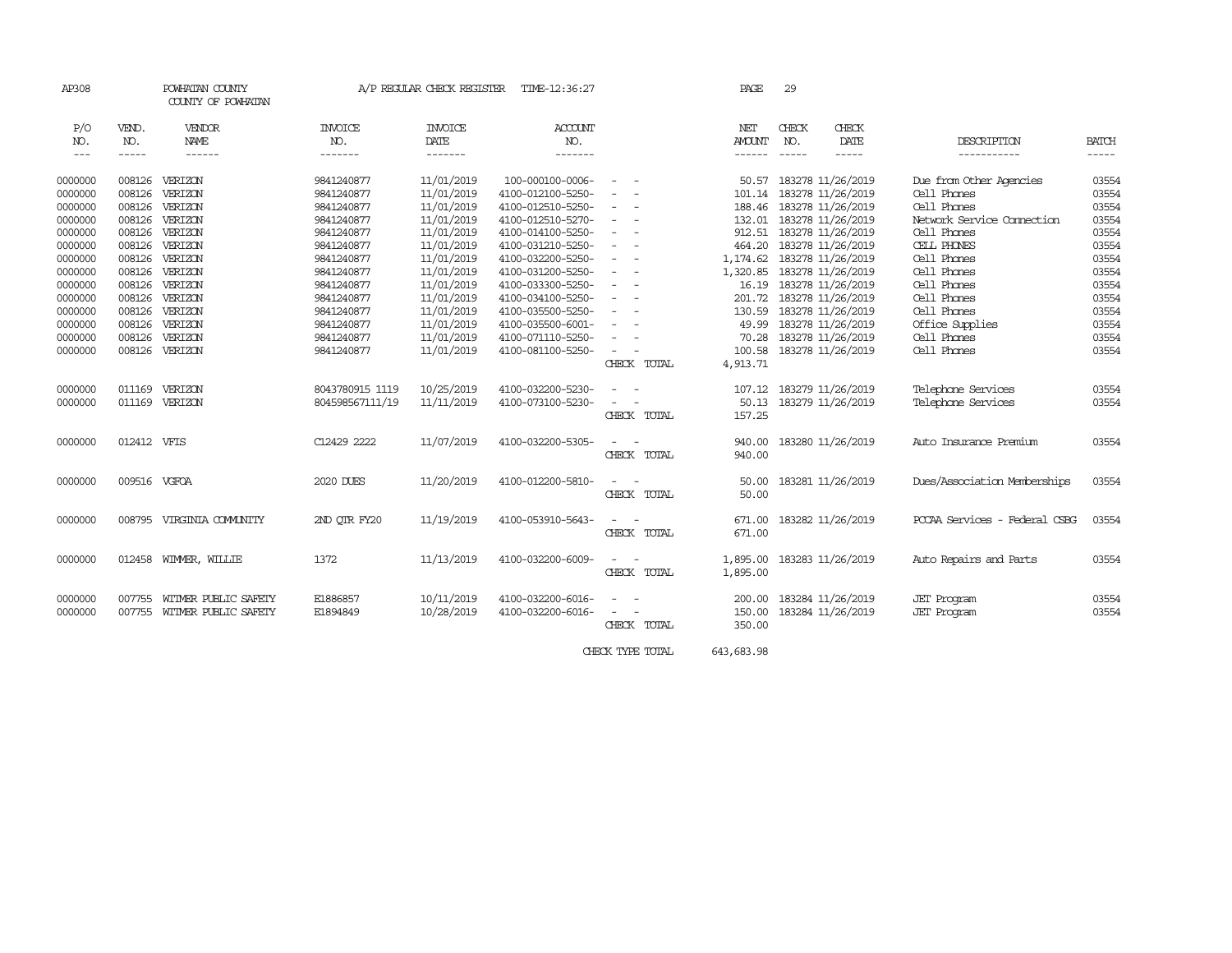| AP308                |              | POWHATAN COUNTY<br>COUNTY OF POWHATAN |                 | A/P REGULAR CHECK REGISTER | TIME-12:36:27     |                                                                                                | PAGE                        | 29            |                          |                               |              |
|----------------------|--------------|---------------------------------------|-----------------|----------------------------|-------------------|------------------------------------------------------------------------------------------------|-----------------------------|---------------|--------------------------|-------------------------------|--------------|
| P/O                  | VEND.        | VENDOR                                | <b>INVOICE</b>  | <b>INVOICE</b>             | ACCOUNT           |                                                                                                | NET                         | CHECK         | CHECK                    |                               |              |
| NO.                  | NO.          | NAME                                  | NO.             | DATE                       | NO.               |                                                                                                | <b>AMOUNT</b>               | NO.           | DATE                     | DESCRIPTION                   | <b>BATCH</b> |
| $\sim$ $\sim$ $\sim$ | -----        | ------                                | -------         | -------                    | -------           |                                                                                                | ------                      | $\frac{1}{2}$ |                          | -----------                   | -----        |
| 0000000              | 008126       | VERIZON                               | 9841240877      | 11/01/2019                 | 100-000100-0006-  | - -                                                                                            | 50.57                       |               | 183278 11/26/2019        | Due from Other Agencies       | 03554        |
| 0000000              | 008126       | VERIZON                               | 9841240877      | 11/01/2019                 | 4100-012100-5250- | ٠<br>$\overline{\phantom{a}}$                                                                  |                             |               | 101.14 183278 11/26/2019 | Cell Phones                   | 03554        |
| 0000000              | 008126       | VERIZON                               | 9841240877      | 11/01/2019                 | 4100-012510-5250- | $\sim$<br>$\sim$                                                                               |                             |               | 188.46 183278 11/26/2019 | Cell Phones                   | 03554        |
| 0000000              | 008126       | VERIZON                               | 9841240877      | 11/01/2019                 | 4100-012510-5270- | $\overline{\phantom{0}}$<br>$\sim$                                                             |                             |               | 132.01 183278 11/26/2019 | Network Service Connection    | 03554        |
| 0000000              | 008126       | VERIZON                               | 9841240877      | 11/01/2019                 | 4100-014100-5250- | $\sim$ $ \sim$                                                                                 |                             |               | 912.51 183278 11/26/2019 | Cell Phones                   | 03554        |
| 0000000              | 008126       | VERIZON                               | 9841240877      | 11/01/2019                 | 4100-031210-5250- | $\sim$<br>$\sim$                                                                               |                             |               | 464.20 183278 11/26/2019 | CELL PHONES                   | 03554        |
| 0000000              | 008126       | VERIZON                               | 9841240877      | 11/01/2019                 | 4100-032200-5250- | $\sim$<br>$\sim$                                                                               | 1, 174.62 183278 11/26/2019 |               |                          | Cell Phones                   | 03554        |
| 0000000              | 008126       | VERIZON                               | 9841240877      | 11/01/2019                 | 4100-031200-5250- | $\equiv$                                                                                       | 1,320.85 183278 11/26/2019  |               |                          | Cell Phones                   | 03554        |
| 0000000              | 008126       | VERIZON                               | 9841240877      | 11/01/2019                 | 4100-033300-5250- | $\frac{1}{2} \left( \frac{1}{2} \right) \left( \frac{1}{2} \right) \left( \frac{1}{2} \right)$ |                             |               | 16.19 183278 11/26/2019  | Cell Phones                   | 03554        |
| 0000000              | 008126       | VERIZON                               | 9841240877      | 11/01/2019                 | 4100-034100-5250- | $\sim$<br>$\sim$                                                                               | 201.72                      |               | 183278 11/26/2019        | Cell Phones                   | 03554        |
| 0000000              | 008126       | VERIZON                               | 9841240877      | 11/01/2019                 | 4100-035500-5250- | $\overline{\phantom{0}}$<br>$\sim$                                                             |                             |               | 130.59 183278 11/26/2019 | Cell Phones                   | 03554        |
| 0000000              | 008126       | VERIZON                               | 9841240877      | 11/01/2019                 | 4100-035500-6001- | $\overline{\phantom{a}}$                                                                       | 49.99                       |               | 183278 11/26/2019        | Office Supplies               | 03554        |
| 0000000              | 008126       | VERIZON                               | 9841240877      | 11/01/2019                 | 4100-071110-5250- | $\sim$<br>$\overline{\phantom{a}}$                                                             | 70.28                       |               | 183278 11/26/2019        | Cell Phones                   | 03554        |
| 0000000              | 008126       | VERIZON                               | 9841240877      | 11/01/2019                 | 4100-081100-5250- | $\sim$<br>$\overline{\phantom{a}}$                                                             | 100.58                      |               | 183278 11/26/2019        | Cell Phones                   | 03554        |
|                      |              |                                       |                 |                            |                   | CHECK TOTAL                                                                                    | 4,913.71                    |               |                          |                               |              |
| 0000000              | 011169       | VERIZON                               | 8043780915 1119 | 10/25/2019                 | 4100-032200-5230- | $\sim$<br>$\sim$                                                                               |                             |               | 107.12 183279 11/26/2019 | Telephone Services            | 03554        |
| 0000000              |              | 011169 VERIZON                        | 804598567111/19 | 11/11/2019                 | 4100-073100-5230- | $\sim$<br>$\sim$                                                                               |                             |               | 50.13 183279 11/26/2019  | Telephone Services            | 03554        |
|                      |              |                                       |                 |                            |                   | CHECK TOTAL                                                                                    | 157.25                      |               |                          |                               |              |
| 0000000              | 012412 VFIS  |                                       | C12429 2222     | 11/07/2019                 | 4100-032200-5305- | $\overline{\phantom{a}}$                                                                       | 940.00                      |               | 183280 11/26/2019        | Auto Insurance Premium        | 03554        |
|                      |              |                                       |                 |                            |                   | CHECK TOTAL                                                                                    | 940.00                      |               |                          |                               |              |
| 0000000              | 009516 VGFOA |                                       | 2020 DUES       | 11/20/2019                 | 4100-012200-5810- | $\sim$                                                                                         | 50.00                       |               | 183281 11/26/2019        | Dues/Association Memberships  | 03554        |
|                      |              |                                       |                 |                            |                   | CHECK TOTAL                                                                                    | 50.00                       |               |                          |                               |              |
| 0000000              | 008795       | VIRGINIA COMUNITY                     | 2ND OTR FY20    | 11/19/2019                 | 4100-053910-5643- | $\sim$                                                                                         | 671.00                      |               | 183282 11/26/2019        | PCCAA Services - Federal CSBG | 03554        |
|                      |              |                                       |                 |                            |                   | CHECK TOTAL                                                                                    | 671.00                      |               |                          |                               |              |
| 0000000              |              | 012458 WIMMER, WILLIE                 | 1372            | 11/13/2019                 | 4100-032200-6009- |                                                                                                | 1,895.00                    |               | 183283 11/26/2019        | Auto Repairs and Parts        | 03554        |
|                      |              |                                       |                 |                            |                   | CHECK TOTAL                                                                                    | 1,895.00                    |               |                          |                               |              |
| 0000000              | 007755       | WITMER PUBLIC SAFETY                  | E1886857        | 10/11/2019                 | 4100-032200-6016- | $\sim$                                                                                         |                             |               | 200.00 183284 11/26/2019 | <b>JET</b> Program            | 03554        |
| 0000000              |              | 007755 WITMER PUBLIC SAFETY           | E1894849        | 10/28/2019                 | 4100-032200-6016- | $\sim$<br>$\overline{\phantom{a}}$                                                             | 150.00                      |               | 183284 11/26/2019        | <b>JET</b> Program            | 03554        |
|                      |              |                                       |                 |                            |                   | CHECK TOTAL                                                                                    | 350.00                      |               |                          |                               |              |
|                      |              |                                       |                 |                            |                   |                                                                                                |                             |               |                          |                               |              |

CHECK TYPE TOTAL 643,683.98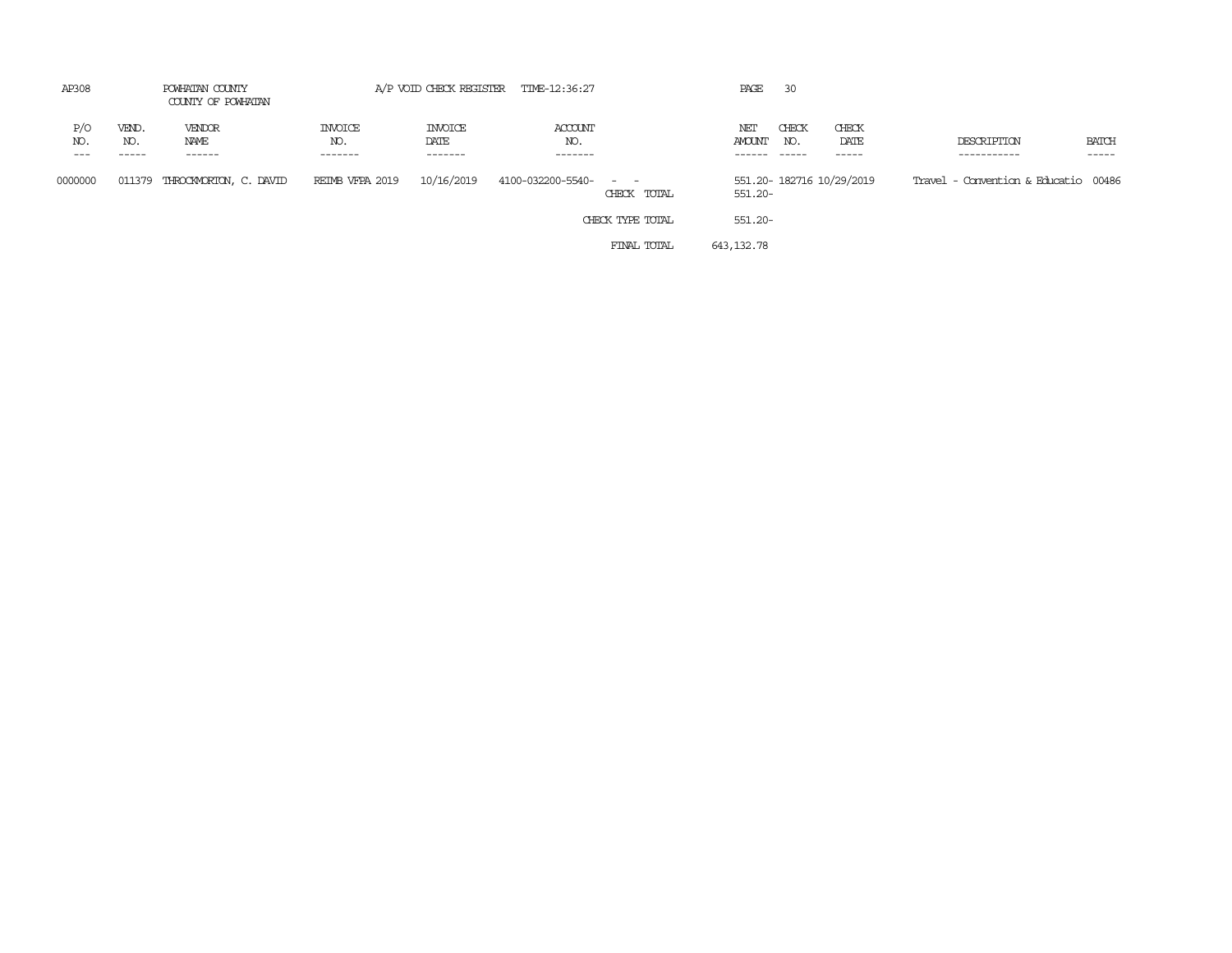| AP308      |              | POWHATAN COUNTY<br>COUNTY OF POWHATAN |                                  |                                   | A/P VOID CHECK REGISTER TIME-12:36:27 |                                                                                                                             | PAGE          | 30           |                          |                                      |                       |
|------------|--------------|---------------------------------------|----------------------------------|-----------------------------------|---------------------------------------|-----------------------------------------------------------------------------------------------------------------------------|---------------|--------------|--------------------------|--------------------------------------|-----------------------|
| P/O<br>NO. | VEND.<br>NO. | VENDOR<br>NAME<br>------              | <b>INVOICE</b><br>NO.<br>------- | <b>INVOICE</b><br>DATE<br>------- | ACCOUNT<br>NO.<br>-------             |                                                                                                                             | NET<br>AMOUNT | CHECK<br>NO. | CHECK<br>DATE<br>-----   | DESCRIPTION<br>-----------           | <b>BATCH</b><br>----- |
| 0000000    | 011379       | THROCKMORTON, C. DAVID                | REIMB VFPA 2019                  | 10/16/2019                        | 4100-032200-5540-                     | $\frac{1}{2} \left( \frac{1}{2} \right) \left( \frac{1}{2} \right) = \frac{1}{2} \left( \frac{1}{2} \right)$<br>CHECK TOTAL | 551.20-       |              | 551.20-182716 10/29/2019 | Travel - Convention & Educatio 00486 |                       |
|            |              |                                       |                                  |                                   |                                       | CHECK TYPE TOTAL                                                                                                            | 551.20-       |              |                          |                                      |                       |
|            |              |                                       |                                  |                                   |                                       | FINAL TOTAL                                                                                                                 | 643,132.78    |              |                          |                                      |                       |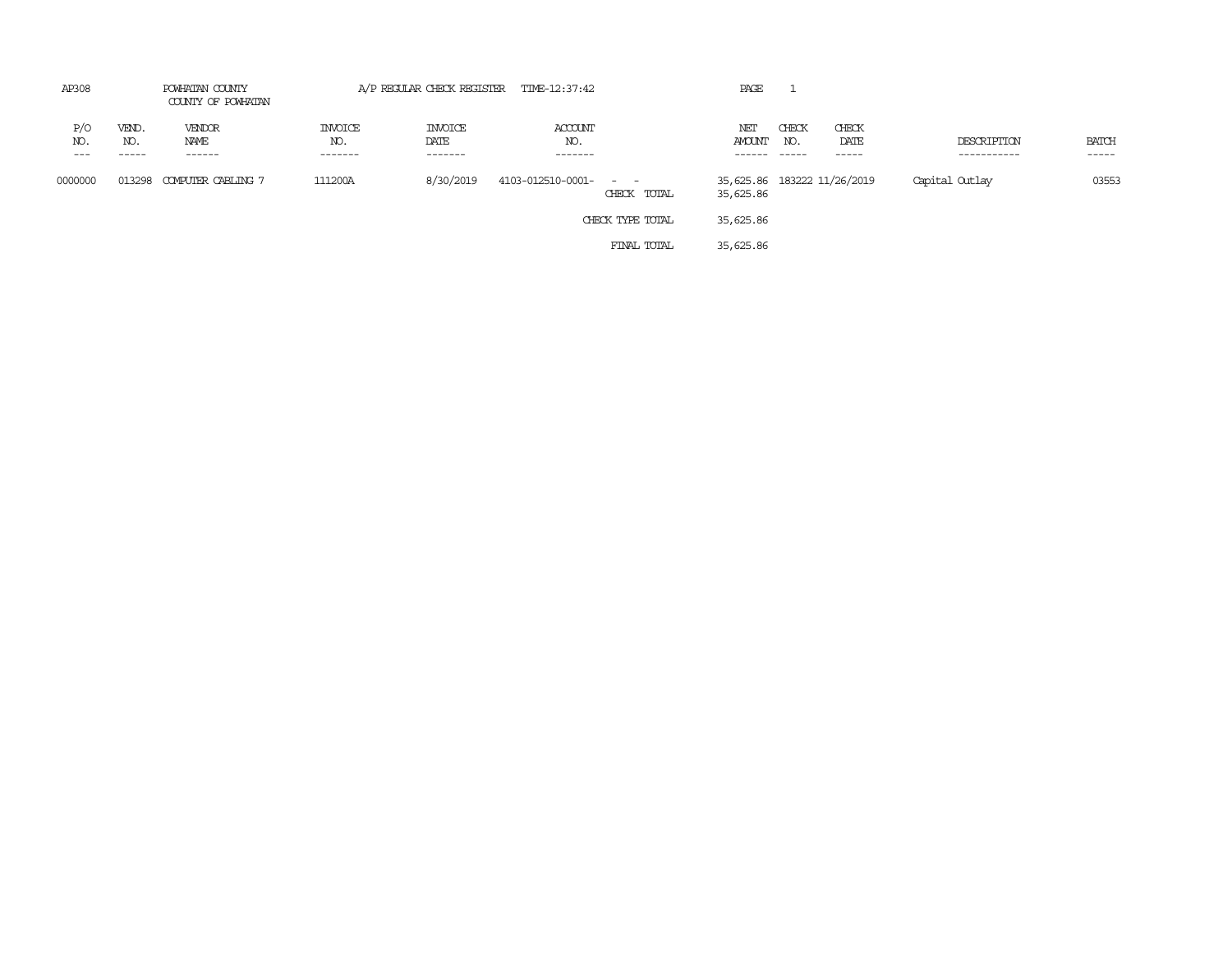| AP308               | POWHATAN COUNTY<br>COUNTY OF POWHATAN |                                 |                                   |                                   | A/P REGULAR CHECK REGISTER TIME-12:37:42<br>PAGE |                                                                                                                             |                                          |                        |                        |                            |                             |  |
|---------------------|---------------------------------------|---------------------------------|-----------------------------------|-----------------------------------|--------------------------------------------------|-----------------------------------------------------------------------------------------------------------------------------|------------------------------------------|------------------------|------------------------|----------------------------|-----------------------------|--|
| P/O<br>NO.<br>$---$ | VEND.<br>NO.<br>------                | VENDOR<br>NAME<br>$- - - - - -$ | <b>INVOICE</b><br>NO.<br>-------- | <b>INVOICE</b><br>DATE<br>------- | ACCOUNT<br>NO.<br>-------                        |                                                                                                                             | NET<br>AMOUNT<br>------                  | CHECK<br>NO.<br>------ | CHECK<br>DATE<br>----- | DESCRIPTION<br>----------- | <b>BATCH</b><br>$- - - - -$ |  |
| 0000000             | 013298                                | COMPUTER CABLING 7              | 111200A                           | 8/30/2019                         | 4103-012510-0001-                                | $\frac{1}{2} \left( \frac{1}{2} \right) \left( \frac{1}{2} \right) = \frac{1}{2} \left( \frac{1}{2} \right)$<br>CHECK TOTAL | 35,625.86 183222 11/26/2019<br>35,625.86 |                        |                        | Capital Outlay             | 03553                       |  |
|                     |                                       |                                 |                                   |                                   |                                                  | CHECK TYPE TOTAL                                                                                                            | 35,625.86                                |                        |                        |                            |                             |  |
|                     |                                       |                                 |                                   |                                   |                                                  | FINAL TOTAL                                                                                                                 | 35,625.86                                |                        |                        |                            |                             |  |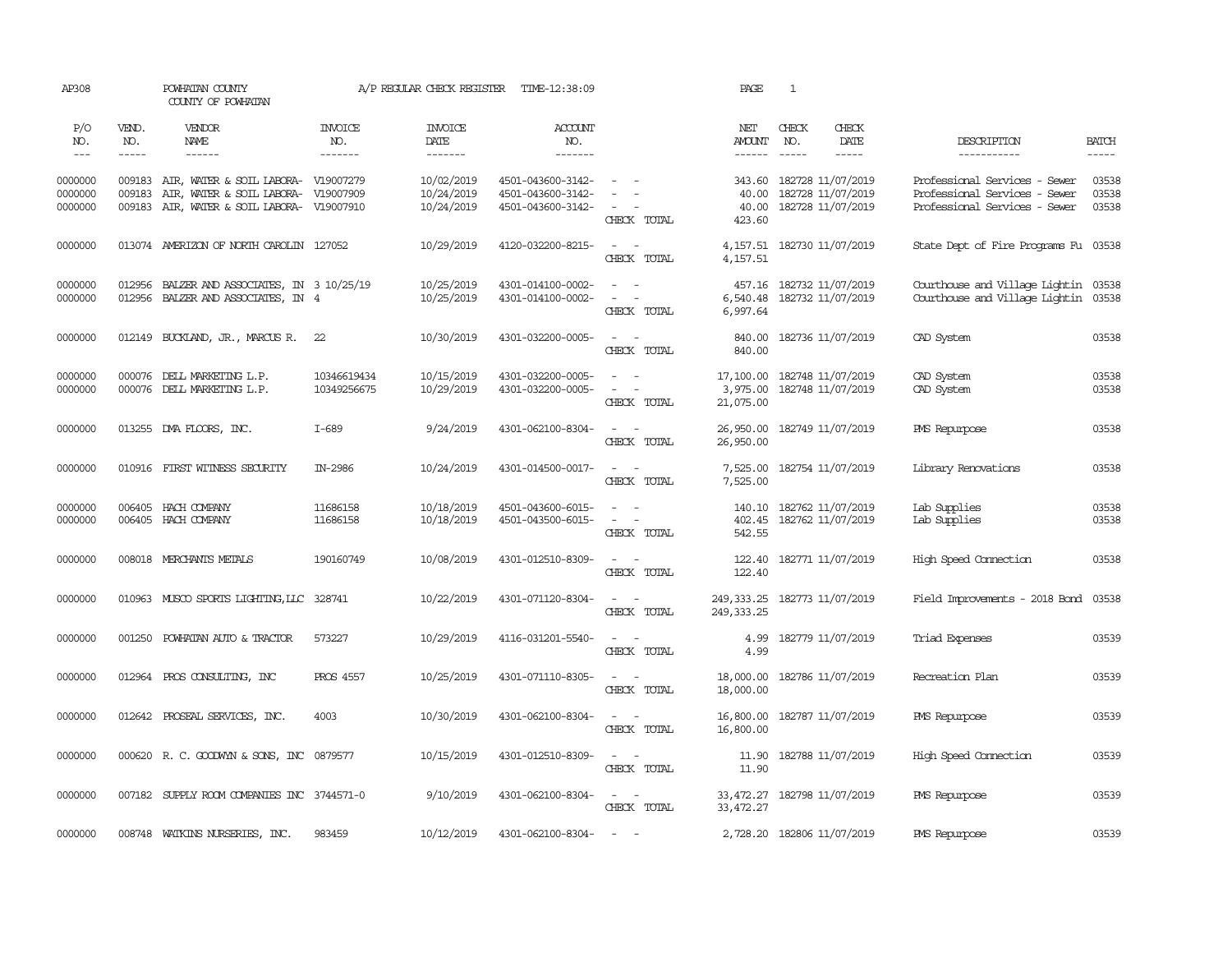| AP308                         |                  | POWHATAN COUNTY<br>COUNTY OF POWHATAN                                                                                    |                            |                                        | A/P REGULAR CHECK REGISTER TIME-12:38:09                    |                                                                                                         | PAGE                               | $\mathbf{1}$                                                      |               |                                                                                                 |                         |
|-------------------------------|------------------|--------------------------------------------------------------------------------------------------------------------------|----------------------------|----------------------------------------|-------------------------------------------------------------|---------------------------------------------------------------------------------------------------------|------------------------------------|-------------------------------------------------------------------|---------------|-------------------------------------------------------------------------------------------------|-------------------------|
| P/O<br>NO.                    | VEND.<br>NO.     | VENDOR<br>NAME                                                                                                           | <b>INVOICE</b><br>NO.      | <b>INVOICE</b><br>DATE                 | ACCOUNT<br>NO.                                              |                                                                                                         | NET<br>AMOUNT                      | CHECK<br>NO.                                                      | CHECK<br>DATE | DESCRIPTION                                                                                     | <b>BATCH</b>            |
| $---$                         | $\frac{1}{2}$    | $- - - - - -$                                                                                                            | -------                    | --------                               | $- - - - - - -$                                             |                                                                                                         | $- - - - - -$                      | $\frac{1}{2}$                                                     | $- - - - -$   | ------------                                                                                    | $- - - - -$             |
| 0000000<br>0000000<br>0000000 | 009183<br>009183 | AIR, WATER & SOIL LABORA- V19007279<br>AIR, WATER & SOIL LABORA- V19007909<br>009183 AIR, WATER & SOIL LABORA- V19007910 |                            | 10/02/2019<br>10/24/2019<br>10/24/2019 | 4501-043600-3142-<br>4501-043600-3142-<br>4501-043600-3142- | $\equiv$<br>CHECK TOTAL                                                                                 | 343.60<br>40.00<br>423.60          | 182728 11/07/2019<br>182728 11/07/2019<br>40.00 182728 11/07/2019 |               | Professional Services - Sewer<br>Professional Services - Sewer<br>Professional Services - Sewer | 03538<br>03538<br>03538 |
| 0000000                       |                  | 013074 AMERIZON OF NORTH CAROLIN 127052                                                                                  |                            | 10/29/2019                             | 4120-032200-8215-                                           | $\sim$ $ \sim$<br>CHECK TOTAL                                                                           | 4,157.51                           | 4, 157.51 182730 11/07/2019                                       |               | State Dept of Fire Programs Fu 03538                                                            |                         |
| 0000000<br>0000000            | 012956<br>012956 | BALZER AND ASSOCIATES, IN 3 10/25/19<br>BALZER AND ASSOCIATES, IN 4                                                      |                            | 10/25/2019<br>10/25/2019               | 4301-014100-0002-<br>4301-014100-0002-                      | $\sim$ $ \sim$<br>$\sim$ $ \sim$<br>CHECK TOTAL                                                         | 6,997.64                           | 457.16 182732 11/07/2019<br>6,540.48 182732 11/07/2019            |               | Courthouse and Village Lightin 03538<br>Courthouse and Village Lightin                          | 03538                   |
| 0000000                       |                  | 012149 BUCKLAND, JR., MARCUS R.                                                                                          | 22                         | 10/30/2019                             | 4301-032200-0005-                                           | $\sim$<br>$\sim$<br>CHECK TOTAL                                                                         | 840.00<br>840.00                   | 182736 11/07/2019                                                 |               | CAD System                                                                                      | 03538                   |
| 0000000<br>0000000            |                  | 000076 DELL MARKETING L.P.<br>000076 DELL MARKETING L.P.                                                                 | 10346619434<br>10349256675 | 10/15/2019<br>10/29/2019               | 4301-032200-0005-<br>4301-032200-0005-                      | $\sim$<br>- 11<br>$\sim$<br>$\sim$<br>CHECK TOTAL                                                       | 17,100.00<br>3,975.00<br>21,075.00 | 182748 11/07/2019<br>182748 11/07/2019                            |               | CAD System<br>CAD System                                                                        | 03538<br>03538          |
| 0000000                       |                  | 013255 DMA FLOORS, INC.                                                                                                  | $I-689$                    | 9/24/2019                              | 4301-062100-8304-                                           | $\sim$<br>$\sim$ $-$<br>CHECK TOTAL                                                                     | 26,950.00<br>26,950.00             | 182749 11/07/2019                                                 |               | PMS Repurpose                                                                                   | 03538                   |
| 0000000                       |                  | 010916 FIRST WITNESS SECURITY                                                                                            | IN-2986                    | 10/24/2019                             | 4301-014500-0017-                                           | $\sim$ $ \sim$<br>CHECK TOTAL                                                                           | 7,525.00<br>7,525.00               | 182754 11/07/2019                                                 |               | Library Renovations                                                                             | 03538                   |
| 0000000<br>0000000            |                  | 006405 HACH COMPANY<br>006405 HACH COMPANY                                                                               | 11686158<br>11686158       | 10/18/2019<br>10/18/2019               | 4501-043600-6015-<br>4501-043500-6015-                      | $\omega_{\rm{max}}$ , $\omega_{\rm{max}}$<br>$\omega_{\rm{max}}$ and $\omega_{\rm{max}}$<br>CHECK TOTAL | 402.45<br>542.55                   | 140.10 182762 11/07/2019<br>182762 11/07/2019                     |               | Lab Supplies<br>Lab Supplies                                                                    | 03538<br>03538          |
| 0000000                       |                  | 008018 MERCHANTS METALS                                                                                                  | 190160749                  | 10/08/2019                             | 4301-012510-8309-                                           | $\sim$ 100 $\sim$<br>CHECK TOTAL                                                                        | 122.40<br>122.40                   | 182771 11/07/2019                                                 |               | High Speed Connection                                                                           | 03538                   |
| 0000000                       |                  | 010963 MUSCO SPORTS LIGHTING, LLC 328741                                                                                 |                            | 10/22/2019                             | 4301-071120-8304-                                           | $\sim$ $ -$<br>CHECK TOTAL                                                                              | 249, 333.25                        | 249, 333.25 182773 11/07/2019                                     |               | Field Improvements - 2018 Bond 03538                                                            |                         |
| 0000000                       | 001250           | POWHATAN AUTO & TRACTOR                                                                                                  | 573227                     | 10/29/2019                             | 4116-031201-5540-                                           | $\omega_{\rm{max}}$ and $\omega_{\rm{max}}$<br>CHECK TOTAL                                              | 4.99<br>4.99                       | 182779 11/07/2019                                                 |               | Triad Expenses                                                                                  | 03539                   |
| 0000000                       |                  | 012964 PROS CONSULTING, INC                                                                                              | <b>PROS 4557</b>           | 10/25/2019                             | 4301-071110-8305-                                           | $\sim$ $ \sim$<br>CHECK TOTAL                                                                           | 18,000.00<br>18,000.00             | 182786 11/07/2019                                                 |               | Recreation Plan                                                                                 | 03539                   |
| 0000000                       |                  | 012642 PROSEAL SERVICES, INC.                                                                                            | 4003                       | 10/30/2019                             | 4301-062100-8304-                                           | $\sim$ $-$<br>$\overline{\phantom{a}}$<br>CHECK TOTAL                                                   | 16,800.00<br>16,800.00             | 182787 11/07/2019                                                 |               | PMS Repurpose                                                                                   | 03539                   |
| 0000000                       |                  | 000620 R.C. GOODWYN & SONS, INC 0879577                                                                                  |                            | 10/15/2019                             | 4301-012510-8309-                                           | $\sim$<br>$\sim$<br>CHECK TOTAL                                                                         | 11.90<br>11.90                     | 182788 11/07/2019                                                 |               | High Speed Connection                                                                           | 03539                   |
| 0000000                       |                  | 007182 SUPPLY ROOM COMPANIES INC 3744571-0                                                                               |                            | 9/10/2019                              | 4301-062100-8304-                                           | $\sim$ $-$<br>$\sim$<br>CHECK TOTAL                                                                     | 33,472.27                          | 33,472.27 182798 11/07/2019                                       |               | PMS Repurpose                                                                                   | 03539                   |
| 0000000                       |                  | 008748 WATKINS NURSERIES, INC.                                                                                           | 983459                     | 10/12/2019                             | 4301-062100-8304-                                           | $\sim$<br>$\sim$                                                                                        |                                    | 2,728.20 182806 11/07/2019                                        |               | PMS Repurpose                                                                                   | 03539                   |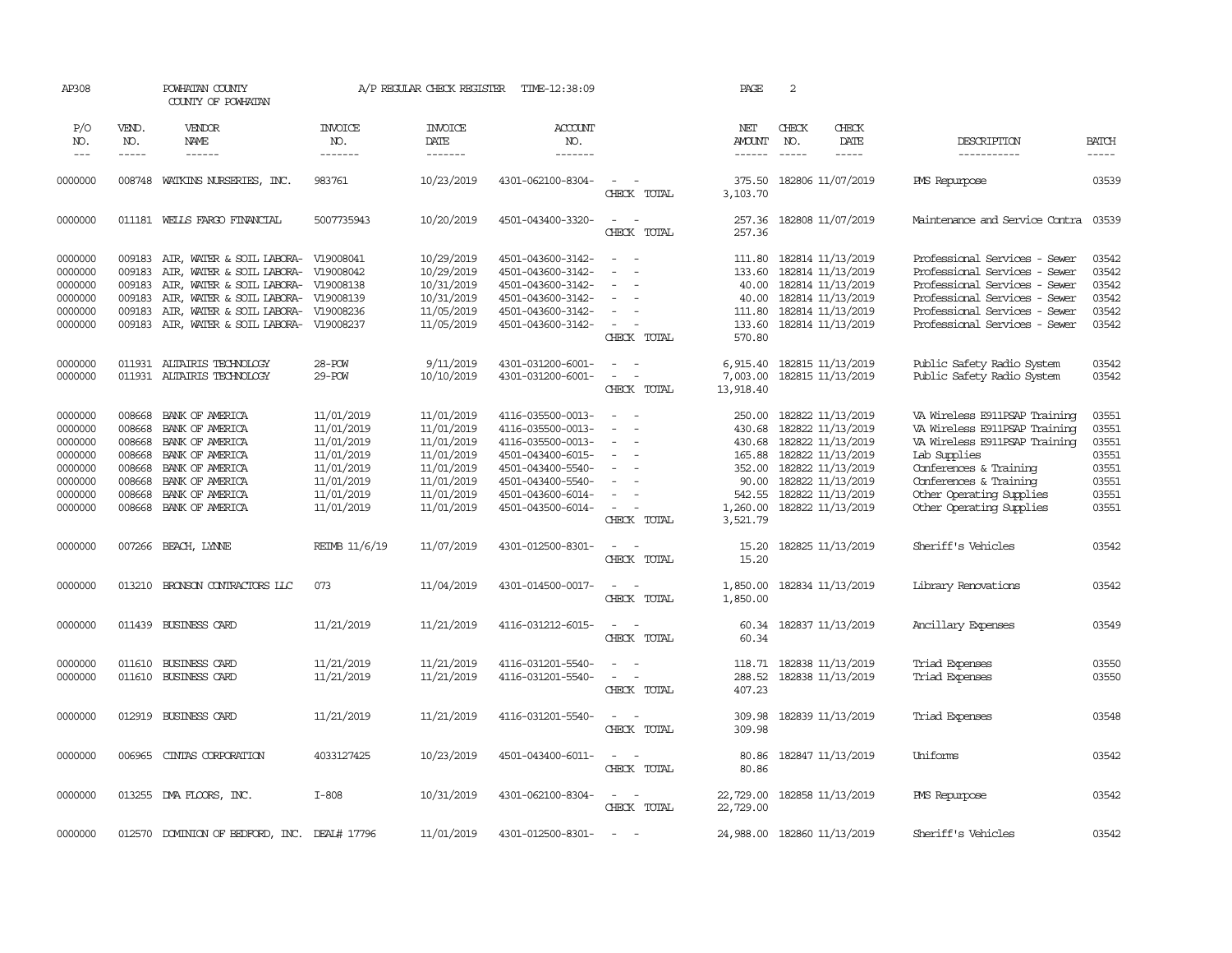| AP308                                                                                |                                                                              | POWHATAN COUNTY<br>COUNTY OF POWHATAN                                                                                                                                                                                                         |                                                                                                              | A/P REGULAR CHECK REGISTER                                                                                   | TIME-12:38:09                                                                                                                                                        |                                                                                                                           | PAGE                                                                                      | 2                                                                                                                                                                    |                              |                                                                                                                                                                                                                             |                                                                      |
|--------------------------------------------------------------------------------------|------------------------------------------------------------------------------|-----------------------------------------------------------------------------------------------------------------------------------------------------------------------------------------------------------------------------------------------|--------------------------------------------------------------------------------------------------------------|--------------------------------------------------------------------------------------------------------------|----------------------------------------------------------------------------------------------------------------------------------------------------------------------|---------------------------------------------------------------------------------------------------------------------------|-------------------------------------------------------------------------------------------|----------------------------------------------------------------------------------------------------------------------------------------------------------------------|------------------------------|-----------------------------------------------------------------------------------------------------------------------------------------------------------------------------------------------------------------------------|----------------------------------------------------------------------|
| P/O<br>NO.<br>$---$                                                                  | VEND.<br>NO.<br>$- - - - -$                                                  | VENDOR<br>NAME<br>$- - - - - -$                                                                                                                                                                                                               | INVOICE<br>NO.<br>-------                                                                                    | INVOICE<br>DATE<br>-------                                                                                   | ACCOUNT<br>NO.<br>$- - - - - - -$                                                                                                                                    |                                                                                                                           | NET<br><b>AMOUNT</b><br>$- - - - - -$                                                     | CHECK<br>NO.                                                                                                                                                         | CHECK<br>DATE<br>$- - - - -$ | DESCRIPTION<br>-----------                                                                                                                                                                                                  | <b>BATCH</b><br>-----                                                |
| 0000000                                                                              | 008748                                                                       | WATKINS NURSERIES, INC.                                                                                                                                                                                                                       | 983761                                                                                                       | 10/23/2019                                                                                                   | 4301-062100-8304-                                                                                                                                                    | $\overline{\phantom{a}}$<br>$\sim$<br>CHECK TOTAL                                                                         | 375.50<br>3,103.70                                                                        | 182806 11/07/2019                                                                                                                                                    |                              | PMS Repurpose                                                                                                                                                                                                               | 03539                                                                |
| 0000000                                                                              |                                                                              | 011181 WELLS FARGO FINANCIAL                                                                                                                                                                                                                  | 5007735943                                                                                                   | 10/20/2019                                                                                                   | 4501-043400-3320-                                                                                                                                                    | $\sim$<br>$\sim$<br>CHECK TOTAL                                                                                           | 257.36<br>257.36                                                                          | 182808 11/07/2019                                                                                                                                                    |                              | Maintenance and Service Contra                                                                                                                                                                                              | 03539                                                                |
| 0000000<br>0000000<br>0000000<br>0000000<br>0000000<br>0000000                       | 009183<br>009183<br>009183<br>009183<br>009183                               | 009183 AIR, WATER & SOIL LABORA- V19008041<br>AIR, WATER & SOIL LABORA- V19008042<br>AIR, WATER & SOIL LABORA- V19008138<br>AIR, WATER & SOIL LABORA- V19008139<br>AIR, WATER & SOIL LABORA- V19008236<br>AIR, WATER & SOIL LABORA- V19008237 |                                                                                                              | 10/29/2019<br>10/29/2019<br>10/31/2019<br>10/31/2019<br>11/05/2019<br>11/05/2019                             | 4501-043600-3142-<br>4501-043600-3142-<br>4501-043600-3142-<br>4501-043600-3142-<br>4501-043600-3142-<br>4501-043600-3142-                                           | $\sim$<br>$\sim$<br>$\equiv$<br>$\overline{\phantom{a}}$<br>$\equiv$<br>$\sim$<br>$\overline{\phantom{a}}$<br>CHECK TOTAL | 133.60<br>40.00<br>40.00<br>111.80<br>133.60<br>570.80                                    | 111.80 182814 11/13/2019<br>182814 11/13/2019<br>182814 11/13/2019<br>182814 11/13/2019<br>182814 11/13/2019<br>182814 11/13/2019                                    |                              | Professional Services - Sewer<br>Professional Services - Sewer<br>Professional Services - Sewer<br>Professional Services - Sewer<br>Professional Services - Sewer<br>Professional Services - Sewer                          | 03542<br>03542<br>03542<br>03542<br>03542<br>03542                   |
| 0000000<br>0000000                                                                   | 011931                                                                       | ALTAIRIS TECHNOLOGY<br>011931 ALTAIRIS TECHNOLOGY                                                                                                                                                                                             | $28 - POW$<br>29-POW                                                                                         | 9/11/2019<br>10/10/2019                                                                                      | 4301-031200-6001-<br>4301-031200-6001-                                                                                                                               | $\overline{\phantom{a}}$<br>$\sim$<br>$\sim$<br>$\sim$<br>CHECK TOTAL                                                     | 6,915.40<br>7,003.00<br>13,918.40                                                         | 182815 11/13/2019<br>182815 11/13/2019                                                                                                                               |                              | Public Safety Radio System<br>Public Safety Radio System                                                                                                                                                                    | 03542<br>03542                                                       |
| 0000000<br>0000000<br>0000000<br>0000000<br>0000000<br>0000000<br>0000000<br>0000000 | 008668<br>008668<br>008668<br>008668<br>008668<br>008668<br>008668<br>008668 | BANK OF AMERICA<br>BANK OF AMERICA<br>BANK OF AMERICA<br>BANK OF AMERICA<br>BANK OF AMERICA<br>BANK OF AMERICA<br>BANK OF AMERICA<br>BANK OF AMERICA                                                                                          | 11/01/2019<br>11/01/2019<br>11/01/2019<br>11/01/2019<br>11/01/2019<br>11/01/2019<br>11/01/2019<br>11/01/2019 | 11/01/2019<br>11/01/2019<br>11/01/2019<br>11/01/2019<br>11/01/2019<br>11/01/2019<br>11/01/2019<br>11/01/2019 | 4116-035500-0013-<br>4116-035500-0013-<br>4116-035500-0013-<br>4501-043400-6015-<br>4501-043400-5540-<br>4501-043400-5540-<br>4501-043600-6014-<br>4501-043500-6014- | $\equiv$<br>$\sim$<br>$\blacksquare$<br>$\equiv$<br>$\equiv$<br>$\sim$<br>$\overline{\phantom{a}}$<br>CHECK TOTAL         | 250.00<br>430.68<br>430.68<br>165.88<br>352.00<br>90.00<br>542.55<br>1,260.00<br>3,521.79 | 182822 11/13/2019<br>182822 11/13/2019<br>182822 11/13/2019<br>182822 11/13/2019<br>182822 11/13/2019<br>182822 11/13/2019<br>182822 11/13/2019<br>182822 11/13/2019 |                              | VA Wireless E911PSAP Training<br>VA Wireless E911PSAP Training<br>VA Wireless E911PSAP Training<br>Lab Supplies<br>Conferences & Training<br>Conferences & Training<br>Other Operating Supplies<br>Other Operating Supplies | 03551<br>03551<br>03551<br>03551<br>03551<br>03551<br>03551<br>03551 |
| 0000000                                                                              | 007266                                                                       | BEACH, LYNNE                                                                                                                                                                                                                                  | REIMB 11/6/19                                                                                                | 11/07/2019                                                                                                   | 4301-012500-8301-                                                                                                                                                    | $\overline{\phantom{a}}$<br>CHECK TOTAL                                                                                   | 15.20<br>15.20                                                                            | 182825 11/13/2019                                                                                                                                                    |                              | Sheriff's Vehicles                                                                                                                                                                                                          | 03542                                                                |
| 0000000                                                                              | 013210                                                                       | BRONSON CONTRACTORS LLC                                                                                                                                                                                                                       | 073                                                                                                          | 11/04/2019                                                                                                   | 4301-014500-0017-                                                                                                                                                    | $\sim$<br>$\sim$<br>CHECK TOTAL                                                                                           | 1,850.00<br>1,850.00                                                                      | 182834 11/13/2019                                                                                                                                                    |                              | Library Renovations                                                                                                                                                                                                         | 03542                                                                |
| 0000000                                                                              |                                                                              | 011439 BUSINESS CARD                                                                                                                                                                                                                          | 11/21/2019                                                                                                   | 11/21/2019                                                                                                   | 4116-031212-6015-                                                                                                                                                    | $\sim$<br>$\sim$<br>CHECK TOTAL                                                                                           | 60.34<br>60.34                                                                            | 182837 11/13/2019                                                                                                                                                    |                              | Ancillary Expenses                                                                                                                                                                                                          | 03549                                                                |
| 0000000<br>0000000                                                                   | 011610<br>011610                                                             | BUSINESS CARD<br>BUSINESS CARD                                                                                                                                                                                                                | 11/21/2019<br>11/21/2019                                                                                     | 11/21/2019<br>11/21/2019                                                                                     | 4116-031201-5540-<br>4116-031201-5540-                                                                                                                               | $\sim$<br>$\sim$<br>$\sim$<br>$\sim$<br>CHECK TOTAL                                                                       | 288.52<br>407.23                                                                          | 118.71 182838 11/13/2019<br>182838 11/13/2019                                                                                                                        |                              | Triad Expenses<br>Triad Expenses                                                                                                                                                                                            | 03550<br>03550                                                       |
| 0000000                                                                              | 012919                                                                       | BUSINESS CARD                                                                                                                                                                                                                                 | 11/21/2019                                                                                                   | 11/21/2019                                                                                                   | 4116-031201-5540-                                                                                                                                                    | $\sim$<br>$\sim$<br>CHECK TOTAL                                                                                           | 309.98<br>309.98                                                                          | 182839 11/13/2019                                                                                                                                                    |                              | Triad Expenses                                                                                                                                                                                                              | 03548                                                                |
| 0000000                                                                              | 006965                                                                       | CINIAS CORPORATION                                                                                                                                                                                                                            | 4033127425                                                                                                   | 10/23/2019                                                                                                   | 4501-043400-6011-                                                                                                                                                    | $\sim$ $ \sim$<br>CHECK TOTAL                                                                                             | 80.86<br>80.86                                                                            | 182847 11/13/2019                                                                                                                                                    |                              | Uniforms                                                                                                                                                                                                                    | 03542                                                                |
| 0000000                                                                              |                                                                              | 013255 DMA FLOORS, INC.                                                                                                                                                                                                                       | $I-808$                                                                                                      | 10/31/2019                                                                                                   | 4301-062100-8304-                                                                                                                                                    | $\sim$<br>$\sim$ $-$<br>CHECK TOTAL                                                                                       | 22,729.00<br>22,729.00                                                                    | 182858 11/13/2019                                                                                                                                                    |                              | PMS Repurpose                                                                                                                                                                                                               | 03542                                                                |
| 0000000                                                                              |                                                                              | 012570 DOMINION OF BEDFORD, INC. DEAL# 17796                                                                                                                                                                                                  |                                                                                                              | 11/01/2019                                                                                                   | 4301-012500-8301-                                                                                                                                                    | $\sim$<br>$\sim$                                                                                                          | 24,988.00 182860 11/13/2019                                                               |                                                                                                                                                                      |                              | Sheriff's Vehicles                                                                                                                                                                                                          | 03542                                                                |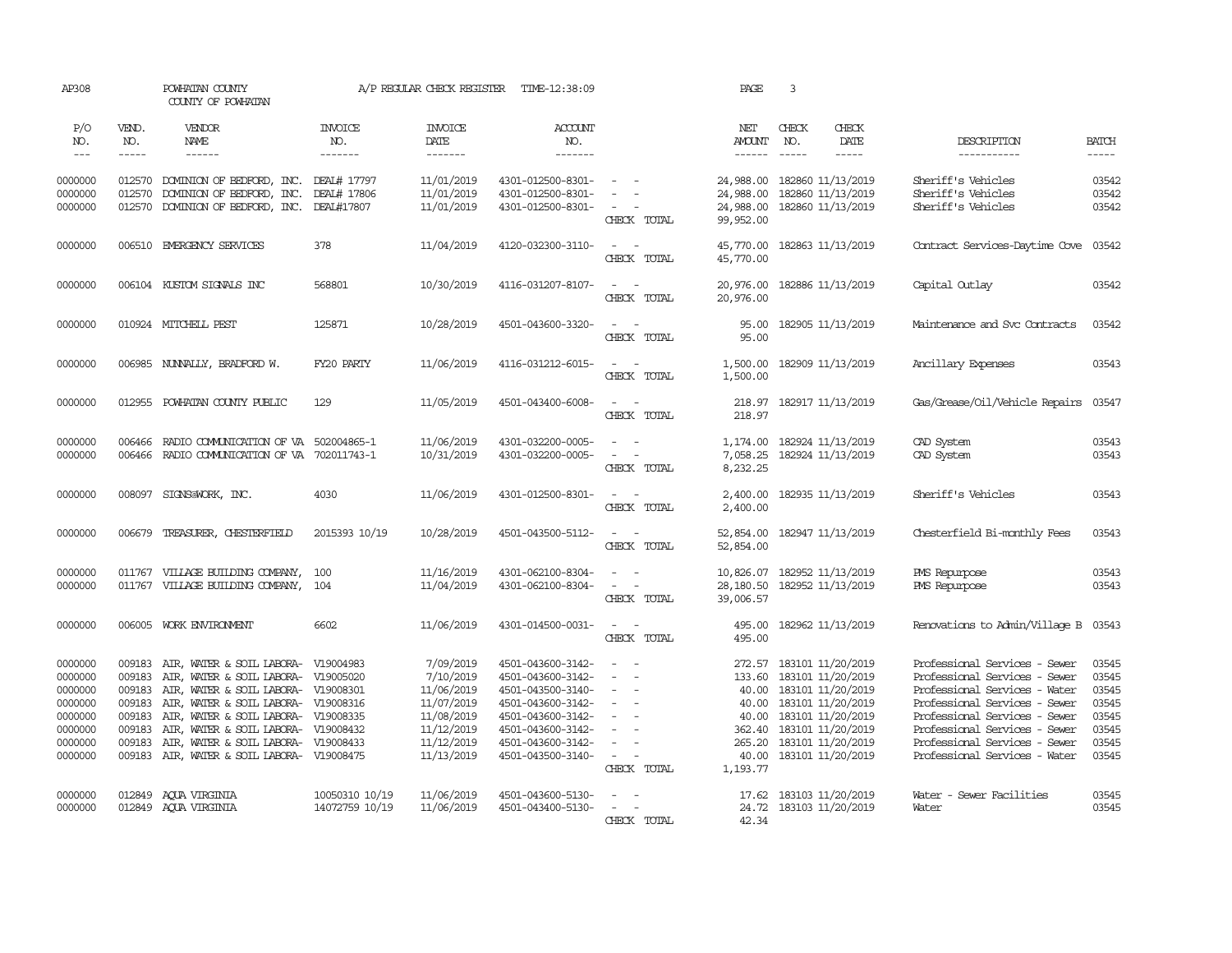| AP308                                                                                |                                                                    | POWHATAN COUNTY<br>COUNTY OF POWHATAN                                                                                                                                                                                                                                                                                       |                                  | A/P REGULAR CHECK REGISTER                                                                                 | TIME-12:38:09                                                                                                                                                        |                                                                                                                                                     | PAGE                                             | 3                                                                                                                                                                                              |                                                                                                                                                                                                                                                                      |                                                                      |
|--------------------------------------------------------------------------------------|--------------------------------------------------------------------|-----------------------------------------------------------------------------------------------------------------------------------------------------------------------------------------------------------------------------------------------------------------------------------------------------------------------------|----------------------------------|------------------------------------------------------------------------------------------------------------|----------------------------------------------------------------------------------------------------------------------------------------------------------------------|-----------------------------------------------------------------------------------------------------------------------------------------------------|--------------------------------------------------|------------------------------------------------------------------------------------------------------------------------------------------------------------------------------------------------|----------------------------------------------------------------------------------------------------------------------------------------------------------------------------------------------------------------------------------------------------------------------|----------------------------------------------------------------------|
| P/O<br>NO.<br>$\frac{1}{2}$                                                          | VEND.<br>NO.<br>$- - - - -$                                        | VENDOR<br>NAME<br>$- - - - - -$                                                                                                                                                                                                                                                                                             | <b>INVOICE</b><br>NO.<br>------- | <b>INVOICE</b><br>DATE<br>--------                                                                         | <b>ACCOUNT</b><br>NO.<br>--------                                                                                                                                    |                                                                                                                                                     | NET<br><b>AMOUNT</b>                             | CHECK<br>CHECK<br>NO.<br>DATE<br>$\frac{1}{2}$<br>$- - - - -$                                                                                                                                  | DESCRIPTION<br>-----------                                                                                                                                                                                                                                           | <b>BATCH</b><br>$- - - - -$                                          |
| 0000000<br>0000000<br>0000000                                                        | 012570<br>012570                                                   | 012570 DOMINION OF BEDFORD, INC. DEAL# 17797<br>DOMINION OF BEDFORD, INC. DEAL# 17806<br>DOMINION OF BEDFORD, INC.                                                                                                                                                                                                          | DEAL#17807                       | 11/01/2019<br>11/01/2019<br>11/01/2019                                                                     | 4301-012500-8301-<br>4301-012500-8301-<br>4301-012500-8301-                                                                                                          | $\sim$<br>$\equiv$<br>$\sim$<br>$\sim$<br>CHECK TOTAL                                                                                               | 24,988.00<br>24,988.00<br>24,988.00<br>99,952.00 | 182860 11/13/2019<br>182860 11/13/2019<br>182860 11/13/2019                                                                                                                                    | Sheriff's Vehicles<br>Sheriff's Vehicles<br>Sheriff's Vehicles                                                                                                                                                                                                       | 03542<br>03542<br>03542                                              |
| 0000000                                                                              | 006510                                                             | EMERGENCY SERVICES                                                                                                                                                                                                                                                                                                          | 378                              | 11/04/2019                                                                                                 | 4120-032300-3110-                                                                                                                                                    | $\omega_{\rm{max}}$ and $\omega_{\rm{max}}$<br>CHECK TOTAL                                                                                          | 45,770.00<br>45,770.00                           | 182863 11/13/2019                                                                                                                                                                              | Contract Services-Daytime Cove                                                                                                                                                                                                                                       | 03542                                                                |
| 0000000                                                                              |                                                                    | 006104 KUSTOM SIGNALS INC                                                                                                                                                                                                                                                                                                   | 568801                           | 10/30/2019                                                                                                 | 4116-031207-8107-                                                                                                                                                    | $\omega_{\rm{max}}$ and $\omega_{\rm{max}}$<br>CHECK TOTAL                                                                                          | 20,976.00                                        | 20,976.00 182886 11/13/2019                                                                                                                                                                    | Capital Outlay                                                                                                                                                                                                                                                       | 03542                                                                |
| 0000000                                                                              |                                                                    | 010924 MITCHELL PEST                                                                                                                                                                                                                                                                                                        | 125871                           | 10/28/2019                                                                                                 | 4501-043600-3320-                                                                                                                                                    | $\sim$<br>CHECK TOTAL                                                                                                                               | 95.00<br>95.00                                   | 182905 11/13/2019                                                                                                                                                                              | Maintenance and Svc Contracts                                                                                                                                                                                                                                        | 03542                                                                |
| 0000000                                                                              | 006985                                                             | NUNALLY, BRADFORD W.                                                                                                                                                                                                                                                                                                        | FY20 PARTY                       | 11/06/2019                                                                                                 | 4116-031212-6015-                                                                                                                                                    | $\sim$<br>$\sim$ $-$<br>CHECK TOTAL                                                                                                                 | 1,500.00<br>1,500.00                             | 182909 11/13/2019                                                                                                                                                                              | Ancillary Expenses                                                                                                                                                                                                                                                   | 03543                                                                |
| 0000000                                                                              | 012955                                                             | POWHATAN COUNTY PUBLIC                                                                                                                                                                                                                                                                                                      | 129                              | 11/05/2019                                                                                                 | 4501-043400-6008-                                                                                                                                                    | $\sim$ 100 $\sim$<br>CHECK TOTAL                                                                                                                    | 218.97<br>218.97                                 | 182917 11/13/2019                                                                                                                                                                              | Gas/Grease/Oil/Vehicle Repairs                                                                                                                                                                                                                                       | 03547                                                                |
| 0000000<br>0000000                                                                   | 006466<br>006466                                                   | RADIO COMUNICATION OF VA 502004865-1<br>RADIO COMUNICATION OF VA 702011743-1                                                                                                                                                                                                                                                |                                  | 11/06/2019<br>10/31/2019                                                                                   | 4301-032200-0005-<br>4301-032200-0005-                                                                                                                               | $\sim$ $ -$<br>$\overline{\phantom{a}}$<br>$\sim$<br>CHECK TOTAL                                                                                    | 7,058.25<br>8,232.25                             | 1, 174.00 182924 11/13/2019<br>182924 11/13/2019                                                                                                                                               | CAD System<br>CAD System                                                                                                                                                                                                                                             | 03543<br>03543                                                       |
| 0000000                                                                              | 008097                                                             | SIGNS@WORK, INC.                                                                                                                                                                                                                                                                                                            | 4030                             | 11/06/2019                                                                                                 | 4301-012500-8301-                                                                                                                                                    | $\sim$ $ \sim$<br>CHECK TOTAL                                                                                                                       | 2,400.00<br>2,400.00                             | 182935 11/13/2019                                                                                                                                                                              | Sheriff's Vehicles                                                                                                                                                                                                                                                   | 03543                                                                |
| 0000000                                                                              | 006679                                                             | TREASURER, CHESTERFIELD                                                                                                                                                                                                                                                                                                     | 2015393 10/19                    | 10/28/2019                                                                                                 | 4501-043500-5112-                                                                                                                                                    | $\sim$<br>$\sim$<br>CHECK TOTAL                                                                                                                     | 52,854.00<br>52,854.00                           | 182947 11/13/2019                                                                                                                                                                              | Chesterfield Bi-monthly Fees                                                                                                                                                                                                                                         | 03543                                                                |
| 0000000<br>0000000                                                                   | 011767                                                             | 011767 VILLAGE BUILDING COMPANY,<br>VILLAGE BUILDING COMPANY,                                                                                                                                                                                                                                                               | 100<br>104                       | 11/16/2019<br>11/04/2019                                                                                   | 4301-062100-8304-<br>4301-062100-8304-                                                                                                                               | $\overline{\phantom{a}}$<br>$\sim$<br>$\sim$<br>$\sim$<br>CHECK TOTAL                                                                               | 28,180.50<br>39,006.57                           | 10,826.07 182952 11/13/2019<br>182952 11/13/2019                                                                                                                                               | PMS Repurpose<br>PMS Repurpose                                                                                                                                                                                                                                       | 03543<br>03543                                                       |
| 0000000                                                                              |                                                                    | 006005 WORK ENVIRONMENT                                                                                                                                                                                                                                                                                                     | 6602                             | 11/06/2019                                                                                                 | 4301-014500-0031-                                                                                                                                                    | $\sim$ $ \sim$<br>CHECK TOTAL                                                                                                                       | 495.00<br>495.00                                 | 182962 11/13/2019                                                                                                                                                                              | Renovations to Admin/Village B                                                                                                                                                                                                                                       | 03543                                                                |
| 0000000<br>0000000<br>0000000<br>0000000<br>0000000<br>0000000<br>0000000<br>0000000 | 009183<br>009183<br>009183<br>009183<br>009183<br>009183<br>009183 | AIR, WATER & SOIL LABORA- V19004983<br>AIR, WATER & SOIL LABORA- V19005020<br>AIR, WATER & SOIL LABORA- V19008301<br>AIR, WATER & SOIL LABORA- V19008316<br>AIR, WATER & SOIL LABORA- V19008335<br>AIR, WATER & SOIL LABORA- V19008432<br>AIR, WATER & SOIL LABORA- V19008433<br>009183 AIR, WATER & SOIL LABORA- V19008475 |                                  | 7/09/2019<br>7/10/2019<br>11/06/2019<br>11/07/2019<br>11/08/2019<br>11/12/2019<br>11/12/2019<br>11/13/2019 | 4501-043600-3142-<br>4501-043600-3142-<br>4501-043500-3140-<br>4501-043600-3142-<br>4501-043600-3142-<br>4501-043600-3142-<br>4501-043600-3142-<br>4501-043500-3140- | $\equiv$<br>$\sim$<br>$\sim$<br>$\sim$<br>$\overline{\phantom{a}}$<br>$\sim$<br>$\overline{\phantom{a}}$<br>$\overline{\phantom{a}}$<br>CHECK TOTAL | 133.60<br>40.00<br>40.00<br>362.40<br>1,193.77   | 272.57 183101 11/20/2019<br>183101 11/20/2019<br>40.00 183101 11/20/2019<br>183101 11/20/2019<br>183101 11/20/2019<br>183101 11/20/2019<br>265.20 183101 11/20/2019<br>40.00 183101 11/20/2019 | Professional Services - Sewer<br>Professional Services - Sewer<br>Professional Services - Water<br>Professional Services - Sewer<br>Professional Services - Sewer<br>Professional Services - Sewer<br>Professional Services - Sewer<br>Professional Services - Water | 03545<br>03545<br>03545<br>03545<br>03545<br>03545<br>03545<br>03545 |
| 0000000<br>0000000                                                                   | 012849<br>012849                                                   | AOUA VIRGINIA<br>AOUA VIRGINIA                                                                                                                                                                                                                                                                                              | 10050310 10/19<br>14072759 10/19 | 11/06/2019<br>11/06/2019                                                                                   | 4501-043600-5130-<br>4501-043400-5130-                                                                                                                               | $\sim$ $ \sim$<br>$\sim$<br>$\sim$<br>CHECK TOTAL                                                                                                   | 17.62<br>24.72<br>42.34                          | 183103 11/20/2019<br>183103 11/20/2019                                                                                                                                                         | Water - Sewer Facilities<br>Water                                                                                                                                                                                                                                    | 03545<br>03545                                                       |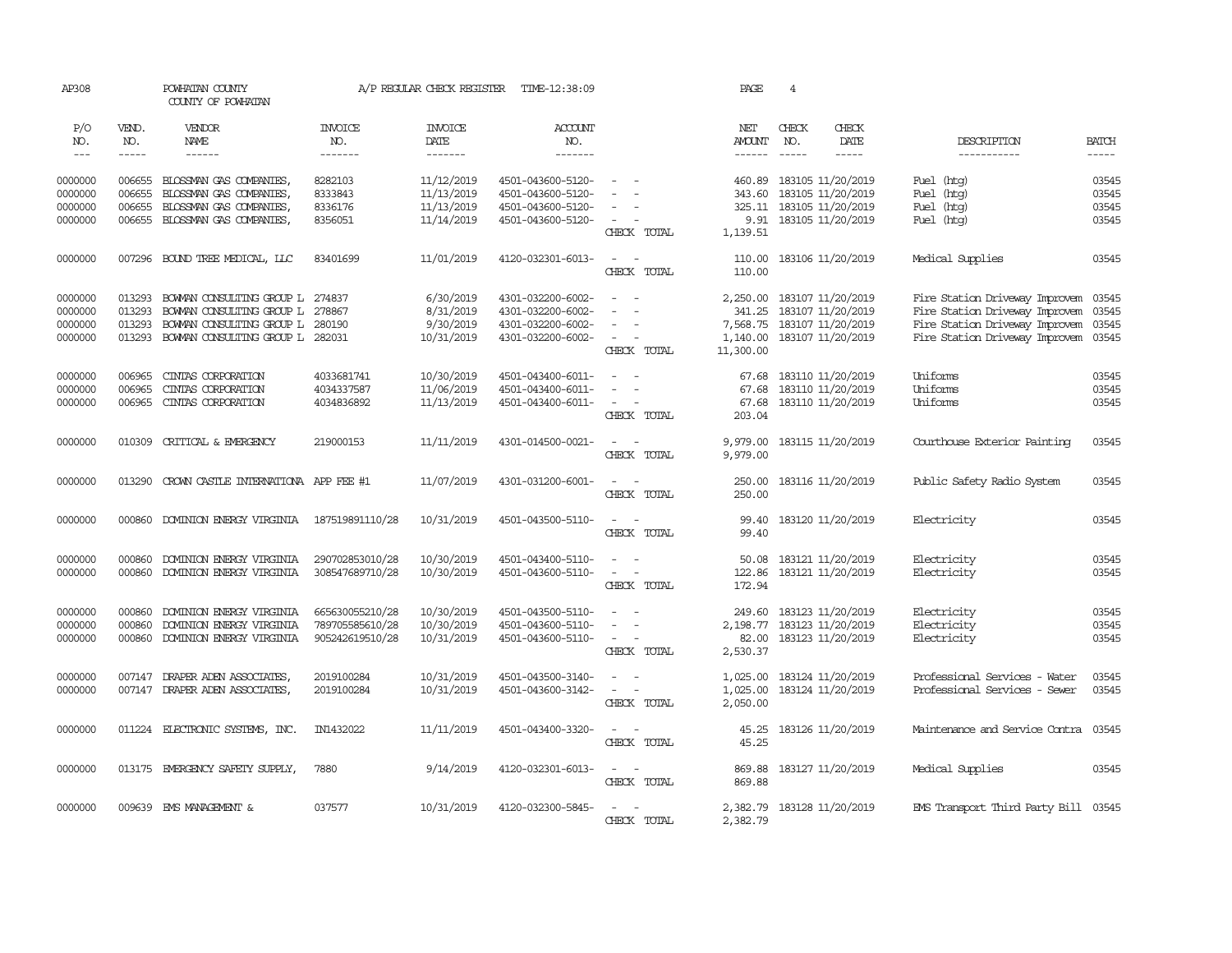| AP308                         |                             | POWHATAN COUNTY<br>COUNTY OF POWHATAN                                                   |                                                       | A/P REGULAR CHECK REGISTER             | TIME-12:38:09                                               |                                                                                         | PAGE                                                       | 4                                             |                        |                                                                                                    |                             |
|-------------------------------|-----------------------------|-----------------------------------------------------------------------------------------|-------------------------------------------------------|----------------------------------------|-------------------------------------------------------------|-----------------------------------------------------------------------------------------|------------------------------------------------------------|-----------------------------------------------|------------------------|----------------------------------------------------------------------------------------------------|-----------------------------|
| P/O<br>NO.<br>$\frac{1}{2}$   | VEND.<br>NO.<br>$- - - - -$ | VENDOR<br>NAME<br>$- - - - - -$                                                         | <b>INVOICE</b><br>NO.<br>-------                      | <b>INVOICE</b><br>DATE<br>-------      | <b>ACCOUNT</b><br>NO.<br>-------                            |                                                                                         | NET<br><b>AMOUNT</b><br>$- - - - - -$                      | CHECK<br>NO.<br>$\cdots$                      | CHECK<br>DATE<br>----- | DESCRIPTION<br>-----------                                                                         | <b>BATCH</b><br>$- - - - -$ |
| 0000000                       | 006655                      | BLOSSMAN GAS COMPANIES                                                                  | 8282103                                               | 11/12/2019                             | 4501-043600-5120-                                           | $\sim$                                                                                  | 460.89                                                     | 183105 11/20/2019                             |                        | Fuel (htg)                                                                                         | 03545                       |
| 0000000<br>0000000            | 006655<br>006655            | BLOSSMAN GAS COMPANIES,<br>BLOSSMAN GAS COMPANIES,                                      | 8333843<br>8336176                                    | 11/13/2019<br>11/13/2019               | 4501-043600-5120-<br>4501-043600-5120-                      | $\sim$                                                                                  | 343.60                                                     | 183105 11/20/2019<br>325.11 183105 11/20/2019 |                        | (htg)<br>Fuel<br>Fuel<br>(htg)                                                                     | 03545<br>03545              |
| 0000000                       | 006655                      | BLOSSMAN GAS COMPANIES,                                                                 | 8356051                                               | 11/14/2019                             | 4501-043600-5120-                                           | $\sim$<br>CHECK TOTAL                                                                   | 9.91<br>1,139.51                                           | 183105 11/20/2019                             |                        | Fuel (htg)                                                                                         | 03545                       |
| 0000000                       |                             | 007296 BOUND TREE MEDICAL, LLC                                                          | 83401699                                              | 11/01/2019                             | 4120-032301-6013-                                           | $\sim$<br>$\sim$<br>CHECK TOTAL                                                         | 110.00<br>110.00                                           | 183106 11/20/2019                             |                        | Medical Supplies                                                                                   | 03545                       |
| 0000000<br>0000000<br>0000000 | 013293<br>013293<br>013293  | BOWAN CONSULTING GROUP L 274837<br>BOWAN CONSULTING GROUP L<br>BOWAN CONSULTING GROUP L | 278867<br>280190                                      | 6/30/2019<br>8/31/2019<br>9/30/2019    | 4301-032200-6002-<br>4301-032200-6002-<br>4301-032200-6002- | $\sim$<br>$\sim$<br>$\overline{\phantom{a}}$                                            | 2,250.00 183107 11/20/2019<br>341.25<br>7,568.75           | 183107 11/20/2019<br>183107 11/20/2019        |                        | Fire Station Driveway Improvem<br>Fire Station Driveway Improvem<br>Fire Station Driveway Improvem | 03545<br>03545<br>03545     |
| 0000000                       | 013293                      | BOWAN CONSULTING GROUP L 282031                                                         |                                                       | 10/31/2019                             | 4301-032200-6002-                                           | $\sim$<br>CHECK TOTAL                                                                   | 1,140.00<br>11,300.00                                      | 183107 11/20/2019                             |                        | Fire Station Driveway Improvem                                                                     | 03545                       |
| 0000000<br>0000000            | 006965<br>006965            | CINIAS CORPORATION<br>CINIAS CORPORATION                                                | 4033681741<br>4034337587                              | 10/30/2019<br>11/06/2019               | 4501-043400-6011-<br>4501-043400-6011-                      | $\sim$<br>$\sim$<br>$\overline{\phantom{a}}$                                            | 67.68<br>67.68                                             | 183110 11/20/2019<br>183110 11/20/2019        |                        | Uniforms<br>Uniforms                                                                               | 03545<br>03545              |
| 0000000                       | 006965                      | CINIAS CORPORATION                                                                      | 4034836892                                            | 11/13/2019                             | 4501-043400-6011-                                           | $\sim$<br>CHECK TOTAL                                                                   | 67.68<br>203.04                                            | 183110 11/20/2019                             |                        | Uniforms                                                                                           | 03545                       |
| 0000000                       | 010309                      | CRITICAL & EMERGENCY                                                                    | 219000153                                             | 11/11/2019                             | 4301-014500-0021-                                           | $\overline{\phantom{a}}$<br>$\sim$<br>CHECK TOTAL                                       | 9,979.00<br>9,979.00                                       | 183115 11/20/2019                             |                        | Courthouse Exterior Painting                                                                       | 03545                       |
| 0000000                       | 013290                      | CROWN CASTLE INTERNATIONA APP FEE #1                                                    |                                                       | 11/07/2019                             | 4301-031200-6001-                                           | $\sim$<br>$\sim$<br>CHECK TOTAL                                                         | 250.00<br>250.00                                           | 183116 11/20/2019                             |                        | Public Safety Radio System                                                                         | 03545                       |
| 0000000                       | 000860                      | DOMINION ENERGY VIRGINIA                                                                | 187519891110/28                                       | 10/31/2019                             | 4501-043500-5110-                                           | $\sim$<br>CHECK TOTAL                                                                   | 99.40<br>99.40                                             | 183120 11/20/2019                             |                        | Electricity                                                                                        | 03545                       |
| 0000000<br>0000000            | 000860<br>000860            | DOMINION ENERGY VIRGINIA<br>DOMINION ENERGY VIRGINIA                                    | 290702853010/28<br>308547689710/28                    | 10/30/2019<br>10/30/2019               | 4501-043400-5110-<br>4501-043600-5110-                      | $\sim$ $ \sim$<br>$\sim$<br>CHECK TOTAL                                                 | 50.08<br>122.86<br>172.94                                  | 183121 11/20/2019<br>183121 11/20/2019        |                        | Electricity<br>Electricity                                                                         | 03545<br>03545              |
| 0000000<br>0000000<br>0000000 | 000860<br>000860<br>000860  | DOMINION ENERGY VIRGINIA<br>DOMINION ENERGY VIRGINIA<br>DOMINION ENERGY VIRGINIA        | 665630055210/28<br>789705585610/28<br>905242619510/28 | 10/30/2019<br>10/30/2019<br>10/31/2019 | 4501-043500-5110-<br>4501-043600-5110-<br>4501-043600-5110- | $\sim$<br>$\sim$<br>$\sim$<br>CHECK TOTAL                                               | 249.60<br>2, 198.77 183123 11/20/2019<br>82.00<br>2,530.37 | 183123 11/20/2019<br>183123 11/20/2019        |                        | Electricity<br>Electricity<br>Electricity                                                          | 03545<br>03545<br>03545     |
| 0000000<br>0000000            | 007147<br>007147            | DRAPER ADEN ASSOCIATES,<br>DRAPER ADEN ASSOCIATES,                                      | 2019100284<br>2019100284                              | 10/31/2019<br>10/31/2019               | 4501-043500-3140-<br>4501-043600-3142-                      | $\sim$<br>$\sim$<br>$\overline{\phantom{a}}$<br>$\overline{\phantom{0}}$<br>CHECK TOTAL | 1,025.00<br>1,025.00<br>2,050.00                           | 183124 11/20/2019                             | 183124 11/20/2019      | Professional Services - Water<br>Professional Services - Sewer                                     | 03545<br>03545              |
| 0000000                       | 011224                      | ELECTRONIC SYSTEMS, INC.                                                                | IN1432022                                             | 11/11/2019                             | 4501-043400-3320-                                           | $\sim$ $  -$<br>CHECK TOTAL                                                             | 45.25<br>45.25                                             |                                               | 183126 11/20/2019      | Maintenance and Service Contra                                                                     | 03545                       |
| 0000000                       |                             | 013175 EMERGENCY SAFETY SUPPLY,                                                         | 7880                                                  | 9/14/2019                              | 4120-032301-6013-                                           | $\sim$ $ -$<br>CHECK TOTAL                                                              | 869.88<br>869.88                                           | 183127 11/20/2019                             |                        | Medical Supplies                                                                                   | 03545                       |
| 0000000                       |                             | 009639 EMS MANAGEMENT &                                                                 | 037577                                                | 10/31/2019                             | 4120-032300-5845-                                           | $\overline{\phantom{a}}$<br>$\sim$<br>CHECK TOTAL                                       | 2,382.79<br>2,382.79                                       | 183128 11/20/2019                             |                        | EMS Transport Third Party Bill 03545                                                               |                             |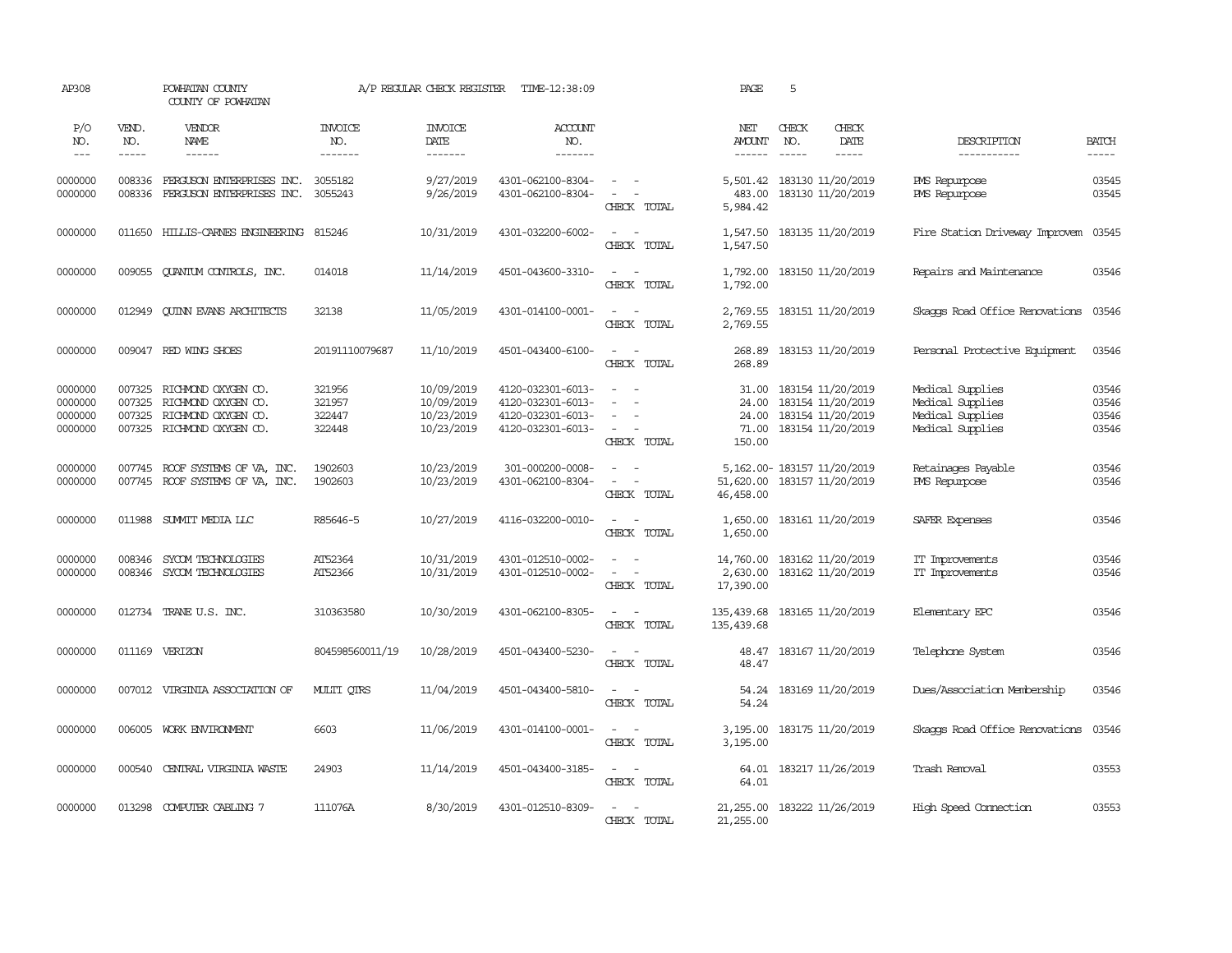| AP308                                    |                             | POWHATAN COUNTY<br>COUNTY OF POWHATAN                                                                  |                                      | A/P REGULAR CHECK REGISTER                           | TIME-12:38:09                                                                    |                                                                                                                                                    | PAGE                                       | 5                                                                                |                                                |                                                                              |                                  |
|------------------------------------------|-----------------------------|--------------------------------------------------------------------------------------------------------|--------------------------------------|------------------------------------------------------|----------------------------------------------------------------------------------|----------------------------------------------------------------------------------------------------------------------------------------------------|--------------------------------------------|----------------------------------------------------------------------------------|------------------------------------------------|------------------------------------------------------------------------------|----------------------------------|
| P/O<br>NO.<br>$\frac{1}{2}$              | VEND.<br>NO.<br>$- - - - -$ | VENDOR<br><b>NAME</b><br>------                                                                        | <b>INVOICE</b><br>NO.<br>-------     | <b>INVOICE</b><br>DATE<br>-------                    | ACCOUNT<br>NO.<br>-------                                                        |                                                                                                                                                    | NET<br>AMOUNT<br>$- - - - - -$             | CHECK<br>NO.<br>$\frac{1}{2}$                                                    | CHECK<br><b>DATE</b><br>$\cdots \cdots \cdots$ | DESCRIPTION<br>-----------                                                   | BATCH<br>-----                   |
| 0000000<br>0000000                       | 008336<br>008336            | FERGUSON ENTERPRISES INC.<br>FERGUSON ENTERPRISES INC. 3055243                                         | 3055182                              | 9/27/2019<br>9/26/2019                               | 4301-062100-8304-<br>4301-062100-8304-                                           | $\sim$<br>$\sim$<br>$\sim$<br>CHECK TOTAL                                                                                                          | 5,501.42<br>483.00<br>5,984.42             | 183130 11/20/2019<br>183130 11/20/2019                                           |                                                | PMS Repurpose<br>PMS Repurpose                                               | 03545<br>03545                   |
| 0000000                                  |                             | 011650 HILLIS-CARNES ENGINEERING 815246                                                                |                                      | 10/31/2019                                           | 4301-032200-6002-                                                                | $\sim$ $ \sim$<br>CHECK TOTAL                                                                                                                      | 1,547.50                                   | 1,547.50 183135 11/20/2019                                                       |                                                | Fire Station Driveway Improvem                                               | 03545                            |
| 0000000                                  | 009055                      | <b>OUANTUM CONTROLS, INC.</b>                                                                          | 014018                               | 11/14/2019                                           | 4501-043600-3310-                                                                | $\frac{1}{2} \left( \frac{1}{2} \right) \left( \frac{1}{2} \right) = \frac{1}{2} \left( \frac{1}{2} \right)$<br>CHECK TOTAL                        | 1,792.00                                   | 1,792.00 183150 11/20/2019                                                       |                                                | Repairs and Maintenance                                                      | 03546                            |
| 0000000                                  | 012949                      | QUINN EVANS ARCHITECTS                                                                                 | 32138                                | 11/05/2019                                           | 4301-014100-0001-                                                                | $\sim$ $ \sim$<br>CHECK TOTAL                                                                                                                      | 2,769.55<br>2,769.55                       | 183151 11/20/2019                                                                |                                                | Skaops Road Office Renovations 03546                                         |                                  |
| 0000000                                  |                             | 009047 RED WING SHOES                                                                                  | 20191110079687                       | 11/10/2019                                           | 4501-043400-6100-                                                                | $\sim$<br>$\sim$<br>CHECK TOTAL                                                                                                                    | 268.89<br>268.89                           | 183153 11/20/2019                                                                |                                                | Personal Protective Equipment                                                | 03546                            |
| 0000000<br>0000000<br>0000000<br>0000000 | 007325<br>007325            | 007325 RICHMOND OXYGEN CO.<br>RICHMOND OXYGEN CO.<br>RICHMOND OXYGEN CO.<br>007325 RICHMOND OXYGEN CO. | 321956<br>321957<br>322447<br>322448 | 10/09/2019<br>10/09/2019<br>10/23/2019<br>10/23/2019 | 4120-032301-6013-<br>4120-032301-6013-<br>4120-032301-6013-<br>4120-032301-6013- | $\sim$<br>$\sim$<br>$\overline{\phantom{a}}$<br>$\overline{\phantom{a}}$<br>$\sim$<br>$\sim$<br>CHECK TOTAL                                        | 31.00<br>24.00<br>24.00<br>71.00<br>150.00 | 183154 11/20/2019<br>183154 11/20/2019<br>183154 11/20/2019<br>183154 11/20/2019 |                                                | Medical Supplies<br>Medical Supplies<br>Medical Supplies<br>Medical Supplies | 03546<br>03546<br>03546<br>03546 |
| 0000000<br>0000000                       |                             | 007745 ROOF SYSTEMS OF VA, INC.<br>007745 ROOF SYSTEMS OF VA, INC.                                     | 1902603<br>1902603                   | 10/23/2019<br>10/23/2019                             | 301-000200-0008-<br>4301-062100-8304-                                            | $\sim$<br>$\frac{1}{2} \left( \frac{1}{2} \right) \left( \frac{1}{2} \right) \left( \frac{1}{2} \right) \left( \frac{1}{2} \right)$<br>CHECK TOTAL | 51,620.00 183157 11/20/2019<br>46,458.00   | 5, 162.00-183157 11/20/2019                                                      |                                                | Retainages Payable<br>PMS Repurpose                                          | 03546<br>03546                   |
| 0000000                                  |                             | 011988 SUMMIT MEDIA LLC                                                                                | R85646-5                             | 10/27/2019                                           | 4116-032200-0010-                                                                | $\sim$<br>$\sim$<br>CHECK TOTAL                                                                                                                    | 1,650.00<br>1,650.00                       | 183161 11/20/2019                                                                |                                                | SAFER Expenses                                                               | 03546                            |
| 0000000<br>0000000                       | 008346<br>008346            | SYCOM TECHNOLOGIES<br>SYCOM TECHNOLOGIES                                                               | AT52364<br>AT52366                   | 10/31/2019<br>10/31/2019                             | 4301-012510-0002-<br>4301-012510-0002-                                           | $\sim$<br>$\sim$<br>$\sim 100$ km s $^{-1}$<br>CHECK TOTAL                                                                                         | 14,760.00<br>2,630.00<br>17,390.00         | 183162 11/20/2019<br>183162 11/20/2019                                           |                                                | IT Improvements<br>IT Improvements                                           | 03546<br>03546                   |
| 0000000                                  |                             | 012734 TRANE U.S. INC.                                                                                 | 310363580                            | 10/30/2019                                           | 4301-062100-8305-                                                                | $\omega_{\rm{max}}$ and $\omega_{\rm{max}}$<br>CHECK TOTAL                                                                                         | 135,439.68 183165 11/20/2019<br>135,439.68 |                                                                                  |                                                | Elementary EPC                                                               | 03546                            |
| 0000000                                  |                             | 011169 VERIZON                                                                                         | 804598560011/19                      | 10/28/2019                                           | 4501-043400-5230-                                                                | $\sim$ $ \sim$<br>CHECK TOTAL                                                                                                                      | 48.47<br>48.47                             | 183167 11/20/2019                                                                |                                                | Telephone System                                                             | 03546                            |
| 0000000                                  |                             | 007012 VIRGINIA ASSOCIATION OF                                                                         | MULTI OTRS                           | 11/04/2019                                           | 4501-043400-5810-                                                                | $\sim$ $ \sim$<br>CHECK TOTAL                                                                                                                      | 54.24<br>54.24                             | 183169 11/20/2019                                                                |                                                | Dues/Association Membership                                                  | 03546                            |
| 0000000                                  |                             | 006005 WORK ENVIRONMENT                                                                                | 6603                                 | 11/06/2019                                           | 4301-014100-0001-                                                                | $\sim$ $ -$<br>CHECK TOTAL                                                                                                                         | 3,195.00<br>3,195.00                       | 183175 11/20/2019                                                                |                                                | Skaops Road Office Renovations 03546                                         |                                  |
| 0000000                                  | 000540                      | CENTRAL VIRGINIA WASTE                                                                                 | 24903                                | 11/14/2019                                           | 4501-043400-3185-                                                                | $\sim$<br>$\sim$<br>CHECK TOTAL                                                                                                                    | 64.01<br>64.01                             | 183217 11/26/2019                                                                |                                                | Trash Removal                                                                | 03553                            |
| 0000000                                  | 013298                      | COMPUTER CABLING 7                                                                                     | 111076A                              | 8/30/2019                                            | 4301-012510-8309-                                                                | $\overline{\phantom{a}}$<br>$\sim$<br>CHECK TOTAL                                                                                                  | 21,255.00<br>21,255.00                     | 183222 11/26/2019                                                                |                                                | High Speed Connection                                                        | 03553                            |